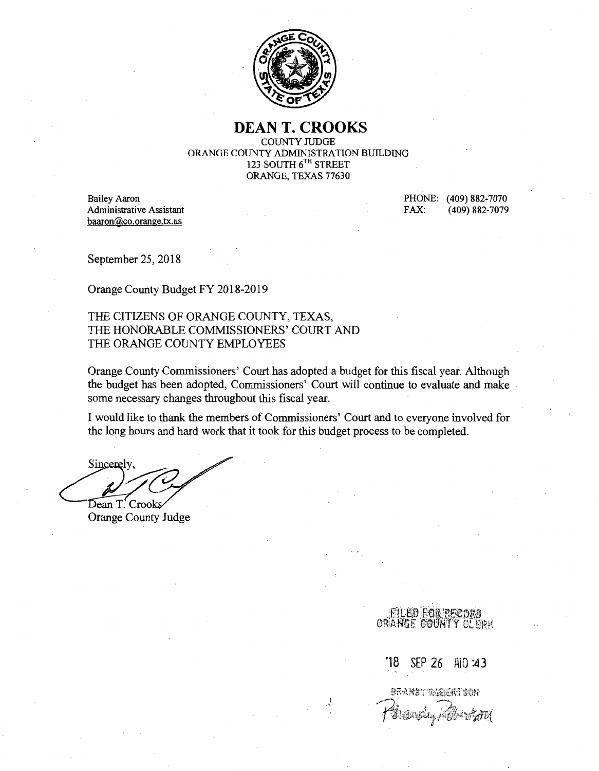

# **DEAN T. CROOKS**

COUNTY JUDGE ORANGE COUNTY ADMINISTRATION BUILDING 123 SOUTH 6TH STREET ORANGE, TEXAS 77630

Bailey Aaron Administrative Assistant baaron@co.orange.tx.us

PHONE: (409) 882-7070 FAX: (409) 882-7079

September 25, 2018

Orange County Budget FY 2018-2019

THE CITIZENS OF ORANGE COUNTY, TEXAS, THE HONORABLE COMMISSIONERS' COURT AND THE ORANGE COUNTY EMPLOYEES

Orange County Commissioners' Court.has adopted a budget for this fiscal year. Although the budget has been adopted, Commissioners' Court will continue to evaluate and make some necessary changes throughout this fiscal year.

I would like to thank the members of Commissioners' Court and to everyone involved for the long hours and hard work that it took for this budget process to be completed.

Sincerely, Dean T. Crooks

**Orange County Judge** 

**FILED FOR RECORD** ORANGE COUNTY CLERK

·18 SEP 26 AiD :43

BRANN \*\*\* \*\*\*\*\*\*\*\*\*\*\*\*\*  $\mathbf{I}$  ,  $\mathbf{I}$  ,  $\mathbf{I}$ rit@ti~!!@ti~\@ti~\@ti~\@ti~\@ti~\@ti~@ti~@ti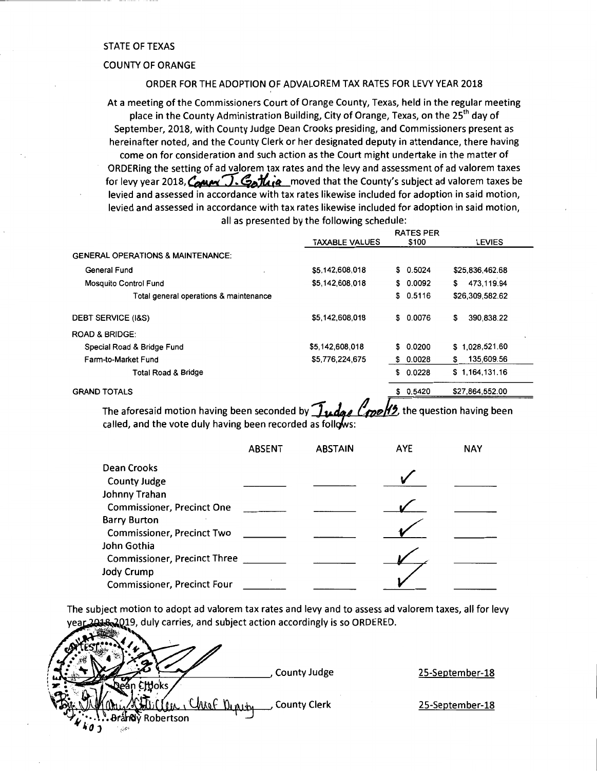### STATE OF TEXAS

### COUNTY OF ORANGE

### ORDER FOR THE ADOPTION OF ADVALOREM TAX RATES FOR LEVY YEAR 2018

At a meeting of the Commissioners Court of Orange County, Texas, held in the regular meeting place in the County Administration Building, City of Orange, Texas, on the 25<sup>th</sup> day of September, 2018, with County Judge Dean Crooks presiding, and Commissioners present as hereinafter noted, and the County Clerk or her designated deputy in attendance, there having come on for consideration and such action as the Court might undertake in the matter of ORDERing the setting of ad valorem tax rates and the levy and assessment of ad valorem taxes for levy year 2018,  $\mathcal{C}_{\mathbf{c}}\mathbf{w}_{\mathbf{c}}$ .  $\mathcal{C}_{\mathbf{c}}\mathbf{h}_{\mathbf{c}}\mathbf{e}_{\mathbf{c}}$  moved that the County's subject ad valorem taxes be levied and assessed in accordance with tax rates likewise included for adoption in said motion, levied and assessed in accordance with tax rates likewise included for adoption in said motion, all as presented by the following schedule:

|                                              |                           | <b>RATES PER</b> |                  |
|----------------------------------------------|---------------------------|------------------|------------------|
|                                              | <b>TAXABLE VALUES</b>     | \$100            | <b>LEVIES</b>    |
| <b>GENERAL OPERATIONS &amp; MAINTENANCE:</b> |                           |                  |                  |
| General Fund                                 | \$5,142,608,018           | \$0.5024         | \$25,836,462.68  |
| Mosquito Control Fund                        | \$5,142,608,018           | \$0.0092         | 473,119.94<br>\$ |
| Total general operations & maintenance       |                           | \$0.5116         | \$26,309,582.62  |
| <b>DEBT SERVICE (I&amp;S)</b>                | \$5,142,608,018           | \$0.0076         | \$<br>390.838.22 |
| <b>ROAD &amp; BRIDGE:</b>                    |                           |                  |                  |
| Special Road & Bridge Fund                   | \$5,142,608,018           | \$0.0200         | \$1,028,521.60   |
| Farm-to-Market Fund                          | \$5,776,224,675           | 0.0028<br>s.     | 135,609.56<br>\$ |
| <b>Total Road &amp; Bridge</b>               |                           | 0.0228<br>\$     | \$1,164,131,16   |
| <b>GRAND TOTALS</b>                          |                           | \$0.5420         | \$27,864,552.00  |
| — . <i>.</i>                                 | 不<br>$\sim$ $\sim$ $\sim$ | 116              | .                |

The aforesaid motion having been seconded by  $\frac{1}{\sqrt{4\pi}}\frac{d}{d}$ . The question having been called, and the vote duly having been recorded as follows:

|                                     | <b>ABSENT</b> | <b>ABSTAIN</b> | <b>AYE</b> | <b>NAY</b> |
|-------------------------------------|---------------|----------------|------------|------------|
| Dean Crooks                         |               |                |            |            |
| County Judge                        |               |                |            |            |
| Johnny Trahan                       |               |                |            |            |
| <b>Commissioner, Precinct One</b>   |               |                |            |            |
| <b>Barry Burton</b>                 |               |                |            |            |
| <b>Commissioner, Precinct Two</b>   |               |                |            |            |
| John Gothia                         |               |                |            |            |
| <b>Commissioner, Precinct Three</b> |               |                |            |            |
| Jody Crump                          |               |                |            |            |
| <b>Commissioner, Precinct Four</b>  |               |                |            |            |

The subject motion to adopt ad valorem tax rates and levy and to assess ad valorem taxes, all for levy ar 2018-2019, duly carries, and subject action accordingly is so ORDERED.<br>. المسلم

|                                                                                             | <b>County Judge</b> | 25-September-18 |
|---------------------------------------------------------------------------------------------|---------------------|-----------------|
| <b>Moks</b><br>Depretry<br>" hear.<br>Robertson<br>L<br>$\bullet$ $k_{0}$<br>$\sim 10^{-1}$ | <b>County Clerk</b> | 25-September-18 |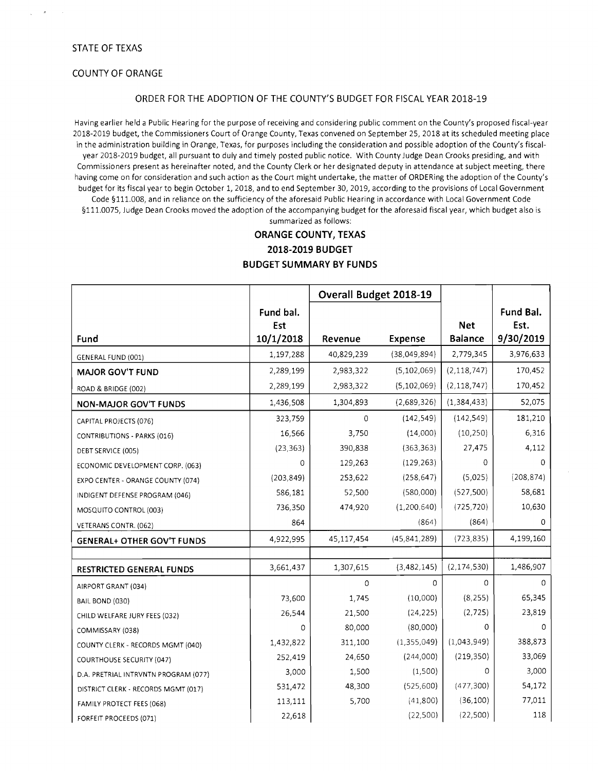$\epsilon$ 

### COUNTY OF ORANGE

### ORDER FOR THE ADOPTION OF THE COUNTY'S BUDGET FOR FISCAL YEAR 2018-19

Having earlier held a Public Hearing for the purpose of receiving and considering public comment on the County's proposed fiscal-year 2018-2019 budget, the Commissioners Court of Orange County, Texas convened on September 25,2018 at its scheduled meeting place in the administration building in Orange, Texas, for purposes including the consideration and possible adoption of the County's fiscalyear 2018-2019 budget, all pursuant to duly and timely posted public notice. With County Judge Dean Crooks presiding, and with Commissioners present as hereinafter noted, and the County Clerk or her designated deputy in attendance at subject meeting, there having come on for consideration and such action as the Court might undertake, the matter of ORDERing the adoption of the County's budget for its fiscal year to begin October 1, 2018, and to end September 30, 2019, according to the provisions of Local Government Code §111.008, and in reliance on the sufficiency of the aforesaid Public Hearing in accordance with Local Government Code §111.0075, Judge Dean Crooks moved the adoption of the accompanying budget for the aforesaid fiscal year, which budget also is

summarized as follows:

### **ORANGE COUNTY, TEXAS 2018-2019 BUDGET**

### **BUDGET SUMMARY BY FUNDS**

|                                      |                               | Overall Budget 2018-19 |                |                              |                                |
|--------------------------------------|-------------------------------|------------------------|----------------|------------------------------|--------------------------------|
| Fund                                 | Fund bal.<br>Est<br>10/1/2018 | Revenue                | Expense        | <b>Net</b><br><b>Balance</b> | Fund Bal.<br>Est.<br>9/30/2019 |
| GENERAL FUND (001)                   | 1,197,288                     | 40,829,239             | (38,049,894)   | 2,779,345                    | 3,976,633                      |
| <b>MAJOR GOV'T FUND</b>              | 2,289,199                     | 2,983,322              | (5, 102, 069)  | (2, 118, 747)                | 170,452                        |
| ROAD & BRIDGE (002)                  | 2,289,199                     | 2,983,322              | (5, 102, 069)  | (2, 118, 747)                | 170,452                        |
| <b>NON-MAJOR GOV'T FUNDS</b>         | 1,436,508                     | 1,304,893              | (2,689,326)    | (1, 384, 433)                | 52,075                         |
| CAPITAL PROJECTS (076)               | 323,759                       | 0                      | (142, 549)     | (142, 549)                   | 181,210                        |
| CONTRIBUTIONS - PARKS (016)          | 16,566                        | 3,750                  | (14,000)       | (10, 250)                    | 6,316                          |
| DEBT SERVICE (005)                   | (23, 363)                     | 390,838                | (363, 363)     | 27,475                       | 4,112                          |
| ECONOMIC DEVELOPMENT CORP. (063)     | 0                             | 129,263                | (129, 263)     | 0                            | 0                              |
| EXPO CENTER - ORANGE COUNTY (074)    | (203, 849)                    | 253,622                | (258, 647)     | (5,025)                      | (208, 874)                     |
| INDIGENT DEFENSE PROGRAM (046)       | 586,181                       | 52.500                 | (580,000)      | (527,500)                    | 58,681                         |
| MOSQUITO CONTROL (003)               | 736,350                       | 474,920                | (1,200,640)    | (725, 720)                   | 10,630                         |
| VETERANS CONTR. (062)                | 864                           |                        | (864)          | (864)                        | 0                              |
| <b>GENERAL+ OTHER GOV'T FUNDS</b>    | 4,922,995                     | 45,117,454             | (45, 841, 289) | (723, 835)                   | 4,199,160                      |
|                                      |                               |                        |                |                              |                                |
| <b>RESTRICTED GENERAL FUNDS</b>      | 3,661,437                     | 1,307,615              | (3,482,145)    | (2, 174, 530)                | 1,486,907                      |
| AIRPORT GRANT (034)                  |                               | 0                      | 0              | 0                            | n                              |
| BAIL BOND (030)                      | 73,600                        | 1,745                  | (10,000)       | (8, 255)                     | 65,345                         |
| CHILD WELFARE JURY FEES (032)        | 26,544                        | 21,500                 | (24, 225)      | (2, 725)                     | 23,819                         |
| COMMISSARY (038)                     | 0                             | 80,000                 | (80,000)       | 0                            | 0                              |
| COUNTY CLERK - RECORDS MGMT (040)    | 1,432,822                     | 311,100                | (1,355,049)    | (1,043,949)                  | 388,873                        |
| <b>COURTHOUSE SECURITY (047)</b>     | 252,419                       | 24.650                 | (244,000)      | (219, 350)                   | 33,069                         |
| D.A. PRETRIAL INTRVNTN PROGRAM (077) | 3,000                         | 1,500                  | (1,500)        | 0                            | 3,000                          |
| DISTRICT CLERK - RECORDS MGMT (017)  | 531,472                       | 48,300                 | (525,600)      | (477, 300)                   | 54,172                         |
| FAMILY PROTECT FEES (068)            | 113,111                       | 5,700                  | (41,800)       | (36, 100)                    | 77,011                         |
| FORFEIT PROCEEDS (071)               | 22,618                        |                        | (22, 500)      | (22,500)                     | 118                            |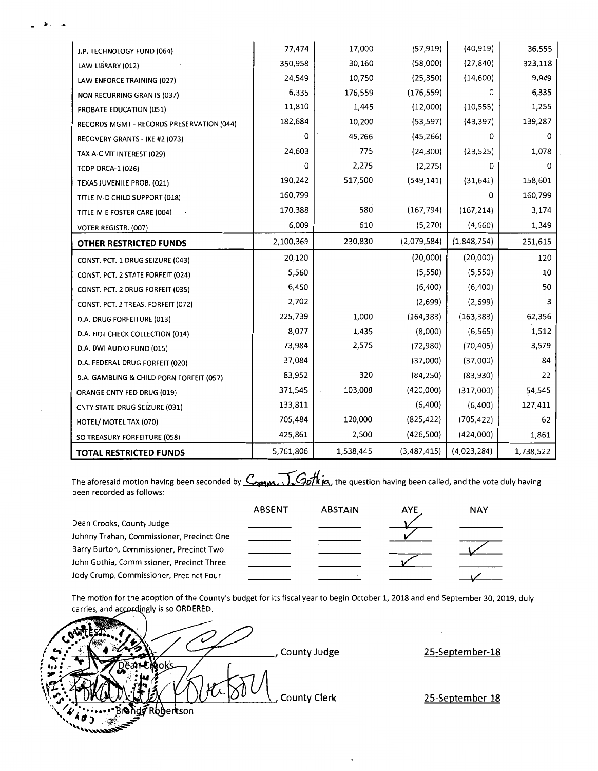| J.P. TECHNOLOGY FUND (064)                | 77,474    | 17,000    | (57, 919)   | (40, 919)   | 36,555    |
|-------------------------------------------|-----------|-----------|-------------|-------------|-----------|
| LAW LIBRARY (012)                         | 350,958   | 30,160    | (58,000)    | (27, 840)   | 323,118   |
| LAW ENFORCE TRAINING (027)                | 24,549    | 10,750    | (25, 350)   | (14,600)    | 9,949     |
| <b>NON RECURRING GRANTS (037)</b>         | 6,335     | 176,559   | (176, 559)  | 0           | 6,335     |
| PROBATE EDUCATION (051)                   | 11,810    | 1,445     | (12,000)    | (10, 555)   | 1,255     |
| RECORDS MGMT - RECORDS PRESERVATION (044) | 182,684   | 10,200    | (53, 597)   | (43, 397)   | 139,287   |
| RECOVERY GRANTS - IKE #2 (073)            | 0         | 45,266    | (45, 266)   | 0           | 0         |
| TAX A-C VIT INTEREST (029)                | 24,603    | 775       | (24, 300)   | (23, 525)   | 1,078     |
| <b>TCDP ORCA-1 (026)</b>                  | 0         | 2,275     | (2, 275)    | 0           | 0         |
| TEXAS JUVENILE PROB. (021)                | 190,242   | 517,500   | (549, 141)  | (31, 641)   | 158,601   |
| TITLE IV-D CHILD SUPPORT (018)            | 160,799   |           |             | 0           | 160,799   |
| TITLE IV-E FOSTER CARE (004)              | 170,388   | 580       | (167, 794)  | (167, 214)  | 3,174     |
| VOTER REGISTR. (007)                      | 6,009     | 610       | (5,270)     | (4,660)     | 1,349     |
| OTHER RESTRICTED FUNDS                    | 2,100,369 | 230,830   | (2,079,584) | (1,848,754) | 251,615   |
| CONST. PCT. 1 DRUG SEIZURE (043)          | 20,120    |           | (20,000)    | (20,000)    | 120       |
| CONST. PCT. 2 STATE FORFEIT (024)         | 5,560     |           | (5,550)     | (5,550)     | 10        |
| CONST. PCT. 2 DRUG FORFEIT (035)          | 6,450     |           | (6,400)     | (6,400)     | 50        |
| CONST. PCT. 2 TREAS. FORFEIT (072)        | 2,702     |           | (2,699)     | (2,699)     | 3         |
| D.A. DRUG FORFEITURE (013)                | 225,739   | 1,000     | (164, 383)  | (163, 383)  | 62,356    |
| D.A. HOT CHECK COLLECTION (014)           | 8,077     | 1,435     | (8,000)     | (6, 565)    | 1,512     |
| D.A. DWI AUDIO FUND (015)                 | 73,984    | 2,575     | (72,980)    | (70, 405)   | 3,579     |
| D.A. FEDERAL DRUG FORFEIT (020)           | 37,084    |           | (37,000)    | (37,000)    | 84        |
| D.A. GAMBLING & CHILD PORN FORFEIT (057)  | 83,952    | 320       | (84, 250)   | (83,930)    | 22        |
| ORANGE CNTY FED DRUG (019)                | 371,545   | 103,000   | (420,000)   | (317,000)   | 54,545    |
| CNTY STATE DRUG SEIZURE (031)             | 133,811   |           | (6,400)     | (6,400)     | 127,411   |
| HOTEL/ MOTEL TAX (070)                    | 705,484   | 120,000   | (825, 422)  | (705, 422)  | 62        |
|                                           |           |           |             |             |           |
| SO TREASURY FORFEITURE (058)              | 425,861   | 2,500     | (426,500)   | (424,000)   | 1,861     |
| TOTAL RESTRICTED FUNDS                    | 5,761,806 | 1,538,445 | (3,487,415) | (4,023,284) | 1,738,522 |

The aforesaid motion having been seconded by  $\overline{\mathcal{L}_{optm}}$ ,  $\overline{\mathcal{L}_{optm}}$ , the question having been called, and the vote duly having been recorded as follows:

|                                           | <b>ABSENT</b> | <b>ABSTAIN</b> | <b>AYE</b> | <b>NAY</b> |
|-------------------------------------------|---------------|----------------|------------|------------|
| Dean Crooks, County Judge                 |               |                |            |            |
| Johnny Trahan, Commissioner, Precinct One |               |                |            |            |
| Barry Burton, Commissioner, Precinct Two  |               |                |            |            |
| John Gothia, Commissioner, Precinct Three |               |                |            |            |
| Jody Crump, Commissioner, Precinct Four   |               |                |            |            |

The motion for the adoption of the County's budget for its fiscal year to begin October 1, 2018 and end September 30, 2019, duly carries, and accordingly is so ORDERED.

County Judge **County Clerk bb**ertson أترتد

....

**25-September-18** 

**25-September-18**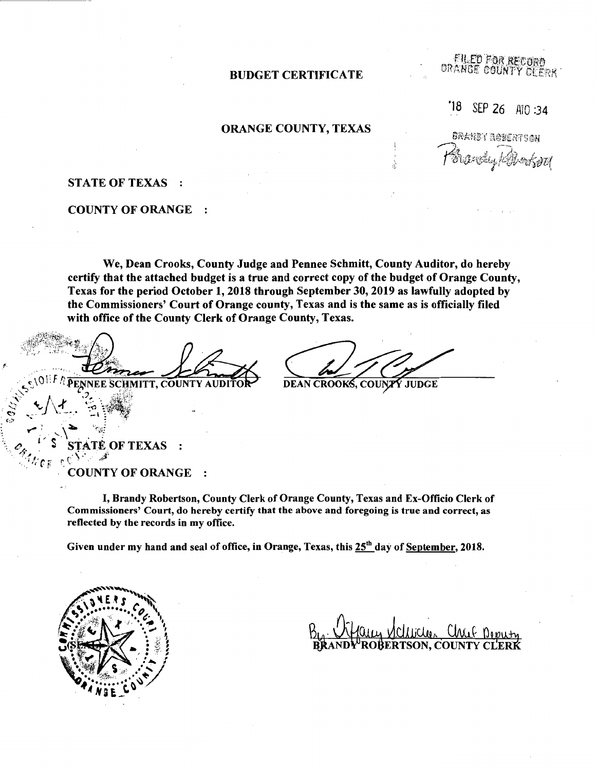### BUDGET CERTIFICATE

**FILED FOR RECORA** ORANGE COUNTY CLERK

'18 SEP 26 AIO :34

## ORANGE COUNTY, TEXAS

822大量多了 高身穿直接平台盘杆 Sustraction held

### STATE OF TEXAS

### COUNTY OF ORANGE

We, Dean Crooks, County Judge and Pennee Schmitt, County Auditor, do hereby certify that the attached budget is a true and correct copy of the budget of Orange County, Texas for the period October 1, 2018 through September 30, 2019 as lawfully adopted by the Commissioners' Court of Orange county, Texas and is the same as is officially filed with office of the County Clerk of Orange County, Texas.

**IF REENEE SCHMITT, COUNTY AUDITO** 

**DEAN CROOKS, COUNTY JUDGE** 

TATE OF TEXAS :  $\mathbf{z}$ 

 $\frac{1}{2}$ 

**COUNTY OF ORANGE**  $\ddot{\cdot}$ 

I, Brandy Robertson, County Clerk of Orange County, Texas and Ex-Officio Clerk of Commissioners' Court, do hereby certify that the above and foregoing is true and correct, as reflected by the records in my office.

Given under my hand and seal of office, in Orange, Texas, this  $25<sup>th</sup>$  day of September, 2018.

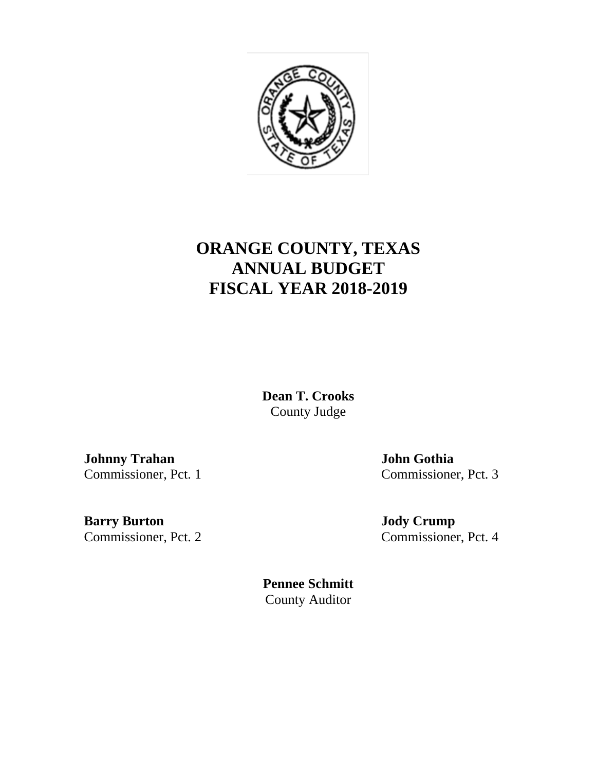

# **ORANGE COUNTY, TEXAS ANNUAL BUDGET FISCAL YEAR 2018-2019**

**Dean T. Crooks**  County Judge

**Johnny Trahan John Gothia**

Commissioner, Pct. 1 Commissioner, Pct. 3

**Barry Burton Jody Crump** Commissioner, Pct. 2 Commissioner, Pct. 4

**Pennee Schmitt**  County Auditor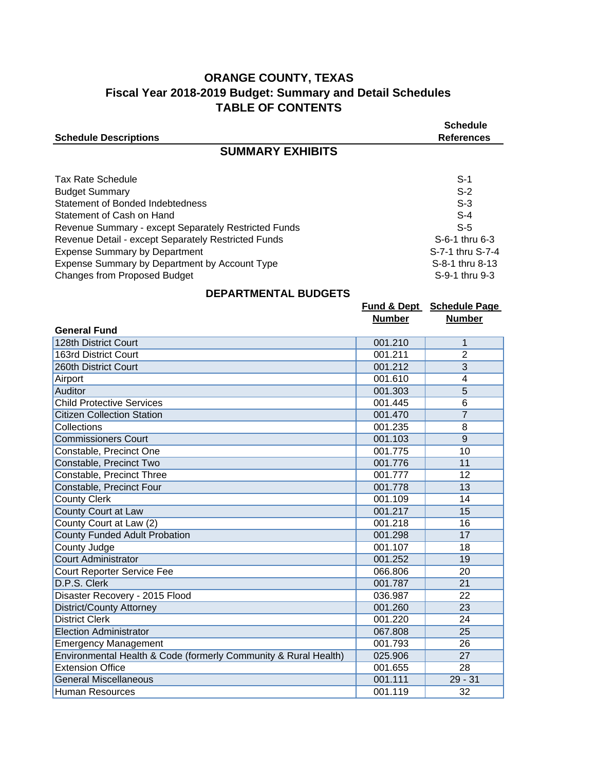# **ORANGE COUNTY, TEXAS Fiscal Year 2018-2019 Budget: Summary and Detail Schedules TABLE OF CONTENTS**

| <b>Schedule Descriptions</b>                                                                                                                                                                                                                                                                                                                                      |         | <b>Schedule</b><br><b>References</b>                                                                                 |  |  |  |
|-------------------------------------------------------------------------------------------------------------------------------------------------------------------------------------------------------------------------------------------------------------------------------------------------------------------------------------------------------------------|---------|----------------------------------------------------------------------------------------------------------------------|--|--|--|
| <b>SUMMARY EXHIBITS</b>                                                                                                                                                                                                                                                                                                                                           |         |                                                                                                                      |  |  |  |
| <b>Tax Rate Schedule</b><br><b>Budget Summary</b><br>Statement of Bonded Indebtedness<br>Statement of Cash on Hand<br>Revenue Summary - except Separately Restricted Funds<br>Revenue Detail - except Separately Restricted Funds<br><b>Expense Summary by Department</b><br>Expense Summary by Department by Account Type<br><b>Changes from Proposed Budget</b> |         | $S-1$<br>$S-2$<br>$S-3$<br>$S-4$<br>$S-5$<br>S-6-1 thru 6-3<br>S-7-1 thru S-7-4<br>S-8-1 thru 8-13<br>S-9-1 thru 9-3 |  |  |  |
| <b>DEPARTMENTAL BUDGETS</b>                                                                                                                                                                                                                                                                                                                                       |         |                                                                                                                      |  |  |  |
|                                                                                                                                                                                                                                                                                                                                                                   |         | Fund & Dept Schedule Page                                                                                            |  |  |  |
| <b>Number</b><br><b>Number</b><br><b>General Fund</b>                                                                                                                                                                                                                                                                                                             |         |                                                                                                                      |  |  |  |
| 128th District Court                                                                                                                                                                                                                                                                                                                                              | 001.210 | 1                                                                                                                    |  |  |  |
| 163rd District Court                                                                                                                                                                                                                                                                                                                                              | 001.211 | 2                                                                                                                    |  |  |  |
| 260th District Court                                                                                                                                                                                                                                                                                                                                              | 001.212 | 3                                                                                                                    |  |  |  |
| Airport                                                                                                                                                                                                                                                                                                                                                           | 001.610 | 4                                                                                                                    |  |  |  |
| Auditor                                                                                                                                                                                                                                                                                                                                                           | 001.303 | 5                                                                                                                    |  |  |  |
| <b>Child Protective Services</b>                                                                                                                                                                                                                                                                                                                                  | 001.445 | 6                                                                                                                    |  |  |  |
| <b>Citizen Collection Station</b>                                                                                                                                                                                                                                                                                                                                 | 001.470 | $\overline{7}$                                                                                                       |  |  |  |
| Collections                                                                                                                                                                                                                                                                                                                                                       | 001 235 | 8                                                                                                                    |  |  |  |

| <b>Auditor</b>                                                  | 001.303 | 5         |
|-----------------------------------------------------------------|---------|-----------|
| <b>Child Protective Services</b>                                | 001.445 | 6         |
| <b>Citizen Collection Station</b>                               | 001.470 | 7         |
| Collections                                                     | 001.235 | 8         |
| <b>Commissioners Court</b>                                      | 001.103 | 9         |
| Constable, Precinct One                                         | 001.775 | 10        |
| Constable, Precinct Two                                         | 001.776 | 11        |
| Constable, Precinct Three                                       | 001.777 | 12        |
| Constable, Precinct Four                                        | 001.778 | 13        |
| <b>County Clerk</b>                                             | 001.109 | 14        |
| County Court at Law                                             | 001.217 | 15        |
| County Court at Law (2)                                         | 001.218 | 16        |
| County Funded Adult Probation                                   | 001.298 | 17        |
| County Judge                                                    | 001.107 | 18        |
| <b>Court Administrator</b>                                      | 001.252 | 19        |
| Court Reporter Service Fee                                      | 066.806 | 20        |
| D.P.S. Clerk                                                    | 001.787 | 21        |
| Disaster Recovery - 2015 Flood                                  | 036.987 | 22        |
| <b>District/County Attorney</b>                                 | 001.260 | 23        |
| <b>District Clerk</b>                                           | 001.220 | 24        |
| <b>Election Administrator</b>                                   | 067.808 | 25        |
| <b>Emergency Management</b>                                     | 001.793 | 26        |
| Environmental Health & Code (formerly Community & Rural Health) | 025.906 | 27        |
| <b>Extension Office</b>                                         | 001.655 | 28        |
| <b>General Miscellaneous</b>                                    | 001.111 | $29 - 31$ |
| Human Resources                                                 | 001.119 | 32        |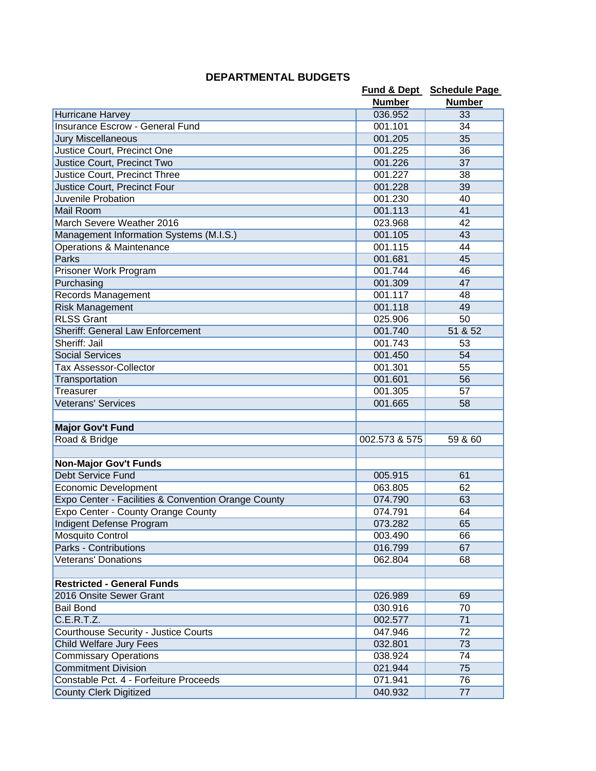| <b>DEPARTMENTAL BUDGETS</b> |
|-----------------------------|
|-----------------------------|

|                                                     |               | Fund & Dept Schedule Page |
|-----------------------------------------------------|---------------|---------------------------|
|                                                     | <b>Number</b> | <b>Number</b>             |
| Hurricane Harvey                                    | 036.952       | 33                        |
| Insurance Escrow - General Fund                     | 001.101       | 34                        |
| <b>Jury Miscellaneous</b>                           | 001.205       | 35                        |
| Justice Court, Precinct One                         | 001.225       | 36                        |
| Justice Court, Precinct Two                         | 001.226       | 37                        |
| Justice Court, Precinct Three                       | 001.227       | 38                        |
| Justice Court, Precinct Four                        | 001.228       | 39                        |
| Juvenile Probation                                  | 001.230       | 40                        |
| <b>Mail Room</b>                                    | 001.113       | 41                        |
| March Severe Weather 2016                           | 023.968       | 42                        |
| Management Information Systems (M.I.S.)             | 001.105       | 43                        |
| Operations & Maintenance                            | 001.115       | 44                        |
| Parks                                               | 001.681       | 45                        |
| Prisoner Work Program                               | 001.744       | 46                        |
| Purchasing                                          | 001.309       | 47                        |
| Records Management                                  | 001.117       | 48                        |
| <b>Risk Management</b>                              | 001.118       | 49                        |
| <b>RLSS Grant</b>                                   | 025.906       | 50                        |
| <b>Sheriff: General Law Enforcement</b>             | 001.740       | 51 & 52                   |
| Sheriff: Jail                                       | 001.743       | 53                        |
| <b>Social Services</b>                              | 001.450       | 54                        |
| <b>Tax Assessor-Collector</b>                       | 001.301       | 55                        |
| Transportation                                      | 001.601       | 56                        |
| Treasurer                                           | 001.305       | 57                        |
| <b>Veterans' Services</b>                           | 001.665       | 58                        |
|                                                     |               |                           |
| <b>Major Gov't Fund</b>                             |               |                           |
| Road & Bridge                                       | 002.573 & 575 | 59 & 60                   |
|                                                     |               |                           |
| <b>Non-Major Gov't Funds</b>                        |               |                           |
| <b>Debt Service Fund</b>                            | 005.915       | 61                        |
| Economic Development                                | 063.805       | 62                        |
| Expo Center - Facilities & Convention Orange County | 074.790       | 63                        |
| Expo Center - County Orange County                  | 074.791       | 64                        |
| Indigent Defense Program                            | 073.282       | 65                        |
| <b>Mosquito Control</b>                             | 003.490       | 66                        |
| Parks - Contributions                               | 016.799       | 67                        |
| <b>Veterans' Donations</b>                          | 062.804       | 68                        |
|                                                     |               |                           |
| <b>Restricted - General Funds</b>                   |               |                           |
| 2016 Onsite Sewer Grant                             | 026.989       | 69                        |
| <b>Bail Bond</b>                                    | 030.916       | 70                        |
| C.E.R.T.Z.                                          | 002.577       | 71                        |
| <b>Courthouse Security - Justice Courts</b>         | 047.946       | 72                        |
| Child Welfare Jury Fees                             | 032.801       | 73                        |
| <b>Commissary Operations</b>                        | 038.924       | 74                        |
| <b>Commitment Division</b>                          | 021.944       | 75                        |
| Constable Pct. 4 - Forfeiture Proceeds              | 071.941       | 76                        |
| County Clerk Digitized                              | 040.932       | 77                        |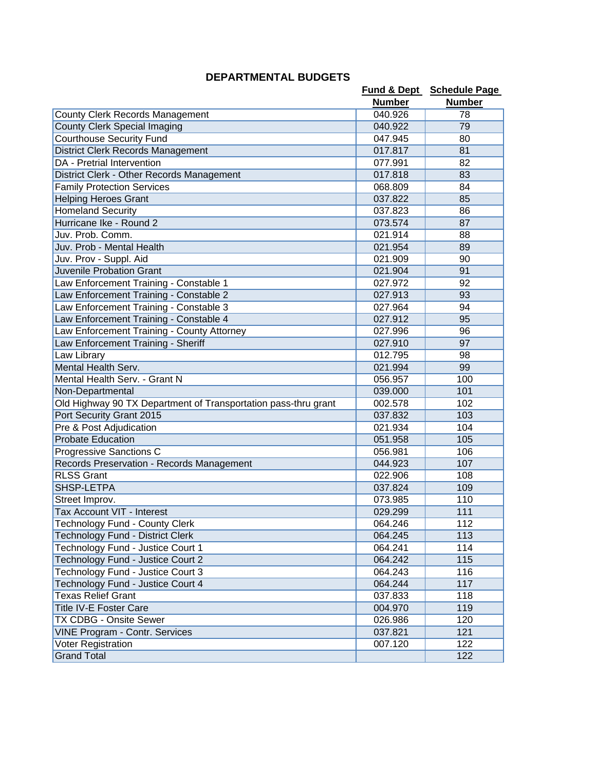|                                                                |               | Fund & Dept Schedule Page |
|----------------------------------------------------------------|---------------|---------------------------|
|                                                                | <b>Number</b> | <b>Number</b>             |
| <b>County Clerk Records Management</b>                         | 040.926       | 78                        |
| <b>County Clerk Special Imaging</b>                            | 040.922       | 79                        |
| <b>Courthouse Security Fund</b>                                | 047.945       | 80                        |
| <b>District Clerk Records Management</b>                       | 017.817       | 81                        |
| DA - Pretrial Intervention                                     | 077.991       | 82                        |
| District Clerk - Other Records Management                      | 017.818       | 83                        |
| <b>Family Protection Services</b>                              | 068.809       | 84                        |
| <b>Helping Heroes Grant</b>                                    | 037.822       | 85                        |
| <b>Homeland Security</b>                                       | 037.823       | 86                        |
| Hurricane Ike - Round 2                                        | 073.574       | 87                        |
| Juv. Prob. Comm.                                               | 021.914       | 88                        |
| Juv. Prob - Mental Health                                      | 021.954       | 89                        |
| Juv. Prov - Suppl. Aid                                         | 021.909       | 90                        |
| Juvenile Probation Grant                                       | 021.904       | 91                        |
| Law Enforcement Training - Constable 1                         | 027.972       | 92                        |
| Law Enforcement Training - Constable 2                         | 027.913       | 93                        |
| Law Enforcement Training - Constable 3                         | 027.964       | 94                        |
| Law Enforcement Training - Constable 4                         | 027.912       | 95                        |
| Law Enforcement Training - County Attorney                     | 027.996       | 96                        |
| Law Enforcement Training - Sheriff                             | 027.910       | 97                        |
| Law Library                                                    | 012.795       | 98                        |
| Mental Health Serv.                                            | 021.994       | 99                        |
| Mental Health Serv. - Grant N                                  | 056.957       | 100                       |
| Non-Departmental                                               | 039.000       | 101                       |
| Old Highway 90 TX Department of Transportation pass-thru grant | 002.578       | 102                       |
| Port Security Grant 2015                                       | 037.832       | 103                       |
| Pre & Post Adjudication                                        | 021.934       | 104                       |
| <b>Probate Education</b>                                       | 051.958       | 105                       |
| Progressive Sanctions C                                        | 056.981       | 106                       |
| Records Preservation - Records Management                      | 044.923       | 107                       |
| <b>RLSS Grant</b>                                              | 022.906       | 108                       |
| SHSP-LETPA                                                     | 037.824       | 109                       |
| Street Improv.                                                 | 073.985       | 110                       |
| Tax Account VIT - Interest                                     | 029.299       | 111                       |
| Technology Fund - County Clerk                                 | 064.246       | 112                       |
| Technology Fund - District Clerk                               | 064.245       | 113                       |
| Technology Fund - Justice Court 1                              | 064.241       | 114                       |
| Technology Fund - Justice Court 2                              | 064.242       | 115                       |
| Technology Fund - Justice Court 3                              | 064.243       | 116                       |
| Technology Fund - Justice Court 4                              | 064.244       | 117                       |
| <b>Texas Relief Grant</b>                                      | 037.833       | 118                       |
| <b>Title IV-E Foster Care</b>                                  | 004.970       | 119                       |
| TX CDBG - Onsite Sewer                                         | 026.986       | 120                       |
| <b>VINE Program - Contr. Services</b>                          | 037.821       | 121                       |
| Voter Registration                                             | 007.120       | 122                       |
| <b>Grand Total</b>                                             |               | 122                       |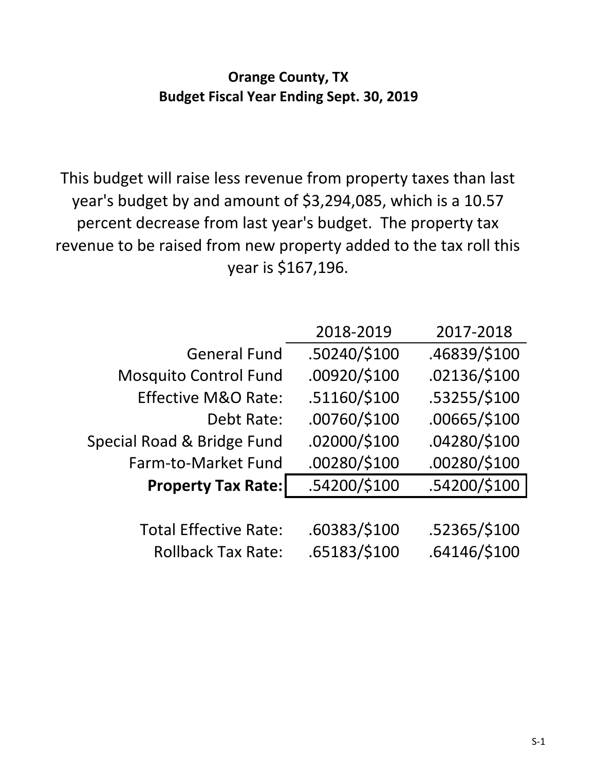# **Orange County, TX Budget Fiscal Year Ending Sept. 30, 2019**

This budget will raise less revenue from property taxes than last year's budget by and amount of \$3,294,085, which is a 10.57 percent decrease from last year's budget. The property tax revenue to be raised from new property added to the tax roll this year is \$167,196.

|                                | 2018-2019    | 2017-2018    |
|--------------------------------|--------------|--------------|
| <b>General Fund</b>            | .50240/\$100 | .46839/\$100 |
| <b>Mosquito Control Fund</b>   | .00920/\$100 | .02136/\$100 |
| <b>Effective M&amp;O Rate:</b> | .51160/\$100 | .53255/\$100 |
| Debt Rate:                     | .00760/\$100 | .00665/\$100 |
| Special Road & Bridge Fund     | .02000/\$100 | .04280/\$100 |
| Farm-to-Market Fund            | .00280/\$100 | .00280/\$100 |
| <b>Property Tax Rate:</b>      | .54200/\$100 | .54200/\$100 |
|                                |              |              |
| <b>Total Effective Rate:</b>   | .60383/\$100 | .52365/\$100 |
| <b>Rollback Tax Rate:</b>      | .65183/\$100 | .64146/\$100 |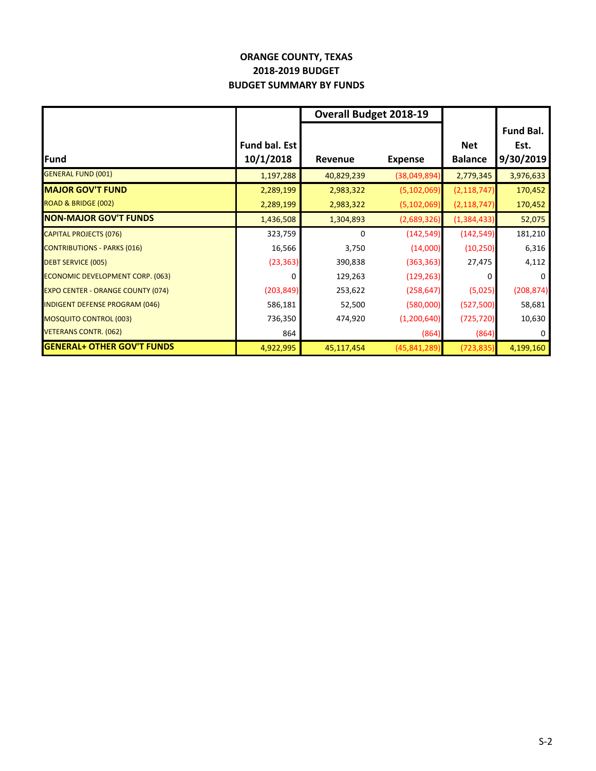# **ORANGE COUNTY, TEXAS 2018‐2019 BUDGET BUDGET SUMMARY BY FUNDS**

|                                          |               | <b>Overall Budget 2018-19</b> |                |                |                  |
|------------------------------------------|---------------|-------------------------------|----------------|----------------|------------------|
|                                          |               |                               |                |                | <b>Fund Bal.</b> |
|                                          | Fund bal. Est |                               |                | <b>Net</b>     | Est.             |
| <b>Fund</b>                              | 10/1/2018     | <b>Revenue</b>                | <b>Expense</b> | <b>Balance</b> | 9/30/2019        |
| <b>GENERAL FUND (001)</b>                | 1,197,288     | 40,829,239                    | (38,049,894)   | 2,779,345      | 3,976,633        |
| <b>MAJOR GOV'T FUND</b>                  | 2,289,199     | 2,983,322                     | (5, 102, 069)  | (2, 118, 747)  | 170,452          |
| ROAD & BRIDGE (002)                      | 2,289,199     | 2,983,322                     | (5, 102, 069)  | (2, 118, 747)  | 170,452          |
| <b>NON-MAJOR GOV'T FUNDS</b>             | 1,436,508     | 1,304,893                     | (2,689,326)    | (1, 384, 433)  | 52,075           |
| <b>CAPITAL PROJECTS (076)</b>            | 323,759       | 0                             | (142, 549)     | (142, 549)     | 181,210          |
| <b>CONTRIBUTIONS - PARKS (016)</b>       | 16,566        | 3,750                         | (14,000)       | (10, 250)      | 6,316            |
| <b>DEBT SERVICE (005)</b>                | (23, 363)     | 390,838                       | (363, 363)     | 27,475         | 4,112            |
| ECONOMIC DEVELOPMENT CORP. (063)         | 0             | 129,263                       | (129, 263)     | 0              | $\mathbf{0}$     |
| <b>EXPO CENTER - ORANGE COUNTY (074)</b> | (203, 849)    | 253,622                       | (258, 647)     | (5,025)        | (208, 874)       |
| <b>INDIGENT DEFENSE PROGRAM (046)</b>    | 586,181       | 52,500                        | (580,000)      | (527,500)      | 58,681           |
| <b>MOSQUITO CONTROL (003)</b>            | 736,350       | 474,920                       | (1,200,640)    | (725, 720)     | 10,630           |
| <b>VETERANS CONTR. (062)</b>             | 864           |                               | (864)          | (864)          | $\mathbf{0}$     |
| <b>GENERAL+ OTHER GOV'T FUNDS</b>        | 4,922,995     | 45,117,454                    | (45, 841, 289) | (723, 835)     | 4,199,160        |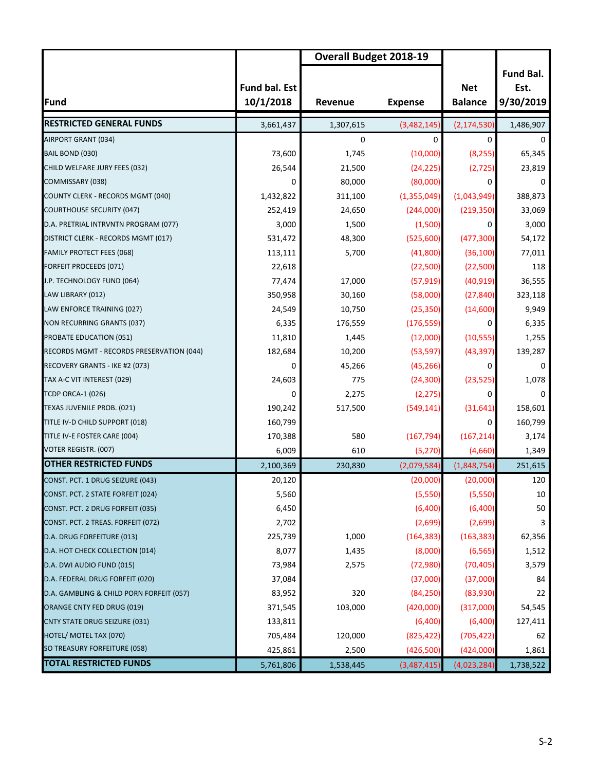|                                           |                                   | <b>Overall Budget 2018-19</b> |                |                              |                                       |
|-------------------------------------------|-----------------------------------|-------------------------------|----------------|------------------------------|---------------------------------------|
| <b>Fund</b>                               | <b>Fund bal. Est</b><br>10/1/2018 | Revenue                       | <b>Expense</b> | <b>Net</b><br><b>Balance</b> | <b>Fund Bal.</b><br>Est.<br>9/30/2019 |
| <b>RESTRICTED GENERAL FUNDS</b>           | 3,661,437                         | 1,307,615                     | (3,482,145)    | (2, 174, 530)                | 1,486,907                             |
| AIRPORT GRANT (034)                       |                                   | 0                             | $\Omega$       | 0                            | 0                                     |
| BAIL BOND (030)                           | 73,600                            | 1,745                         | (10,000)       | (8, 255)                     | 65,345                                |
| CHILD WELFARE JURY FEES (032)             | 26,544                            | 21,500                        | (24, 225)      | (2, 725)                     | 23,819                                |
| COMMISSARY (038)                          | 0                                 | 80,000                        | (80,000)       | 0                            | 0                                     |
| COUNTY CLERK - RECORDS MGMT (040)         | 1,432,822                         | 311,100                       | (1,355,049)    | (1,043,949)                  | 388,873                               |
| <b>COURTHOUSE SECURITY (047)</b>          | 252,419                           | 24,650                        | (244,000)      | (219, 350)                   | 33,069                                |
| D.A. PRETRIAL INTRVNTN PROGRAM (077)      | 3,000                             | 1,500                         | (1,500)        | 0                            | 3,000                                 |
| DISTRICT CLERK - RECORDS MGMT (017)       | 531,472                           | 48,300                        | (525,600)      | (477, 300)                   | 54,172                                |
| FAMILY PROTECT FEES (068)                 | 113,111                           | 5,700                         | (41,800)       | (36, 100)                    | 77,011                                |
| <b>FORFEIT PROCEEDS (071)</b>             | 22,618                            |                               | (22,500)       | (22,500)                     | 118                                   |
| J.P. TECHNOLOGY FUND (064)                | 77,474                            | 17,000                        | (57, 919)      | (40, 919)                    | 36,555                                |
| LAW LIBRARY (012)                         | 350,958                           | 30,160                        | (58,000)       | (27, 840)                    | 323,118                               |
| LAW ENFORCE TRAINING (027)                | 24,549                            | 10,750                        | (25, 350)      | (14,600)                     | 9,949                                 |
| NON RECURRING GRANTS (037)                | 6,335                             | 176,559                       | (176, 559)     | 0                            | 6,335                                 |
| PROBATE EDUCATION (051)                   | 11,810                            | 1,445                         | (12,000)       | (10, 555)                    | 1,255                                 |
| RECORDS MGMT - RECORDS PRESERVATION (044) | 182,684                           | 10,200                        | (53, 597)      | (43, 397)                    | 139,287                               |
| RECOVERY GRANTS - IKE #2 (073)            | 0                                 | 45,266                        | (45, 266)      | $\Omega$                     | 0                                     |
| TAX A-C VIT INTEREST (029)                | 24,603                            | 775                           | (24, 300)      | (23, 525)                    | 1,078                                 |
| TCDP ORCA-1 (026)                         | 0                                 | 2,275                         | (2, 275)       | 0                            |                                       |
| TEXAS JUVENILE PROB. (021)                | 190,242                           | 517,500                       | (549, 141)     | (31, 641)                    | 158,601                               |
| TITLE IV-D CHILD SUPPORT (018)            | 160,799                           |                               |                | 0                            | 160,799                               |
| TITLE IV-E FOSTER CARE (004)              | 170,388                           | 580                           | (167, 794)     | (167, 214)                   | 3,174                                 |
| VOTER REGISTR. (007)                      | 6,009                             | 610                           | (5, 270)       | (4,660)                      | 1,349                                 |
| <b>OTHER RESTRICTED FUNDS</b>             | 2,100,369                         | 230,830                       | (2,079,584)    | (1,848,754)                  | 251,615                               |
| CONST. PCT. 1 DRUG SEIZURE (043)          | 20,120                            |                               | (20,000)       | (20,000)                     | 120                                   |
| CONST. PCT. 2 STATE FORFEIT (024)         | 5,560                             |                               | (5,550)        | (5, 550)                     | 10                                    |
| CONST. PCT. 2 DRUG FORFEIT (035)          | 6,450                             |                               | (6,400)        | (6,400)                      | 50                                    |
| CONST. PCT. 2 TREAS. FORFEIT (072)        | 2,702                             |                               | (2,699)        | (2,699)                      | 3                                     |
| D.A. DRUG FORFEITURE (013)                | 225,739                           | 1,000                         | (164, 383)     | (163, 383)                   | 62,356                                |
| D.A. HOT CHECK COLLECTION (014)           | 8,077                             | 1,435                         | (8,000)        | (6, 565)                     | 1,512                                 |
| D.A. DWI AUDIO FUND (015)                 | 73,984                            | 2,575                         | (72,980)       | (70, 405)                    | 3,579                                 |
| D.A. FEDERAL DRUG FORFEIT (020)           | 37,084                            |                               | (37,000)       | (37,000)                     | 84                                    |
| D.A. GAMBLING & CHILD PORN FORFEIT (057)  | 83,952                            | 320                           | (84, 250)      | (83,930)                     | 22                                    |
| ORANGE CNTY FED DRUG (019)                | 371,545                           | 103,000                       | (420,000)      | (317,000)                    | 54,545                                |
| <b>CNTY STATE DRUG SEIZURE (031)</b>      | 133,811                           |                               | (6,400)        | (6,400)                      | 127,411                               |
| HOTEL/ MOTEL TAX (070)                    | 705,484                           | 120,000                       | (825, 422)     | (705, 422)                   | 62                                    |
| SO TREASURY FORFEITURE (058)              | 425,861                           | 2,500                         | (426,500)      | (424,000)                    | 1,861                                 |
| <b>TOTAL RESTRICTED FUNDS</b>             | 5,761,806                         | 1,538,445                     | (3,487,415)    | (4,023,284)                  | 1,738,522                             |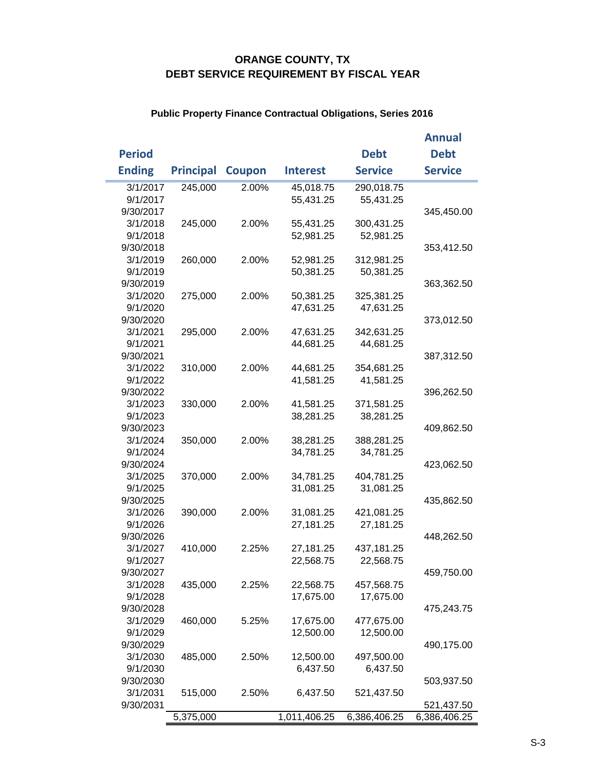# **ORANGE COUNTY, TX DEBT SERVICE REQUIREMENT BY FISCAL YEAR**

|               |          |                  |               |                 |                | <b>Annual</b>  |
|---------------|----------|------------------|---------------|-----------------|----------------|----------------|
| <b>Period</b> |          |                  |               |                 | <b>Debt</b>    | <b>Debt</b>    |
| <b>Ending</b> |          | <b>Principal</b> | <b>Coupon</b> | <b>Interest</b> | <b>Service</b> | <b>Service</b> |
|               | 3/1/2017 | 245,000          | 2.00%         | 45,018.75       | 290,018.75     |                |
| 9/1/2017      |          |                  |               | 55,431.25       | 55,431.25      |                |
| 9/30/2017     |          |                  |               |                 |                | 345,450.00     |
|               | 3/1/2018 | 245,000          | 2.00%         | 55,431.25       | 300,431.25     |                |
|               | 9/1/2018 |                  |               | 52,981.25       | 52,981.25      |                |
| 9/30/2018     |          |                  |               |                 |                | 353,412.50     |
|               | 3/1/2019 | 260,000          | 2.00%         | 52,981.25       | 312,981.25     |                |
|               | 9/1/2019 |                  |               | 50,381.25       | 50,381.25      |                |
| 9/30/2019     |          |                  |               |                 |                | 363,362.50     |
|               | 3/1/2020 | 275,000          | 2.00%         | 50,381.25       | 325,381.25     |                |
|               | 9/1/2020 |                  |               | 47,631.25       | 47,631.25      |                |
| 9/30/2020     |          |                  |               |                 |                | 373,012.50     |
| 3/1/2021      |          | 295,000          | 2.00%         | 47,631.25       | 342,631.25     |                |
| 9/1/2021      |          |                  |               | 44,681.25       | 44,681.25      |                |
| 9/30/2021     |          |                  |               |                 |                | 387,312.50     |
|               | 3/1/2022 | 310,000          | 2.00%         | 44,681.25       | 354,681.25     |                |
|               | 9/1/2022 |                  |               | 41,581.25       | 41,581.25      |                |
| 9/30/2022     |          |                  |               |                 |                | 396,262.50     |
|               | 3/1/2023 | 330,000          | 2.00%         | 41,581.25       | 371,581.25     |                |
|               | 9/1/2023 |                  |               | 38,281.25       | 38,281.25      |                |
| 9/30/2023     |          |                  |               |                 |                | 409,862.50     |
|               | 3/1/2024 | 350,000          | 2.00%         | 38,281.25       | 388,281.25     |                |
|               | 9/1/2024 |                  |               | 34,781.25       | 34,781.25      |                |
| 9/30/2024     |          |                  |               |                 |                | 423,062.50     |
|               | 3/1/2025 | 370,000          | 2.00%         | 34,781.25       | 404,781.25     |                |
|               | 9/1/2025 |                  |               | 31,081.25       | 31,081.25      |                |
| 9/30/2025     |          |                  |               |                 |                | 435,862.50     |
|               | 3/1/2026 | 390,000          | 2.00%         | 31,081.25       | 421,081.25     |                |
|               | 9/1/2026 |                  |               | 27,181.25       | 27,181.25      |                |
| 9/30/2026     |          |                  |               |                 |                | 448,262.50     |
|               | 3/1/2027 | 410,000          | 2.25%         | 27,181.25       | 437,181.25     |                |
|               | 9/1/2027 |                  |               | 22,568.75       | 22,568.75      |                |
| 9/30/2027     |          |                  |               |                 |                | 459,750.00     |
|               | 3/1/2028 | 435,000          | 2.25%         | 22,568.75       | 457,568.75     |                |
|               | 9/1/2028 |                  |               | 17,675.00       | 17,675.00      |                |
| 9/30/2028     |          |                  |               |                 |                | 475,243.75     |
|               | 3/1/2029 | 460,000          | 5.25%         | 17,675.00       | 477,675.00     |                |
|               | 9/1/2029 |                  |               | 12,500.00       | 12,500.00      |                |
| 9/30/2029     |          |                  |               |                 |                | 490,175.00     |
|               | 3/1/2030 | 485,000          | 2.50%         | 12,500.00       | 497,500.00     |                |
|               | 9/1/2030 |                  |               | 6,437.50        | 6,437.50       |                |
| 9/30/2030     |          |                  |               |                 |                | 503,937.50     |
| 3/1/2031      |          | 515,000          | 2.50%         | 6,437.50        | 521,437.50     |                |
| 9/30/2031     |          |                  |               |                 |                | 521,437.50     |
|               |          | 5,375,000        |               | 1,011,406.25    | 6,386,406.25   | 6,386,406.25   |

## **Public Property Finance Contractual Obligations, Series 2016**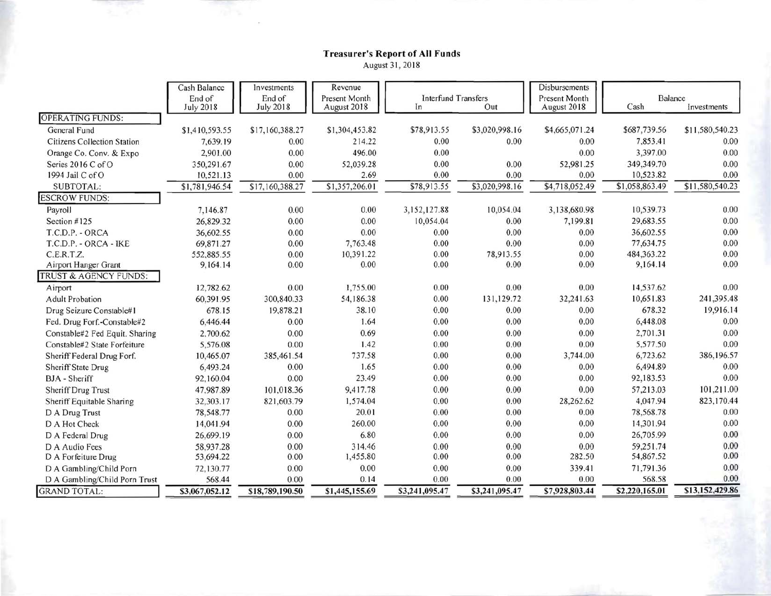# Treasurer's Report of All Funds<br>August 31, 2018

|                                | Cash Balance     | Investments      | Revenue        |                            |                |                | Disbursements  |                 |
|--------------------------------|------------------|------------------|----------------|----------------------------|----------------|----------------|----------------|-----------------|
|                                | End of           | End of           | Present Month  | <b>Interfund Transfers</b> |                | Present Month  | Balance        |                 |
|                                | <b>July 2018</b> | <b>July 2018</b> | August 2018    | In                         | Out            | August 2018    | Cash           | Investments     |
| <b>OPERATING FUNDS:</b>        |                  |                  |                |                            |                |                |                |                 |
| General Fund                   | \$1,410,593.55   | \$17,160,388.27  | \$1,304,453.82 | \$78,913.55                | \$3,020,998.16 | \$4,665,071.24 | \$687,739.56   | \$11,580,540.23 |
| Citizens Collection Station    | 7,639.19         | 0.00             | 214.22         | 0.00                       | 0.00           | 0.00           | 7,853.41       | 0.00            |
| Orange Co. Conv. & Expo        | 2,901.00         | 0.00             | 496.00         | 0.00                       |                | 0.00           | 3,397.00       | 0.00            |
| Series 2016 C of O             | 350,291.67       | 0.00             | 52,039.28      | 0.00                       | 0.00           | 52,981.25      | 349,349.70     | 0.00            |
| 1994 Jail C of O               | 10,521.13        | 0.00             | 2.69           | 0.00                       | 0.00           | 0.00           | 10,523.82      | 0.00            |
| SUBTOTAL:                      | \$1,781,946.54   | \$17,160,388.27  | \$1,357,206.01 | \$78,913.55                | \$3,020,998.16 | \$4,718,052.49 | \$1,058,863.49 | \$11,580,540.23 |
| <b>ESCROW FUNDS:</b>           |                  |                  |                |                            |                |                |                |                 |
| Payroll                        | 7,146.87         | 0.00             | 0.00           | 3,152,127.88               | 10,054.04      | 3,138,680.98   | 10,539.73      | 0.00            |
| Section #125                   | 26,829.32        | 0.00             | 0.00           | 10,054.04                  | 0.00           | 7,199.81       | 29,683.55      | 0.00            |
| T.C.D.P. - ORCA                | 36,602.55        | 0.00             | 0.00           | 0.00                       | 0.00           | 0.00           | 36,602.55      | 0.00            |
| T.C.D.P. - ORCA - IKE          | 69,871.27        | 0.00             | 7,763.48       | 0.00                       | 0.00           | 0.00           | 77,634.75      | 0.00            |
| C.E.R.T.Z.                     | 552,885.55       | 0.00             | 10,391.22      | 0.00                       | 78,913.55      | 0.00           | 484,363.22     | 0.00            |
| Airport Hanger Grant           | 9,164.14         | 0.00             | 0.00           | 0.00                       | 0.00           | 0.00           | 9,164.14       | 0.00            |
| TRUST & AGENCY FUNDS:          |                  |                  |                |                            |                |                |                |                 |
| Airport                        | 12,782.62        | 0.00             | 1,755.00       | 0.00                       | 0.00           | 0.00           | 14,537.62      | 0.00            |
| <b>Adult Probation</b>         | 60,391.95        | 300,840.33       | 54,186.38      | 0.00                       | 131,129.72     | 32,241.63      | 10,651.83      | 241,395.48      |
| Drug Seizure Constable#1       | 678.15           | 19,878.21        | 38.10          | 0.00                       | 0.00           | 0.00           | 678.32         | 19,916.14       |
| Fed. Drug Forf.-Constable#2    | 6,446.44         | 0.00             | 1.64           | 0.00                       | 0.00           | 0.00           | 6,448.08       | 0.00            |
| Constable#2 Fed Equit. Sharing | 2,700.62         | 0.00             | 0.69           | 0.00                       | 0.00           | 0.00           | 2,701.31       | 0.00            |
| Constable#2 State Forfeiture   | 5,576.08         | 0.00             | 1.42           | 0.00                       | 0.00           | 0.00           | 5,577.50       | 0.00            |
| Sheriff Federal Drug Forf.     | 10,465.07        | 385,461.54       | 737.58         | 0.00                       | 0.00           | 3,744.00       | 6.723.62       | 386,196.57      |
| <b>Sheriff State Drug</b>      | 6,493.24         | 0.00             | 1.65           | 0.00                       | 0.00           | 0.00           | 6,494.89       | 0.00            |
| <b>BJA</b> - Sheriff           | 92,160.04        | 0.00             | 23.49          | 0.00                       | 0.00           | 0.00           | 92,183.53      | 0.00            |
| Sheriff Drug Trust             | 47,987.89        | 101,018.36       | 9,417.78       | 0.00                       | 0.00           | 0.00           | 57,213.03      | 101,211.00      |
| Sheriff Equitable Sharing      | 32,303.17        | 821,603.79       | 1,574.04       | 0.00                       | 0.00           | 28,262.62      | 4,047.94       | 823,170.44      |
| D A Drug Trust                 | 78,548.77        | 0.00             | 20.01          | 0.00                       | 0.00           | 0.00           | 78,568.78      | 0.00            |
| D A Hot Check                  | 14,041.94        | 0.00             | 260.00         | 0.00                       | 0.00           | 0.00           | 14,301.94      | 0.00            |
| D A Federal Drug               | 26,699.19        | 0.00             | 6.80           | 0.00                       | 0.00           | 0.00           | 26,705.99      | 0.00            |
| D A Audio Fees                 | 58,937.28        | 0.00             | 314.46         | 0.00                       | 0.00           | 0.00           | 59,251.74      | 0.00            |
| D A Forfeiture Drug            | 53,694.22        | 0.00             | 1,455.80       | 0.00                       | 0.00           | 282.50         | 54,867.52      | 0.00            |
| D A Gambling/Child Porn        | 72,130.77        | 0.00             | 0.00           | 0.00                       | 0.00           | 339.41         | 71,791.36      | 0.00            |
| D A Gambling/Child Porn Trust  | 568.44           | 0.00             | 0.14           | 0.00                       | 0.00           | 0.00           | 568.58         | 0.00            |
| <b>GRAND TOTAL:</b>            | \$3,067,052.12   | \$18,789,190.50  | \$1,445,155.69 | \$3,241,095.47             | \$3,241,095.47 | \$7,928,803.44 | \$2,220,165.01 | \$13,152,429.86 |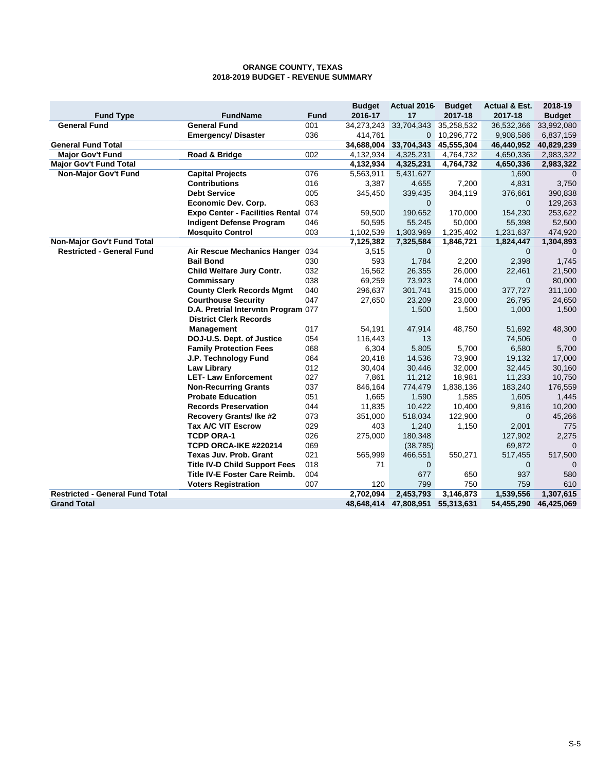#### **2018-2019 BUDGET - REVENUE SUMMARY ORANGE COUNTY, TEXAS**

|                                        |                                        |             | <b>Budget</b> | Actual 2016  | <b>Budget</b> | <b>Actual &amp; Est.</b> | 2018-19       |
|----------------------------------------|----------------------------------------|-------------|---------------|--------------|---------------|--------------------------|---------------|
| <b>Fund Type</b>                       | <b>FundName</b>                        | <b>Fund</b> | 2016-17       | 17           | 2017-18       | 2017-18                  | <b>Budget</b> |
| <b>General Fund</b>                    | <b>General Fund</b>                    | 001         | 34,273,243    | 33,704,343   | 35,258,532    | 36,532,366               | 33,992,080    |
|                                        | <b>Emergency/Disaster</b>              | 036         | 414,761       | 0            | 10,296,772    | 9,908,586                | 6,837,159     |
| <b>General Fund Total</b>              |                                        |             | 34,688,004    | 33,704,343   | 45,555,304    | 46,440,952               | 40,829,239    |
| <b>Major Gov't Fund</b>                | Road & Bridge                          | 002         | 4,132,934     | 4,325,231    | 4,764,732     | 4,650,336                | 2,983,322     |
| <b>Major Gov't Fund Total</b>          |                                        |             | 4,132,934     | 4,325,231    | 4,764,732     | 4,650,336                | 2,983,322     |
| Non-Major Gov't Fund                   | <b>Capital Projects</b>                | 076         | 5,563,911     | 5,431,627    |               | 1,690                    | $\Omega$      |
|                                        | <b>Contributions</b>                   | 016         | 3,387         | 4,655        | 7,200         | 4,831                    | 3,750         |
|                                        | <b>Debt Service</b>                    | 005         | 345,450       | 339,435      | 384,119       | 376,661                  | 390,838       |
|                                        | <b>Economic Dev. Corp.</b>             | 063         |               | $\Omega$     |               | $\Omega$                 | 129,263       |
|                                        | <b>Expo Center - Facilities Rental</b> | 074         | 59,500        | 190,652      | 170,000       | 154,230                  | 253,622       |
|                                        | <b>Indigent Defense Program</b>        | 046         | 50,595        | 55,245       | 50,000        | 55,398                   | 52,500        |
|                                        | <b>Mosquito Control</b>                | 003         | 1,102,539     | 1,303,969    | 1,235,402     | 1,231,637                | 474,920       |
| Non-Major Gov't Fund Total             |                                        |             | 7,125,382     | 7,325,584    | 1,846,721     | 1,824,447                | 1,304,893     |
| <b>Restricted - General Fund</b>       | Air Rescue Mechanics Hanger            | 034         | 3,515         | $\mathbf{0}$ |               | $\mathbf{0}$             | 0             |
|                                        | <b>Bail Bond</b>                       | 030         | 593           | 1,784        | 2,200         | 2,398                    | 1,745         |
|                                        | Child Welfare Jury Contr.              | 032         | 16,562        | 26,355       | 26,000        | 22,461                   | 21,500        |
|                                        | Commissary                             | 038         | 69,259        | 73,923       | 74,000        | $\Omega$                 | 80,000        |
|                                        | <b>County Clerk Records Mgmt</b>       | 040         | 296,637       | 301,741      | 315,000       | 377,727                  | 311,100       |
|                                        | <b>Courthouse Security</b>             | 047         | 27,650        | 23,209       | 23,000        | 26,795                   | 24,650        |
|                                        | D.A. Pretrial Intervntn Program 077    |             |               | 1,500        | 1,500         | 1,000                    | 1,500         |
|                                        | <b>District Clerk Records</b>          |             |               |              |               |                          |               |
|                                        | <b>Management</b>                      | 017         | 54,191        | 47,914       | 48,750        | 51,692                   | 48,300        |
|                                        | DOJ-U.S. Dept. of Justice              | 054         | 116,443       | 13           |               | 74,506                   | $\mathbf 0$   |
|                                        | <b>Family Protection Fees</b>          | 068         | 6,304         | 5,805        | 5,700         | 6,580                    | 5,700         |
|                                        | J.P. Technology Fund                   | 064         | 20,418        | 14,536       | 73,900        | 19,132                   | 17,000        |
|                                        | <b>Law Library</b>                     | 012         | 30,404        | 30,446       | 32,000        | 32,445                   | 30,160        |
|                                        | <b>LET-Law Enforcement</b>             | 027         | 7,861         | 11,212       | 18,981        | 11,233                   | 10,750        |
|                                        | <b>Non-Recurring Grants</b>            | 037         | 846,164       | 774,479      | 1,838,136     | 183,240                  | 176,559       |
|                                        | <b>Probate Education</b>               | 051         | 1,665         | 1,590        | 1,585         | 1,605                    | 1,445         |
|                                        | <b>Records Preservation</b>            | 044         | 11,835        | 10,422       | 10,400        | 9,816                    | 10,200        |
|                                        | <b>Recovery Grants/ Ike #2</b>         | 073         | 351,000       | 518,034      | 122,900       | $\mathbf{0}$             | 45,266        |
|                                        | <b>Tax A/C VIT Escrow</b>              | 029         | 403           | 1,240        | 1,150         | 2,001                    | 775           |
|                                        | <b>TCDP ORA-1</b>                      | 026         | 275,000       | 180,348      |               | 127,902                  | 2,275         |
|                                        | TCPD ORCA-IKE #220214                  | 069         |               | (38, 785)    |               | 69,872                   |               |
|                                        | Texas Juv. Prob. Grant                 | 021         | 565,999       | 466,551      | 550,271       | 517,455                  | 517,500       |
|                                        | <b>Title IV-D Child Support Fees</b>   | 018         | 71            | $\mathbf{0}$ |               | $\mathbf 0$              | $\Omega$      |
|                                        | Title IV-E Foster Care Reimb.          | 004         |               | 677          | 650           | 937                      | 580           |
|                                        | <b>Voters Registration</b>             | 007         | 120           | 799          | 750           | 759                      | 610           |
| <b>Restricted - General Fund Total</b> |                                        |             | 2,702,094     | 2,453,793    | 3,146,873     | 1,539,556                | 1,307,615     |
| <b>Grand Total</b>                     |                                        |             | 48,648,414    | 47,808,951   | 55,313,631    | 54,455,290               | 46,425,069    |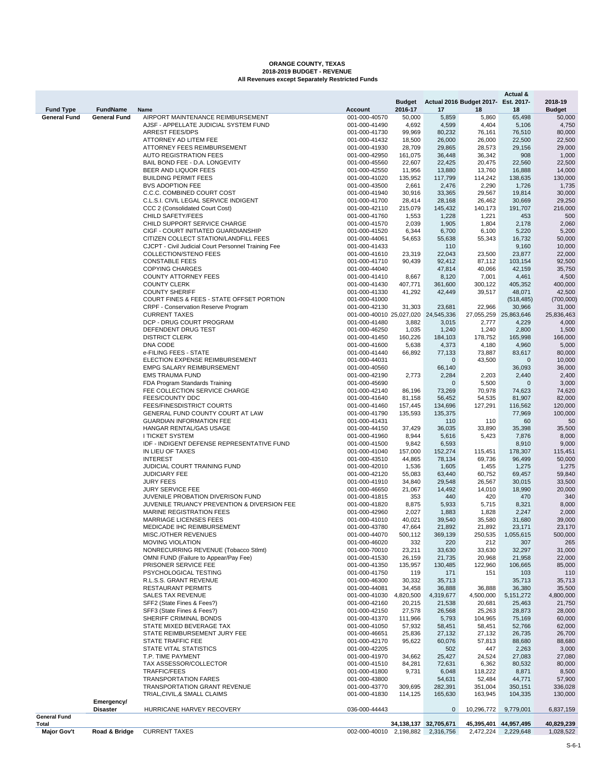# **ORANGE COUNTY, TEXAS 2018-2019 BUDGET - REVENUE All Revenues except Separately Restricted Funds**

|                     |                     |                                                                               |                                     |                   |                           |                                     | Actual &             |                   |
|---------------------|---------------------|-------------------------------------------------------------------------------|-------------------------------------|-------------------|---------------------------|-------------------------------------|----------------------|-------------------|
|                     |                     |                                                                               |                                     | <b>Budget</b>     |                           | Actual 2016 Budget 2017- Est. 2017- |                      | 2018-19           |
| <b>Fund Type</b>    | <b>FundName</b>     | Name                                                                          | <b>Account</b>                      | 2016-17           | 17                        | 18                                  | 18                   | <b>Budget</b>     |
| <b>General Fund</b> | <b>General Fund</b> | AIRPORT MAINTENANCE REIMBURSEMENT                                             | 001-000-40570                       | 50,000            | 5,859                     | 5,860                               | 65,498               | 50,000            |
|                     |                     | AJSF - APPELLATE JUDICIAL SYSTEM FUND<br><b>ARREST FEES/DPS</b>               | 001-000-41490<br>001-000-41730      | 4,692<br>99,969   | 4,599<br>80,232           | 4,404<br>76,161                     | 5,106<br>76,510      | 4,750<br>80,000   |
|                     |                     | ATTORNEY AD LITEM FEE                                                         | 001-000-41432                       | 18,500            | 26,000                    | 26,000                              | 22,500               | 22,500            |
|                     |                     | <b>ATTORNEY FEES REIMBURSEMENT</b>                                            | 001-000-41930                       | 28,709            | 29,865                    | 28,573                              | 29,156               | 29,000            |
|                     |                     | <b>AUTO REGISTRATION FEES</b>                                                 | 001-000-42950                       | 161,075           | 36,448                    | 36,342                              | 908                  | 1,000             |
|                     |                     | BAIL BOND FEE - D.A. LONGEVITY                                                | 001-000-45560                       | 22,607            | 22,425                    | 20,475                              | 22,560               | 22,500            |
|                     |                     | BEER AND LIQUOR FEES                                                          | 001-000-42550                       | 11,956            | 13,880                    | 13,760                              | 16,888               | 14,000            |
|                     |                     | <b>BUILDING PERMIT FEES</b>                                                   | 001-000-41020                       | 135,952           | 117,799                   | 114,242                             | 138,635              | 130,000           |
|                     |                     | <b>BVS ADOPTION FEE</b>                                                       | 001-000-43500                       | 2,661             | 2,476                     | 2,290                               | 1,726                | 1,735             |
|                     |                     | C.C.C. COMBINED COURT COST                                                    | 001-000-41940                       | 30,916            | 33,365                    | 29,567                              | 19,814               | 30,000            |
|                     |                     | C.L.S.I. CIVIL LEGAL SERVICE INDIGENT<br>CCC 2 (Consolidated Court Cost)      | 001-000-41700                       | 28,414<br>215.079 | 28,168                    | 26,462                              | 30,669               | 29,250            |
|                     |                     | <b>CHILD SAFETY/FEES</b>                                                      | 001-000-42110<br>001-000-41760      | 1,553             | 145,432<br>1,228          | 140,173<br>1,221                    | 191,707<br>453       | 216,000<br>500    |
|                     |                     | CHILD SUPPORT SERVICE CHARGE                                                  | 001-000-41570                       | 2,039             | 1,905                     | 1,804                               | 2,178                | 2,060             |
|                     |                     | CIGF - COURT INITIATED GUARDIANSHIP                                           | 001-000-41520                       | 6,344             | 6,700                     | 6,100                               | 5,220                | 5,200             |
|                     |                     | CITIZEN COLLECT STATION/LANDFILL FEES                                         | 001-000-44061                       | 54,653            | 55,638                    | 55,343                              | 16,732               | 50,000            |
|                     |                     | CJCPT - Civil Judicial Court Personnel Training Fee                           | 001-000-41433                       |                   | 110                       |                                     | 9,160                | 10,000            |
|                     |                     | COLLECTION/STENO FEES                                                         | 001-000-41610                       | 23,319            | 22,043                    | 23,500                              | 23,877               | 22,000            |
|                     |                     | <b>CONSTABLE FEES</b>                                                         | 001-000-41710                       | 90,439            | 92,412                    | 87,112                              | 103,154              | 92,500            |
|                     |                     | <b>COPYING CHARGES</b>                                                        | 001-000-44040                       |                   | 47,814                    | 40,066                              | 42,159               | 35,750            |
|                     |                     | <b>COUNTY ATTORNEY FEES</b>                                                   | 001-000-41410                       | 8,667             | 8,120                     | 7,001                               | 4,461                | 4,500             |
|                     |                     | <b>COUNTY CLERK</b><br><b>COUNTY SHERIFF</b>                                  | 001-000-41430<br>001-000-41330      | 407,771<br>41,292 | 361,600<br>42,449         | 300.122<br>39,517                   | 405,352<br>48,071    | 400,000<br>42,500 |
|                     |                     | COURT FINES & FEES - STATE OFFSET PORTION                                     | 001-000-41000                       |                   |                           |                                     | (518, 485)           | (700,000)         |
|                     |                     | CRPF - Conservation Reserve Program                                           | 001-000-42130                       | 31,303            | 23,681                    | 22,966                              | 30,966               | 31,000            |
|                     |                     | <b>CURRENT TAXES</b>                                                          | 001-000-40010 25,027,020 24,545,336 |                   |                           | 27,055,259                          | 25,863,646           | 25,836,463        |
|                     |                     | DCP - DRUG COURT PROGRAM                                                      | 001-000-41480                       | 3,882             | 3,015                     | 2,777                               | 4,229                | 4,000             |
|                     |                     | DEFENDENT DRUG TEST                                                           | 001-000-46250                       | 1,035             | 1,240                     | 1,240                               | 2,800                | 1,500             |
|                     |                     | <b>DISTRICT CLERK</b>                                                         | 001-000-41450                       | 160,226           | 184,103                   | 178,752                             | 165,998              | 166,000           |
|                     |                     | DNA CODE                                                                      | 001-000-41600                       | 5,638             | 4,373                     | 4,180                               | 4,960                | 5,000             |
|                     |                     | e-FILING FEES - STATE                                                         | 001-000-41440                       | 66,892            | 77,133                    | 73,887                              | 83,617               | 80,000            |
|                     |                     | <b>ELECTION EXPENSE REIMBURSEMENT</b>                                         | 001-000-44031                       |                   | $\mathbf 0$               | 43,500                              | $\mathbf 0$          | 10,000            |
|                     |                     | <b>EMPG SALARY REIMBURSEMENT</b>                                              | 001-000-40560                       |                   | 66,140                    |                                     | 36,093               | 36,000            |
|                     |                     | <b>EMS TRAUMA FUND</b><br>FDA Program Standards Training                      | 001-000-42190<br>001-000-45690      | 2,773             | 2,284<br>$\mathbf 0$      | 2,203<br>5,500                      | 2,440<br>$\mathbf 0$ | 2,400<br>3,000    |
|                     |                     | FEE COLLECTION SERVICE CHARGE                                                 | 001-000-42140                       | 86,196            | 73,269                    | 70,978                              | 74,623               | 74,620            |
|                     |                     | <b>FEES/COUNTY DDC</b>                                                        | 001-000-41640                       | 81,158            | 56,452                    | 54,535                              | 81,907               | 82,000            |
|                     |                     | FEES/FINESDISTRICT COURTS                                                     | 001-000-41460                       | 157,445           | 134,696                   | 127,291                             | 116,562              | 120,000           |
|                     |                     | GENERAL FUND COUNTY COURT AT LAW                                              | 001-000-41790                       | 135,593           | 135,375                   |                                     | 77,969               | 100,000           |
|                     |                     | <b>GUARDIAN INFORMATION FEE</b>                                               | 001-000-41431                       |                   | 110                       | 110                                 | 60                   | 50                |
|                     |                     | HANGAR RENTAL/GAS USAGE                                                       | 001-000-44150                       | 37,429            | 36,035                    | 33,890                              | 35,398               | 35,500            |
|                     |                     | <b>I TICKET SYSTEM</b>                                                        | 001-000-41960                       | 8,944             | 5,616                     | 5,423                               | 7,876                | 8,000             |
|                     |                     | IDF - INDIGENT DEFENSE REPRESENTATIVE FUND                                    | 001-000-41500                       | 9,842             | 6,593                     |                                     | 8,910                | 9,000             |
|                     |                     | IN LIEU OF TAXES                                                              | 001-000-41040                       | 157,000           | 152,274                   | 115,451                             | 178,307              | 115,451           |
|                     |                     | <b>INTEREST</b>                                                               | 001-000-43510                       | 44,865            | 78,134                    | 69,736                              | 96,499               | 50,000            |
|                     |                     | JUDICIAL COURT TRAINING FUND<br><b>JUDICIARY FEE</b>                          | 001-000-42010<br>001-000-42120      | 1,536<br>55,083   | 1,605<br>63,440           | 1,455<br>60,752                     | 1,275<br>69,457      | 1,275<br>59,840   |
|                     |                     | <b>JURY FEES</b>                                                              | 001-000-41910                       | 34,840            | 29,548                    | 26,567                              | 30,015               | 33,500            |
|                     |                     | <b>JURY SERVICE FEE</b>                                                       | 001-000-46650                       | 21,067            | 14,492                    | 14,010                              | 18,990               | 20,000            |
|                     |                     | JUVENILE PROBATION DIVERISON FUND                                             | 001-000-41815                       | 353               | 440                       | 420                                 | 470                  | 340               |
|                     |                     | JUVENILE TRUANCY PREVENTION & DIVERSION FEE                                   | 001-000-41820                       | 8,875             | 5,933                     | 5,715                               | 8,321                | 8,000             |
|                     |                     | <b>MARINE REGISTRATION FEES</b>                                               | 001-000-42960                       | 2,027             | 1,883                     | 1,828                               | 2,247                | 2,000             |
|                     |                     | <b>MARRIAGE LICENSES FEES</b>                                                 | 001-000-41010                       | 40,021            | 39,540                    | 35,580                              | 31,680               | 39,000            |
|                     |                     | MEDICADE IHC REIMBURSEMENT                                                    | 001-000-43780                       | 47,664            | 21,892                    | 21,892                              | 23,171               | 23,170            |
|                     |                     | MISC./OTHER REVENUES                                                          | 001-000-44070                       | 500,112           | 369,139                   | 250,535                             | 1,055,615            | 500,000           |
|                     |                     | MOVING VIOLATION                                                              | 001-000-46020                       | 332               | 220                       | 212                                 | 307                  | 265               |
|                     |                     | NONRECURRING REVENUE (Tobacco Stlmt)<br>OMNI FUND (Failure to Appear/Pay Fee) | 001-000-70010<br>001-000-41530      | 23,211<br>26,159  | 33,630<br>21,735          | 33,630<br>20,968                    | 32,297<br>21,958     | 31,000<br>22,000  |
|                     |                     | PRISONER SERVICE FEE                                                          | 001-000-41350                       | 135,957           | 130,485                   | 122,960                             | 106,665              | 85,000            |
|                     |                     | PSYCHOLOGICAL TESTING                                                         | 001-000-41750                       | 119               | 171                       | 151                                 | 103                  | 110               |
|                     |                     | R.L.S.S. GRANT REVENUE                                                        | 001-000-46300                       | 30,332            | 35,713                    |                                     | 35,713               | 35,713            |
|                     |                     | <b>RESTAURANT PERMITS</b>                                                     | 001-000-44081                       | 34,458            | 36,888                    | 36,888                              | 36,380               | 35,500            |
|                     |                     | <b>SALES TAX REVENUE</b>                                                      | 001-000-41030                       | 4,820,500         | 4,319,677                 | 4,500,000                           | 5, 151, 272          | 4,800,000         |
|                     |                     | SFF2 (State Fines & Fees?)                                                    | 001-000-42160                       | 20,215            | 21,538                    | 20,681                              | 25,463               | 21,750            |
|                     |                     | SFF3 (State Fines & Fees?)                                                    | 001-000-42150                       | 27,578            | 26,568                    | 25,263                              | 28,873               | 28,000            |
|                     |                     | SHERIFF CRIMINAL BONDS                                                        | 001-000-41370                       | 111,966           | 5,793                     | 104,965                             | 75,169               | 60,000            |
|                     |                     | STATE MIXED BEVERAGE TAX                                                      | 001-000-41050                       | 57,932            | 58,451                    | 58,451                              | 52,766               | 62,000            |
|                     |                     | STATE REIMBURSEMENT JURY FEE                                                  | 001-000-46651                       | 25,836            | 27,132                    | 27,132                              | 26,735               | 26,700            |
|                     |                     | STATE TRAFFIC FEE<br>STATE VITAL STATISTICS                                   | 001-000-42170<br>001-000-42205      | 95,622            | 60,076<br>502             | 57,813<br>447                       | 88,680<br>2,263      | 88,680<br>3,000   |
|                     |                     | T.P. TIME PAYMENT                                                             | 001-000-41970                       | 34,662            | 25,427                    | 24,524                              | 27,083               | 27,080            |
|                     |                     | TAX ASSESSOR/COLLECTOR                                                        | 001-000-41510                       | 84,281            | 72,631                    | 6,362                               | 80,532               | 80,000            |
|                     |                     | <b>TRAFFIC/FEES</b>                                                           | 001-000-41800                       | 9,731             | 6,048                     | 118,222                             | 8,871                | 8,500             |
|                     |                     | <b>TRANSPORTATION FARES</b>                                                   | 001-000-43800                       |                   | 54,631                    | 52,484                              | 44,771               | 57,900            |
|                     |                     | TRANSPORTATION GRANT REVENUE                                                  | 001-000-43770                       | 309,695           | 282,391                   | 351,004                             | 350,151              | 336,028           |
|                     |                     | TRIAL, CIVIL, & SMALL CLAIMS                                                  | 001-000-41830                       | 114,125           | 165,630                   | 163,945                             | 104,335              | 130,000           |
|                     | Emergency/          |                                                                               |                                     |                   |                           |                                     |                      |                   |
| General Fund        | <b>Disaster</b>     | HURRICANE HARVEY RECOVERY                                                     | 036-000-44443                       |                   | $\mathbf 0$               | 10,296,772                          | 9,779,001            | 6,837,159         |
| Total               |                     |                                                                               |                                     |                   | 34, 138, 137 32, 705, 671 | 45,395,401 44,957,495               |                      | 40,829,239        |
| <b>Major Gov't</b>  | Road & Bridge       | <b>CURRENT TAXES</b>                                                          | 002-000-40010 2,198,882 2,316,756   |                   |                           | 2,472,224                           | 2,229,648            | 1,028,522         |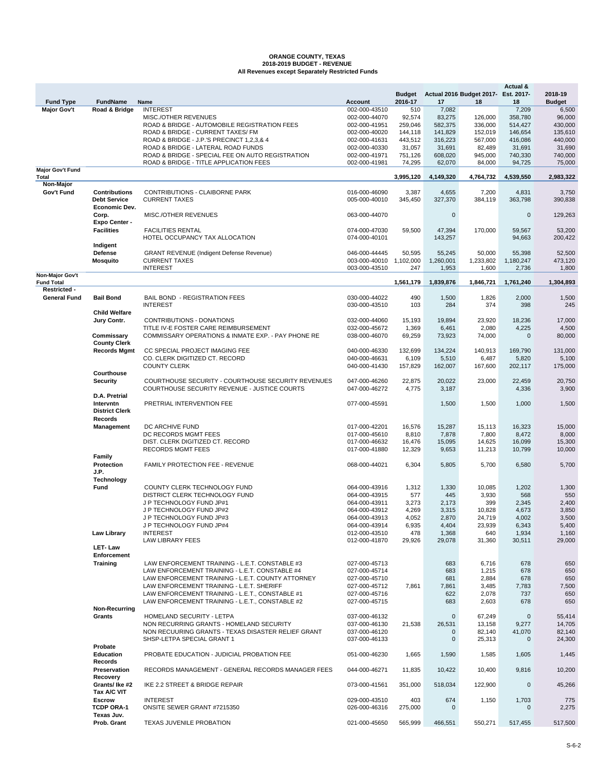# **ORANGE COUNTY, TEXAS 2018-2019 BUDGET - REVENUE All Revenues except Separately Restricted Funds**

|                                      |                                                              |                                                                                                    |                                | <b>Budget</b>    |                   | Actual 2016 Budget 2017- | Actual &<br>Est. 2017- | 2018-19           |
|--------------------------------------|--------------------------------------------------------------|----------------------------------------------------------------------------------------------------|--------------------------------|------------------|-------------------|--------------------------|------------------------|-------------------|
| <b>Fund Type</b>                     | <b>FundName</b>                                              | Name                                                                                               | <b>Account</b>                 | 2016-17          | 17                | 18                       | 18                     | <b>Budget</b>     |
| <b>Major Gov't</b>                   | Road & Bridge                                                | <b>INTEREST</b>                                                                                    | 002-000-43510                  | 510              | 7,082             |                          | 7,209                  | 6,500             |
|                                      |                                                              | MISC./OTHER REVENUES                                                                               | 002-000-44070                  | 92,574           | 83,275            | 126,000                  | 358,780                | 96,000            |
|                                      |                                                              | ROAD & BRIDGE - AUTOMOBILE REGISTRATION FEES                                                       | 002-000-41951                  | 259,046          | 582,375           | 336,000                  | 514,427                | 430,000           |
|                                      |                                                              | ROAD & BRIDGE - CURRENT TAXES/ FM                                                                  | 002-000-40020                  | 144,118          | 141,829           | 152,019                  | 146,654                | 135,610           |
|                                      |                                                              | ROAD & BRIDGE - J.P.'S PRECINCT 1,2,3,& 4                                                          | 002-000-41631                  | 443,512          | 316,223           | 567,000                  | 416,086                | 440,000           |
|                                      |                                                              | ROAD & BRIDGE - LATERAL ROAD FUNDS                                                                 | 002-000-40330                  | 31,057           | 31,691            | 82,489                   | 31,691                 | 31,690            |
|                                      |                                                              | ROAD & BRIDGE - SPECIAL FEE ON AUTO REGISTRATION                                                   | 002-000-41971                  | 751,126          | 608,020           | 945,000                  | 740,330                | 740,000           |
| <b>Major Gov't Fund</b>              |                                                              | ROAD & BRIDGE - TITLE APPLICATION FEES                                                             | 002-000-41981                  | 74,295           | 62,070            | 84,000                   | 94,725                 | 75,000            |
| Total<br><b>Non-Major</b>            |                                                              |                                                                                                    |                                | 3,995,120        | 4,149,320         | 4,764,732                | 4,539,550              | 2,983,322         |
| Gov't Fund                           | <b>Contributions</b><br><b>Debt Service</b><br>Economic Dev. | CONTRIBUTIONS - CLAIBORNE PARK<br><b>CURRENT TAXES</b>                                             | 016-000-46090<br>005-000-40010 | 3,387<br>345,450 | 4,655<br>327,370  | 7,200<br>384,119         | 4,831<br>363,798       | 3,750<br>390,838  |
|                                      | Corp.<br>Expo Center -                                       | <b>MISC./OTHER REVENUES</b>                                                                        | 063-000-44070                  |                  | 0                 |                          | 0                      | 129,263           |
|                                      | <b>Facilities</b><br>Indigent                                | <b>FACILITIES RENTAL</b><br>HOTEL OCCUPANCY TAX ALLOCATION                                         | 074-000-47030<br>074-000-40101 | 59,500           | 47,394<br>143,257 | 170,000                  | 59,567<br>94,663       | 53,200<br>200,422 |
|                                      | Defense                                                      | <b>GRANT REVENUE (Indigent Defense Revenue)</b>                                                    | 046-000-44445                  | 50,595           | 55,245            | 50,000                   | 55,398                 | 52,500            |
|                                      | <b>Mosquito</b>                                              | <b>CURRENT TAXES</b>                                                                               | 003-000-40010                  | 1,102,000        | 1,260,001         | 1,233,802                | 1,180,247              | 473,120           |
|                                      |                                                              | <b>INTEREST</b>                                                                                    | 003-000-43510                  | 247              | 1,953             | 1,600                    | 2,736                  | 1,800             |
| Non-Major Gov't<br><b>Fund Total</b> |                                                              |                                                                                                    |                                | 1,561,179        | 1,839,876         | 1,846,721                | 1,761,240              | 1,304,893         |
| Restricted -<br><b>General Fund</b>  | <b>Bail Bond</b>                                             | <b>BAIL BOND - REGISTRATION FEES</b>                                                               | 030-000-44022                  | 490              | 1,500             | 1,826                    | 2,000                  | 1,500             |
|                                      |                                                              | <b>INTEREST</b>                                                                                    | 030-000-43510                  | 103              | 284               | 374                      | 398                    | 245               |
|                                      | <b>Child Welfare</b>                                         | <b>CONTRIBUTIONS - DONATIONS</b>                                                                   | 032-000-44060                  |                  |                   |                          | 18,236                 |                   |
|                                      | Jury Contr.                                                  | TITLE IV-E FOSTER CARE REIMBURSEMENT                                                               | 032-000-45672                  | 15,193<br>1,369  | 19,894<br>6,461   | 23,920<br>2,080          | 4,225                  | 17,000<br>4,500   |
|                                      | Commissary                                                   | COMMISSARY OPERATIONS & INMATE EXP. - PAY PHONE RE                                                 | 038-000-46070                  | 69,259           | 73,923            | 74,000                   | $\Omega$               | 80,000            |
|                                      | <b>County Clerk</b>                                          |                                                                                                    |                                |                  |                   |                          |                        |                   |
|                                      | <b>Records Mgmt</b>                                          | CC SPECIAL PROJECT IMAGING FEE                                                                     | 040-000-46330                  | 132,699          | 134,224           | 140,913                  | 169,790                | 131,000           |
|                                      |                                                              | CO. CLERK DIGITIZED CT. RECORD<br><b>COUNTY CLERK</b>                                              | 040-000-46631<br>040-000-41430 | 6,109<br>157,829 | 5,510<br>162,007  | 6,487<br>167,600         | 5,820<br>202,117       | 5,100<br>175,000  |
|                                      | Courthouse                                                   |                                                                                                    |                                |                  |                   |                          |                        |                   |
|                                      | <b>Security</b>                                              | COURTHOUSE SECURITY - COURTHOUSE SECURITY REVENUES<br>COURTHOUSE SECURITY REVENUE - JUSTICE COURTS | 047-000-46260<br>047-000-46272 | 22,875<br>4,775  | 20,022<br>3,187   | 23,000                   | 22,459<br>4,336        | 20,750<br>3,900   |
|                                      | D.A. Pretrial                                                |                                                                                                    |                                |                  |                   |                          |                        |                   |
|                                      | Intervntn<br><b>District Clerk</b>                           | PRETRIAL INTERVENTION FEE                                                                          | 077-000-45591                  |                  | 1,500             | 1,500                    | 1,000                  | 1,500             |
|                                      | Records                                                      | DC ARCHIVE FUND                                                                                    |                                |                  |                   |                          |                        |                   |
|                                      | Management                                                   | DC RECORDS MGMT FEES                                                                               | 017-000-42201<br>017-000-45610 | 16,576<br>8,810  | 15,287<br>7,878   | 15,113<br>7,800          | 16,323<br>8,472        | 15,000<br>8,000   |
|                                      |                                                              | DIST. CLERK DIGITIZED CT. RECORD                                                                   | 017-000-46632                  | 16,476           | 15,095            | 14,625                   | 16,099                 | 15,300            |
|                                      |                                                              | <b>RECORDS MGMT FEES</b>                                                                           | 017-000-41880                  | 12,329           | 9,653             | 11,213                   | 10,799                 | 10,000            |
|                                      | Family                                                       |                                                                                                    |                                |                  |                   |                          |                        |                   |
|                                      | Protection                                                   | <b>FAMILY PROTECTION FEE - REVENUE</b>                                                             | 068-000-44021                  | 6,304            | 5,805             | 5,700                    | 6,580                  | 5,700             |
|                                      | J.P.                                                         |                                                                                                    |                                |                  |                   |                          |                        |                   |
|                                      | Technology                                                   |                                                                                                    |                                |                  |                   |                          |                        |                   |
|                                      | Fund                                                         | COUNTY CLERK TECHNOLOGY FUND                                                                       | 064-000-43916                  | 1,312            | 1,330             | 10,085                   | 1,202                  | 1,300             |
|                                      |                                                              | DISTRICT CLERK TECHNOLOGY FUND                                                                     | 064-000-43915                  | 577              | 445               | 3,930                    | 568                    | 550               |
|                                      |                                                              | J P TECHNOLOGY FUND JP#1                                                                           | 064-000-43911                  | 3,273            | 2,173             | 399                      | 2,345                  | 2,400             |
|                                      |                                                              | J P TECHNOLOGY FUND JP#2                                                                           | 064-000-43912                  | 4,269            | 3,315             | 10,828                   | 4,673                  | 3,850             |
|                                      |                                                              | J P TECHNOLOGY FUND JP#3                                                                           | 064-000-43913                  | 4,052            | 2,870             | 24,719                   | 4,002                  | 3,500             |
|                                      | <b>Law Library</b>                                           | J P TECHNOLOGY FUND JP#4<br><b>INTEREST</b>                                                        | 064-000-43914<br>012-000-43510 | 6,935<br>478     | 4,404<br>1,368    | 23,939<br>640            | 6,343<br>1,934         | 5,400<br>1,160    |
|                                      |                                                              | <b>LAW LIBRARY FEES</b>                                                                            | 012-000-41870                  | 29,926           | 29,078            | 31,360                   | 30,511                 | 29,000            |
|                                      | LET-Law                                                      |                                                                                                    |                                |                  |                   |                          |                        |                   |
|                                      | Enforcement                                                  |                                                                                                    |                                |                  |                   |                          |                        |                   |
|                                      | <b>Training</b>                                              | LAW ENFORCEMENT TRAINING - L.E.T. CONSTABLE #3                                                     | 027-000-45713                  |                  | 683               | 6,716                    | 678                    | 650               |
|                                      |                                                              | LAW ENFORCEMENT TRAINING - L.E.T. CONSTABLE #4                                                     | 027-000-45714                  |                  | 683               | 1,215                    | 678                    | 650               |
|                                      |                                                              | LAW ENFORCEMENT TRAINING - L.E.T. COUNTY ATTORNEY                                                  | 027-000-45710                  |                  | 681               | 2,884                    | 678                    | 650               |
|                                      |                                                              | LAW ENFORCEMENT TRAINING - L.E.T. SHERIFF                                                          | 027-000-45712                  | 7,861            | 7,861             | 3,485                    | 7,783                  | 7,500             |
|                                      |                                                              | LAW ENFORCEMENT TRAINING - L.E.T., CONSTABLE #1                                                    | 027-000-45716                  |                  | 622               | 2,078                    | 737                    | 650               |
|                                      | <b>Non-Recurring</b>                                         | LAW ENFORCEMENT TRAINING - L.E.T., CONSTABLE #2                                                    | 027-000-45715                  |                  | 683               | 2,603                    | 678                    | 650               |
|                                      | Grants                                                       | HOMELAND SECURITY - LETPA                                                                          | 037-000-46132                  |                  | 0                 | 67,249                   | 0                      | 55,414            |
|                                      |                                                              | NON RECURRING GRANTS - HOMELAND SECURITY                                                           | 037-000-46130                  | 21,538           | 26,531            | 13,158                   | 9,277                  | 14,705            |
|                                      |                                                              | NON RECUURING GRANTS - TEXAS DISASTER RELIEF GRANT                                                 | 037-000-46120                  |                  | 0                 | 82,140                   | 41,070                 | 82,140            |
|                                      |                                                              | SHSP-LETPA SPECIAL GRANT 1                                                                         | 037-000-46133                  |                  | 0                 | 25,313                   | 0                      | 24,300            |
|                                      | Probate                                                      |                                                                                                    |                                |                  |                   |                          |                        |                   |
|                                      | <b>Education</b>                                             | PROBATE EDUCATION - JUDICIAL PROBATION FEE                                                         | 051-000-46230                  | 1,665            | 1,590             | 1,585                    | 1,605                  | 1,445             |
|                                      | Records                                                      |                                                                                                    |                                |                  |                   |                          |                        |                   |
|                                      | Preservation                                                 | RECORDS MANAGEMENT - GENERAL RECORDS MANAGER FEES                                                  | 044-000-46271                  | 11,835           | 10,422            | 10,400                   | 9,816                  | 10,200            |
|                                      | Recovery<br>Grants/Ike #2                                    | IKE 2.2 STREET & BRIDGE REPAIR                                                                     | 073-000-41561                  | 351,000          | 518,034           | 122,900                  | 0                      | 45,266            |
|                                      | Tax A/C VIT<br><b>Escrow</b>                                 | <b>INTEREST</b>                                                                                    | 029-000-43510                  | 403              | 674               | 1,150                    | 1,703                  | 775               |
|                                      | <b>TCDP ORA-1</b>                                            | ONSITE SEWER GRANT #7215350                                                                        | 026-000-46316                  | 275,000          | $\mathbf{0}$      |                          | 0                      | 2,275             |
|                                      | Texas Juv.<br>Prob. Grant                                    | TEXAS JUVENILE PROBATION                                                                           | 021-000-45650                  | 565,999          | 466,551           | 550,271                  | 517,455                | 517,500           |
|                                      |                                                              |                                                                                                    |                                |                  |                   |                          |                        |                   |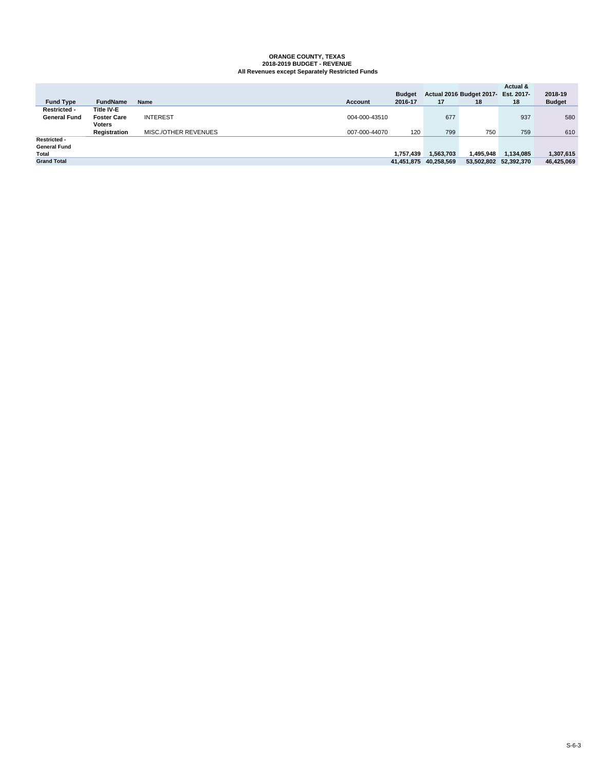# **ORANGE COUNTY, TEXAS 2018-2019 BUDGET - REVENUE All Revenues except Separately Restricted Funds**

|                     |                    |                      |                | <b>Budget</b> |                       | Actual 2016 Budget 2017- | Actual &<br>Est. 2017- | 2018-19       |
|---------------------|--------------------|----------------------|----------------|---------------|-----------------------|--------------------------|------------------------|---------------|
| <b>Fund Type</b>    | <b>FundName</b>    | Name                 | <b>Account</b> | 2016-17       | 17                    | 18                       | 18                     | <b>Budget</b> |
| Restricted -        | Title IV-E         |                      |                |               |                       |                          |                        |               |
| <b>General Fund</b> | <b>Foster Care</b> | <b>INTEREST</b>      | 004-000-43510  |               | 677                   |                          | 937                    | 580           |
|                     | <b>Voters</b>      |                      |                |               |                       |                          |                        |               |
|                     | Registration       | MISC./OTHER REVENUES | 007-000-44070  | 120           | 799                   | 750                      | 759                    | 610           |
| <b>Restricted -</b> |                    |                      |                |               |                       |                          |                        |               |
| <b>General Fund</b> |                    |                      |                |               |                       |                          |                        |               |
| Total               |                    |                      |                | 1.757.439     | 1,563,703             | 1.495.948                | 1,134,085              | 1,307,615     |
| <b>Grand Total</b>  |                    |                      |                |               | 41,451,875 40,258,569 |                          | 53,502,802 52,392,370  | 46,425,069    |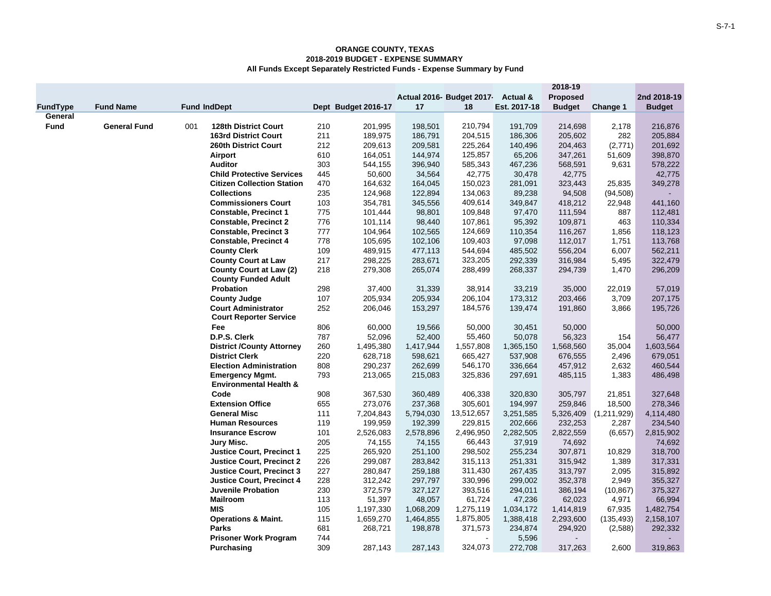|             |                     |     |                                   |     |                     |           |                           |              | 2018-19       |             |               |
|-------------|---------------------|-----|-----------------------------------|-----|---------------------|-----------|---------------------------|--------------|---------------|-------------|---------------|
|             |                     |     |                                   |     |                     |           | Actual 2016- Budget 2017- | Actual &     | Proposed      |             | 2nd 2018-19   |
| FundType    | <b>Fund Name</b>    |     | <b>Fund IndDept</b>               |     | Dept Budget 2016-17 | 17        | 18                        | Est. 2017-18 | <b>Budget</b> | Change 1    | <b>Budget</b> |
| General     |                     |     |                                   |     |                     |           |                           |              |               |             |               |
| <b>Fund</b> | <b>General Fund</b> | 001 | 128th District Court              | 210 | 201,995             | 198,501   | 210,794                   | 191,709      | 214,698       | 2,178       | 216,876       |
|             |                     |     | <b>163rd District Court</b>       | 211 | 189,975             | 186,791   | 204,515                   | 186,306      | 205,602       | 282         | 205,884       |
|             |                     |     | 260th District Court              | 212 | 209,613             | 209,581   | 225,264                   | 140,496      | 204,463       | (2,771)     | 201,692       |
|             |                     |     | Airport                           | 610 | 164,051             | 144,974   | 125,857                   | 65,206       | 347,261       | 51,609      | 398,870       |
|             |                     |     | <b>Auditor</b>                    | 303 | 544,155             | 396,940   | 585,343                   | 467,236      | 568,591       | 9,631       | 578,222       |
|             |                     |     | <b>Child Protective Services</b>  | 445 | 50,600              | 34,564    | 42,775                    | 30,478       | 42,775        |             | 42,775        |
|             |                     |     | <b>Citizen Collection Station</b> | 470 | 164,632             | 164,045   | 150,023                   | 281,091      | 323,443       | 25,835      | 349,278       |
|             |                     |     | <b>Collections</b>                | 235 | 124,968             | 122,894   | 134,063                   | 89,238       | 94,508        | (94, 508)   |               |
|             |                     |     | <b>Commissioners Court</b>        | 103 | 354,781             | 345,556   | 409,614                   | 349,847      | 418,212       | 22,948      | 441,160       |
|             |                     |     | <b>Constable, Precinct 1</b>      | 775 | 101,444             | 98,801    | 109,848                   | 97,470       | 111,594       | 887         | 112,481       |
|             |                     |     | <b>Constable, Precinct 2</b>      | 776 | 101,114             | 98,440    | 107,861                   | 95,392       | 109,871       | 463         | 110,334       |
|             |                     |     | <b>Constable, Precinct 3</b>      | 777 | 104,964             | 102,565   | 124,669                   | 110,354      | 116,267       | 1,856       | 118,123       |
|             |                     |     | <b>Constable, Precinct 4</b>      | 778 | 105,695             | 102,106   | 109,403                   | 97,098       | 112,017       | 1,751       | 113,768       |
|             |                     |     | <b>County Clerk</b>               | 109 | 489,915             | 477,113   | 544,694                   | 485,502      | 556,204       | 6,007       | 562,211       |
|             |                     |     | <b>County Court at Law</b>        | 217 | 298,225             | 283,671   | 323,205                   | 292,339      | 316,984       | 5,495       | 322,479       |
|             |                     |     | <b>County Court at Law (2)</b>    | 218 | 279,308             | 265,074   | 288,499                   | 268,337      | 294,739       | 1,470       | 296,209       |
|             |                     |     | <b>County Funded Adult</b>        |     |                     |           |                           |              |               |             |               |
|             |                     |     | Probation                         | 298 | 37,400              | 31,339    | 38,914                    | 33,219       | 35,000        | 22,019      | 57,019        |
|             |                     |     | <b>County Judge</b>               | 107 | 205,934             | 205,934   | 206,104                   | 173,312      | 203,466       | 3,709       | 207,175       |
|             |                     |     | <b>Court Administrator</b>        | 252 | 206,046             | 153,297   | 184,576                   | 139,474      | 191,860       | 3,866       | 195,726       |
|             |                     |     | <b>Court Reporter Service</b>     |     |                     |           |                           |              |               |             |               |
|             |                     |     | Fee                               | 806 | 60,000              | 19,566    | 50,000                    | 30,451       | 50,000        |             | 50,000        |
|             |                     |     | D.P.S. Clerk                      | 787 | 52,096              | 52,400    | 55,460                    | 50,078       | 56,323        | 154         | 56,477        |
|             |                     |     | <b>District /County Attorney</b>  | 260 | 1,495,380           | 1,417,944 | 1,557,808                 | 1,365,150    | 1,568,560     | 35,004      | 1,603,564     |
|             |                     |     | <b>District Clerk</b>             | 220 | 628,718             | 598,621   | 665,427                   | 537,908      | 676,555       | 2,496       | 679,051       |
|             |                     |     | <b>Election Administration</b>    | 808 | 290,237             | 262,699   | 546,170                   | 336,664      | 457,912       | 2,632       | 460,544       |
|             |                     |     | <b>Emergency Mgmt.</b>            | 793 | 213,065             | 215,083   | 325,836                   | 297,691      | 485,115       | 1,383       | 486,498       |
|             |                     |     | <b>Environmental Health &amp;</b> |     |                     |           |                           |              |               |             |               |
|             |                     |     | Code                              | 908 | 367,530             | 360,489   | 406,338                   | 320,830      | 305,797       | 21,851      | 327,648       |
|             |                     |     | <b>Extension Office</b>           | 655 | 273,076             | 237,368   | 305,601                   | 194,997      | 259,846       | 18,500      | 278,346       |
|             |                     |     | <b>General Misc</b>               | 111 | 7,204,843           | 5,794,030 | 13,512,657                | 3,251,585    | 5,326,409     | (1,211,929) | 4,114,480     |
|             |                     |     | <b>Human Resources</b>            | 119 | 199,959             | 192,399   | 229,815                   | 202,666      | 232,253       | 2,287       | 234,540       |
|             |                     |     | <b>Insurance Escrow</b>           | 101 | 2,526,083           | 2,578,896 | 2,496,950                 | 2,282,505    | 2,822,559     | (6,657)     | 2,815,902     |
|             |                     |     | Jury Misc.                        | 205 | 74,155              | 74,155    | 66,443                    | 37,919       | 74,692        |             | 74,692        |
|             |                     |     | <b>Justice Court, Precinct 1</b>  | 225 | 265,920             | 251,100   | 298,502                   | 255,234      | 307,871       | 10,829      | 318,700       |
|             |                     |     | <b>Justice Court, Precinct 2</b>  | 226 | 299,087             | 283,842   | 315,113                   | 251,331      | 315,942       | 1,389       | 317,331       |
|             |                     |     | <b>Justice Court, Precinct 3</b>  | 227 | 280,847             | 259,188   | 311,430                   | 267,435      | 313,797       | 2,095       | 315,892       |
|             |                     |     | <b>Justice Court, Precinct 4</b>  | 228 | 312,242             | 297,797   | 330,996                   | 299,002      | 352,378       | 2,949       | 355,327       |
|             |                     |     | <b>Juvenile Probation</b>         | 230 | 372,579             | 327,127   | 393,516                   | 294,011      | 386,194       | (10, 867)   | 375,327       |
|             |                     |     | <b>Mailroom</b>                   | 113 | 51,397              | 48,057    | 61,724                    | 47,236       | 62,023        | 4,971       | 66,994        |
|             |                     |     | <b>MIS</b>                        | 105 | 1,197,330           | 1,068,209 | 1,275,119                 | 1,034,172    | 1,414,819     | 67,935      | 1,482,754     |
|             |                     |     | <b>Operations &amp; Maint.</b>    | 115 | 1,659,270           | 1,464,855 | 1,875,805                 | 1,388,418    | 2,293,600     | (135, 493)  | 2,158,107     |
|             |                     |     | <b>Parks</b>                      | 681 | 268,721             | 198,878   | 371,573                   | 234,874      | 294,920       | (2,588)     | 292,332       |
|             |                     |     | <b>Prisoner Work Program</b>      | 744 |                     |           |                           | 5,596        |               |             |               |
|             |                     |     | Purchasing                        | 309 | 287,143             | 287,143   | 324.073                   | 272,708      | 317,263       | 2,600       | 319,863       |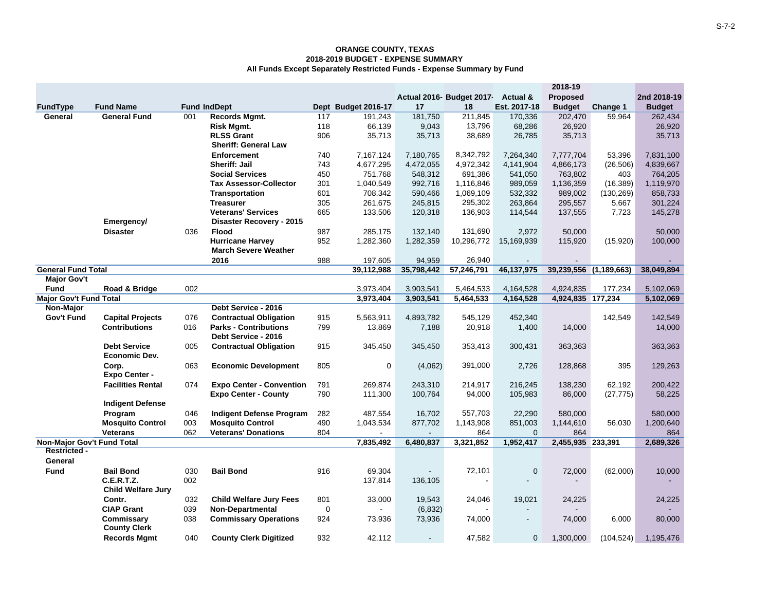|                                   |                           |     |                                 |             |                     |            |                                   |                | 2018-19           |                        |               |
|-----------------------------------|---------------------------|-----|---------------------------------|-------------|---------------------|------------|-----------------------------------|----------------|-------------------|------------------------|---------------|
|                                   |                           |     |                                 |             |                     |            | Actual 2016- Budget 2017 Actual & |                | Proposed          |                        | 2nd 2018-19   |
| FundType                          | <b>Fund Name</b>          |     | <b>Fund IndDept</b>             |             | Dept Budget 2016-17 | 17         | 18                                | Est. 2017-18   | <b>Budget</b>     | Change 1               | <b>Budget</b> |
| General                           | General Fund              | 001 | Records Mgmt.                   | 117         | 191,243             | 181,750    | 211,845                           | 170,336        | 202,470           | 59,964                 | 262,434       |
|                                   |                           |     | Risk Mgmt.                      | 118         | 66,139              | 9,043      | 13,796                            | 68,286         | 26,920            |                        | 26,920        |
|                                   |                           |     | <b>RLSS Grant</b>               | 906         | 35,713              | 35,713     | 38,689                            | 26,785         | 35,713            |                        | 35,713        |
|                                   |                           |     | <b>Sheriff: General Law</b>     |             |                     |            |                                   |                |                   |                        |               |
|                                   |                           |     | Enforcement                     | 740         | 7,167,124           | 7,180,765  | 8,342,792                         | 7,264,340      | 7,777,704         | 53,396                 | 7,831,100     |
|                                   |                           |     | Sheriff: Jail                   | 743         | 4,677,295           | 4,472,055  | 4,972,342                         | 4,141,904      | 4,866,173         | (26, 506)              | 4,839,667     |
|                                   |                           |     | <b>Social Services</b>          | 450         | 751,768             | 548,312    | 691,386                           | 541.050        | 763,802           | 403                    | 764,205       |
|                                   |                           |     | <b>Tax Assessor-Collector</b>   | 301         | 1,040,549           | 992,716    | 1,116,846                         | 989,059        | 1,136,359         | (16, 389)              | 1,119,970     |
|                                   |                           |     | <b>Transportation</b>           | 601         | 708,342             | 590,466    | 1,069,109                         | 532,332        | 989,002           | (130, 269)             | 858,733       |
|                                   |                           |     | <b>Treasurer</b>                | 305         | 261,675             | 245,815    | 295,302                           | 263,864        | 295,557           | 5,667                  | 301,224       |
|                                   |                           |     | <b>Veterans' Services</b>       | 665         | 133,506             | 120,318    | 136,903                           | 114,544        | 137,555           | 7,723                  | 145,278       |
|                                   | Emergency/                |     | Disaster Recovery - 2015        |             |                     |            |                                   |                |                   |                        |               |
|                                   | <b>Disaster</b>           | 036 | <b>Flood</b>                    | 987         | 285,175             | 132,140    | 131,690                           | 2.972          | 50,000            |                        | 50,000        |
|                                   |                           |     | <b>Hurricane Harvey</b>         | 952         | 1,282,360           | 1,282,359  | 10,296,772                        | 15,169,939     | 115,920           | (15,920)               | 100,000       |
|                                   |                           |     | <b>March Severe Weather</b>     |             |                     |            |                                   |                |                   |                        |               |
|                                   |                           |     | 2016                            | 988         | 197,605             | 94,959     | 26,940                            |                |                   |                        |               |
| <b>General Fund Total</b>         |                           |     |                                 |             | 39,112,988          | 35,798,442 | 57,246,791                        | 46,137,975     |                   | 39,239,556 (1,189,663) | 38,049,894    |
| <b>Major Gov't</b>                |                           |     |                                 |             |                     |            |                                   |                |                   |                        |               |
| <b>Fund</b>                       | Road & Bridge             | 002 |                                 |             | 3,973,404           | 3,903,541  | 5,464,533                         | 4,164,528      | 4,924,835         | 177,234                | 5,102,069     |
| <b>Major Gov't Fund Total</b>     |                           |     |                                 |             | 3,973,404           | 3,903,541  | 5,464,533                         | 4,164,528      | 4,924,835 177,234 |                        | 5,102,069     |
| Non-Major                         |                           |     | Debt Service - 2016             |             |                     |            |                                   |                |                   |                        |               |
| Gov't Fund                        | <b>Capital Projects</b>   | 076 | <b>Contractual Obligation</b>   | 915         | 5,563,911           | 4,893,782  | 545,129                           | 452,340        |                   | 142,549                | 142,549       |
|                                   | <b>Contributions</b>      | 016 | <b>Parks - Contributions</b>    | 799         | 13,869              | 7,188      | 20,918                            | 1,400          | 14,000            |                        | 14,000        |
|                                   |                           |     | Debt Service - 2016             |             |                     |            |                                   |                |                   |                        |               |
|                                   | <b>Debt Service</b>       | 005 | <b>Contractual Obligation</b>   | 915         | 345,450             | 345,450    | 353,413                           | 300,431        | 363,363           |                        | 363,363       |
|                                   | <b>Economic Dev.</b>      |     |                                 |             |                     |            |                                   |                |                   |                        |               |
|                                   | Corp.                     | 063 | <b>Economic Development</b>     | 805         | 0                   | (4,062)    | 391,000                           | 2,726          | 128,868           | 395                    | 129,263       |
|                                   | <b>Expo Center -</b>      |     |                                 |             |                     |            |                                   |                |                   |                        |               |
|                                   | <b>Facilities Rental</b>  | 074 | <b>Expo Center - Convention</b> | 791         | 269.874             | 243,310    | 214,917                           | 216,245        | 138,230           | 62,192                 | 200,422       |
|                                   |                           |     | <b>Expo Center - County</b>     | 790         | 111,300             | 100,764    | 94,000                            | 105,983        | 86,000            | (27, 775)              | 58,225        |
|                                   | <b>Indigent Defense</b>   |     |                                 |             |                     |            |                                   |                |                   |                        |               |
|                                   | Program                   | 046 | <b>Indigent Defense Program</b> | 282         | 487,554             | 16,702     | 557,703                           | 22,290         | 580,000           |                        | 580,000       |
|                                   | <b>Mosquito Control</b>   | 003 | <b>Mosquito Control</b>         | 490         | 1,043,534           | 877,702    | 1,143,908                         | 851,003        | 1,144,610         | 56,030                 | 1,200,640     |
|                                   | <b>Veterans</b>           | 062 | <b>Veterans' Donations</b>      | 804         |                     |            | 864                               | $\mathbf{0}$   | 864               |                        | 864           |
| <b>Non-Major Gov't Fund Total</b> |                           |     |                                 |             | 7,835,492           | 6,480,837  | 3,321,852                         | 1,952,417      | 2,455,935 233,391 |                        | 2,689,326     |
| <b>Restricted -</b>               |                           |     |                                 |             |                     |            |                                   |                |                   |                        |               |
| General                           |                           |     |                                 |             |                     |            |                                   |                |                   |                        |               |
| <b>Fund</b>                       | <b>Bail Bond</b>          | 030 | <b>Bail Bond</b>                | 916         | 69,304              |            | 72,101                            | $\mathbf 0$    | 72,000            | (62,000)               | 10,000        |
|                                   | <b>C.E.R.T.Z.</b>         | 002 |                                 |             | 137,814             | 136,105    |                                   |                |                   |                        |               |
|                                   | <b>Child Welfare Jury</b> |     |                                 |             |                     |            |                                   |                |                   |                        |               |
|                                   | Contr.                    | 032 | <b>Child Welfare Jury Fees</b>  | 801         | 33,000              | 19,543     | 24,046                            | 19,021         | 24,225            |                        | 24,225        |
|                                   | <b>CIAP Grant</b>         | 039 | <b>Non-Departmental</b>         | $\mathbf 0$ |                     | (6, 832)   |                                   |                |                   |                        |               |
|                                   | Commissary                | 038 | <b>Commissary Operations</b>    | 924         | 73,936              | 73,936     | 74,000                            | $\blacksquare$ | 74,000            | 6,000                  | 80,000        |
|                                   | <b>County Clerk</b>       |     |                                 |             |                     |            |                                   |                |                   |                        |               |
|                                   | <b>Records Mgmt</b>       | 040 | <b>County Clerk Digitized</b>   | 932         | 42,112              |            | 47,582                            | $\mathbf 0$    | 1,300,000         | (104, 524)             | 1,195,476     |
|                                   |                           |     |                                 |             |                     |            |                                   |                |                   |                        |               |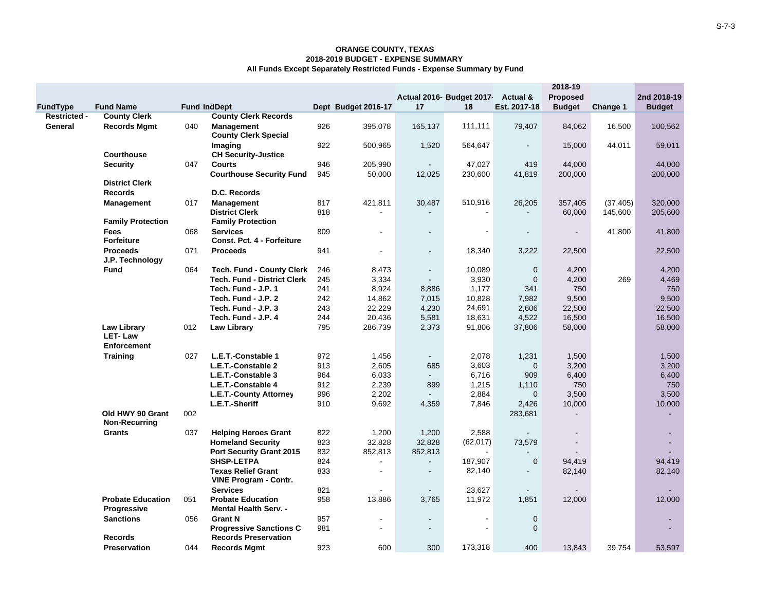|                     |                                          | 2018-19 |                                                               |     |                     |                |                                    |                |                          |           |               |
|---------------------|------------------------------------------|---------|---------------------------------------------------------------|-----|---------------------|----------------|------------------------------------|----------------|--------------------------|-----------|---------------|
|                     |                                          |         |                                                               |     |                     |                | Actual 2016- Budget 2017- Actual & |                | <b>Proposed</b>          |           | 2nd 2018-19   |
| FundType            | <b>Fund Name</b>                         |         | <b>Fund IndDept</b>                                           |     | Dept Budget 2016-17 | 17             | 18                                 | Est. 2017-18   | <b>Budget</b>            | Change 1  | <b>Budget</b> |
| <b>Restricted -</b> | <b>County Clerk</b>                      |         | <b>County Clerk Records</b>                                   |     |                     |                |                                    |                |                          |           |               |
| General             | <b>Records Mgmt</b>                      | 040     | <b>Management</b>                                             | 926 | 395,078             | 165,137        | 111,111                            | 79,407         | 84,062                   | 16,500    | 100,562       |
|                     |                                          |         | <b>County Clerk Special</b>                                   |     |                     |                |                                    |                |                          |           |               |
|                     |                                          |         | Imaging                                                       | 922 | 500,965             | 1,520          | 564,647                            |                | 15,000                   | 44,011    | 59,011        |
|                     | <b>Courthouse</b>                        |         | <b>CH Security-Justice</b>                                    |     |                     |                |                                    |                |                          |           |               |
|                     | <b>Security</b>                          | 047     | <b>Courts</b>                                                 | 946 | 205,990             | $\sim$         | 47,027                             | 419            | 44,000                   |           | 44,000        |
|                     |                                          |         | <b>Courthouse Security Fund</b>                               | 945 | 50,000              | 12,025         | 230,600                            | 41,819         | 200,000                  |           | 200,000       |
|                     | <b>District Clerk</b>                    |         |                                                               |     |                     |                |                                    |                |                          |           |               |
|                     | <b>Records</b>                           |         | D.C. Records                                                  |     |                     |                |                                    |                |                          |           |               |
|                     | <b>Management</b>                        | 017     | <b>Management</b>                                             | 817 | 421,811             | 30,487         | 510,916                            | 26,205         | 357,405                  | (37, 405) | 320,000       |
|                     |                                          |         | <b>District Clerk</b>                                         | 818 | $\blacksquare$      |                | $\sim$                             |                | 60,000                   | 145,600   | 205,600       |
|                     | <b>Family Protection</b>                 |         | <b>Family Protection</b>                                      |     |                     |                |                                    |                |                          |           |               |
|                     | Fees                                     | 068     | <b>Services</b>                                               | 809 | $\blacksquare$      | $\blacksquare$ | $\blacksquare$                     |                | $\overline{\phantom{a}}$ | 41,800    | 41,800        |
|                     | <b>Forfeiture</b>                        |         | Const. Pct. 4 - Forfeiture                                    |     |                     |                |                                    |                |                          |           |               |
|                     | <b>Proceeds</b>                          | 071     | <b>Proceeds</b>                                               | 941 |                     | $\blacksquare$ | 18,340                             | 3,222          | 22,500                   |           | 22,500        |
|                     | J.P. Technology                          |         |                                                               |     |                     |                |                                    |                |                          |           |               |
|                     | <b>Fund</b>                              | 064     | <b>Tech. Fund - County Clerk</b>                              | 246 | 8,473               | $\blacksquare$ | 10,089                             | $\mathbf{0}$   | 4,200                    |           | 4,200         |
|                     |                                          |         | <b>Tech. Fund - District Clerk</b>                            | 245 | 3,334               | $\blacksquare$ | 3,930                              | $\mathbf{0}$   | 4,200                    | 269       | 4,469         |
|                     |                                          |         | Tech. Fund - J.P. 1                                           | 241 | 8,924               | 8,886          | 1,177                              | 341            | 750                      |           | 750           |
|                     |                                          |         | Tech. Fund - J.P. 2                                           | 242 | 14,862              | 7,015          | 10,828                             | 7,982          | 9,500                    |           | 9,500         |
|                     |                                          |         | Tech. Fund - J.P. 3                                           | 243 | 22,229              | 4,230          | 24,691                             | 2,606          | 22,500                   |           | 22,500        |
|                     |                                          |         | Tech. Fund - J.P. 4                                           | 244 | 20,436              | 5,581          | 18,631                             | 4,522          | 16,500                   |           | 16,500        |
|                     | <b>Law Library</b>                       | 012     | <b>Law Library</b>                                            | 795 | 286,739             | 2,373          | 91,806                             | 37,806         | 58,000                   |           | 58,000        |
|                     | <b>LET-Law</b>                           |         |                                                               |     |                     |                |                                    |                |                          |           |               |
|                     | <b>Enforcement</b>                       |         |                                                               |     |                     |                |                                    |                |                          |           |               |
|                     | <b>Training</b>                          | 027     | L.E.T.-Constable 1                                            | 972 | 1,456               | $\blacksquare$ | 2,078                              | 1,231          | 1,500                    |           | 1,500         |
|                     |                                          |         | L.E.T.-Constable 2                                            | 913 | 2,605               | 685            | 3,603                              | $\mathbf 0$    | 3,200                    |           | 3,200         |
|                     |                                          |         | L.E.T.-Constable 3                                            | 964 | 6,033               | $\blacksquare$ | 6,716                              | 909            | 6,400                    |           | 6,400         |
|                     |                                          |         | L.E.T.-Constable 4                                            | 912 | 2,239               | 899            | 1,215                              | 1,110          | 750                      |           | 750           |
|                     |                                          |         | L.E.T.-County Attorney                                        | 996 | 2,202               |                | 2,884                              | $\mathbf{0}$   | 3,500                    |           | 3,500         |
|                     |                                          |         | L.E.T.-Sheriff                                                | 910 | 9,692               | 4,359          | 7,846                              | 2,426          | 10,000                   |           | 10,000        |
|                     | Old HWY 90 Grant<br><b>Non-Recurring</b> | 002     |                                                               |     |                     |                |                                    | 283,681        | $\blacksquare$           |           | ÷             |
|                     | <b>Grants</b>                            | 037     | <b>Helping Heroes Grant</b>                                   | 822 | 1,200               | 1,200          | 2,588                              |                | $\blacksquare$           |           | ٠             |
|                     |                                          |         | <b>Homeland Security</b>                                      | 823 | 32,828              | 32,828         | (62, 017)                          | 73,579         | $\blacksquare$           |           |               |
|                     |                                          |         | <b>Port Security Grant 2015</b>                               | 832 | 852,813             | 852,813        |                                    |                |                          |           |               |
|                     |                                          |         | <b>SHSP-LETPA</b>                                             | 824 | $\blacksquare$      | $\blacksquare$ | 187,907                            | $\mathbf 0$    | 94,419                   |           | 94,419        |
|                     |                                          |         | <b>Texas Relief Grant</b>                                     | 833 | $\blacksquare$      | $\blacksquare$ | 82,140                             | $\blacksquare$ | 82,140                   |           | 82,140        |
|                     |                                          |         | <b>VINE Program - Contr.</b>                                  |     |                     |                |                                    |                |                          |           |               |
|                     |                                          |         | <b>Services</b>                                               | 821 | $\overline{a}$      | $\omega$       | 23,627                             | $\blacksquare$ |                          |           |               |
|                     | <b>Probate Education</b>                 | 051     | <b>Probate Education</b>                                      | 958 | 13,886              | 3,765          | 11,972                             | 1,851          | 12,000                   |           | 12,000        |
|                     | Progressive                              |         | <b>Mental Health Serv. -</b>                                  |     |                     |                |                                    |                |                          |           |               |
|                     | <b>Sanctions</b>                         | 056     | <b>Grant N</b>                                                | 957 |                     | $\blacksquare$ |                                    | $\mathbf 0$    |                          |           |               |
|                     | <b>Records</b>                           |         | <b>Progressive Sanctions C</b><br><b>Records Preservation</b> | 981 | $\blacksquare$      | $\sim$         | $\sim$                             | $\mathbf{0}$   |                          |           |               |
|                     | <b>Preservation</b>                      | 044     | <b>Records Mgmt</b>                                           | 923 | 600                 | 300            | 173,318                            | 400            | 13,843                   | 39,754    | 53,597        |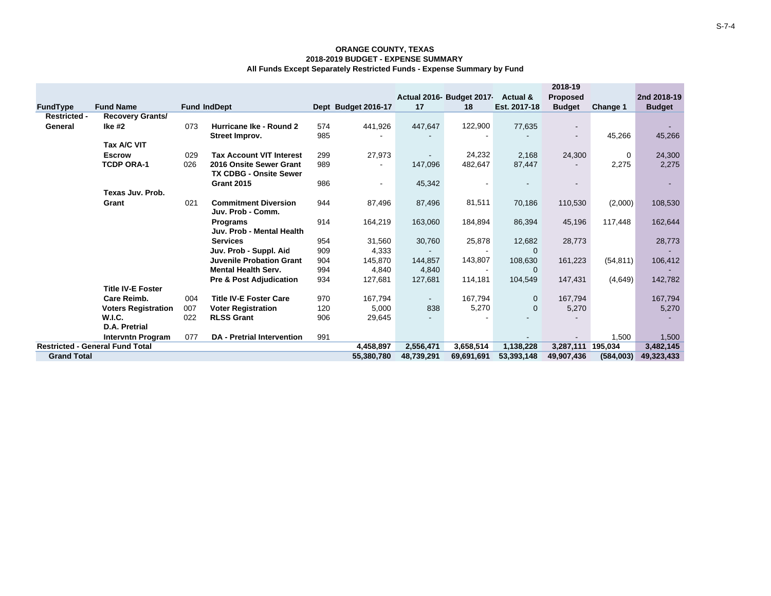|                     |                                        |     |                                    |     |                          |                          |                           |              | 2018-19                  |             |               |
|---------------------|----------------------------------------|-----|------------------------------------|-----|--------------------------|--------------------------|---------------------------|--------------|--------------------------|-------------|---------------|
|                     |                                        |     |                                    |     |                          |                          | Actual 2016- Budget 2017- | Actual &     | <b>Proposed</b>          |             | 2nd 2018-19   |
| <b>FundType</b>     | <b>Fund Name</b>                       |     | <b>Fund IndDept</b>                |     | Dept Budget 2016-17      | 17                       | 18                        | Est. 2017-18 | <b>Budget</b>            | Change 1    | <b>Budget</b> |
| <b>Restricted -</b> | Recovery Grants/                       |     |                                    |     |                          |                          |                           |              |                          |             |               |
| General             | lke #2                                 | 073 | Hurricane Ike - Round 2            | 574 | 441,926                  | 447,647                  | 122,900                   | 77,635       | $\overline{\phantom{a}}$ |             |               |
|                     |                                        |     | Street Improv.                     | 985 |                          |                          |                           |              | $\blacksquare$           | 45,266      | 45,266        |
|                     | Tax A/C VIT                            |     |                                    |     |                          |                          |                           |              |                          |             |               |
|                     | <b>Escrow</b>                          | 029 | <b>Tax Account VIT Interest</b>    | 299 | 27,973                   | $\overline{\phantom{a}}$ | 24,232                    | 2,168        | 24,300                   | $\mathbf 0$ | 24,300        |
|                     | <b>TCDP ORA-1</b>                      | 026 | 2016 Onsite Sewer Grant            | 989 |                          | 147,096                  | 482,647                   | 87,447       | $\overline{\phantom{a}}$ | 2,275       | 2,275         |
|                     |                                        |     | <b>TX CDBG - Onsite Sewer</b>      |     |                          |                          |                           |              |                          |             |               |
|                     |                                        |     | <b>Grant 2015</b>                  | 986 | $\overline{\phantom{a}}$ | 45,342                   |                           |              |                          |             |               |
|                     | Texas Juv. Prob.                       |     |                                    |     |                          |                          |                           |              |                          |             |               |
|                     | Grant                                  | 021 | <b>Commitment Diversion</b>        | 944 | 87,496                   | 87,496                   | 81,511                    | 70,186       | 110,530                  | (2,000)     | 108,530       |
|                     |                                        |     | Juv. Prob - Comm.                  |     |                          |                          |                           |              |                          |             |               |
|                     |                                        |     | <b>Programs</b>                    | 914 | 164,219                  | 163,060                  | 184,894                   | 86,394       | 45,196                   | 117,448     | 162,644       |
|                     |                                        |     | Juv. Prob - Mental Health          |     |                          |                          |                           |              |                          |             |               |
|                     |                                        |     | <b>Services</b>                    | 954 | 31,560                   | 30,760                   | 25,878                    | 12,682       | 28,773                   |             | 28,773        |
|                     |                                        |     | Juv. Prob - Suppl. Aid             | 909 | 4.333                    |                          |                           | $\Omega$     |                          |             |               |
|                     |                                        |     | <b>Juvenile Probation Grant</b>    | 904 | 145,870                  | 144,857                  | 143,807                   | 108,630      | 161,223                  | (54, 811)   | 106,412       |
|                     |                                        |     | <b>Mental Health Serv.</b>         | 994 | 4.840                    | 4,840                    | $\overline{\phantom{a}}$  | $\Omega$     |                          |             |               |
|                     |                                        |     | <b>Pre &amp; Post Adjudication</b> | 934 | 127,681                  | 127,681                  | 114,181                   | 104,549      | 147,431                  | (4,649)     | 142,782       |
|                     | <b>Title IV-E Foster</b>               |     |                                    |     |                          |                          |                           |              |                          |             |               |
|                     | <b>Care Reimb.</b>                     | 004 | <b>Title IV-E Foster Care</b>      | 970 | 167,794                  |                          | 167,794                   | $\mathbf{0}$ | 167,794                  |             | 167,794       |
|                     | <b>Voters Registration</b>             | 007 | <b>Voter Registration</b>          | 120 | 5,000                    | 838                      | 5,270                     | $\Omega$     | 5,270                    |             | 5,270         |
|                     | <b>W.I.C.</b>                          | 022 | <b>RLSS Grant</b>                  | 906 | 29,645                   |                          |                           |              |                          |             |               |
|                     | <b>D.A. Pretrial</b>                   |     |                                    |     |                          |                          |                           |              |                          |             |               |
|                     | <b>Intervntn Program</b>               | 077 | <b>DA</b> - Pretrial Intervention  | 991 |                          |                          |                           |              |                          | 1,500       | 1,500         |
|                     | <b>Restricted - General Fund Total</b> |     |                                    |     | 4,458,897                | 2,556,471                | 3.658.514                 | 1,138,228    | 3,287,111                | 195,034     | 3,482,145     |
| <b>Grand Total</b>  |                                        |     |                                    |     | 55,380,780               | 48,739,291               | 69,691,691                | 53,393,148   | 49,907,436               | (584,003)   | 49,323,433    |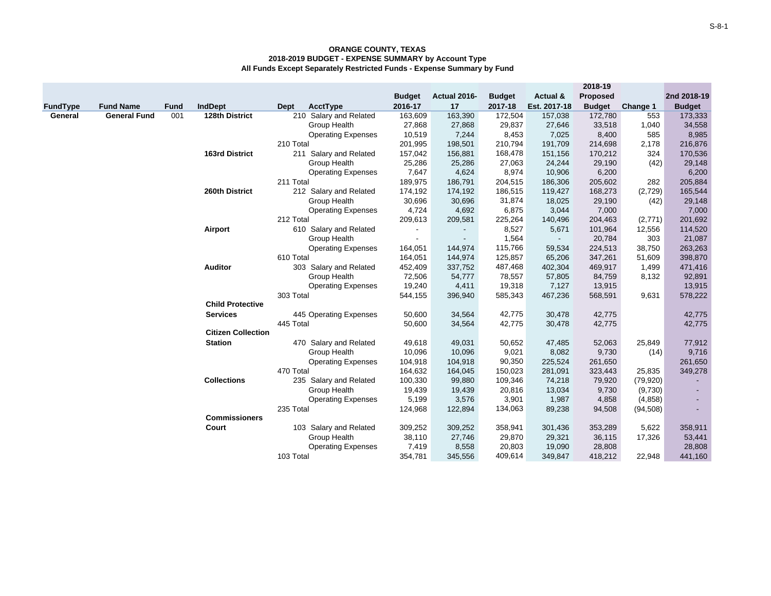|          |                     |             |                           |                           |                |              |               |                | 2018-19       |           |               |
|----------|---------------------|-------------|---------------------------|---------------------------|----------------|--------------|---------------|----------------|---------------|-----------|---------------|
|          |                     |             |                           |                           | <b>Budget</b>  | Actual 2016- | <b>Budget</b> | Actual &       | Proposed      |           | 2nd 2018-19   |
| FundType | <b>Fund Name</b>    | <b>Fund</b> | <b>IndDept</b>            | AcctType<br>Dept          | 2016-17        | 17           | 2017-18       | Est. 2017-18   | <b>Budget</b> | Change 1  | <b>Budget</b> |
| General  | <b>General Fund</b> | 001         | 128th District            | 210 Salary and Related    | 163,609        | 163,390      | 172,504       | 157,038        | 172,780       | 553       | 173,333       |
|          |                     |             |                           | Group Health              | 27,868         | 27,868       | 29,837        | 27,646         | 33,518        | 1,040     | 34,558        |
|          |                     |             |                           | <b>Operating Expenses</b> | 10,519         | 7,244        | 8,453         | 7,025          | 8,400         | 585       | 8,985         |
|          |                     |             |                           | 210 Total                 | 201,995        | 198,501      | 210,794       | 191,709        | 214,698       | 2,178     | 216,876       |
|          |                     |             | <b>163rd District</b>     | 211 Salary and Related    | 157,042        | 156,881      | 168,478       | 151,156        | 170,212       | 324       | 170,536       |
|          |                     |             |                           | Group Health              | 25,286         | 25,286       | 27,063        | 24,244         | 29,190        | (42)      | 29,148        |
|          |                     |             |                           | <b>Operating Expenses</b> | 7,647          | 4,624        | 8,974         | 10,906         | 6,200         |           | 6,200         |
|          |                     |             |                           | 211 Total                 | 189,975        | 186,791      | 204,515       | 186,306        | 205,602       | 282       | 205,884       |
|          |                     |             | 260th District            | 212 Salary and Related    | 174,192        | 174,192      | 186,515       | 119,427        | 168,273       | (2,729)   | 165,544       |
|          |                     |             |                           | Group Health              | 30,696         | 30,696       | 31,874        | 18,025         | 29,190        | (42)      | 29,148        |
|          |                     |             |                           | <b>Operating Expenses</b> | 4,724          | 4,692        | 6,875         | 3,044          | 7,000         |           | 7,000         |
|          |                     |             |                           | 212 Total                 | 209,613        | 209,581      | 225,264       | 140,496        | 204,463       | (2,771)   | 201,692       |
|          |                     |             | Airport                   | 610 Salary and Related    | $\blacksquare$ |              | 8,527         | 5,671          | 101,964       | 12,556    | 114,520       |
|          |                     |             |                           | Group Health              | $\blacksquare$ | $\sim$       | 1,564         | $\blacksquare$ | 20,784        | 303       | 21,087        |
|          |                     |             |                           | <b>Operating Expenses</b> | 164,051        | 144,974      | 115,766       | 59,534         | 224,513       | 38,750    | 263,263       |
|          |                     |             |                           | 610 Total                 | 164,051        | 144,974      | 125,857       | 65,206         | 347,261       | 51,609    | 398,870       |
|          |                     |             | <b>Auditor</b>            | 303 Salary and Related    | 452,409        | 337,752      | 487,468       | 402,304        | 469,917       | 1,499     | 471,416       |
|          |                     |             |                           | Group Health              | 72,506         | 54,777       | 78,557        | 57,805         | 84,759        | 8,132     | 92,891        |
|          |                     |             |                           | <b>Operating Expenses</b> | 19,240         | 4,411        | 19,318        | 7,127          | 13,915        |           | 13,915        |
|          |                     |             |                           | 303 Total                 | 544,155        | 396,940      | 585,343       | 467,236        | 568,591       | 9,631     | 578,222       |
|          |                     |             | <b>Child Protective</b>   |                           |                |              |               |                |               |           |               |
|          |                     |             | <b>Services</b>           | 445 Operating Expenses    | 50,600         | 34,564       | 42,775        | 30,478         | 42,775        |           | 42,775        |
|          |                     |             |                           | 445 Total                 | 50,600         | 34,564       | 42,775        | 30,478         | 42,775        |           | 42,775        |
|          |                     |             | <b>Citizen Collection</b> |                           |                |              |               |                |               |           |               |
|          |                     |             | <b>Station</b>            | 470 Salary and Related    | 49,618         | 49,031       | 50,652        | 47,485         | 52,063        | 25,849    | 77,912        |
|          |                     |             |                           | Group Health              | 10,096         | 10,096       | 9,021         | 8,082          | 9,730         | (14)      | 9,716         |
|          |                     |             |                           | <b>Operating Expenses</b> | 104,918        | 104,918      | 90,350        | 225,524        | 261,650       |           | 261,650       |
|          |                     |             |                           | 470 Total                 | 164,632        | 164,045      | 150,023       | 281,091        | 323,443       | 25,835    | 349,278       |
|          |                     |             | <b>Collections</b>        | 235 Salary and Related    | 100,330        | 99,880       | 109,346       | 74,218         | 79,920        | (79, 920) |               |
|          |                     |             |                           | Group Health              | 19,439         | 19,439       | 20,816        | 13,034         | 9,730         | (9,730)   |               |
|          |                     |             |                           | <b>Operating Expenses</b> | 5,199          | 3,576        | 3,901         | 1,987          | 4,858         | (4, 858)  |               |
|          |                     |             |                           | 235 Total                 | 124,968        | 122,894      | 134,063       | 89,238         | 94,508        | (94, 508) |               |
|          |                     |             | <b>Commissioners</b>      |                           |                |              |               |                |               |           |               |
|          |                     |             | Court                     | 103 Salary and Related    | 309,252        | 309,252      | 358,941       | 301,436        | 353,289       | 5,622     | 358,911       |
|          |                     |             |                           | Group Health              | 38,110         | 27,746       | 29,870        | 29,321         | 36,115        | 17,326    | 53,441        |
|          |                     |             |                           | <b>Operating Expenses</b> | 7,419          | 8,558        | 20,803        | 19,090         | 28,808        |           | 28,808        |
|          |                     |             |                           | 103 Total                 | 354,781        | 345,556      | 409,614       | 349,847        | 418,212       | 22,948    | 441,160       |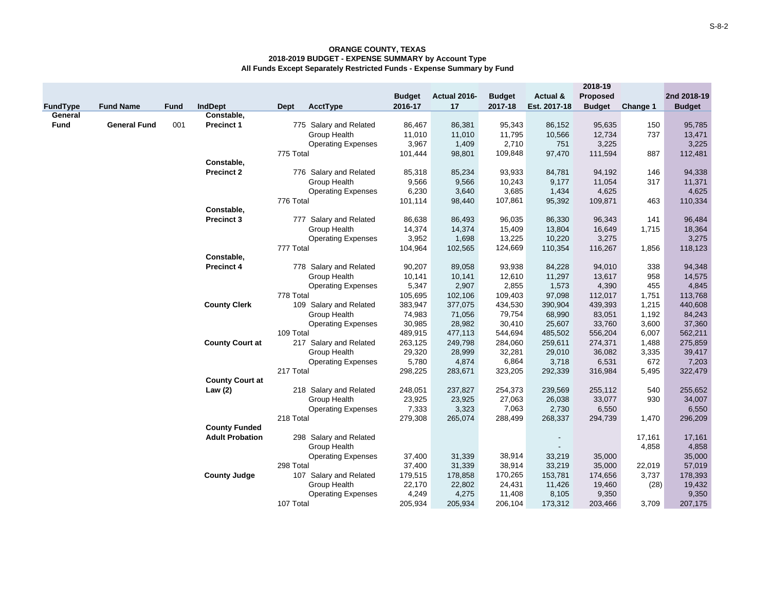|             |                     |             |                        |           |                           | <b>Budget</b> | Actual 2016- | <b>Budget</b> | Actual &                 | 2018-19<br><b>Proposed</b> |          | 2nd 2018-19   |
|-------------|---------------------|-------------|------------------------|-----------|---------------------------|---------------|--------------|---------------|--------------------------|----------------------------|----------|---------------|
| FundType    | <b>Fund Name</b>    | <b>Fund</b> | <b>IndDept</b>         | Dept      | <b>AcctType</b>           | 2016-17       | 17           | 2017-18       | Est. 2017-18             | <b>Budget</b>              | Change 1 | <b>Budget</b> |
| General     |                     |             | Constable,             |           |                           |               |              |               |                          |                            |          |               |
| <b>Fund</b> | <b>General Fund</b> | 001         | <b>Precinct 1</b>      |           | 775 Salary and Related    | 86,467        | 86,381       | 95,343        | 86,152                   | 95,635                     | 150      | 95,785        |
|             |                     |             |                        |           | Group Health              | 11,010        | 11,010       | 11,795        | 10,566                   | 12,734                     | 737      | 13,471        |
|             |                     |             |                        |           | <b>Operating Expenses</b> | 3,967         | 1,409        | 2,710         | 751                      | 3,225                      |          | 3,225         |
|             |                     |             |                        | 775 Total |                           | 101,444       | 98,801       | 109,848       | 97,470                   | 111,594                    | 887      | 112,481       |
|             |                     |             | Constable,             |           |                           |               |              |               |                          |                            |          |               |
|             |                     |             | <b>Precinct 2</b>      |           | 776 Salary and Related    | 85,318        | 85,234       | 93,933        | 84,781                   | 94,192                     | 146      | 94,338        |
|             |                     |             |                        |           | Group Health              | 9,566         | 9,566        | 10,243        | 9,177                    | 11,054                     | 317      | 11,371        |
|             |                     |             |                        |           | <b>Operating Expenses</b> | 6,230         | 3,640        | 3,685         | 1,434                    | 4,625                      |          | 4,625         |
|             |                     |             |                        | 776 Total |                           | 101,114       | 98,440       | 107,861       | 95,392                   | 109,871                    | 463      | 110,334       |
|             |                     |             | Constable,             |           |                           |               |              |               |                          |                            |          |               |
|             |                     |             | <b>Precinct 3</b>      |           | 777 Salary and Related    | 86,638        | 86,493       | 96,035        | 86,330                   | 96,343                     | 141      | 96,484        |
|             |                     |             |                        |           | <b>Group Health</b>       | 14,374        | 14,374       | 15,409        | 13,804                   | 16,649                     | 1,715    | 18,364        |
|             |                     |             |                        |           | <b>Operating Expenses</b> | 3,952         | 1,698        | 13,225        | 10,220                   | 3,275                      |          | 3,275         |
|             |                     |             |                        | 777 Total |                           | 104,964       | 102,565      | 124,669       | 110,354                  | 116,267                    | 1,856    | 118,123       |
|             |                     |             | Constable,             |           |                           |               |              |               |                          |                            |          |               |
|             |                     |             | <b>Precinct 4</b>      |           | 778 Salary and Related    | 90,207        | 89,058       | 93,938        | 84,228                   | 94,010                     | 338      | 94,348        |
|             |                     |             |                        |           | Group Health              | 10,141        | 10,141       | 12,610        | 11,297                   | 13,617                     | 958      | 14,575        |
|             |                     |             |                        |           | <b>Operating Expenses</b> | 5,347         | 2,907        | 2,855         | 1,573                    | 4,390                      | 455      | 4,845         |
|             |                     |             |                        | 778 Total |                           | 105,695       | 102,106      | 109,403       | 97,098                   | 112,017                    | 1,751    | 113,768       |
|             |                     |             | <b>County Clerk</b>    |           | 109 Salary and Related    | 383,947       | 377,075      | 434,530       | 390,904                  | 439,393                    | 1,215    | 440,608       |
|             |                     |             |                        |           | <b>Group Health</b>       | 74,983        | 71,056       | 79,754        | 68,990                   | 83,051                     | 1,192    | 84,243        |
|             |                     |             |                        |           | <b>Operating Expenses</b> | 30,985        | 28,982       | 30,410        | 25,607                   | 33,760                     | 3,600    | 37,360        |
|             |                     |             |                        | 109 Total |                           | 489,915       | 477,113      | 544,694       | 485,502                  | 556,204                    | 6,007    | 562,211       |
|             |                     |             | <b>County Court at</b> |           | 217 Salary and Related    | 263,125       | 249,798      | 284,060       | 259,611                  | 274,371                    | 1,488    | 275,859       |
|             |                     |             |                        |           | Group Health              | 29,320        | 28,999       | 32,281        | 29,010                   | 36,082                     | 3,335    | 39,417        |
|             |                     |             |                        |           | <b>Operating Expenses</b> | 5,780         | 4,874        | 6,864         | 3,718                    | 6,531                      | 672      | 7,203         |
|             |                     |             | <b>County Court at</b> | 217 Total |                           | 298,225       | 283,671      | 323,205       | 292,339                  | 316,984                    | 5,495    | 322,479       |
|             |                     |             |                        |           |                           |               |              | 254,373       | 239,569                  |                            | 540      |               |
|             |                     |             | Law $(2)$              |           | 218 Salary and Related    | 248,051       | 237,827      |               |                          | 255,112                    |          | 255,652       |
|             |                     |             |                        |           | Group Health              | 23,925        | 23,925       | 27,063        | 26,038                   | 33,077                     | 930      | 34,007        |
|             |                     |             |                        |           | <b>Operating Expenses</b> | 7,333         | 3,323        | 7,063         | 2,730<br>268,337         | 6,550                      |          | 6,550         |
|             |                     |             | <b>County Funded</b>   | 218 Total |                           | 279,308       | 265,074      | 288,499       |                          | 294,739                    | 1,470    | 296,209       |
|             |                     |             | <b>Adult Probation</b> |           | 298 Salary and Related    |               |              |               |                          |                            | 17,161   | 17,161        |
|             |                     |             |                        |           | Group Health              |               |              |               | $\overline{\phantom{a}}$ |                            | 4,858    | 4,858         |
|             |                     |             |                        |           | <b>Operating Expenses</b> | 37,400        | 31,339       | 38,914        | 33,219                   | 35,000                     |          | 35,000        |
|             |                     |             |                        | 298 Total |                           | 37,400        | 31,339       | 38,914        | 33,219                   | 35,000                     | 22,019   | 57,019        |
|             |                     |             | <b>County Judge</b>    |           | 107 Salary and Related    | 179,515       | 178,858      | 170,265       | 153,781                  | 174,656                    | 3,737    | 178,393       |
|             |                     |             |                        |           | <b>Group Health</b>       | 22,170        | 22,802       | 24,431        | 11,426                   | 19,460                     | (28)     | 19,432        |
|             |                     |             |                        |           | <b>Operating Expenses</b> | 4,249         | 4,275        | 11,408        | 8,105                    | 9,350                      |          | 9,350         |
|             |                     |             |                        | 107 Total |                           | 205,934       | 205,934      | 206,104       | 173,312                  | 203,466                    | 3,709    | 207,175       |
|             |                     |             |                        |           |                           |               |              |               |                          |                            |          |               |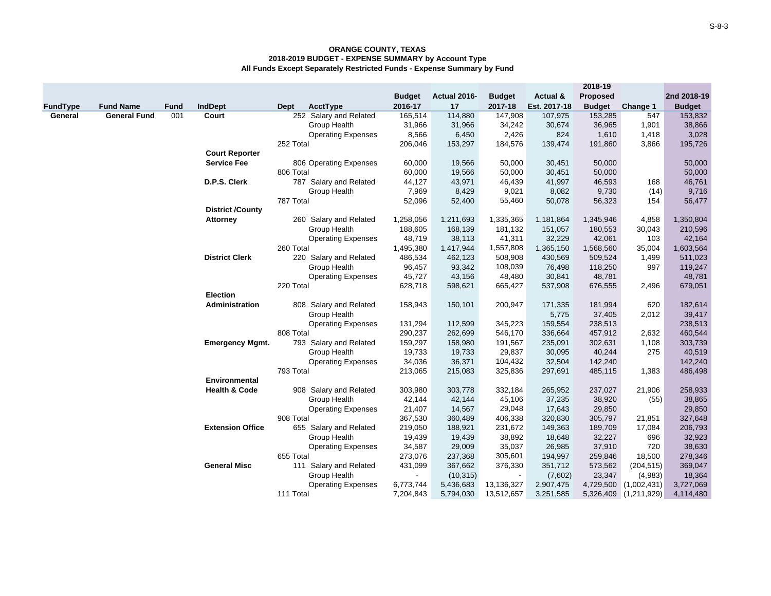|                 |                     |             |                          |                         |                           |                |              |               |              | 2018-19         |             |               |
|-----------------|---------------------|-------------|--------------------------|-------------------------|---------------------------|----------------|--------------|---------------|--------------|-----------------|-------------|---------------|
|                 |                     |             |                          |                         |                           | <b>Budget</b>  | Actual 2016- | <b>Budget</b> | Actual &     | <b>Proposed</b> |             | 2nd 2018-19   |
| <b>FundType</b> | <b>Fund Name</b>    | <b>Fund</b> | <b>IndDept</b>           | AcctType<br><b>Dept</b> |                           | 2016-17        | 17           | 2017-18       | Est. 2017-18 | <b>Budget</b>   | Change 1    | <b>Budget</b> |
| General         | <b>General Fund</b> | 001         | Court                    |                         | 252 Salary and Related    | 165,514        | 114,880      | 147,908       | 107,975      | 153,285         | 547         | 153,832       |
|                 |                     |             |                          |                         | Group Health              | 31,966         | 31,966       | 34,242        | 30,674       | 36,965          | 1,901       | 38,866        |
|                 |                     |             |                          |                         | <b>Operating Expenses</b> | 8,566          | 6,450        | 2,426         | 824          | 1,610           | 1,418       | 3,028         |
|                 |                     |             |                          | 252 Total               |                           | 206,046        | 153,297      | 184,576       | 139,474      | 191,860         | 3,866       | 195,726       |
|                 |                     |             | <b>Court Reporter</b>    |                         |                           |                |              |               |              |                 |             |               |
|                 |                     |             | <b>Service Fee</b>       |                         | 806 Operating Expenses    | 60,000         | 19,566       | 50,000        | 30,451       | 50,000          |             | 50,000        |
|                 |                     |             |                          | 806 Total               |                           | 60,000         | 19,566       | 50,000        | 30,451       | 50,000          |             | 50,000        |
|                 |                     |             | D.P.S. Clerk             |                         | 787 Salary and Related    | 44,127         | 43,971       | 46,439        | 41,997       | 46,593          | 168         | 46,761        |
|                 |                     |             |                          |                         | Group Health              | 7,969          | 8,429        | 9,021         | 8,082        | 9,730           | (14)        | 9,716         |
|                 |                     |             |                          | 787 Total               |                           | 52,096         | 52,400       | 55,460        | 50,078       | 56,323          | 154         | 56,477        |
|                 |                     |             | <b>District /County</b>  |                         |                           |                |              |               |              |                 |             |               |
|                 |                     |             | <b>Attorney</b>          |                         | 260 Salary and Related    | 1,258,056      | 1,211,693    | 1,335,365     | 1,181,864    | 1,345,946       | 4,858       | 1,350,804     |
|                 |                     |             |                          |                         | Group Health              | 188,605        | 168,139      | 181,132       | 151,057      | 180,553         | 30,043      | 210,596       |
|                 |                     |             |                          |                         | <b>Operating Expenses</b> | 48,719         | 38,113       | 41,311        | 32,229       | 42,061          | 103         | 42,164        |
|                 |                     |             |                          | 260 Total               |                           | 1,495,380      | 1,417,944    | 1,557,808     | 1,365,150    | 1,568,560       | 35,004      | 1,603,564     |
|                 |                     |             | <b>District Clerk</b>    |                         | 220 Salary and Related    | 486,534        | 462,123      | 508,908       | 430,569      | 509,524         | 1,499       | 511,023       |
|                 |                     |             |                          |                         | Group Health              | 96,457         | 93,342       | 108,039       | 76,498       | 118,250         | 997         | 119,247       |
|                 |                     |             |                          |                         | <b>Operating Expenses</b> | 45,727         | 43,156       | 48,480        | 30,841       | 48,781          |             | 48,781        |
|                 |                     |             |                          | 220 Total               |                           | 628,718        | 598,621      | 665,427       | 537,908      | 676,555         | 2,496       | 679,051       |
|                 |                     |             | Election                 |                         |                           |                |              |               |              |                 |             |               |
|                 |                     |             | Administration           |                         | 808 Salary and Related    | 158,943        | 150,101      | 200,947       | 171,335      | 181,994         | 620         | 182,614       |
|                 |                     |             |                          |                         | Group Health              |                |              |               | 5,775        | 37,405          | 2,012       | 39,417        |
|                 |                     |             |                          |                         | <b>Operating Expenses</b> | 131,294        | 112,599      | 345,223       | 159,554      | 238,513         |             | 238,513       |
|                 |                     |             |                          | 808 Total               |                           | 290,237        | 262,699      | 546,170       | 336,664      | 457,912         | 2,632       | 460,544       |
|                 |                     |             | <b>Emergency Mgmt.</b>   |                         | 793 Salary and Related    | 159,297        | 158,980      | 191,567       | 235,091      | 302,631         | 1,108       | 303,739       |
|                 |                     |             |                          |                         | Group Health              | 19,733         | 19,733       | 29,837        | 30,095       | 40,244          | 275         | 40,519        |
|                 |                     |             |                          |                         | <b>Operating Expenses</b> | 34,036         | 36,371       | 104,432       | 32,504       | 142,240         |             | 142,240       |
|                 |                     |             |                          | 793 Total               |                           | 213,065        | 215,083      | 325,836       | 297,691      | 485,115         | 1,383       | 486,498       |
|                 |                     |             | <b>Environmental</b>     |                         |                           |                |              |               |              |                 |             |               |
|                 |                     |             | <b>Health &amp; Code</b> |                         | 908 Salary and Related    | 303,980        | 303,778      | 332,184       | 265,952      | 237,027         | 21,906      | 258,933       |
|                 |                     |             |                          |                         | Group Health              | 42,144         | 42,144       | 45,106        | 37,235       | 38,920          | (55)        | 38,865        |
|                 |                     |             |                          |                         | <b>Operating Expenses</b> | 21,407         | 14,567       | 29,048        | 17,643       | 29,850          |             | 29,850        |
|                 |                     |             |                          | 908 Total               |                           | 367,530        | 360,489      | 406,338       | 320,830      | 305,797         | 21,851      | 327,648       |
|                 |                     |             | <b>Extension Office</b>  |                         | 655 Salary and Related    | 219,050        | 188,921      | 231,672       | 149,363      | 189,709         | 17,084      | 206,793       |
|                 |                     |             |                          |                         | Group Health              | 19,439         | 19,439       | 38,892        | 18,648       | 32,227          | 696         | 32,923        |
|                 |                     |             |                          |                         | <b>Operating Expenses</b> | 34,587         | 29,009       | 35,037        | 26,985       | 37,910          | 720         | 38,630        |
|                 |                     |             |                          | 655 Total               |                           | 273,076        | 237,368      | 305,601       | 194,997      | 259,846         | 18,500      | 278,346       |
|                 |                     |             | <b>General Misc</b>      |                         | 111 Salary and Related    | 431,099        | 367,662      | 376,330       | 351,712      | 573,562         | (204, 515)  | 369,047       |
|                 |                     |             |                          |                         | <b>Group Health</b>       | $\blacksquare$ | (10, 315)    |               | (7,602)      | 23,347          | (4,983)     | 18,364        |
|                 |                     |             |                          |                         | <b>Operating Expenses</b> | 6,773,744      | 5,436,683    | 13,136,327    | 2,907,475    | 4,729,500       | (1,002,431) | 3,727,069     |
|                 |                     |             |                          | 111 Total               |                           | 7,204,843      | 5,794,030    | 13,512,657    | 3,251,585    | 5,326,409       | (1,211,929) | 4,114,480     |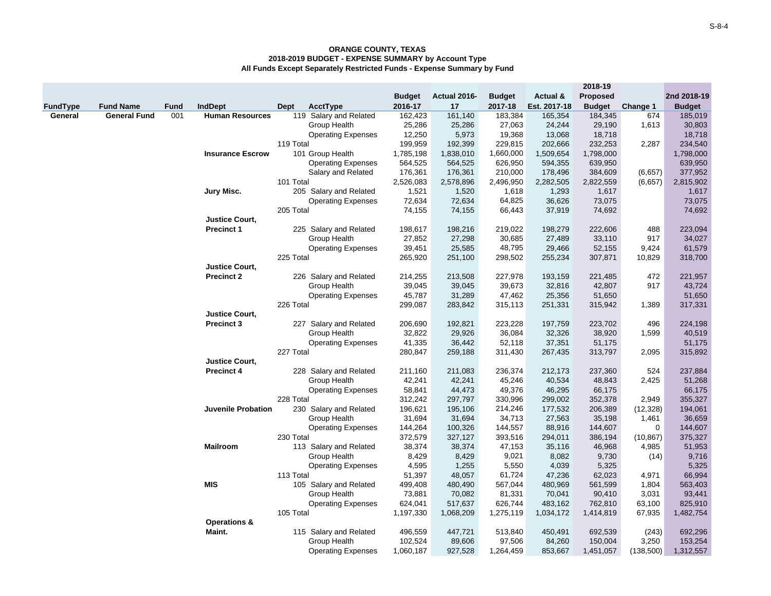|                 |                     |             |                           |           |                           |               |              |               |              | 2018-19         |             |               |
|-----------------|---------------------|-------------|---------------------------|-----------|---------------------------|---------------|--------------|---------------|--------------|-----------------|-------------|---------------|
|                 |                     |             |                           |           |                           | <b>Budget</b> | Actual 2016- | <b>Budget</b> | Actual &     | <b>Proposed</b> |             | 2nd 2018-19   |
| <b>FundType</b> | <b>Fund Name</b>    | <b>Fund</b> | <b>IndDept</b>            | Dept      | AcctType                  | 2016-17       | 17           | 2017-18       | Est. 2017-18 | <b>Budget</b>   | Change 1    | <b>Budget</b> |
| General         | <b>General Fund</b> | 001         | <b>Human Resources</b>    |           | 119 Salary and Related    | 162,423       | 161,140      | 183,384       | 165,354      | 184,345         | 674         | 185,019       |
|                 |                     |             |                           |           | Group Health              | 25,286        | 25,286       | 27,063        | 24,244       | 29,190          | 1,613       | 30,803        |
|                 |                     |             |                           |           | <b>Operating Expenses</b> | 12,250        | 5,973        | 19,368        | 13,068       | 18,718          |             | 18,718        |
|                 |                     |             |                           | 119 Total |                           | 199,959       | 192,399      | 229,815       | 202,666      | 232,253         | 2,287       | 234,540       |
|                 |                     |             | <b>Insurance Escrow</b>   |           | 101 Group Health          | 1,785,198     | 1,838,010    | 1,660,000     | 1,509,654    | 1,798,000       |             | 1,798,000     |
|                 |                     |             |                           |           | <b>Operating Expenses</b> | 564,525       | 564,525      | 626,950       | 594,355      | 639,950         |             | 639,950       |
|                 |                     |             |                           |           | Salary and Related        | 176,361       | 176,361      | 210,000       | 178,496      | 384,609         | (6,657)     | 377,952       |
|                 |                     |             |                           | 101 Total |                           | 2,526,083     | 2,578,896    | 2,496,950     | 2,282,505    | 2,822,559       | (6,657)     | 2,815,902     |
|                 |                     |             | Jury Misc.                |           | 205 Salary and Related    | 1,521         | 1,520        | 1,618         | 1,293        | 1,617           |             | 1,617         |
|                 |                     |             |                           |           | <b>Operating Expenses</b> | 72,634        | 72,634       | 64,825        | 36,626       | 73,075          |             | 73,075        |
|                 |                     |             |                           | 205 Total |                           | 74,155        | 74,155       | 66,443        | 37,919       | 74,692          |             | 74,692        |
|                 |                     |             | <b>Justice Court,</b>     |           |                           |               |              |               |              |                 |             |               |
|                 |                     |             | <b>Precinct 1</b>         |           | 225 Salary and Related    | 198,617       | 198,216      | 219,022       | 198,279      | 222,606         | 488         | 223,094       |
|                 |                     |             |                           |           | Group Health              | 27,852        | 27,298       | 30,685        | 27,489       | 33,110          | 917         | 34,027        |
|                 |                     |             |                           |           | <b>Operating Expenses</b> | 39,451        | 25,585       | 48,795        | 29,466       | 52,155          | 9,424       | 61,579        |
|                 |                     |             |                           | 225 Total |                           | 265,920       | 251,100      | 298,502       | 255,234      | 307,871         | 10,829      | 318,700       |
|                 |                     |             | <b>Justice Court,</b>     |           |                           |               |              |               |              |                 |             |               |
|                 |                     |             | <b>Precinct 2</b>         |           | 226 Salary and Related    | 214,255       | 213,508      | 227,978       | 193,159      | 221,485         | 472         | 221,957       |
|                 |                     |             |                           |           | Group Health              | 39,045        | 39,045       | 39,673        | 32,816       | 42,807          | 917         | 43,724        |
|                 |                     |             |                           |           | <b>Operating Expenses</b> | 45,787        | 31,289       | 47,462        | 25,356       | 51,650          |             | 51,650        |
|                 |                     |             |                           | 226 Total |                           | 299,087       | 283,842      | 315,113       | 251,331      | 315,942         | 1,389       | 317,331       |
|                 |                     |             | <b>Justice Court,</b>     |           |                           |               |              |               |              |                 |             |               |
|                 |                     |             | <b>Precinct 3</b>         |           | 227 Salary and Related    | 206,690       | 192,821      | 223,228       | 197,759      | 223,702         | 496         | 224,198       |
|                 |                     |             |                           |           | Group Health              | 32,822        | 29,926       | 36,084        | 32,326       | 38,920          | 1,599       | 40,519        |
|                 |                     |             |                           |           | <b>Operating Expenses</b> | 41,335        | 36,442       | 52,118        | 37,351       | 51,175          |             | 51,175        |
|                 |                     |             |                           | 227 Total |                           | 280,847       | 259,188      | 311,430       | 267,435      | 313,797         | 2,095       | 315,892       |
|                 |                     |             | <b>Justice Court,</b>     |           |                           |               |              |               |              |                 |             |               |
|                 |                     |             | <b>Precinct 4</b>         |           | 228 Salary and Related    | 211,160       | 211,083      | 236,374       | 212,173      | 237,360         | 524         | 237,884       |
|                 |                     |             |                           |           | Group Health              | 42,241        | 42,241       | 45,246        | 40,534       | 48,843          | 2,425       | 51,268        |
|                 |                     |             |                           |           | <b>Operating Expenses</b> | 58,841        | 44,473       | 49,376        | 46,295       | 66,175          |             | 66,175        |
|                 |                     |             |                           | 228 Total |                           | 312,242       | 297,797      | 330,996       | 299,002      | 352,378         | 2,949       | 355,327       |
|                 |                     |             | <b>Juvenile Probation</b> |           | 230 Salary and Related    | 196,621       | 195,106      | 214,246       | 177,532      | 206,389         | (12, 328)   | 194,061       |
|                 |                     |             |                           |           | Group Health              | 31,694        | 31,694       | 34,713        | 27,563       | 35,198          | 1,461       | 36,659        |
|                 |                     |             |                           |           | <b>Operating Expenses</b> | 144,264       | 100,326      | 144,557       | 88,916       | 144,607         | $\mathbf 0$ | 144,607       |
|                 |                     |             |                           | 230 Total |                           | 372,579       | 327,127      | 393,516       | 294,011      | 386,194         | (10, 867)   | 375,327       |
|                 |                     |             | <b>Mailroom</b>           |           | 113 Salary and Related    | 38,374        | 38,374       | 47,153        | 35,116       | 46,968          | 4,985       | 51,953        |
|                 |                     |             |                           |           | Group Health              | 8,429         | 8,429        | 9,021         | 8,082        | 9,730           | (14)        | 9,716         |
|                 |                     |             |                           |           | <b>Operating Expenses</b> | 4,595         | 1,255        | 5,550         | 4,039        | 5,325           |             | 5,325         |
|                 |                     |             |                           | 113 Total |                           | 51,397        | 48,057       | 61,724        | 47,236       | 62,023          | 4,971       | 66,994        |
|                 |                     |             | <b>MIS</b>                |           | 105 Salary and Related    | 499,408       | 480,490      | 567,044       | 480,969      | 561,599         | 1,804       | 563,403       |
|                 |                     |             |                           |           | Group Health              | 73,881        | 70,082       | 81,331        | 70,041       | 90,410          | 3,031       | 93,441        |
|                 |                     |             |                           |           | <b>Operating Expenses</b> | 624,041       | 517,637      | 626,744       | 483,162      | 762,810         | 63,100      | 825,910       |
|                 |                     |             |                           | 105 Total |                           | 1,197,330     | 1,068,209    | 1,275,119     | 1,034,172    | 1,414,819       | 67,935      | 1,482,754     |
|                 |                     |             | <b>Operations &amp;</b>   |           |                           |               |              |               |              |                 |             |               |
|                 |                     |             | Maint.                    |           | 115 Salary and Related    | 496,559       | 447,721      | 513,840       | 450,491      | 692,539         | (243)       | 692,296       |
|                 |                     |             |                           |           | Group Health              | 102,524       | 89,606       | 97,506        | 84,260       | 150,004         | 3,250       | 153,254       |
|                 |                     |             |                           |           | <b>Operating Expenses</b> | 1,060,187     | 927,528      | 1,264,459     | 853,667      | 1,451,057       | (138,500)   | 1,312,557     |
|                 |                     |             |                           |           |                           |               |              |               |              |                 |             |               |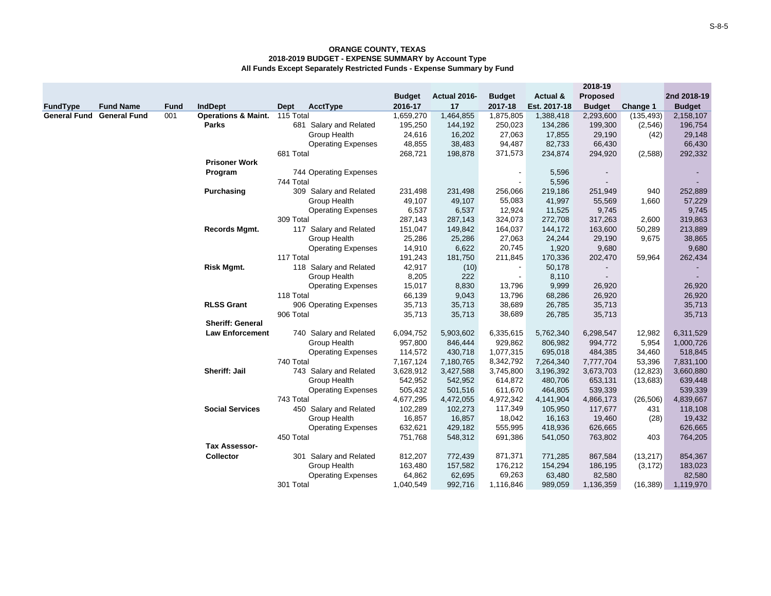|                 |                                  |             |                                |             |                           |               |              |                          |              | 2018-19                  |            |               |
|-----------------|----------------------------------|-------------|--------------------------------|-------------|---------------------------|---------------|--------------|--------------------------|--------------|--------------------------|------------|---------------|
|                 |                                  |             |                                |             |                           | <b>Budget</b> | Actual 2016- | <b>Budget</b>            | Actual &     | Proposed                 |            | 2nd 2018-19   |
| <b>FundType</b> | <b>Fund Name</b>                 | <b>Fund</b> | <b>IndDept</b>                 | <b>Dept</b> | AcctType                  | 2016-17       | 17           | 2017-18                  | Est. 2017-18 | <b>Budget</b>            | Change 1   | <b>Budget</b> |
|                 | <b>General Fund General Fund</b> | 001         | <b>Operations &amp; Maint.</b> | 115 Total   |                           | 1,659,270     | 1,464,855    | 1,875,805                | 1,388,418    | 2,293,600                | (135, 493) | 2,158,107     |
|                 |                                  |             | Parks                          |             | 681 Salary and Related    | 195,250       | 144,192      | 250,023                  | 134,286      | 199,300                  | (2,546)    | 196,754       |
|                 |                                  |             |                                |             | Group Health              | 24,616        | 16,202       | 27,063                   | 17,855       | 29,190                   | (42)       | 29,148        |
|                 |                                  |             |                                |             | <b>Operating Expenses</b> | 48,855        | 38,483       | 94,487                   | 82,733       | 66,430                   |            | 66,430        |
|                 |                                  |             |                                | 681 Total   |                           | 268,721       | 198,878      | 371,573                  | 234,874      | 294,920                  | (2,588)    | 292,332       |
|                 |                                  |             | <b>Prisoner Work</b>           |             |                           |               |              |                          |              |                          |            |               |
|                 |                                  |             | Program                        |             | 744 Operating Expenses    |               |              | $\overline{\phantom{a}}$ | 5,596        | $\overline{\phantom{a}}$ |            |               |
|                 |                                  |             |                                | 744 Total   |                           |               |              |                          | 5,596        |                          |            |               |
|                 |                                  |             | Purchasing                     |             | 309 Salary and Related    | 231,498       | 231,498      | 256,066                  | 219,186      | 251,949                  | 940        | 252,889       |
|                 |                                  |             |                                |             | Group Health              | 49,107        | 49,107       | 55,083                   | 41,997       | 55,569                   | 1,660      | 57,229        |
|                 |                                  |             |                                |             | <b>Operating Expenses</b> | 6,537         | 6,537        | 12,924                   | 11,525       | 9,745                    |            | 9,745         |
|                 |                                  |             |                                | 309 Total   |                           | 287,143       | 287,143      | 324,073                  | 272,708      | 317,263                  | 2,600      | 319,863       |
|                 |                                  |             | <b>Records Mgmt.</b>           |             | 117 Salary and Related    | 151,047       | 149,842      | 164,037                  | 144,172      | 163,600                  | 50,289     | 213,889       |
|                 |                                  |             |                                |             | Group Health              | 25,286        | 25,286       | 27,063                   | 24,244       | 29,190                   | 9,675      | 38,865        |
|                 |                                  |             |                                |             | <b>Operating Expenses</b> | 14,910        | 6,622        | 20,745                   | 1,920        | 9,680                    |            | 9,680         |
|                 |                                  |             |                                | 117 Total   |                           | 191,243       | 181,750      | 211,845                  | 170,336      | 202,470                  | 59,964     | 262,434       |
|                 |                                  |             | <b>Risk Mgmt.</b>              |             | 118 Salary and Related    | 42,917        | (10)         | $\overline{\phantom{a}}$ | 50,178       |                          |            |               |
|                 |                                  |             |                                |             | Group Health              | 8,205         | 222          | $\blacksquare$           | 8,110        | $\sim$                   |            |               |
|                 |                                  |             |                                | 118 Total   | <b>Operating Expenses</b> | 15,017        | 8,830        | 13,796                   | 9,999        | 26,920                   |            | 26,920        |
|                 |                                  |             | <b>RLSS Grant</b>              |             |                           | 66,139        | 9,043        | 13,796                   | 68,286       | 26,920                   |            | 26,920        |
|                 |                                  |             |                                | 906 Total   | 906 Operating Expenses    | 35,713        | 35,713       | 38,689<br>38,689         | 26,785       | 35,713                   |            | 35,713        |
|                 |                                  |             | <b>Sheriff: General</b>        |             |                           | 35,713        | 35,713       |                          | 26,785       | 35,713                   |            | 35,713        |
|                 |                                  |             | <b>Law Enforcement</b>         |             | 740 Salary and Related    | 6,094,752     | 5,903,602    | 6,335,615                | 5,762,340    | 6,298,547                | 12,982     | 6,311,529     |
|                 |                                  |             |                                |             | Group Health              | 957,800       | 846,444      | 929,862                  | 806,982      | 994,772                  | 5,954      | 1,000,726     |
|                 |                                  |             |                                |             | <b>Operating Expenses</b> | 114,572       | 430,718      | 1,077,315                | 695,018      | 484,385                  | 34,460     | 518,845       |
|                 |                                  |             |                                | 740 Total   |                           | 7,167,124     | 7,180,765    | 8,342,792                | 7,264,340    | 7,777,704                | 53,396     | 7,831,100     |
|                 |                                  |             | Sheriff: Jail                  |             | 743 Salary and Related    | 3,628,912     | 3,427,588    | 3,745,800                | 3,196,392    | 3,673,703                | (12, 823)  | 3,660,880     |
|                 |                                  |             |                                |             | Group Health              | 542,952       | 542,952      | 614,872                  | 480,706      | 653,131                  | (13,683)   | 639,448       |
|                 |                                  |             |                                |             | <b>Operating Expenses</b> | 505,432       | 501,516      | 611,670                  | 464,805      | 539,339                  |            | 539,339       |
|                 |                                  |             |                                | 743 Total   |                           | 4,677,295     | 4,472,055    | 4,972,342                | 4,141,904    | 4,866,173                | (26, 506)  | 4,839,667     |
|                 |                                  |             | <b>Social Services</b>         |             | 450 Salary and Related    | 102,289       | 102,273      | 117,349                  | 105,950      | 117,677                  | 431        | 118,108       |
|                 |                                  |             |                                |             | Group Health              | 16,857        | 16,857       | 18,042                   | 16,163       | 19,460                   | (28)       | 19,432        |
|                 |                                  |             |                                |             | <b>Operating Expenses</b> | 632,621       | 429,182      | 555,995                  | 418,936      | 626,665                  |            | 626,665       |
|                 |                                  |             |                                | 450 Total   |                           | 751,768       | 548,312      | 691,386                  | 541,050      | 763,802                  | 403        | 764,205       |
|                 |                                  |             | <b>Tax Assessor-</b>           |             |                           |               |              |                          |              |                          |            |               |
|                 |                                  |             | Collector                      |             | 301 Salary and Related    | 812,207       | 772,439      | 871,371                  | 771,285      | 867,584                  | (13, 217)  | 854,367       |
|                 |                                  |             |                                |             | Group Health              | 163,480       | 157,582      | 176,212                  | 154,294      | 186,195                  | (3, 172)   | 183,023       |
|                 |                                  |             |                                |             | <b>Operating Expenses</b> | 64,862        | 62,695       | 69,263                   | 63,480       | 82,580                   |            | 82,580        |
|                 |                                  |             |                                | 301 Total   |                           | 1,040,549     | 992,716      | 1,116,846                | 989,059      | 1,136,359                | (16, 389)  | 1,119,970     |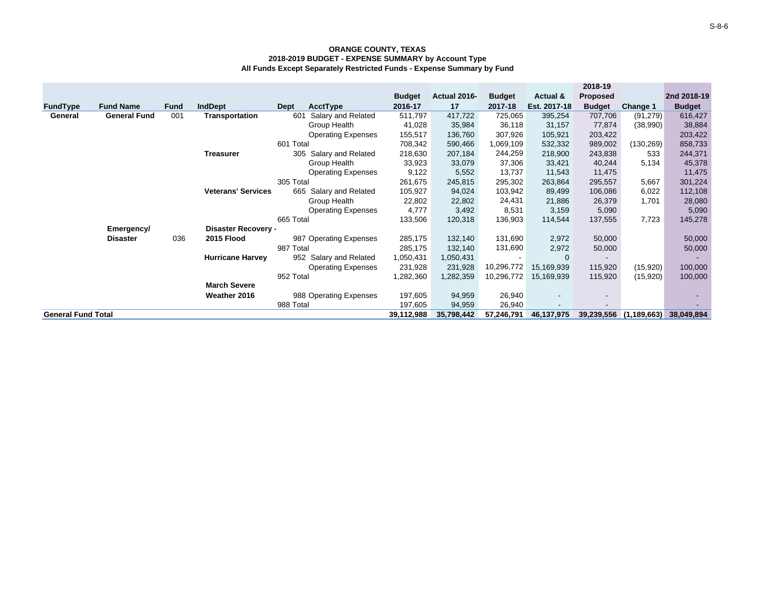|                           |                     |             |                           |                           |               |              |                |              | 2018-19                  |                 |               |
|---------------------------|---------------------|-------------|---------------------------|---------------------------|---------------|--------------|----------------|--------------|--------------------------|-----------------|---------------|
|                           |                     |             |                           |                           | <b>Budget</b> | Actual 2016- | <b>Budget</b>  | Actual &     | <b>Proposed</b>          |                 | 2nd 2018-19   |
| FundType                  | <b>Fund Name</b>    | <b>Fund</b> | <b>IndDept</b>            | AcctType<br>Dept          | 2016-17       | 17           | 2017-18        | Est. 2017-18 | <b>Budget</b>            | <b>Change 1</b> | <b>Budget</b> |
| General                   | <b>General Fund</b> | 001         | Transportation            | 601<br>Salary and Related | 511,797       | 417,722      | 725,065        | 395,254      | 707,706                  | (91, 279)       | 616,427       |
|                           |                     |             |                           | Group Health              | 41,028        | 35,984       | 36,118         | 31,157       | 77,874                   | (38,990)        | 38,884        |
|                           |                     |             |                           | <b>Operating Expenses</b> | 155,517       | 136,760      | 307,926        | 105,921      | 203,422                  |                 | 203,422       |
|                           |                     |             |                           | 601 Total                 | 708,342       | 590,466      | 1,069,109      | 532,332      | 989,002                  | (130,269)       | 858,733       |
|                           |                     |             | Treasurer                 | 305 Salary and Related    | 218,630       | 207,184      | 244,259        | 218,900      | 243,838                  | 533             | 244,371       |
|                           |                     |             |                           | Group Health              | 33,923        | 33,079       | 37,306         | 33,421       | 40,244                   | 5,134           | 45,378        |
|                           |                     |             |                           | <b>Operating Expenses</b> | 9,122         | 5,552        | 13,737         | 11,543       | 11,475                   |                 | 11,475        |
|                           |                     |             |                           | 305 Total                 | 261,675       | 245,815      | 295,302        | 263,864      | 295,557                  | 5,667           | 301,224       |
|                           |                     |             | <b>Veterans' Services</b> | 665<br>Salary and Related | 105,927       | 94,024       | 103,942        | 89,499       | 106,086                  | 6,022           | 112,108       |
|                           |                     |             |                           | Group Health              | 22,802        | 22,802       | 24,431         | 21,886       | 26,379                   | 1,701           | 28,080        |
|                           |                     |             |                           | <b>Operating Expenses</b> | 4,777         | 3,492        | 8,531          | 3,159        | 5,090                    |                 | 5,090         |
|                           |                     |             |                           | 665 Total                 | 133,506       | 120,318      | 136,903        | 114,544      | 137,555                  | 7,723           | 145,278       |
|                           | Emergency/          |             | Disaster Recovery -       |                           |               |              |                |              |                          |                 |               |
|                           | <b>Disaster</b>     | 036         | 2015 Flood                | 987 Operating Expenses    | 285,175       | 132,140      | 131,690        | 2,972        | 50,000                   |                 | 50,000        |
|                           |                     |             |                           | 987 Total                 | 285,175       | 132,140      | 131,690        | 2,972        | 50,000                   |                 | 50,000        |
|                           |                     |             | <b>Hurricane Harvey</b>   | 952 Salary and Related    | 1,050,431     | 1,050,431    | $\blacksquare$ | $\mathbf 0$  | $\overline{\phantom{a}}$ |                 |               |
|                           |                     |             |                           | <b>Operating Expenses</b> | 231,928       | 231,928      | 10,296,772     | 15,169,939   | 115,920                  | (15,920)        | 100,000       |
|                           |                     |             |                           | 952 Total                 | 1,282,360     | 1,282,359    | 10,296,772     | 15,169,939   | 115,920                  | (15,920)        | 100,000       |
|                           |                     |             | <b>March Severe</b>       |                           |               |              |                |              |                          |                 |               |
|                           |                     |             | Weather 2016              | 988 Operating Expenses    | 197,605       | 94,959       | 26,940         |              | $\overline{\phantom{a}}$ |                 |               |
|                           |                     |             |                           | 988 Total                 | 197,605       | 94,959       | 26,940         |              | $\overline{\phantom{a}}$ |                 |               |
| <b>General Fund Total</b> |                     |             |                           |                           | 39,112,988    | 35,798,442   | 57,246,791     | 46,137,975   | 39,239,556               | (1, 189, 663)   | 38,049,894    |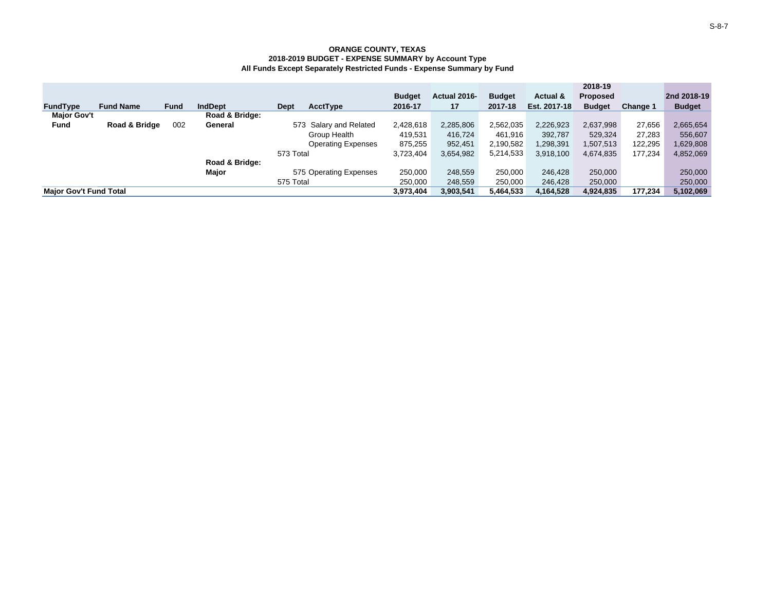|                               |                  |             |                |                           |               |              |               |              | 2018-19         |          |               |
|-------------------------------|------------------|-------------|----------------|---------------------------|---------------|--------------|---------------|--------------|-----------------|----------|---------------|
|                               |                  |             |                |                           | <b>Budget</b> | Actual 2016- | <b>Budget</b> | Actual &     | <b>Proposed</b> |          | 2nd 2018-19   |
| <b>FundType</b>               | <b>Fund Name</b> | <b>Fund</b> | <b>IndDept</b> | AcctType<br><b>Dept</b>   | 2016-17       | 17           | 2017-18       | Est. 2017-18 | <b>Budget</b>   | Change 1 | <b>Budget</b> |
| <b>Major Gov't</b>            |                  |             | Road & Bridge: |                           |               |              |               |              |                 |          |               |
| <b>Fund</b>                   | Road & Bridge    | 002         | General        | 573 Salary and Related    | 2,428,618     | 2,285,806    | 2,562,035     | 2,226,923    | 2,637,998       | 27,656   | 2,665,654     |
|                               |                  |             |                | Group Health              | 419,531       | 416.724      | 461.916       | 392.787      | 529,324         | 27,283   | 556,607       |
|                               |                  |             |                | <b>Operating Expenses</b> | 875,255       | 952,451      | 2,190,582     | ,298,391     | 1,507,513       | 122.295  | 1,629,808     |
|                               |                  |             |                | 573 Total                 | 3,723,404     | 3,654,982    | 5,214,533     | 3,918,100    | 4,674,835       | 177.234  | 4,852,069     |
|                               |                  |             | Road & Bridge: |                           |               |              |               |              |                 |          |               |
|                               |                  |             | Major          | 575 Operating Expenses    | 250,000       | 248,559      | 250,000       | 246,428      | 250,000         |          | 250,000       |
|                               |                  |             |                | 575 Total                 | 250,000       | 248,559      | 250,000       | 246.428      | 250,000         |          | 250,000       |
| <b>Maior Gov't Fund Total</b> |                  |             |                |                           | 3,973,404     | 3,903,541    | 5,464,533     | 4,164,528    | 4,924,835       | 177.234  | 5,102,069     |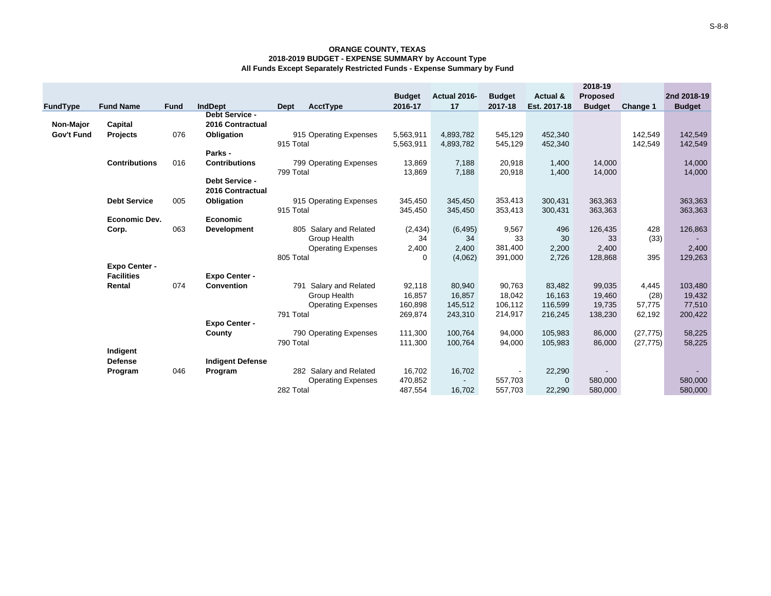|            |                      |             |                         |                                  |               |              |               |              | 2018-19         |           |               |
|------------|----------------------|-------------|-------------------------|----------------------------------|---------------|--------------|---------------|--------------|-----------------|-----------|---------------|
|            |                      |             |                         |                                  | <b>Budget</b> | Actual 2016- | <b>Budget</b> | Actual &     | <b>Proposed</b> |           | 2nd 2018-19   |
| FundType   | <b>Fund Name</b>     | <b>Fund</b> | <b>IndDept</b>          | Dept<br>AcctType                 | 2016-17       | 17           | 2017-18       | Est. 2017-18 | <b>Budget</b>   | Change 1  | <b>Budget</b> |
|            |                      |             | <b>Debt Service -</b>   |                                  |               |              |               |              |                 |           |               |
| Non-Major  | Capital              |             | 2016 Contractual        |                                  |               |              |               |              |                 |           |               |
| Gov't Fund | <b>Projects</b>      | 076         | Obligation              | 915 Operating Expenses           | 5,563,911     | 4,893,782    | 545,129       | 452,340      |                 | 142,549   | 142,549       |
|            |                      |             |                         | 915 Total                        | 5,563,911     | 4,893,782    | 545,129       | 452,340      |                 | 142,549   | 142,549       |
|            |                      |             | Parks -                 |                                  |               |              |               |              |                 |           |               |
|            | <b>Contributions</b> | 016         | <b>Contributions</b>    | 799 Operating Expenses           | 13,869        | 7,188        | 20,918        | 1,400        | 14,000          |           | 14,000        |
|            |                      |             |                         | 799 Total                        | 13,869        | 7,188        | 20,918        | 1,400        | 14,000          |           | 14,000        |
|            |                      |             | Debt Service -          |                                  |               |              |               |              |                 |           |               |
|            |                      |             | 2016 Contractual        |                                  |               |              |               |              |                 |           |               |
|            | <b>Debt Service</b>  | 005         | Obligation              | 915 Operating Expenses           | 345,450       | 345,450      | 353,413       | 300,431      | 363,363         |           | 363,363       |
|            |                      |             |                         | 915 Total                        | 345,450       | 345,450      | 353,413       | 300,431      | 363,363         |           | 363,363       |
|            | <b>Economic Dev.</b> |             | <b>Economic</b>         |                                  |               |              |               |              |                 |           |               |
|            | Corp.                | 063         | <b>Development</b>      | 805 Salary and Related           | (2, 434)      | (6, 495)     | 9,567         | 496          | 126,435         | 428       | 126,863       |
|            |                      |             |                         | Group Health                     | 34            | 34           | 33            | 30           | 33              | (33)      |               |
|            |                      |             |                         | <b>Operating Expenses</b>        | 2,400         | 2,400        | 381,400       | 2,200        | 2,400           |           | 2,400         |
|            |                      |             |                         | 805 Total                        | 0             | (4,062)      | 391,000       | 2,726        | 128,868         | 395       | 129,263       |
|            | Expo Center -        |             |                         |                                  |               |              |               |              |                 |           |               |
|            | <b>Facilities</b>    |             | <b>Expo Center -</b>    |                                  |               |              |               |              |                 |           |               |
|            | Rental               | 074         | <b>Convention</b>       | 791<br><b>Salary and Related</b> | 92,118        | 80,940       | 90,763        | 83,482       | 99,035          | 4,445     | 103,480       |
|            |                      |             |                         | Group Health                     | 16,857        | 16,857       | 18,042        | 16,163       | 19,460          | (28)      | 19,432        |
|            |                      |             |                         | <b>Operating Expenses</b>        | 160,898       | 145,512      | 106,112       | 116,599      | 19,735          | 57,775    | 77,510        |
|            |                      |             |                         | 791 Total                        | 269,874       | 243,310      | 214,917       | 216,245      | 138,230         | 62,192    | 200,422       |
|            |                      |             | <b>Expo Center -</b>    |                                  |               |              |               |              |                 |           |               |
|            |                      |             | County                  | 790 Operating Expenses           | 111,300       | 100,764      | 94,000        | 105,983      | 86,000          | (27, 775) | 58,225        |
|            |                      |             |                         | 790 Total                        | 111,300       | 100,764      | 94,000        | 105,983      | 86,000          | (27, 775) | 58,225        |
|            | Indigent             |             |                         |                                  |               |              |               |              |                 |           |               |
|            | <b>Defense</b>       |             | <b>Indigent Defense</b> |                                  |               |              |               |              |                 |           |               |
|            | Program              | 046         | Program                 | 282 Salary and Related           | 16,702        | 16,702       |               | 22,290       |                 |           |               |
|            |                      |             |                         | <b>Operating Expenses</b>        | 470,852       |              | 557,703       | $\mathbf 0$  | 580,000         |           | 580,000       |
|            |                      |             |                         | 282 Total                        | 487,554       | 16,702       | 557.703       | 22,290       | 580,000         |           | 580,000       |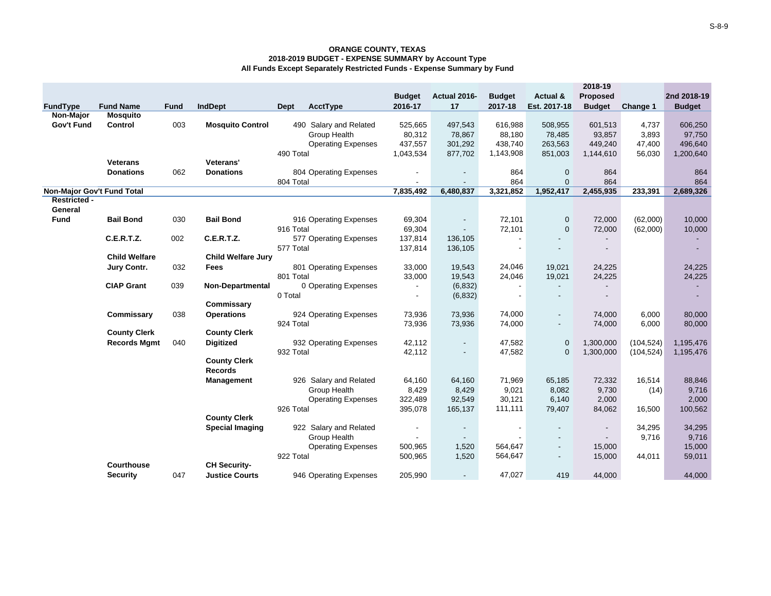|                                   |                      |             |                           |                                |                             |                     |                |                           | 2018-19                  |            |               |
|-----------------------------------|----------------------|-------------|---------------------------|--------------------------------|-----------------------------|---------------------|----------------|---------------------------|--------------------------|------------|---------------|
|                                   |                      |             |                           |                                | <b>Budget</b>               | Actual 2016-        | <b>Budget</b>  | Actual &                  | <b>Proposed</b>          |            | 2nd 2018-19   |
| <b>FundType</b>                   | <b>Fund Name</b>     | <b>Fund</b> | <b>IndDept</b>            | <b>AcctType</b><br><b>Dept</b> | 2016-17                     | 17                  | 2017-18        | Est. 2017-18              | <b>Budget</b>            | Change 1   | <b>Budget</b> |
| Non-Major                         | <b>Mosquito</b>      |             |                           |                                |                             |                     |                |                           |                          |            |               |
| Gov't Fund                        | Control              | 003         | <b>Mosquito Control</b>   | 490 Salary and Related         | 525,665                     | 497,543             | 616,988        | 508,955                   | 601,513                  | 4,737      | 606,250       |
|                                   |                      |             |                           | Group Health                   | 80,312                      | 78,867              | 88,180         | 78,485                    | 93,857                   | 3,893      | 97,750        |
|                                   |                      |             |                           | <b>Operating Expenses</b>      | 437,557                     | 301,292             | 438.740        | 263,563                   | 449,240                  | 47,400     | 496,640       |
|                                   |                      |             | Veterans'                 | 490 Total                      | 1,043,534                   | 877,702             | 1,143,908      | 851,003                   | 1,144,610                | 56,030     | 1,200,640     |
|                                   | <b>Veterans</b>      |             |                           |                                |                             |                     |                |                           |                          |            |               |
|                                   | <b>Donations</b>     | 062         | <b>Donations</b>          | 804 Operating Expenses         |                             | $\blacksquare$      | 864<br>864     | $\mathbf 0$               | 864<br>864               |            | 864<br>864    |
| <b>Non-Major Gov't Fund Total</b> |                      |             |                           | 804 Total                      | $\blacksquare$<br>7,835,492 | $\sim$<br>6,480,837 | 3,321,852      | $\mathbf{0}$<br>1,952,417 | 2,455,935                | 233,391    | 2,689,326     |
| <b>Restricted -</b>               |                      |             |                           |                                |                             |                     |                |                           |                          |            |               |
| General                           |                      |             |                           |                                |                             |                     |                |                           |                          |            |               |
| Fund                              | <b>Bail Bond</b>     | 030         | <b>Bail Bond</b>          | 916 Operating Expenses         | 69,304                      | $\blacksquare$      | 72,101         | $\mathbf 0$               | 72,000                   | (62,000)   | 10,000        |
|                                   |                      |             |                           | 916 Total                      | 69,304                      | $\sim$              | 72,101         | $\overline{0}$            | 72,000                   | (62,000)   | 10,000        |
|                                   | <b>C.E.R.T.Z.</b>    | 002         | <b>C.E.R.T.Z.</b>         | 577 Operating Expenses         | 137,814                     | 136,105             |                |                           |                          |            |               |
|                                   |                      |             |                           | 577 Total                      | 137,814                     | 136,105             |                |                           | $\overline{\phantom{a}}$ |            |               |
|                                   | <b>Child Welfare</b> |             | <b>Child Welfare Jury</b> |                                |                             |                     |                |                           |                          |            |               |
|                                   | Jury Contr.          | 032         | Fees                      | 801 Operating Expenses         | 33,000                      | 19,543              | 24,046         | 19,021                    | 24,225                   |            | 24,225        |
|                                   |                      |             |                           | 801 Total                      | 33,000                      | 19,543              | 24,046         | 19,021                    | 24,225                   |            | 24,225        |
|                                   | <b>CIAP Grant</b>    | 039         | <b>Non-Departmental</b>   | 0 Operating Expenses           | $\overline{\phantom{a}}$    | (6, 832)            |                |                           |                          |            | $\sim$        |
|                                   |                      |             |                           | 0 Total                        | $\blacksquare$              | (6, 832)            | $\blacksquare$ |                           |                          |            |               |
|                                   |                      |             | Commissary                |                                |                             |                     |                |                           |                          |            |               |
|                                   | Commissary           | 038         | <b>Operations</b>         | 924 Operating Expenses         | 73,936                      | 73,936              | 74,000         |                           | 74,000                   | 6,000      | 80,000        |
|                                   |                      |             |                           | 924 Total                      | 73,936                      | 73,936              | 74,000         |                           | 74,000                   | 6,000      | 80,000        |
|                                   | <b>County Clerk</b>  |             | <b>County Clerk</b>       |                                |                             |                     |                |                           |                          |            |               |
|                                   | <b>Records Mgmt</b>  | 040         | <b>Digitized</b>          | 932 Operating Expenses         | 42,112                      | $\blacksquare$      | 47,582         | $\mathbf{0}$              | 1,300,000                | (104, 524) | 1,195,476     |
|                                   |                      |             |                           | 932 Total                      | 42,112                      | $\blacksquare$      | 47,582         | $\Omega$                  | 1,300,000                | (104, 524) | 1,195,476     |
|                                   |                      |             | <b>County Clerk</b>       |                                |                             |                     |                |                           |                          |            |               |
|                                   |                      |             | <b>Records</b>            |                                |                             |                     |                |                           |                          |            |               |
|                                   |                      |             | <b>Management</b>         | 926 Salary and Related         | 64,160                      | 64,160              | 71,969         | 65,185                    | 72,332                   | 16,514     | 88,846        |
|                                   |                      |             |                           | Group Health                   | 8,429                       | 8,429               | 9,021          | 8,082                     | 9,730                    | (14)       | 9,716         |
|                                   |                      |             |                           | <b>Operating Expenses</b>      | 322,489                     | 92,549              | 30,121         | 6,140                     | 2,000                    |            | 2,000         |
|                                   |                      |             |                           | 926 Total                      | 395,078                     | 165,137             | 111,111        | 79,407                    | 84,062                   | 16,500     | 100,562       |
|                                   |                      |             | <b>County Clerk</b>       |                                |                             |                     |                |                           |                          |            |               |
|                                   |                      |             | <b>Special Imaging</b>    | 922 Salary and Related         | $\overline{\phantom{a}}$    | $\blacksquare$      | $\blacksquare$ |                           | $\blacksquare$           | 34,295     | 34,295        |
|                                   |                      |             |                           | Group Health                   | $\overline{\phantom{0}}$    | $\sim$              |                |                           | $\overline{\phantom{a}}$ | 9,716      | 9,716         |
|                                   |                      |             |                           | <b>Operating Expenses</b>      | 500,965                     | 1,520               | 564,647        |                           | 15,000                   |            | 15,000        |
|                                   |                      |             |                           | 922 Total                      | 500,965                     | 1,520               | 564,647        |                           | 15,000                   | 44,011     | 59,011        |
|                                   | Courthouse           |             | <b>CH Security-</b>       |                                |                             |                     |                |                           |                          |            |               |
|                                   | <b>Security</b>      | 047         | <b>Justice Courts</b>     | 946 Operating Expenses         | 205,990                     | $\sim$              | 47,027         | 419                       | 44,000                   |            | 44,000        |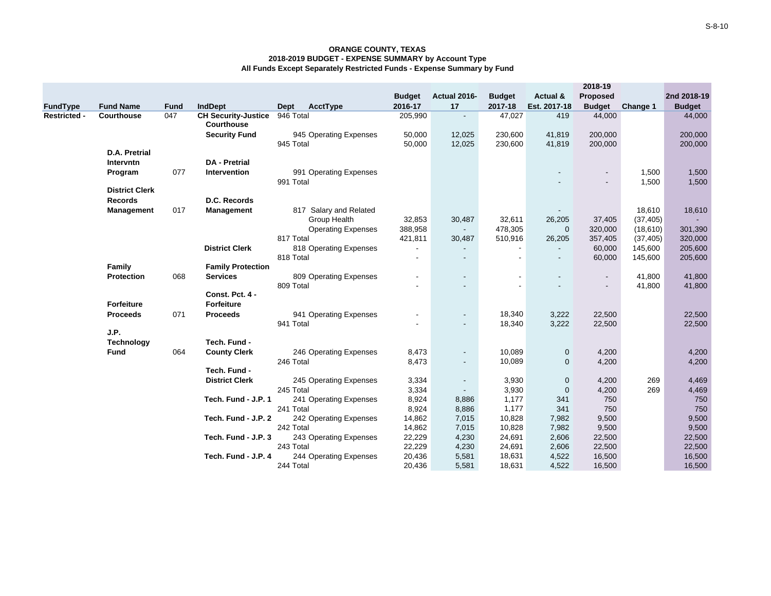|                     |                       |             |                                                 |                                     |                          |                |               |                | 2018-19                                    |                |                |
|---------------------|-----------------------|-------------|-------------------------------------------------|-------------------------------------|--------------------------|----------------|---------------|----------------|--------------------------------------------|----------------|----------------|
|                     |                       |             |                                                 |                                     | <b>Budget</b>            | Actual 2016-   | <b>Budget</b> | Actual &       | Proposed                                   |                | 2nd 2018-19    |
| FundType            | <b>Fund Name</b>      | <b>Fund</b> | <b>IndDept</b>                                  | <b>AcctType</b><br>Dept             | 2016-17                  | 17             | 2017-18       | Est. 2017-18   | <b>Budget</b>                              | Change 1       | <b>Budget</b>  |
| <b>Restricted -</b> | Courthouse            | 047         | <b>CH Security-Justice</b><br><b>Courthouse</b> | 946 Total                           | 205,990                  | $\blacksquare$ | 47,027        | 419            | 44,000                                     |                | 44,000         |
|                     |                       |             | <b>Security Fund</b>                            | 945 Operating Expenses              | 50,000                   | 12,025         | 230,600       | 41,819         | 200,000                                    |                | 200,000        |
|                     |                       |             |                                                 | 945 Total                           | 50,000                   | 12,025         | 230,600       | 41,819         | 200,000                                    |                | 200,000        |
|                     | D.A. Pretrial         |             |                                                 |                                     |                          |                |               |                |                                            |                |                |
|                     | Intervntn             |             | <b>DA</b> - Pretrial                            |                                     |                          |                |               |                |                                            |                |                |
|                     | Program               | 077         | Intervention                                    | 991 Operating Expenses<br>991 Total |                          |                |               |                | $\blacksquare$<br>$\overline{\phantom{0}}$ | 1,500<br>1,500 | 1,500<br>1,500 |
|                     | <b>District Clerk</b> |             |                                                 |                                     |                          |                |               |                |                                            |                |                |
|                     | <b>Records</b>        |             | D.C. Records                                    |                                     |                          |                |               |                |                                            |                |                |
|                     | <b>Management</b>     | 017         | Management                                      | 817 Salary and Related              |                          |                |               |                |                                            | 18,610         | 18,610         |
|                     |                       |             |                                                 | Group Health                        | 32,853                   | 30,487         | 32,611        | 26,205         | 37,405                                     | (37, 405)      | $\sim$         |
|                     |                       |             |                                                 | <b>Operating Expenses</b>           | 388,958                  | $\sim$         | 478,305       | $\mathbf{0}$   | 320,000                                    | (18,610)       | 301,390        |
|                     |                       |             |                                                 | 817 Total                           | 421,811                  | 30,487         | 510,916       | 26,205         | 357,405                                    | (37, 405)      | 320,000        |
|                     |                       |             | <b>District Clerk</b>                           | 818 Operating Expenses              | $\overline{\phantom{a}}$ |                |               |                | 60,000                                     | 145,600        | 205,600        |
|                     |                       |             |                                                 | 818 Total                           |                          |                |               | $\blacksquare$ | 60,000                                     | 145,600        | 205,600        |
|                     | Family                |             | <b>Family Protection</b>                        |                                     |                          |                |               |                |                                            |                |                |
|                     | <b>Protection</b>     | 068         | <b>Services</b>                                 | 809 Operating Expenses              | $\overline{\phantom{a}}$ |                |               |                | $\overline{\phantom{a}}$                   | 41,800         | 41,800         |
|                     |                       |             |                                                 | 809 Total                           |                          |                |               |                |                                            | 41,800         | 41,800         |
|                     |                       |             | Const. Pct. 4 -                                 |                                     |                          |                |               |                |                                            |                |                |
|                     | <b>Forfeiture</b>     |             | <b>Forfeiture</b>                               |                                     |                          |                |               |                |                                            |                |                |
|                     | <b>Proceeds</b>       | 071         | <b>Proceeds</b>                                 | 941 Operating Expenses              |                          |                | 18,340        | 3,222          | 22,500                                     |                | 22,500         |
|                     |                       |             |                                                 | 941 Total                           |                          | $\blacksquare$ | 18,340        | 3,222          | 22,500                                     |                | 22,500         |
|                     | J.P.                  |             |                                                 |                                     |                          |                |               |                |                                            |                |                |
|                     | <b>Technology</b>     |             | Tech. Fund -                                    |                                     |                          |                |               |                |                                            |                |                |
|                     | <b>Fund</b>           | 064         | <b>County Clerk</b>                             | 246 Operating Expenses              | 8,473                    | $\blacksquare$ | 10,089        | $\mathbf 0$    | 4,200                                      |                | 4,200          |
|                     |                       |             |                                                 | 246 Total                           | 8,473                    | $\blacksquare$ | 10,089        | $\mathbf 0$    | 4,200                                      |                | 4,200          |
|                     |                       |             | Tech. Fund -                                    |                                     |                          |                |               |                |                                            |                |                |
|                     |                       |             | <b>District Clerk</b>                           | 245 Operating Expenses              | 3,334                    | $\blacksquare$ | 3,930         | $\mathbf 0$    | 4,200                                      | 269            | 4,469          |
|                     |                       |             |                                                 | 245 Total                           | 3,334                    | $\blacksquare$ | 3,930         | $\mathbf{0}$   | 4,200                                      | 269            | 4,469          |
|                     |                       |             | Tech. Fund - J.P. 1                             | 241 Operating Expenses              | 8,924                    | 8,886          | 1,177         | 341            | 750                                        |                | 750            |
|                     |                       |             |                                                 | 241 Total                           | 8,924                    | 8,886          | 1,177         | 341            | 750                                        |                | 750            |
|                     |                       |             | Tech. Fund - J.P. 2                             | 242 Operating Expenses              | 14,862                   | 7,015          | 10,828        | 7,982          | 9,500                                      |                | 9,500          |
|                     |                       |             |                                                 | 242 Total                           | 14,862                   | 7,015          | 10,828        | 7,982          | 9,500                                      |                | 9,500          |
|                     |                       |             | Tech. Fund - J.P. 3                             | 243 Operating Expenses              | 22,229                   | 4,230          | 24,691        | 2,606          | 22,500                                     |                | 22,500         |
|                     |                       |             |                                                 | 243 Total                           | 22,229                   | 4,230          | 24,691        | 2,606          | 22,500                                     |                | 22,500         |
|                     |                       |             | Tech. Fund - J.P. 4                             | 244 Operating Expenses              | 20,436                   | 5,581          | 18,631        | 4,522          | 16,500                                     |                | 16,500         |
|                     |                       |             |                                                 | 244 Total                           | 20,436                   | 5,581          | 18,631        | 4,522          | 16,500                                     |                | 16,500         |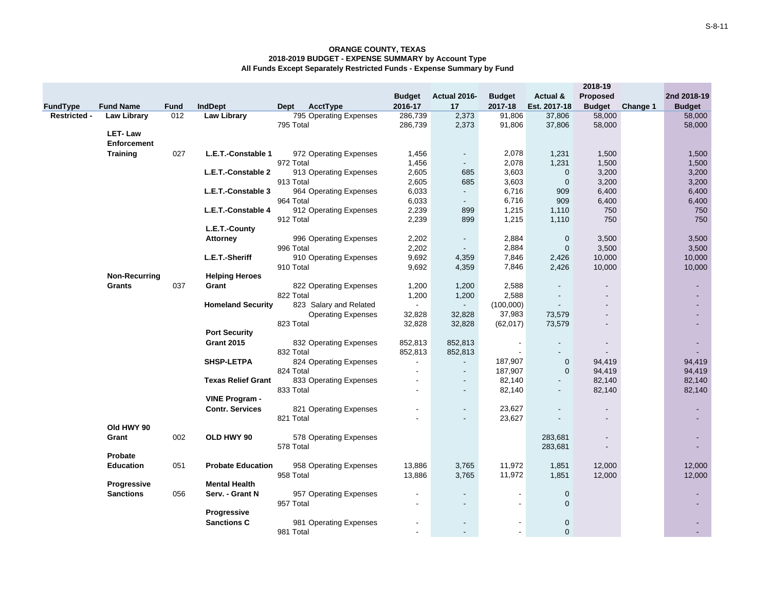|                     |                      |             |                           |           |                           |               |                          |               |              | 2018-19                  |          |                          |
|---------------------|----------------------|-------------|---------------------------|-----------|---------------------------|---------------|--------------------------|---------------|--------------|--------------------------|----------|--------------------------|
|                     |                      |             |                           |           |                           | <b>Budget</b> | Actual 2016-             | <b>Budget</b> | Actual &     | <b>Proposed</b>          |          | 2nd 2018-19              |
| <b>FundType</b>     | <b>Fund Name</b>     | <b>Fund</b> | <b>IndDept</b>            | Dept      | AcctType                  | 2016-17       | 17                       | 2017-18       | Est. 2017-18 | <b>Budget</b>            | Change 1 | <b>Budget</b>            |
| <b>Restricted -</b> | <b>Law Library</b>   | 012         | <b>Law Library</b>        |           | 795 Operating Expenses    | 286,739       | 2,373                    | 91,806        | 37,806       | 58,000                   |          | 58,000                   |
|                     |                      |             |                           | 795 Total |                           | 286,739       | 2,373                    | 91,806        | 37,806       | 58,000                   |          | 58,000                   |
|                     | <b>LET-Law</b>       |             |                           |           |                           |               |                          |               |              |                          |          |                          |
|                     | <b>Enforcement</b>   |             |                           |           |                           |               |                          |               |              |                          |          |                          |
|                     | <b>Training</b>      | 027         | L.E.T.-Constable 1        |           | 972 Operating Expenses    | 1,456         | $\blacksquare$           | 2,078         | 1,231        | 1,500                    |          | 1,500                    |
|                     |                      |             |                           | 972 Total |                           | 1,456         | $\overline{\phantom{a}}$ | 2,078         | 1,231        | 1,500                    |          | 1,500                    |
|                     |                      |             | L.E.T.-Constable 2        |           | 913 Operating Expenses    | 2,605         | 685                      | 3,603         | $\mathbf 0$  | 3,200                    |          | 3,200                    |
|                     |                      |             |                           | 913 Total |                           | 2,605         | 685                      | 3,603         | $\mathbf 0$  | 3,200                    |          | 3,200                    |
|                     |                      |             | L.E.T.-Constable 3        |           | 964 Operating Expenses    | 6,033         | $\overline{\phantom{a}}$ | 6,716         | 909          | 6,400                    |          | 6,400                    |
|                     |                      |             |                           | 964 Total |                           | 6,033         | $\sim$                   | 6,716         | 909          | 6,400                    |          | 6,400                    |
|                     |                      |             | L.E.T.-Constable 4        |           | 912 Operating Expenses    | 2,239         | 899                      | 1,215         | 1,110        | 750                      |          | 750                      |
|                     |                      |             |                           | 912 Total |                           | 2,239         | 899                      | 1,215         | 1,110        | 750                      |          | 750                      |
|                     |                      |             | L.E.T.-County             |           |                           |               |                          |               |              |                          |          |                          |
|                     |                      |             | <b>Attorney</b>           |           | 996 Operating Expenses    | 2,202         | $\overline{\phantom{a}}$ | 2,884         | $\mathbf 0$  | 3,500                    |          | 3,500                    |
|                     |                      |             |                           | 996 Total |                           | 2,202         | $\blacksquare$           | 2,884         | $\mathbf 0$  | 3,500                    |          | 3,500                    |
|                     |                      |             | L.E.T.-Sheriff            |           | 910 Operating Expenses    | 9,692         | 4,359                    | 7,846         | 2,426        | 10,000                   |          | 10,000                   |
|                     |                      |             |                           | 910 Total |                           | 9,692         | 4,359                    | 7,846         | 2,426        | 10,000                   |          | 10,000                   |
|                     | <b>Non-Recurring</b> |             | <b>Helping Heroes</b>     |           |                           |               |                          |               |              |                          |          |                          |
|                     | Grants               | 037         | Grant                     |           | 822 Operating Expenses    | 1,200         | 1,200                    | 2,588         |              |                          |          | ٠                        |
|                     |                      |             |                           | 822 Total |                           | 1,200         | 1,200                    | 2,588         |              |                          |          |                          |
|                     |                      |             | <b>Homeland Security</b>  |           | 823 Salary and Related    | $\sim$        | $\blacksquare$           | (100,000)     |              |                          |          |                          |
|                     |                      |             |                           |           | <b>Operating Expenses</b> | 32,828        | 32,828                   | 37,983        | 73,579       | $\overline{\phantom{a}}$ |          |                          |
|                     |                      |             |                           | 823 Total |                           | 32,828        | 32,828                   | (62, 017)     | 73,579       | $\overline{\phantom{a}}$ |          | $\blacksquare$           |
|                     |                      |             | <b>Port Security</b>      |           |                           |               |                          |               |              |                          |          |                          |
|                     |                      |             | <b>Grant 2015</b>         |           | 832 Operating Expenses    | 852,813       | 852,813                  |               |              |                          |          |                          |
|                     |                      |             |                           | 832 Total |                           | 852,813       | 852,813                  |               |              |                          |          |                          |
|                     |                      |             | SHSP-LETPA                |           | 824 Operating Expenses    |               | $\overline{\phantom{a}}$ | 187,907       | $\pmb{0}$    | 94,419                   |          | 94,419                   |
|                     |                      |             |                           | 824 Total |                           |               | $\sim$                   | 187,907       | $\mathbf 0$  | 94,419                   |          | 94,419                   |
|                     |                      |             | <b>Texas Relief Grant</b> |           | 833 Operating Expenses    |               | $\blacksquare$           | 82,140        |              | 82,140                   |          | 82,140                   |
|                     |                      |             |                           | 833 Total |                           |               | $\blacksquare$           | 82,140        |              | 82,140                   |          | 82,140                   |
|                     |                      |             | <b>VINE Program -</b>     |           |                           |               |                          |               |              |                          |          |                          |
|                     |                      |             | <b>Contr. Services</b>    |           | 821 Operating Expenses    |               | $\blacksquare$<br>÷,     | 23,627        |              |                          |          |                          |
|                     | Old HWY 90           |             |                           | 821 Total |                           |               |                          | 23,627        |              | $\blacksquare$           |          |                          |
|                     | Grant                | 002         | OLD HWY 90                |           |                           |               |                          |               | 283,681      | $\blacksquare$           |          | $\overline{\phantom{a}}$ |
|                     |                      |             |                           | 578 Total | 578 Operating Expenses    |               |                          |               | 283,681      |                          |          |                          |
|                     | Probate              |             |                           |           |                           |               |                          |               |              |                          |          |                          |
|                     | <b>Education</b>     | 051         | <b>Probate Education</b>  |           | 958 Operating Expenses    | 13,886        | 3,765                    | 11,972        | 1,851        | 12,000                   |          | 12,000                   |
|                     |                      |             |                           | 958 Total |                           | 13,886        | 3,765                    | 11,972        | 1,851        | 12,000                   |          | 12,000                   |
|                     | <b>Progressive</b>   |             | <b>Mental Health</b>      |           |                           |               |                          |               |              |                          |          |                          |
|                     | <b>Sanctions</b>     | 056         | Serv. - Grant N           |           | 957 Operating Expenses    |               | $\blacksquare$           |               | $\mathbf 0$  |                          |          |                          |
|                     |                      |             |                           | 957 Total |                           |               | $\overline{\phantom{a}}$ | $\sim$        | $\mathbf 0$  |                          |          | $\blacksquare$           |
|                     |                      |             | Progressive               |           |                           |               |                          |               |              |                          |          |                          |
|                     |                      |             | <b>Sanctions C</b>        |           | 981 Operating Expenses    |               | $\blacksquare$           | $\sim$        | 0            |                          |          |                          |
|                     |                      |             |                           | 981 Total |                           |               |                          | $\sim$        | $\Omega$     |                          |          |                          |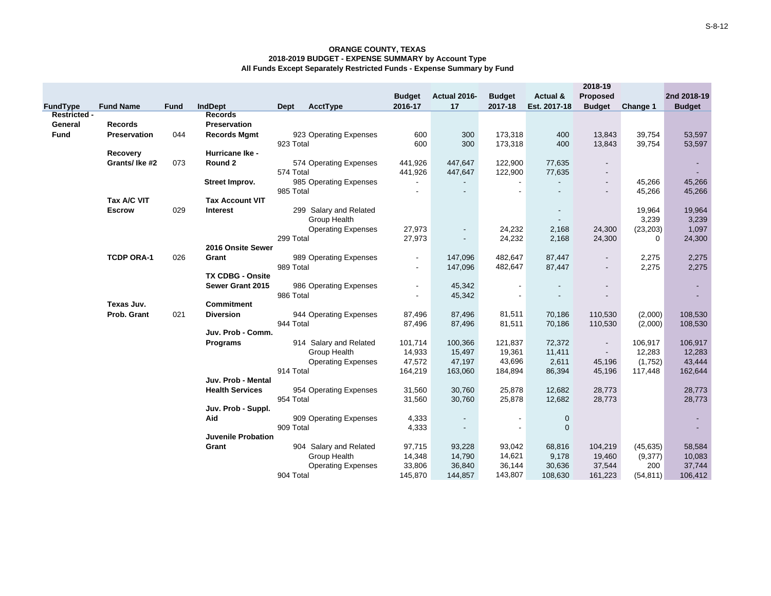|                     |                   |             |                           |                  |                           |                          |                                            |                   |                   | 2018-19                  |                       |                          |
|---------------------|-------------------|-------------|---------------------------|------------------|---------------------------|--------------------------|--------------------------------------------|-------------------|-------------------|--------------------------|-----------------------|--------------------------|
|                     |                   |             |                           |                  |                           | <b>Budget</b>            | Actual 2016-                               | <b>Budget</b>     | Actual &          | Proposed                 |                       | 2nd 2018-19              |
| <b>FundType</b>     | <b>Fund Name</b>  | <b>Fund</b> | IndDept                   | AcctType<br>Dept |                           | 2016-17                  | 17                                         | 2017-18           | Est. 2017-18      | <b>Budget</b>            | Change 1              | <b>Budget</b>            |
| <b>Restricted -</b> |                   |             | <b>Records</b>            |                  |                           |                          |                                            |                   |                   |                          |                       |                          |
| General             | <b>Records</b>    |             | Preservation              |                  |                           |                          |                                            |                   |                   |                          |                       |                          |
| <b>Fund</b>         | Preservation      | 044         | <b>Records Mgmt</b>       |                  | 923 Operating Expenses    | 600                      | 300                                        | 173,318           | 400               | 13,843                   | 39,754                | 53,597                   |
|                     |                   |             |                           | 923 Total        |                           | 600                      | 300                                        | 173,318           | 400               | 13,843                   | 39,754                | 53,597                   |
|                     | <b>Recovery</b>   |             | Hurricane Ike -           |                  |                           |                          |                                            |                   |                   |                          |                       |                          |
|                     | Grants/Ike #2     | 073         | Round 2                   |                  | 574 Operating Expenses    | 441,926                  | 447,647                                    | 122,900           | 77,635            | $\overline{\phantom{a}}$ |                       | $\overline{\phantom{a}}$ |
|                     |                   |             |                           | 574 Total        |                           | 441,926                  | 447,647                                    | 122,900           | 77,635            |                          |                       |                          |
|                     |                   |             | Street Improv.            |                  | 985 Operating Expenses    | $\overline{\phantom{a}}$ |                                            |                   |                   | $\overline{\phantom{a}}$ | 45,266                | 45,266                   |
|                     |                   |             |                           | 985 Total        |                           |                          | $\overline{\phantom{a}}$                   |                   |                   | $\overline{\phantom{a}}$ | 45,266                | 45,266                   |
|                     | Tax A/C VIT       |             | <b>Tax Account VIT</b>    |                  |                           |                          |                                            |                   |                   |                          |                       |                          |
|                     | <b>Escrow</b>     | 029         | Interest                  |                  | 299 Salary and Related    |                          |                                            |                   |                   |                          | 19,964                | 19,964                   |
|                     |                   |             |                           | Group Health     |                           |                          |                                            |                   |                   |                          | 3,239                 | 3,239                    |
|                     |                   |             |                           | 299 Total        | <b>Operating Expenses</b> | 27,973<br>27,973         | $\blacksquare$<br>$\overline{\phantom{a}}$ | 24,232<br>24,232  | 2,168<br>2,168    | 24,300<br>24,300         | (23, 203)<br>$\Omega$ | 1,097                    |
|                     |                   |             | 2016 Onsite Sewer         |                  |                           |                          |                                            |                   |                   |                          |                       | 24,300                   |
|                     | <b>TCDP ORA-1</b> | 026         | Grant                     |                  | 989 Operating Expenses    |                          | 147,096                                    | 482,647           | 87,447            | $\blacksquare$           | 2,275                 | 2,275                    |
|                     |                   |             |                           | 989 Total        |                           |                          | 147,096                                    | 482,647           | 87,447            | $\blacksquare$           | 2,275                 | 2,275                    |
|                     |                   |             | <b>TX CDBG - Onsite</b>   |                  |                           |                          |                                            |                   |                   |                          |                       |                          |
|                     |                   |             | Sewer Grant 2015          |                  | 986 Operating Expenses    | $\overline{\phantom{a}}$ | 45,342                                     | $\blacksquare$    |                   |                          |                       | $\overline{\phantom{a}}$ |
|                     |                   |             |                           | 986 Total        |                           |                          | 45,342                                     |                   |                   |                          |                       |                          |
|                     | Texas Juv.        |             | <b>Commitment</b>         |                  |                           |                          |                                            |                   |                   |                          |                       |                          |
|                     | Prob. Grant       | 021         | <b>Diversion</b>          |                  | 944 Operating Expenses    | 87,496                   | 87,496                                     | 81,511            | 70,186            | 110,530                  | (2,000)               | 108,530                  |
|                     |                   |             |                           | 944 Total        |                           | 87,496                   | 87,496                                     | 81,511            | 70,186            | 110,530                  | (2,000)               | 108,530                  |
|                     |                   |             | Juv. Prob - Comm.         |                  |                           |                          |                                            |                   |                   |                          |                       |                          |
|                     |                   |             | <b>Programs</b>           |                  | 914 Salary and Related    | 101,714                  | 100,366                                    | 121,837           | 72,372            | $\sim$                   | 106,917               | 106,917                  |
|                     |                   |             |                           | Group Health     |                           | 14,933                   | 15,497                                     | 19,361            | 11,411            | $\sim$                   | 12,283                | 12,283                   |
|                     |                   |             |                           |                  | <b>Operating Expenses</b> | 47,572                   | 47,197                                     | 43,696            | 2,611             | 45,196                   | (1,752)               | 43,444                   |
|                     |                   |             |                           | 914 Total        |                           | 164,219                  | 163,060                                    | 184,894           | 86,394            | 45,196                   | 117,448               | 162,644                  |
|                     |                   |             | Juv. Prob - Mental        |                  |                           |                          |                                            |                   |                   |                          |                       |                          |
|                     |                   |             | <b>Health Services</b>    |                  | 954 Operating Expenses    | 31,560                   | 30,760                                     | 25,878            | 12,682            | 28,773                   |                       | 28,773                   |
|                     |                   |             |                           | 954 Total        |                           | 31,560                   | 30,760                                     | 25,878            | 12,682            | 28,773                   |                       | 28,773                   |
|                     |                   |             | Juv. Prob - Suppl.        |                  |                           |                          |                                            |                   |                   |                          |                       |                          |
|                     |                   |             | Aid                       |                  | 909 Operating Expenses    | 4,333                    | $\blacksquare$                             | $\blacksquare$    | $\mathbf 0$       |                          |                       |                          |
|                     |                   |             |                           | 909 Total        |                           | 4,333                    |                                            |                   | $\mathbf 0$       |                          |                       |                          |
|                     |                   |             | <b>Juvenile Probation</b> |                  |                           |                          |                                            |                   |                   |                          |                       |                          |
|                     |                   |             | Grant                     |                  | 904 Salary and Related    | 97,715                   | 93,228                                     | 93,042            | 68,816            | 104,219                  | (45, 635)             | 58,584                   |
|                     |                   |             |                           | Group Health     |                           | 14,348                   | 14,790                                     | 14,621            | 9,178             | 19,460                   | (9,377)               | 10,083                   |
|                     |                   |             |                           | 904 Total        | <b>Operating Expenses</b> | 33,806<br>145,870        | 36,840                                     | 36,144<br>143,807 | 30,636<br>108,630 | 37,544                   | 200                   | 37,744<br>106,412        |
|                     |                   |             |                           |                  |                           |                          | 144,857                                    |                   |                   | 161,223                  | (54, 811)             |                          |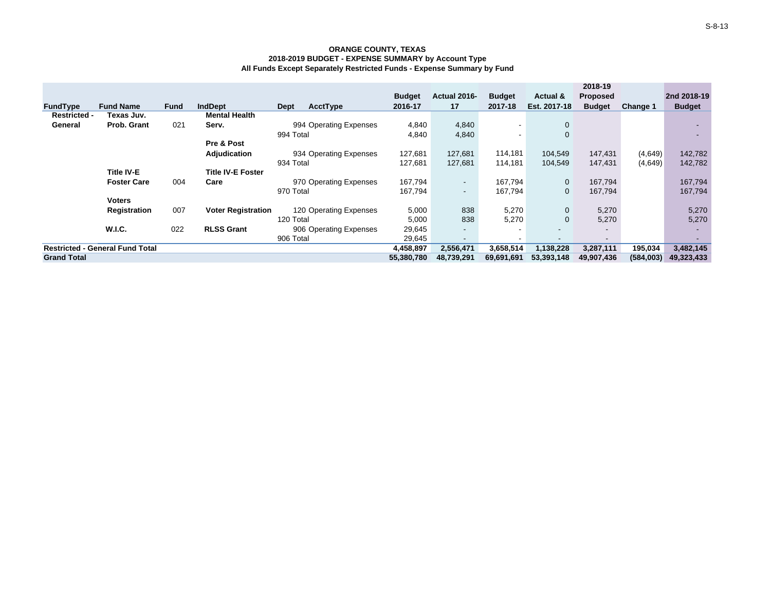|                                        |                    |             |                           |                        |               |                          |                          |                          | 2018-19                  |           |               |
|----------------------------------------|--------------------|-------------|---------------------------|------------------------|---------------|--------------------------|--------------------------|--------------------------|--------------------------|-----------|---------------|
|                                        |                    |             |                           |                        | <b>Budget</b> | Actual 2016-             | <b>Budget</b>            | Actual &                 | <b>Proposed</b>          |           | 2nd 2018-19   |
| <b>FundType</b>                        | <b>Fund Name</b>   | <b>Fund</b> | <b>IndDept</b>            | AcctType<br>Dept       | 2016-17       | 17                       | 2017-18                  | Est. 2017-18             | <b>Budget</b>            | Change 1  | <b>Budget</b> |
| <b>Restricted -</b>                    | Texas Juv.         |             | <b>Mental Health</b>      |                        |               |                          |                          |                          |                          |           |               |
| General                                | Prob. Grant        | 021         | Serv.                     | 994 Operating Expenses | 4,840         | 4,840                    | $\overline{\phantom{a}}$ | $\mathbf 0$              |                          |           |               |
|                                        |                    |             |                           | 994 Total              | 4,840         | 4,840                    | $\overline{\phantom{a}}$ | $\mathbf 0$              |                          |           | <b>.</b>      |
|                                        |                    |             | Pre & Post                |                        |               |                          |                          |                          |                          |           |               |
|                                        |                    |             | Adjudication              | 934 Operating Expenses | 127,681       | 127,681                  | 114,181                  | 104,549                  | 147,431                  | (4,649)   | 142,782       |
|                                        |                    |             |                           | 934 Total              | 127,681       | 127,681                  | 114,181                  | 104,549                  | 147,431                  | (4,649)   | 142,782       |
|                                        | <b>Title IV-E</b>  |             | <b>Title IV-E Foster</b>  |                        |               |                          |                          |                          |                          |           |               |
|                                        | <b>Foster Care</b> | 004         | Care                      | 970 Operating Expenses | 167,794       | $\sim$                   | 167,794                  | $\mathbf 0$              | 167,794                  |           | 167,794       |
|                                        |                    |             |                           | 970 Total              | 167,794       | $\sim$                   | 167,794                  | 0                        | 167,794                  |           | 167,794       |
|                                        | Voters             |             |                           |                        |               |                          |                          |                          |                          |           |               |
|                                        | Registration       | 007         | <b>Voter Registration</b> | 120 Operating Expenses | 5,000         | 838                      | 5,270                    | $\mathbf 0$              | 5,270                    |           | 5,270         |
|                                        |                    |             |                           | 120 Total              | 5,000         | 838                      | 5,270                    | $\mathbf 0$              | 5,270                    |           | 5,270         |
|                                        | <b>W.I.C.</b>      | 022         | <b>RLSS Grant</b>         | 906 Operating Expenses | 29,645        | $\sim$                   | $\sim$                   | $\overline{\phantom{a}}$ | $\overline{\phantom{a}}$ |           |               |
|                                        |                    |             |                           | 906 Total              | 29,645        | $\overline{\phantom{a}}$ | $\overline{\phantom{a}}$ |                          | $\overline{\phantom{a}}$ |           |               |
| <b>Restricted - General Fund Total</b> |                    |             |                           | 4,458,897              | 2,556,471     | 3,658,514                | 1,138,228                | 3,287,111                | 195,034                  | 3,482,145 |               |
| <b>Grand Total</b>                     |                    |             |                           |                        | 55,380,780    | 48,739,291               | 69,691,691               | 53,393,148               | 49,907,436               | (584,003) | 49,323,433    |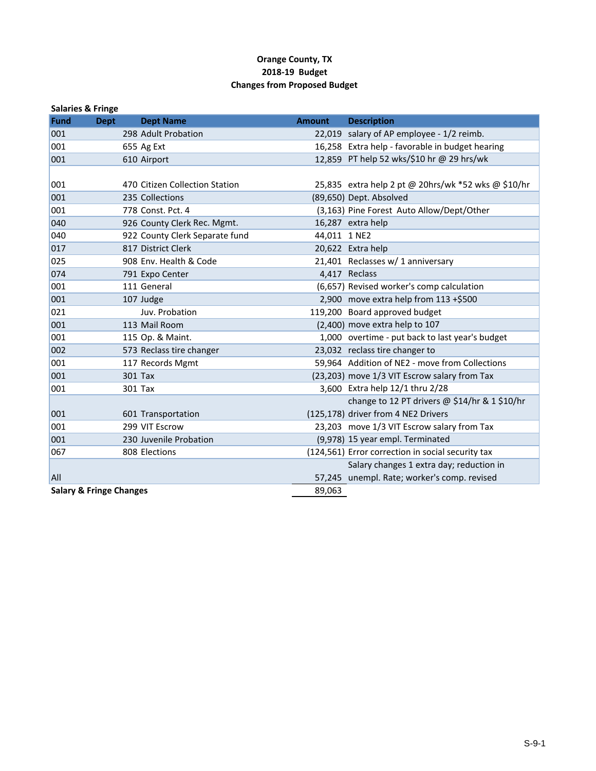## **Orange County, TX 2018‐19 Budget Changes from Proposed Budget**

| <b>Salaries &amp; Fringe</b> |                                    |                                |               |                                                     |
|------------------------------|------------------------------------|--------------------------------|---------------|-----------------------------------------------------|
| <b>Fund</b>                  | <b>Dept</b>                        | <b>Dept Name</b>               | <b>Amount</b> | <b>Description</b>                                  |
| 001                          |                                    | 298 Adult Probation            |               | 22,019 salary of AP employee - 1/2 reimb.           |
| 001                          |                                    | 655 Ag Ext                     |               | 16,258 Extra help - favorable in budget hearing     |
| 001                          |                                    | 610 Airport                    |               | 12,859 PT help 52 wks/\$10 hr @ 29 hrs/wk           |
|                              |                                    |                                |               |                                                     |
| 001                          |                                    | 470 Citizen Collection Station |               | 25,835 extra help 2 pt @ 20hrs/wk *52 wks @ \$10/hr |
| 001                          |                                    | 235 Collections                |               | (89,650) Dept. Absolved                             |
| 001                          |                                    | 778 Const. Pct. 4              |               | (3,163) Pine Forest Auto Allow/Dept/Other           |
| 040                          |                                    | 926 County Clerk Rec. Mgmt.    |               | 16,287 extra help                                   |
| 040                          |                                    | 922 County Clerk Separate fund | 44,011 1 NE2  |                                                     |
| 017                          |                                    | 817 District Clerk             |               | 20,622 Extra help                                   |
| 025                          |                                    | 908 Env. Health & Code         |               | 21,401 Reclasses w/ 1 anniversary                   |
| 074                          |                                    | 791 Expo Center                |               | 4,417 Reclass                                       |
| 001                          |                                    | 111 General                    |               | (6,657) Revised worker's comp calculation           |
| 001                          |                                    | 107 Judge                      |               | 2,900 move extra help from $113 + $500$             |
| 021                          |                                    | Juv. Probation                 |               | 119,200 Board approved budget                       |
| 001                          |                                    | 113 Mail Room                  |               | (2,400) move extra help to 107                      |
| 001                          |                                    | 115 Op. & Maint.               |               | 1,000 overtime - put back to last year's budget     |
| 002                          |                                    | 573 Reclass tire changer       |               | 23,032 reclass tire changer to                      |
| 001                          |                                    | 117 Records Mgmt               |               | 59,964 Addition of NE2 - move from Collections      |
| 001                          |                                    | 301 Tax                        |               | (23,203) move 1/3 VIT Escrow salary from Tax        |
| 001                          |                                    | 301 Tax                        |               | 3,600 Extra help 12/1 thru 2/28                     |
|                              |                                    |                                |               | change to 12 PT drivers @ \$14/hr & 1 \$10/hr       |
| 001                          |                                    | 601 Transportation             |               | (125,178) driver from 4 NE2 Drivers                 |
| 001                          |                                    | 299 VIT Escrow                 |               | 23,203 move 1/3 VIT Escrow salary from Tax          |
| 001                          |                                    | 230 Juvenile Probation         |               | (9,978) 15 year empl. Terminated                    |
| 067                          |                                    | 808 Elections                  |               | (124,561) Error correction in social security tax   |
|                              |                                    |                                |               | Salary changes 1 extra day; reduction in            |
| <b>All</b>                   |                                    |                                |               | 57,245 unempl. Rate; worker's comp. revised         |
|                              | <b>Salary &amp; Fringe Changes</b> |                                | 89,063        |                                                     |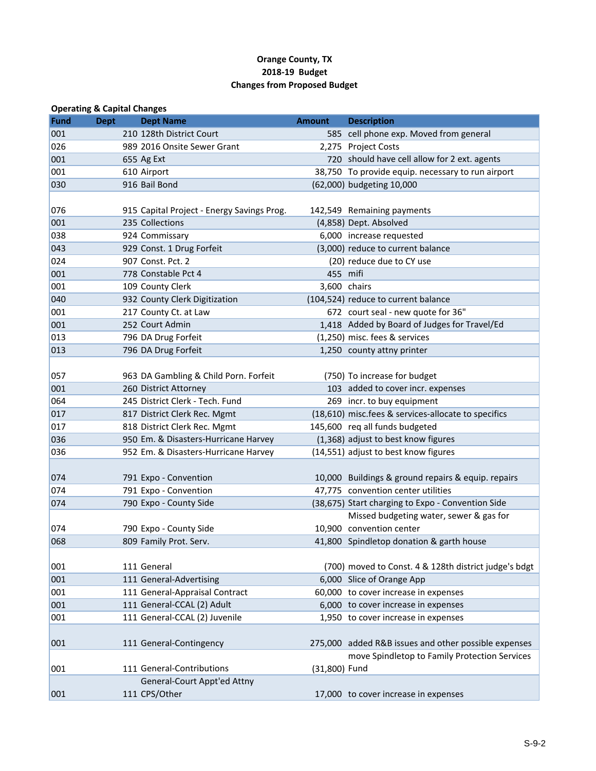# **Orange County, TX 2018‐19 Budget Changes from Proposed Budget**

|             | <b>Operating &amp; Capital Changes</b> |                                            |               |                                                       |
|-------------|----------------------------------------|--------------------------------------------|---------------|-------------------------------------------------------|
| <b>Fund</b> | <b>Dept</b>                            | <b>Dept Name</b>                           | <b>Amount</b> | <b>Description</b>                                    |
| 001         |                                        | 210 128th District Court                   |               | 585 cell phone exp. Moved from general                |
| 026         |                                        | 989 2016 Onsite Sewer Grant                |               | 2,275 Project Costs                                   |
| 001         |                                        | 655 Ag Ext                                 |               | 720 should have cell allow for 2 ext. agents          |
| 001         |                                        | 610 Airport                                |               | 38,750 To provide equip. necessary to run airport     |
| 030         |                                        | 916 Bail Bond                              |               | (62,000) budgeting 10,000                             |
|             |                                        |                                            |               |                                                       |
| 076         |                                        | 915 Capital Project - Energy Savings Prog. |               | 142,549 Remaining payments                            |
| 001         |                                        | 235 Collections                            |               | (4,858) Dept. Absolved                                |
| 038         |                                        | 924 Commissary                             |               | 6,000 increase requested                              |
| 043         |                                        | 929 Const. 1 Drug Forfeit                  |               | (3,000) reduce to current balance                     |
| 024         |                                        | 907 Const. Pct. 2                          |               | (20) reduce due to CY use                             |
| 001         |                                        | 778 Constable Pct 4                        | 455 mifi      |                                                       |
| 001         |                                        | 109 County Clerk                           | 3,600 chairs  |                                                       |
| 040         |                                        | 932 County Clerk Digitization              |               | (104,524) reduce to current balance                   |
| 001         |                                        | 217 County Ct. at Law                      |               | 672 court seal - new quote for 36"                    |
| 001         |                                        | 252 Court Admin                            |               | 1,418 Added by Board of Judges for Travel/Ed          |
| 013         |                                        | 796 DA Drug Forfeit                        |               | (1,250) misc. fees & services                         |
| 013         |                                        | 796 DA Drug Forfeit                        |               | 1,250 county attny printer                            |
|             |                                        |                                            |               |                                                       |
| 057         |                                        | 963 DA Gambling & Child Porn. Forfeit      |               | (750) To increase for budget                          |
| 001         |                                        | 260 District Attorney                      |               | 103 added to cover incr. expenses                     |
| 064         |                                        | 245 District Clerk - Tech. Fund            |               | 269 incr. to buy equipment                            |
| 017         |                                        | 817 District Clerk Rec. Mgmt               |               | (18,610) misc.fees & services-allocate to specifics   |
| 017         |                                        | 818 District Clerk Rec. Mgmt               |               | 145,600 req all funds budgeted                        |
| 036         |                                        | 950 Em. & Disasters-Hurricane Harvey       |               | (1,368) adjust to best know figures                   |
| 036         |                                        | 952 Em. & Disasters-Hurricane Harvey       |               | (14,551) adjust to best know figures                  |
|             |                                        |                                            |               |                                                       |
| 074         |                                        | 791 Expo - Convention                      |               | 10,000 Buildings & ground repairs & equip. repairs    |
| 074         |                                        | 791 Expo - Convention                      |               | 47,775 convention center utilities                    |
| 074         |                                        | 790 Expo - County Side                     |               | (38,675) Start charging to Expo - Convention Side     |
|             |                                        |                                            |               | Missed budgeting water, sewer & gas for               |
| 074         |                                        | 790 Expo - County Side                     |               | 10,900 convention center                              |
| 068         |                                        | 809 Family Prot. Serv.                     |               | 41,800 Spindletop donation & garth house              |
|             |                                        |                                            |               |                                                       |
| 001         |                                        | 111 General                                |               | (700) moved to Const. 4 & 128th district judge's bdgt |
| 001         |                                        | 111 General-Advertising                    |               | 6,000 Slice of Orange App                             |
| 001         |                                        | 111 General-Appraisal Contract             |               | 60,000 to cover increase in expenses                  |
| 001         |                                        | 111 General-CCAL (2) Adult                 |               | 6,000 to cover increase in expenses                   |
| 001         |                                        | 111 General-CCAL (2) Juvenile              |               | 1,950 to cover increase in expenses                   |
|             |                                        |                                            |               |                                                       |
| 001         |                                        | 111 General-Contingency                    |               | 275,000 added R&B issues and other possible expenses  |
|             |                                        |                                            |               | move Spindletop to Family Protection Services         |
| 001         |                                        | 111 General-Contributions                  | (31,800) Fund |                                                       |
|             |                                        | General-Court Appt'ed Attny                |               |                                                       |
| 001         |                                        | 111 CPS/Other                              |               | 17,000 to cover increase in expenses                  |
|             |                                        |                                            |               |                                                       |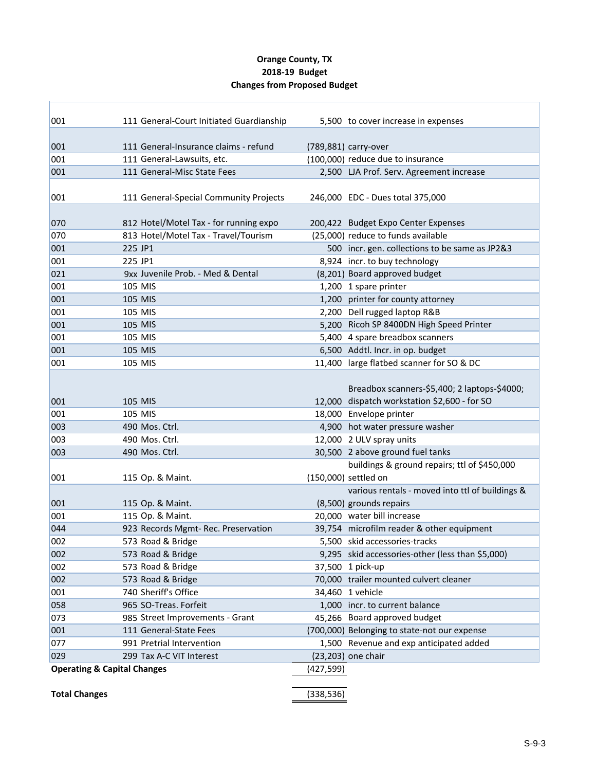# **Orange County, TX 2018‐19 Budget Changes from Proposed Budget**

| 001                                    | 111 General-Court Initiated Guardianship                 |            |                                                                         |
|----------------------------------------|----------------------------------------------------------|------------|-------------------------------------------------------------------------|
|                                        |                                                          |            | 5,500 to cover increase in expenses                                     |
| 001                                    | 111 General-Insurance claims - refund                    |            | (789,881) carry-over                                                    |
| 001                                    | 111 General-Lawsuits, etc.                               |            | (100,000) reduce due to insurance                                       |
| 001                                    | 111 General-Misc State Fees                              |            | 2,500 LJA Prof. Serv. Agreement increase                                |
|                                        |                                                          |            |                                                                         |
| 001                                    | 111 General-Special Community Projects                   |            | 246,000 EDC - Dues total 375,000                                        |
| 070                                    | 812 Hotel/Motel Tax - for running expo                   |            | 200,422 Budget Expo Center Expenses                                     |
| 070                                    | 813 Hotel/Motel Tax - Travel/Tourism                     |            | (25,000) reduce to funds available                                      |
| 001                                    | 225 JP1                                                  |            | 500 incr. gen. collections to be same as JP2&3                          |
| 001                                    | 225 JP1                                                  |            | 8,924 incr. to buy technology                                           |
| 021                                    | 9xx Juvenile Prob. - Med & Dental                        |            | (8,201) Board approved budget                                           |
| 001                                    | 105 MIS                                                  |            | 1,200 1 spare printer                                                   |
| 001                                    | 105 MIS                                                  |            | 1,200 printer for county attorney                                       |
| 001                                    | 105 MIS                                                  |            | 2,200 Dell rugged laptop R&B                                            |
| 001                                    | 105 MIS                                                  |            | 5,200 Ricoh SP 8400DN High Speed Printer                                |
| 001                                    | 105 MIS                                                  |            | 5,400 4 spare breadbox scanners                                         |
| 001                                    | 105 MIS                                                  |            | 6,500 Addtl. Incr. in op. budget                                        |
| 001                                    | 105 MIS                                                  |            | 11,400 large flatbed scanner for SO & DC                                |
|                                        |                                                          |            |                                                                         |
|                                        |                                                          |            | Breadbox scanners-\$5,400; 2 laptops-\$4000;                            |
| 001                                    | 105 MIS                                                  |            | 12,000 dispatch workstation \$2,600 - for SO                            |
| 001                                    | 105 MIS                                                  |            | 18,000 Envelope printer                                                 |
| 003                                    | 490 Mos. Ctrl.                                           |            | 4,900 hot water pressure washer                                         |
| 003                                    | 490 Mos. Ctrl.                                           |            | 12,000 2 ULV spray units                                                |
| 003                                    | 490 Mos. Ctrl.                                           |            | 30,500 2 above ground fuel tanks                                        |
|                                        |                                                          |            | buildings & ground repairs; ttl of \$450,000                            |
| 001                                    | 115 Op. & Maint.                                         |            | (150,000) settled on                                                    |
|                                        |                                                          |            | various rentals - moved into ttl of buildings &                         |
| 001                                    | 115 Op. & Maint.                                         |            | (8,500) grounds repairs                                                 |
| 001<br>044                             | 115 Op. & Maint.                                         |            | 20,000 water bill increase<br>39,754 microfilm reader & other equipment |
| 002                                    | 923 Records Mgmt- Rec. Preservation<br>573 Road & Bridge |            | 5,500 skid accessories-tracks                                           |
|                                        | 573 Road & Bridge                                        |            | 9,295 skid accessories-other (less than \$5,000)                        |
| 002<br>002                             | 573 Road & Bridge                                        |            | 37,500 1 pick-up                                                        |
| 002                                    | 573 Road & Bridge                                        |            | 70,000 trailer mounted culvert cleaner                                  |
| 001                                    | 740 Sheriff's Office                                     |            | 34,460 1 vehicle                                                        |
| 058                                    | 965 SO-Treas. Forfeit                                    |            | 1,000 incr. to current balance                                          |
| 073                                    | 985 Street Improvements - Grant                          |            | 45,266 Board approved budget                                            |
| 001                                    | 111 General-State Fees                                   |            | (700,000) Belonging to state-not our expense                            |
| 077                                    | 991 Pretrial Intervention                                |            | 1,500 Revenue and exp anticipated added                                 |
| 029                                    | 299 Tax A-C VIT Interest                                 |            | (23,203) one chair                                                      |
| <b>Operating &amp; Capital Changes</b> |                                                          | (427,599)  |                                                                         |
|                                        |                                                          |            |                                                                         |
| <b>Total Changes</b>                   |                                                          | (338, 536) |                                                                         |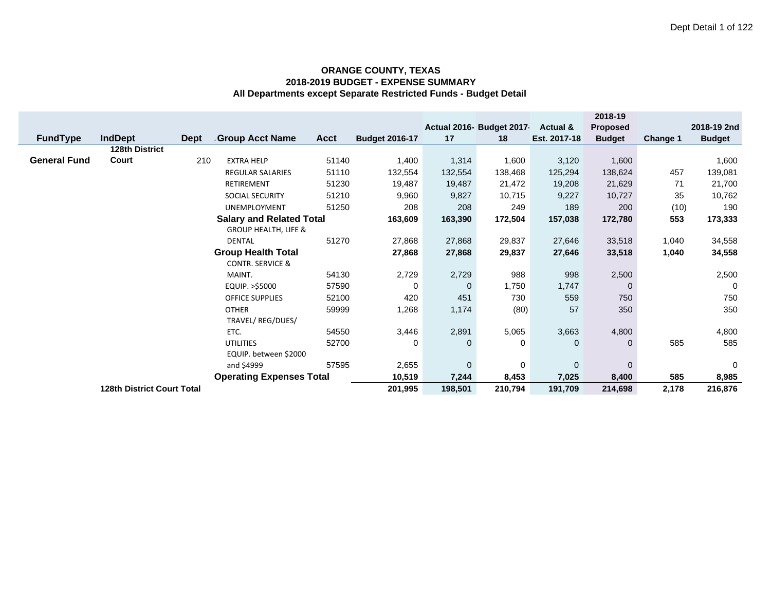|                     |                                   |             |                                 |             |                       |              |                          |                     | 2018-19         |          |               |
|---------------------|-----------------------------------|-------------|---------------------------------|-------------|-----------------------|--------------|--------------------------|---------------------|-----------------|----------|---------------|
|                     |                                   |             |                                 |             |                       |              | Actual 2016- Budget 2017 | <b>Actual &amp;</b> | <b>Proposed</b> |          | 2018-19 2nd   |
| <b>FundType</b>     | <b>IndDept</b>                    | <b>Dept</b> | <b>Group Acct Name</b>          | <b>Acct</b> | <b>Budget 2016-17</b> | 17           | 18                       | Est. 2017-18        | <b>Budget</b>   | Change 1 | <b>Budget</b> |
|                     | 128th District                    |             |                                 |             |                       |              |                          |                     |                 |          |               |
| <b>General Fund</b> | Court                             | 210         | <b>EXTRA HELP</b>               | 51140       | 1,400                 | 1,314        | 1,600                    | 3,120               | 1,600           |          | 1,600         |
|                     |                                   |             | <b>REGULAR SALARIES</b>         | 51110       | 132,554               | 132,554      | 138,468                  | 125,294             | 138,624         | 457      | 139,081       |
|                     |                                   |             | <b>RETIREMENT</b>               | 51230       | 19,487                | 19,487       | 21,472                   | 19,208              | 21,629          | 71       | 21,700        |
|                     |                                   |             | <b>SOCIAL SECURITY</b>          | 51210       | 9,960                 | 9,827        | 10,715                   | 9,227               | 10,727          | 35       | 10,762        |
|                     |                                   |             | UNEMPLOYMENT                    | 51250       | 208                   | 208          | 249                      | 189                 | 200             | (10)     | 190           |
|                     |                                   |             | <b>Salary and Related Total</b> |             | 163,609               | 163,390      | 172,504                  | 157,038             | 172,780         | 553      | 173,333       |
|                     |                                   |             | <b>GROUP HEALTH, LIFE &amp;</b> |             |                       |              |                          |                     |                 |          |               |
|                     |                                   |             | <b>DENTAL</b>                   | 51270       | 27,868                | 27,868       | 29,837                   | 27,646              | 33,518          | 1,040    | 34,558        |
|                     |                                   |             | <b>Group Health Total</b>       |             | 27,868                | 27,868       | 29,837                   | 27,646              | 33,518          | 1,040    | 34,558        |
|                     |                                   |             | <b>CONTR. SERVICE &amp;</b>     |             |                       |              |                          |                     |                 |          |               |
|                     |                                   |             | MAINT.                          | 54130       | 2,729                 | 2,729        | 988                      | 998                 | 2,500           |          | 2,500         |
|                     |                                   |             | EQUIP. >\$5000                  | 57590       | 0                     | 0            | 1,750                    | 1,747               | $\Omega$        |          | 0             |
|                     |                                   |             | <b>OFFICE SUPPLIES</b>          | 52100       | 420                   | 451          | 730                      | 559                 | 750             |          | 750           |
|                     |                                   |             | <b>OTHER</b>                    | 59999       | 1,268                 | 1,174        | (80)                     | 57                  | 350             |          | 350           |
|                     |                                   |             | TRAVEL/REG/DUES/                |             |                       |              |                          |                     |                 |          |               |
|                     |                                   |             | ETC.                            | 54550       | 3,446                 | 2,891        | 5,065                    | 3,663               | 4,800           |          | 4,800         |
|                     |                                   |             | <b>UTILITIES</b>                | 52700       | 0                     | $\mathbf{0}$ | 0                        | $\mathbf 0$         | $\mathbf 0$     | 585      | 585           |
|                     |                                   |             | EQUIP. between \$2000           |             |                       |              |                          |                     |                 |          |               |
|                     |                                   |             | and \$4999                      | 57595       | 2,655                 | $\mathbf 0$  | 0                        | $\mathbf 0$         | $\overline{0}$  |          | 0             |
|                     |                                   |             | <b>Operating Expenses Total</b> |             | 10,519                | 7,244        | 8,453                    | 7,025               | 8,400           | 585      | 8,985         |
|                     | <b>128th District Court Total</b> |             |                                 |             | 201,995               | 198,501      | 210,794                  | 191,709             | 214,698         | 2,178    | 216,876       |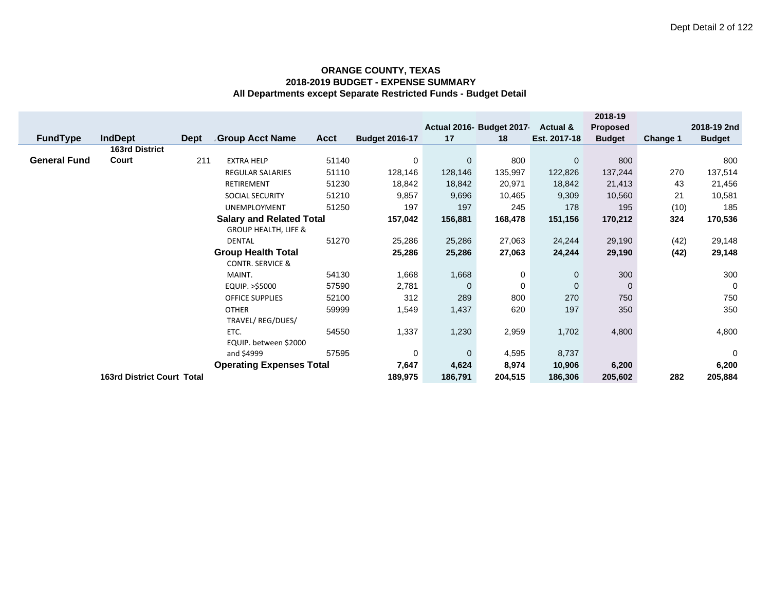|                     |                                   |             |                                 |             |                       |             |                          |                | 2018-19       |          |               |
|---------------------|-----------------------------------|-------------|---------------------------------|-------------|-----------------------|-------------|--------------------------|----------------|---------------|----------|---------------|
|                     |                                   |             |                                 |             |                       |             | Actual 2016- Budget 2017 | Actual &       | Proposed      |          | 2018-19 2nd   |
| <b>FundType</b>     | <b>IndDept</b>                    | <b>Dept</b> | <b>Group Acct Name</b>          | <b>Acct</b> | <b>Budget 2016-17</b> | 17          | 18                       | Est. 2017-18   | <b>Budget</b> | Change 1 | <b>Budget</b> |
|                     | <b>163rd District</b>             |             |                                 |             |                       |             |                          |                |               |          |               |
| <b>General Fund</b> | Court                             | 211         | <b>EXTRA HELP</b>               | 51140       | 0                     | $\mathbf 0$ | 800                      | $\overline{0}$ | 800           |          | 800           |
|                     |                                   |             | <b>REGULAR SALARIES</b>         | 51110       | 128,146               | 128,146     | 135,997                  | 122,826        | 137,244       | 270      | 137,514       |
|                     |                                   |             | <b>RETIREMENT</b>               | 51230       | 18,842                | 18,842      | 20,971                   | 18,842         | 21,413        | 43       | 21,456        |
|                     |                                   |             | <b>SOCIAL SECURITY</b>          | 51210       | 9,857                 | 9,696       | 10,465                   | 9,309          | 10,560        | 21       | 10,581        |
|                     |                                   |             | <b>UNEMPLOYMENT</b>             | 51250       | 197                   | 197         | 245                      | 178            | 195           | (10)     | 185           |
|                     |                                   |             | <b>Salary and Related Total</b> |             | 157,042               | 156,881     | 168,478                  | 151,156        | 170,212       | 324      | 170,536       |
|                     |                                   |             | <b>GROUP HEALTH, LIFE &amp;</b> |             |                       |             |                          |                |               |          |               |
|                     |                                   |             | <b>DENTAL</b>                   | 51270       | 25,286                | 25,286      | 27,063                   | 24,244         | 29,190        | (42)     | 29,148        |
|                     |                                   |             | <b>Group Health Total</b>       |             | 25,286                | 25,286      | 27,063                   | 24,244         | 29,190        | (42)     | 29,148        |
|                     |                                   |             | <b>CONTR. SERVICE &amp;</b>     |             |                       |             |                          |                |               |          |               |
|                     |                                   |             | MAINT.                          | 54130       | 1,668                 | 1,668       | 0                        | 0              | 300           |          | 300           |
|                     |                                   |             | EQUIP. >\$5000                  | 57590       | 2,781                 | 0           | 0                        | $\overline{0}$ | $\mathbf 0$   |          | 0             |
|                     |                                   |             | OFFICE SUPPLIES                 | 52100       | 312                   | 289         | 800                      | 270            | 750           |          | 750           |
|                     |                                   |             | <b>OTHER</b>                    | 59999       | 1,549                 | 1,437       | 620                      | 197            | 350           |          | 350           |
|                     |                                   |             | TRAVEL/ REG/DUES/               |             |                       |             |                          |                |               |          |               |
|                     |                                   |             | ETC.                            | 54550       | 1,337                 | 1,230       | 2,959                    | 1,702          | 4,800         |          | 4,800         |
|                     |                                   |             | EQUIP. between \$2000           |             |                       |             |                          |                |               |          |               |
|                     |                                   |             | and \$4999                      | 57595       | 0                     | $\mathbf 0$ | 4,595                    | 8,737          |               |          | $\mathbf 0$   |
|                     |                                   |             | <b>Operating Expenses Total</b> |             | 7,647                 | 4,624       | 8,974                    | 10,906         | 6,200         |          | 6,200         |
|                     | <b>163rd District Court Total</b> |             |                                 |             | 189,975               | 186,791     | 204,515                  | 186,306        | 205,602       | 282      | 205,884       |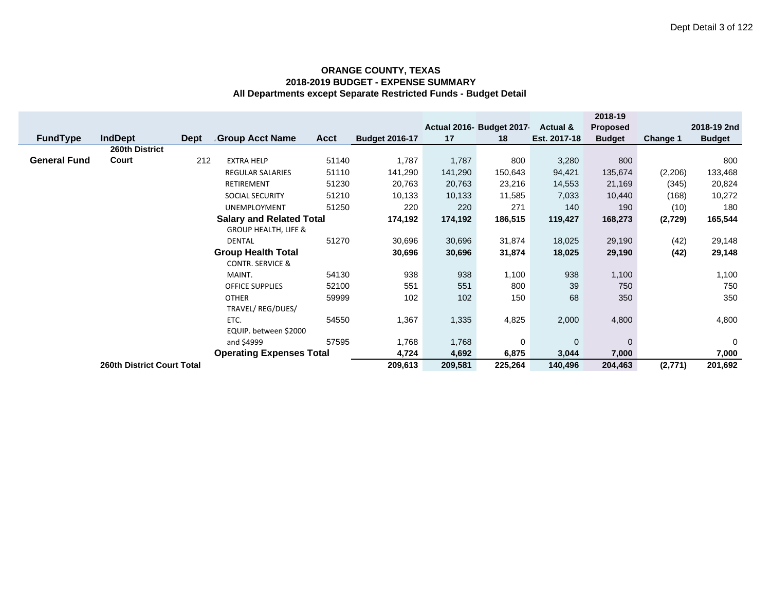|                     |                                   |             |                                 |             |                       |         |                           |                     | 2018-19         |                 |               |
|---------------------|-----------------------------------|-------------|---------------------------------|-------------|-----------------------|---------|---------------------------|---------------------|-----------------|-----------------|---------------|
|                     |                                   |             |                                 |             |                       |         | Actual 2016- Budget 2017- | <b>Actual &amp;</b> | <b>Proposed</b> |                 | 2018-19 2nd   |
| <b>FundType</b>     | <b>IndDept</b>                    | <b>Dept</b> | Group Acct Name                 | <b>Acct</b> | <b>Budget 2016-17</b> | 17      | 18                        | Est. 2017-18        | <b>Budget</b>   | <b>Change 1</b> | <b>Budget</b> |
|                     | 260th District                    |             |                                 |             |                       |         |                           |                     |                 |                 |               |
| <b>General Fund</b> | Court                             | 212         | <b>EXTRA HELP</b>               | 51140       | 1,787                 | 1,787   | 800                       | 3,280               | 800             |                 | 800           |
|                     |                                   |             | <b>REGULAR SALARIES</b>         | 51110       | 141,290               | 141,290 | 150,643                   | 94,421              | 135,674         | (2,206)         | 133,468       |
|                     |                                   |             | RETIREMENT                      | 51230       | 20,763                | 20,763  | 23,216                    | 14,553              | 21,169          | (345)           | 20,824        |
|                     |                                   |             | <b>SOCIAL SECURITY</b>          | 51210       | 10,133                | 10,133  | 11,585                    | 7,033               | 10,440          | (168)           | 10,272        |
|                     |                                   |             | <b>UNEMPLOYMENT</b>             | 51250       | 220                   | 220     | 271                       | 140                 | 190             | (10)            | 180           |
|                     |                                   |             | <b>Salary and Related Total</b> |             | 174,192               | 174,192 | 186,515                   | 119,427             | 168,273         | (2,729)         | 165,544       |
|                     |                                   |             | <b>GROUP HEALTH, LIFE &amp;</b> |             |                       |         |                           |                     |                 |                 |               |
|                     |                                   |             | <b>DENTAL</b>                   | 51270       | 30,696                | 30,696  | 31,874                    | 18,025              | 29,190          | (42)            | 29,148        |
|                     |                                   |             | <b>Group Health Total</b>       |             | 30,696                | 30,696  | 31,874                    | 18,025              | 29,190          | (42)            | 29,148        |
|                     |                                   |             | <b>CONTR. SERVICE &amp;</b>     |             |                       |         |                           |                     |                 |                 |               |
|                     |                                   |             | MAINT.                          | 54130       | 938                   | 938     | 1,100                     | 938                 | 1,100           |                 | 1,100         |
|                     |                                   |             | <b>OFFICE SUPPLIES</b>          | 52100       | 551                   | 551     | 800                       | 39                  | 750             |                 | 750           |
|                     |                                   |             | <b>OTHER</b>                    | 59999       | 102                   | 102     | 150                       | 68                  | 350             |                 | 350           |
|                     |                                   |             | TRAVEL/ REG/DUES/               |             |                       |         |                           |                     |                 |                 |               |
|                     |                                   |             | ETC.                            | 54550       | 1,367                 | 1,335   | 4,825                     | 2,000               | 4,800           |                 | 4,800         |
|                     |                                   |             | EQUIP. between \$2000           |             |                       |         |                           |                     |                 |                 |               |
|                     |                                   |             | and \$4999                      | 57595       | 1,768                 | 1,768   | 0                         | $\Omega$            | $\Omega$        |                 | 0             |
|                     |                                   |             | <b>Operating Expenses Total</b> |             | 4,724                 | 4,692   | 6,875                     | 3,044               | 7,000           |                 | 7,000         |
|                     | <b>260th District Court Total</b> |             |                                 |             | 209,613               | 209,581 | 225,264                   | 140,496             | 204,463         | (2,771)         | 201,692       |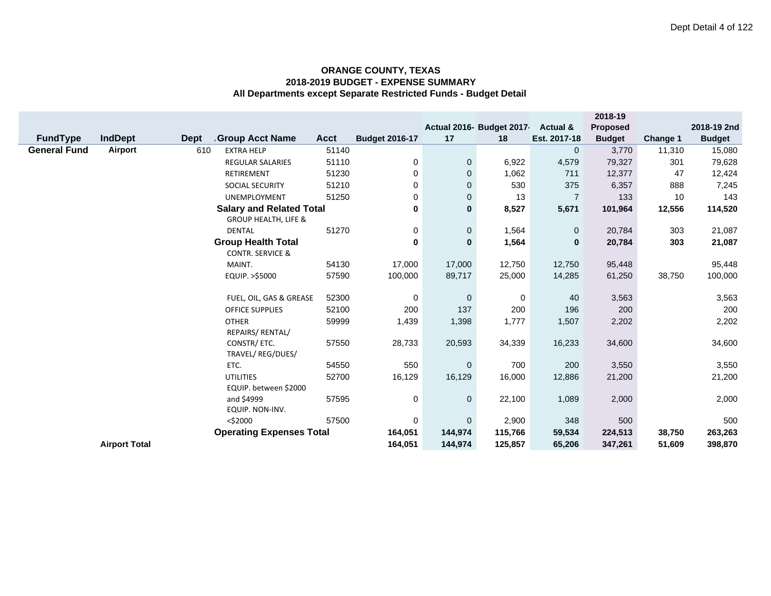|                     |                      |                                       |             |                       |              |                          |                | 2018-19       |          |               |
|---------------------|----------------------|---------------------------------------|-------------|-----------------------|--------------|--------------------------|----------------|---------------|----------|---------------|
|                     |                      |                                       |             |                       |              | Actual 2016- Budget 2017 | Actual &       | Proposed      |          | 2018-19 2nd   |
| <b>FundType</b>     | <b>IndDept</b>       | <b>Dept</b><br><b>Group Acct Name</b> | <b>Acct</b> | <b>Budget 2016-17</b> | 17           | 18                       | Est. 2017-18   | <b>Budget</b> | Change 1 | <b>Budget</b> |
| <b>General Fund</b> | Airport              | 610<br><b>EXTRA HELP</b>              | 51140       |                       |              |                          | $\mathbf 0$    | 3,770         | 11,310   | 15,080        |
|                     |                      | <b>REGULAR SALARIES</b>               | 51110       | 0                     | $\mathbf 0$  | 6,922                    | 4,579          | 79,327        | 301      | 79,628        |
|                     |                      | RETIREMENT                            | 51230       | 0                     | $\mathbf 0$  | 1,062                    | 711            | 12,377        | 47       | 12,424        |
|                     |                      | <b>SOCIAL SECURITY</b>                | 51210       | 0                     | $\mathbf{0}$ | 530                      | 375            | 6,357         | 888      | 7,245         |
|                     |                      | <b>UNEMPLOYMENT</b>                   | 51250       | 0                     | 0            | 13                       | $\overline{7}$ | 133           | 10       | 143           |
|                     |                      | <b>Salary and Related Total</b>       |             | 0                     | $\mathbf{0}$ | 8,527                    | 5,671          | 101,964       | 12,556   | 114,520       |
|                     |                      | <b>GROUP HEALTH, LIFE &amp;</b>       |             |                       |              |                          |                |               |          |               |
|                     |                      | <b>DENTAL</b>                         | 51270       | 0                     | $\mathbf 0$  | 1,564                    | $\mathbf 0$    | 20,784        | 303      | 21,087        |
|                     |                      | <b>Group Health Total</b>             |             | 0                     | $\bf{0}$     | 1,564                    | $\bf{0}$       | 20,784        | 303      | 21,087        |
|                     |                      | <b>CONTR. SERVICE &amp;</b>           |             |                       |              |                          |                |               |          |               |
|                     |                      | MAINT.                                | 54130       | 17,000                | 17,000       | 12,750                   | 12,750         | 95,448        |          | 95,448        |
|                     |                      | EQUIP. >\$5000                        | 57590       | 100,000               | 89,717       | 25,000                   | 14,285         | 61,250        | 38,750   | 100,000       |
|                     |                      |                                       |             |                       |              |                          |                |               |          |               |
|                     |                      | FUEL, OIL, GAS & GREASE               | 52300       | 0                     | $\mathbf 0$  | 0                        | 40             | 3,563         |          | 3,563         |
|                     |                      | <b>OFFICE SUPPLIES</b>                | 52100       | 200                   | 137          | 200                      | 196            | 200           |          | 200           |
|                     |                      | <b>OTHER</b>                          | 59999       | 1,439                 | 1,398        | 1,777                    | 1,507          | 2,202         |          | 2,202         |
|                     |                      | REPAIRS/ RENTAL/                      |             |                       |              |                          |                |               |          |               |
|                     |                      | CONSTR/ ETC.                          | 57550       | 28,733                | 20,593       | 34,339                   | 16,233         | 34,600        |          | 34,600        |
|                     |                      | TRAVEL/ REG/DUES/                     |             |                       |              |                          |                |               |          |               |
|                     |                      | ETC.                                  | 54550       | 550                   | $\mathbf 0$  | 700                      | 200            | 3,550         |          | 3,550         |
|                     |                      | <b>UTILITIES</b>                      | 52700       | 16,129                | 16,129       | 16,000                   | 12,886         | 21,200        |          | 21,200        |
|                     |                      | EQUIP. between \$2000                 |             |                       |              |                          |                |               |          |               |
|                     |                      | and \$4999                            | 57595       | 0                     | $\mathbf 0$  | 22,100                   | 1,089          | 2,000         |          | 2,000         |
|                     |                      | EQUIP. NON-INV.                       |             |                       |              |                          |                |               |          |               |
|                     |                      | $<$ \$2000                            | 57500       | 0                     | $\mathbf 0$  | 2,900                    | 348            | 500           |          | 500           |
|                     |                      | <b>Operating Expenses Total</b>       |             | 164,051               | 144,974      | 115,766                  | 59,534         | 224,513       | 38,750   | 263,263       |
|                     | <b>Airport Total</b> |                                       |             | 164,051               | 144,974      | 125,857                  | 65,206         | 347,261       | 51,609   | 398,870       |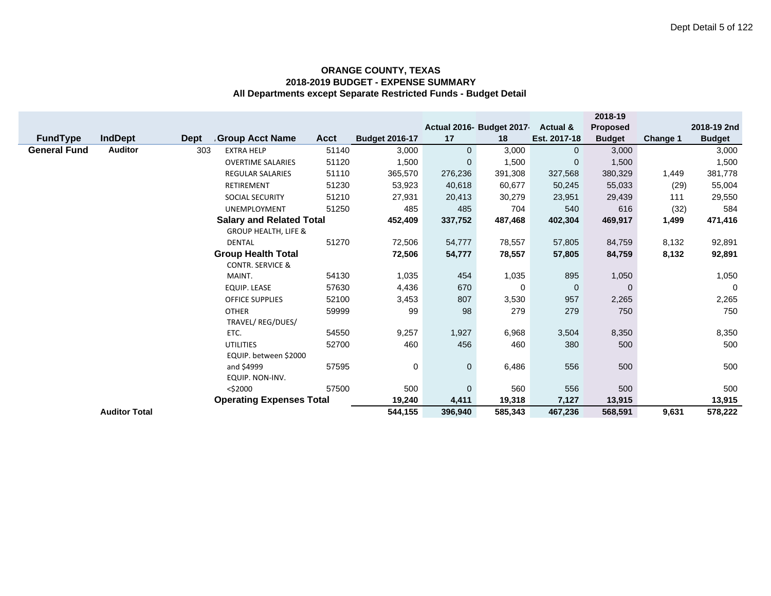|                     |                      |             |                                 |             |                       |                |                           |                | 2018-19       |          |               |
|---------------------|----------------------|-------------|---------------------------------|-------------|-----------------------|----------------|---------------------------|----------------|---------------|----------|---------------|
|                     |                      |             |                                 |             |                       |                | Actual 2016- Budget 2017- | Actual &       | Proposed      |          | 2018-19 2nd   |
| <b>FundType</b>     | <b>IndDept</b>       | <b>Dept</b> | Group Acct Name                 | <b>Acct</b> | <b>Budget 2016-17</b> | 17             | 18                        | Est. 2017-18   | <b>Budget</b> | Change 1 | <b>Budget</b> |
| <b>General Fund</b> | <b>Auditor</b>       | 303         | <b>EXTRA HELP</b>               | 51140       | 3,000                 | $\overline{0}$ | 3,000                     | $\mathbf{0}$   | 3,000         |          | 3,000         |
|                     |                      |             | <b>OVERTIME SALARIES</b>        | 51120       | 1,500                 | $\Omega$       | 1,500                     | $\mathbf{0}$   | 1,500         |          | 1,500         |
|                     |                      |             | <b>REGULAR SALARIES</b>         | 51110       | 365,570               | 276,236        | 391,308                   | 327,568        | 380,329       | 1,449    | 381,778       |
|                     |                      |             | RETIREMENT                      | 51230       | 53,923                | 40,618         | 60,677                    | 50,245         | 55,033        | (29)     | 55,004        |
|                     |                      |             | SOCIAL SECURITY                 | 51210       | 27,931                | 20,413         | 30,279                    | 23,951         | 29,439        | 111      | 29,550        |
|                     |                      |             | <b>UNEMPLOYMENT</b>             | 51250       | 485                   | 485            | 704                       | 540            | 616           | (32)     | 584           |
|                     |                      |             | <b>Salary and Related Total</b> |             | 452,409               | 337,752        | 487,468                   | 402,304        | 469,917       | 1,499    | 471,416       |
|                     |                      |             | <b>GROUP HEALTH, LIFE &amp;</b> |             |                       |                |                           |                |               |          |               |
|                     |                      |             | DENTAL                          | 51270       | 72,506                | 54,777         | 78,557                    | 57,805         | 84,759        | 8,132    | 92,891        |
|                     |                      |             | <b>Group Health Total</b>       |             | 72,506                | 54,777         | 78,557                    | 57,805         | 84,759        | 8,132    | 92,891        |
|                     |                      |             | <b>CONTR. SERVICE &amp;</b>     |             |                       |                |                           |                |               |          |               |
|                     |                      |             | MAINT.                          | 54130       | 1,035                 | 454            | 1,035                     | 895            | 1,050         |          | 1,050         |
|                     |                      |             | <b>EQUIP. LEASE</b>             | 57630       | 4,436                 | 670            | $\mathbf 0$               | $\overline{0}$ | $\mathbf{0}$  |          | $\Omega$      |
|                     |                      |             | <b>OFFICE SUPPLIES</b>          | 52100       | 3,453                 | 807            | 3,530                     | 957            | 2,265         |          | 2,265         |
|                     |                      |             | <b>OTHER</b>                    | 59999       | 99                    | 98             | 279                       | 279            | 750           |          | 750           |
|                     |                      |             | TRAVEL/ REG/DUES/               |             |                       |                |                           |                |               |          |               |
|                     |                      |             | ETC.                            | 54550       | 9,257                 | 1,927          | 6,968                     | 3,504          | 8,350         |          | 8,350         |
|                     |                      |             | <b>UTILITIES</b>                | 52700       | 460                   | 456            | 460                       | 380            | 500           |          | 500           |
|                     |                      |             | EQUIP. between \$2000           |             |                       |                |                           |                |               |          |               |
|                     |                      |             | and \$4999                      | 57595       | 0                     | $\mathbf 0$    | 6,486                     | 556            | 500           |          | 500           |
|                     |                      |             | EQUIP. NON-INV.                 |             |                       |                |                           |                |               |          |               |
|                     |                      |             | $<$ \$2000                      | 57500       | 500                   | $\mathbf{0}$   | 560                       | 556            | 500           |          | 500           |
|                     |                      |             | <b>Operating Expenses Total</b> |             | 19,240                | 4,411          | 19,318                    | 7,127          | 13,915        |          | 13,915        |
|                     | <b>Auditor Total</b> |             |                                 |             | 544,155               | 396,940        | 585,343                   | 467,236        | 568,591       | 9,631    | 578,222       |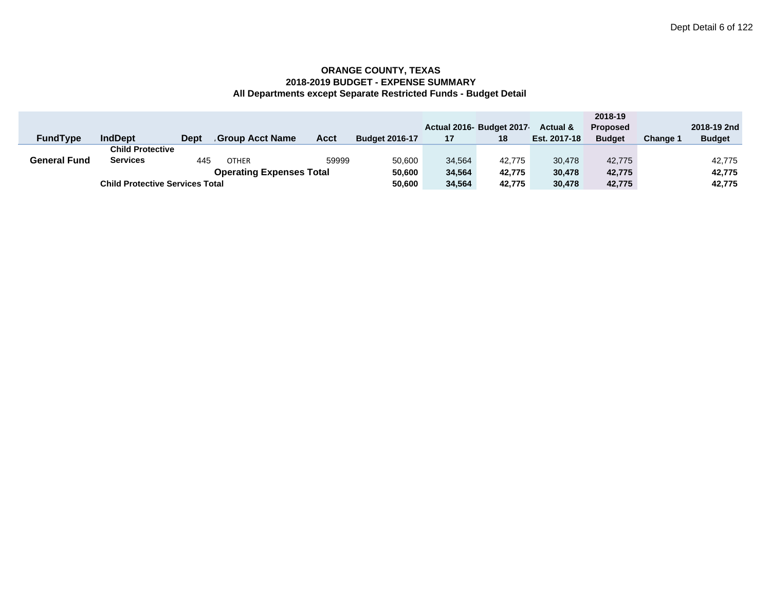|                     |                                        |             |                                 |       |                       |        |                          |                     | 2018-19         |          |               |
|---------------------|----------------------------------------|-------------|---------------------------------|-------|-----------------------|--------|--------------------------|---------------------|-----------------|----------|---------------|
|                     |                                        |             |                                 |       |                       |        | Actual 2016- Budget 2017 | <b>Actual &amp;</b> | <b>Proposed</b> |          | 2018-19 2nd   |
| <b>FundType</b>     | <b>IndDept</b>                         | <b>Dept</b> | <b>Group Acct Name</b>          | Acct  | <b>Budget 2016-17</b> | 17     | 18                       | Est. 2017-18        | <b>Budget</b>   | Change 1 | <b>Budget</b> |
|                     | <b>Child Protective</b>                |             |                                 |       |                       |        |                          |                     |                 |          |               |
| <b>General Fund</b> | <b>Services</b>                        | 445         | <b>OTHER</b>                    | 59999 | 50,600                | 34.564 | 42.775                   | 30.478              | 42.775          |          | 42.775        |
|                     |                                        |             | <b>Operating Expenses Total</b> |       | 50,600                | 34,564 | 42.775                   | 30.478              | 42.775          |          | 42,775        |
|                     | <b>Child Protective Services Total</b> |             |                                 |       | 50,600                | 34,564 | 42.775                   | 30,478              | 42,775          |          | 42,775        |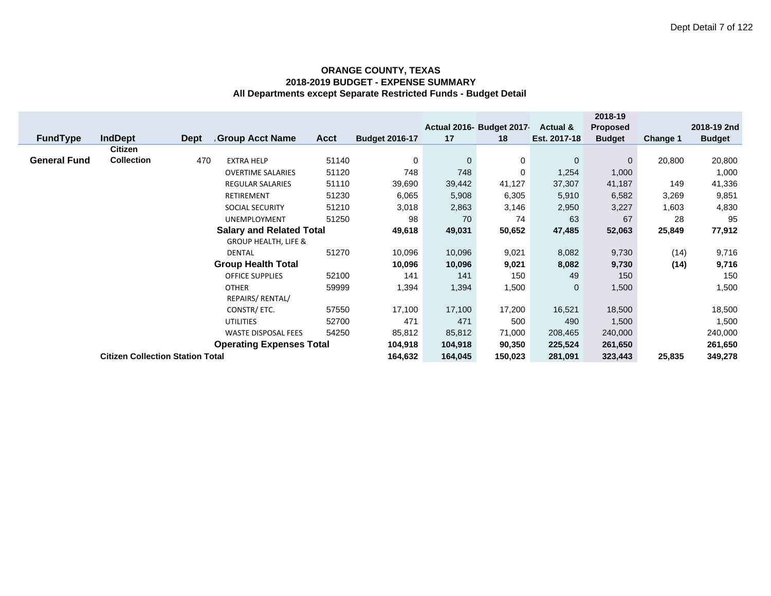|                                         |                           |             |                                 |             |                       |              |                          |              | 2018-19         |                 |               |
|-----------------------------------------|---------------------------|-------------|---------------------------------|-------------|-----------------------|--------------|--------------------------|--------------|-----------------|-----------------|---------------|
|                                         |                           |             |                                 |             |                       |              | Actual 2016- Budget 2017 | Actual &     | <b>Proposed</b> |                 | 2018-19 2nd   |
| <b>FundType</b>                         | <b>IndDept</b>            | <b>Dept</b> | Group Acct Name                 | <b>Acct</b> | <b>Budget 2016-17</b> | 17           | 18                       | Est. 2017-18 | <b>Budget</b>   | <b>Change 1</b> | <b>Budget</b> |
|                                         | Citizen                   |             |                                 |             |                       |              |                          |              |                 |                 |               |
| <b>General Fund</b>                     | <b>Collection</b>         | 470         | <b>EXTRA HELP</b>               | 51140       | 0                     | $\mathbf{0}$ | 0                        | $\mathbf 0$  | $\mathbf 0$     | 20,800          | 20,800        |
|                                         |                           |             | <b>OVERTIME SALARIES</b>        | 51120       | 748                   | 748          | 0                        | 1,254        | 1,000           |                 | 1,000         |
|                                         |                           |             | <b>REGULAR SALARIES</b>         | 51110       | 39,690                | 39,442       | 41,127                   | 37,307       | 41,187          | 149             | 41,336        |
|                                         |                           |             | RETIREMENT                      | 51230       | 6,065                 | 5,908        | 6,305                    | 5,910        | 6,582           | 3,269           | 9,851         |
|                                         |                           |             | <b>SOCIAL SECURITY</b>          | 3,018       | 2,863                 | 3,146        | 2,950                    | 3,227        | 1,603           | 4,830           |               |
|                                         |                           |             | <b>UNEMPLOYMENT</b>             | 51250       | 98                    | 70           | 74                       | 63           | 67              | 28              | 95            |
|                                         |                           |             | <b>Salary and Related Total</b> |             | 49,618                | 49,031       | 50,652                   | 47,485       | 52,063          | 25,849          | 77,912        |
|                                         |                           |             | <b>GROUP HEALTH, LIFE &amp;</b> |             |                       |              |                          |              |                 |                 |               |
|                                         |                           |             | <b>DENTAL</b>                   | 51270       | 10,096                | 10,096       | 9,021                    | 8,082        | 9,730           | (14)            | 9,716         |
|                                         |                           |             | <b>Group Health Total</b>       |             | 10,096                | 10,096       | 9,021                    | 8,082        | 9,730           | (14)            | 9,716         |
|                                         |                           |             | <b>OFFICE SUPPLIES</b>          | 52100       | 141                   | 141          | 150                      | 49           | 150             |                 | 150           |
|                                         |                           |             | <b>OTHER</b>                    | 59999       | 1,394                 | 1,394        | 1,500                    | $\mathbf 0$  | 1,500           |                 | 1,500         |
|                                         |                           |             | REPAIRS/ RENTAL/                |             |                       |              |                          |              |                 |                 |               |
|                                         | 57550<br>CONSTR/ ETC.     |             |                                 |             |                       |              | 17,200                   | 16,521       | 18,500          |                 | 18,500        |
|                                         | 52700<br><b>UTILITIES</b> |             |                                 |             |                       | 471          | 500                      | 490          | 1,500           |                 | 1,500         |
| 54250<br><b>WASTE DISPOSAL FEES</b>     |                           |             |                                 |             | 85,812                | 85,812       | 71,000                   | 208,465      | 240,000         |                 | 240,000       |
| <b>Operating Expenses Total</b>         |                           |             |                                 |             | 104,918               | 104,918      | 90,350                   | 225,524      | 261,650         |                 | 261,650       |
| <b>Citizen Collection Station Total</b> |                           |             |                                 |             | 164,632               | 164,045      | 150,023                  | 281,091      | 323,443         | 25,835          | 349,278       |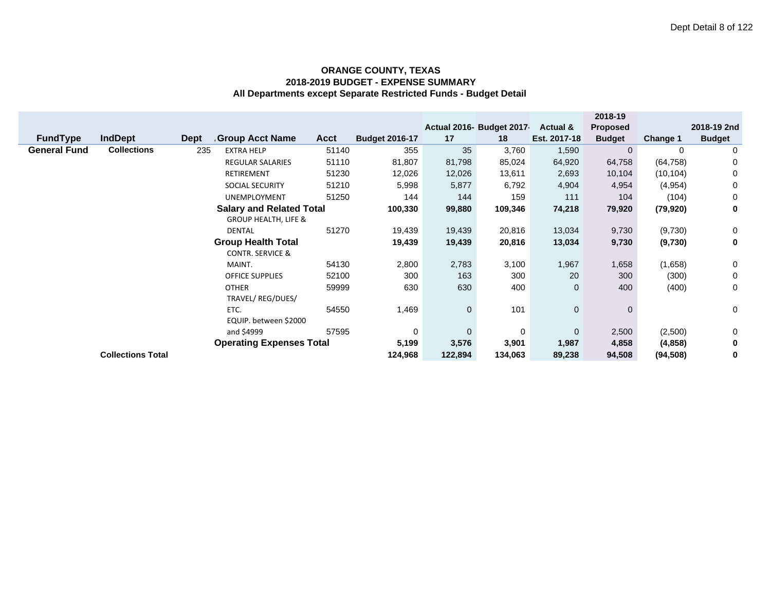|                     |                          |      |                                 |             |                       |              |                          |                     | 2018-19         |                 |               |
|---------------------|--------------------------|------|---------------------------------|-------------|-----------------------|--------------|--------------------------|---------------------|-----------------|-----------------|---------------|
|                     |                          |      |                                 |             |                       |              | Actual 2016- Budget 2017 | <b>Actual &amp;</b> | <b>Proposed</b> |                 | 2018-19 2nd   |
| <b>FundType</b>     | <b>IndDept</b>           | Dept | Group Acct Name                 | <b>Acct</b> | <b>Budget 2016-17</b> | 17           | 18                       | Est. 2017-18        | <b>Budget</b>   | <b>Change 1</b> | <b>Budget</b> |
| <b>General Fund</b> | <b>Collections</b>       | 235  | <b>EXTRA HELP</b>               | 51140       | 355                   | 35           | 3,760                    | 1,590               | $\mathbf 0$     | 0               | 0             |
|                     |                          |      | <b>REGULAR SALARIES</b>         | 51110       | 81,807                | 81,798       | 85,024                   | 64,920              | 64,758          | (64, 758)       | 0             |
|                     |                          |      | <b>RETIREMENT</b>               | 51230       | 12,026                | 12,026       | 13,611                   | 2,693               | 10,104          | (10, 104)       | 0             |
|                     |                          |      | <b>SOCIAL SECURITY</b>          | 51210       | 5,998                 | 5,877        | 6,792                    | 4,904               | 4,954           | (4,954)         | 0             |
|                     |                          |      | <b>UNEMPLOYMENT</b>             | 51250       | 144                   | 144          | 159                      | 111                 | 104             | (104)           | 0             |
|                     |                          |      | <b>Salary and Related Total</b> |             | 100,330               | 99,880       | 109,346                  | 74,218              | 79,920          | (79, 920)       | 0             |
|                     |                          |      | <b>GROUP HEALTH, LIFE &amp;</b> |             |                       |              |                          |                     |                 |                 |               |
|                     |                          |      | DENTAL                          | 51270       | 19,439                | 19,439       | 20,816                   | 13,034              | 9,730           | (9,730)         | 0             |
|                     |                          |      | <b>Group Health Total</b>       |             | 19,439                | 19,439       | 20,816                   | 13,034              | 9,730           | (9,730)         | 0             |
|                     |                          |      | <b>CONTR. SERVICE &amp;</b>     |             |                       |              |                          |                     |                 |                 |               |
|                     |                          |      | MAINT.                          | 54130       | 2,800                 | 2,783        | 3,100                    | 1,967               | 1,658           | (1,658)         | 0             |
|                     |                          |      | <b>OFFICE SUPPLIES</b>          | 52100       | 300                   | 163          | 300                      | 20                  | 300             | (300)           | 0             |
|                     |                          |      | <b>OTHER</b>                    | 59999       | 630                   | 630          | 400                      | $\mathbf 0$         | 400             | (400)           | 0             |
|                     |                          |      | TRAVEL/ REG/DUES/               |             |                       |              |                          |                     |                 |                 |               |
|                     |                          |      | ETC.                            | 54550       | 1,469                 | $\mathbf 0$  | 101                      | $\mathbf 0$         | $\mathbf{0}$    |                 | 0             |
|                     |                          |      | EQUIP. between \$2000           |             |                       |              |                          |                     |                 |                 |               |
|                     |                          |      | and \$4999                      | 57595       | 0                     | $\mathbf{0}$ | 0                        | $\mathbf{0}$        | 2,500           | (2,500)         | 0             |
|                     |                          |      | <b>Operating Expenses Total</b> |             | 5,199                 | 3,576        | 3,901                    | 1,987               | 4,858           | (4,858)         | 0             |
|                     | <b>Collections Total</b> |      |                                 |             | 124,968               | 122,894      | 134,063                  | 89,238              | 94,508          | (94, 508)       | 0             |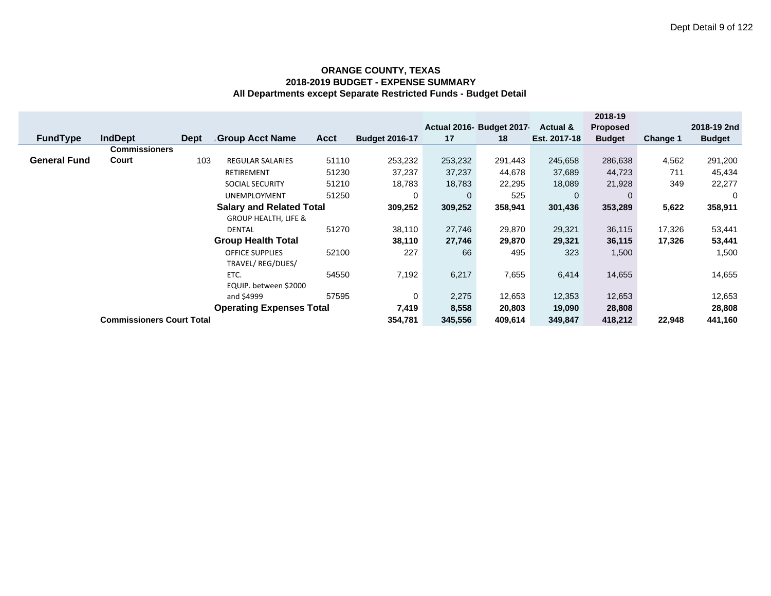|                                 |                     |                                  |             |                                 |             |                       |             |                          |              | 2018-19         |          |               |
|---------------------------------|---------------------|----------------------------------|-------------|---------------------------------|-------------|-----------------------|-------------|--------------------------|--------------|-----------------|----------|---------------|
|                                 |                     |                                  |             |                                 |             |                       |             | Actual 2016- Budget 2017 | Actual &     | <b>Proposed</b> |          | 2018-19 2nd   |
|                                 | <b>FundType</b>     | <b>IndDept</b>                   | <b>Dept</b> | <b>Group Acct Name</b>          | <b>Acct</b> | <b>Budget 2016-17</b> | 17          | 18                       | Est. 2017-18 | <b>Budget</b>   | Change 1 | <b>Budget</b> |
|                                 |                     | <b>Commissioners</b>             |             |                                 |             |                       |             |                          |              |                 |          |               |
|                                 | <b>General Fund</b> | Court                            | 103         | <b>REGULAR SALARIES</b>         | 51110       | 253,232               | 253,232     | 291,443                  | 245,658      | 286,638         | 4,562    | 291,200       |
|                                 |                     |                                  |             | <b>RETIREMENT</b>               | 51230       | 37,237                | 37,237      | 44,678                   | 37,689       | 44,723          | 711      | 45,434        |
|                                 |                     |                                  |             | <b>SOCIAL SECURITY</b>          | 51210       | 18,783                | 18,783      | 22,295                   | 18,089       | 21,928          | 349      | 22,277        |
|                                 |                     |                                  |             | <b>UNEMPLOYMENT</b>             | 51250       | 0                     | $\mathbf 0$ | 525                      | $\mathbf{0}$ |                 |          | 0             |
|                                 |                     |                                  |             | <b>Salary and Related Total</b> |             | 309,252               | 309,252     | 358,941                  | 301,436      | 353,289         | 5,622    | 358,911       |
|                                 |                     |                                  |             | <b>GROUP HEALTH, LIFE &amp;</b> |             |                       |             |                          |              |                 |          |               |
|                                 |                     |                                  |             | <b>DENTAL</b>                   | 51270       | 38,110                | 27,746      | 29,870                   | 29,321       | 36,115          | 17,326   | 53,441        |
|                                 |                     |                                  |             | <b>Group Health Total</b>       |             | 38,110                | 27,746      | 29,870                   | 29,321       | 36,115          | 17,326   | 53,441        |
|                                 |                     |                                  |             | <b>OFFICE SUPPLIES</b>          | 52100       | 227                   | 66          | 495                      | 323          | 1,500           |          | 1,500         |
|                                 |                     |                                  |             | TRAVEL/REG/DUES/                |             |                       |             |                          |              |                 |          |               |
|                                 |                     |                                  |             | ETC.                            | 54550       | 7,192                 | 6,217       | 7,655                    | 6,414        | 14,655          |          | 14,655        |
|                                 |                     |                                  |             | EQUIP. between \$2000           |             |                       |             |                          |              |                 |          |               |
|                                 |                     |                                  |             | and \$4999                      | 57595       | 0                     | 2,275       | 12,653                   | 12,353       | 12,653          |          | 12,653        |
| <b>Operating Expenses Total</b> |                     |                                  |             |                                 | 7,419       | 8,558                 | 20,803      | 19,090                   | 28,808       |                 | 28,808   |               |
|                                 |                     | <b>Commissioners Court Total</b> |             |                                 |             | 354,781               | 345,556     | 409,614                  | 349,847      | 418,212         | 22,948   | 441,160       |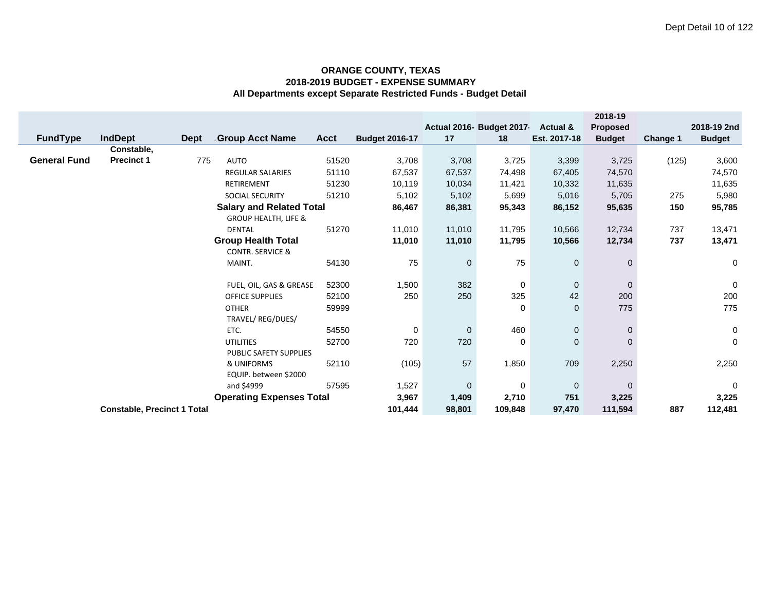| <b>FundType</b>     | <b>IndDept</b>                     | Dept | <b>Group Acct Name</b>                                             | <b>Acct</b> | <b>Budget 2016-17</b> | 17           | Actual 2016- Budget 2017-<br>18 | Actual &<br>Est. 2017-18 | 2018-19<br>Proposed<br><b>Budget</b> | Change 1 | 2018-19 2nd<br><b>Budget</b> |
|---------------------|------------------------------------|------|--------------------------------------------------------------------|-------------|-----------------------|--------------|---------------------------------|--------------------------|--------------------------------------|----------|------------------------------|
|                     | Constable,                         |      |                                                                    |             |                       |              |                                 |                          |                                      |          |                              |
| <b>General Fund</b> | <b>Precinct 1</b>                  | 775  | AUTO                                                               | 51520       | 3,708                 | 3,708        | 3,725                           | 3,399                    | 3,725                                | (125)    | 3,600                        |
|                     |                                    |      | <b>REGULAR SALARIES</b>                                            | 51110       | 67,537                | 67,537       | 74,498                          | 67,405                   | 74,570                               |          | 74,570                       |
|                     |                                    |      | <b>RETIREMENT</b>                                                  | 51230       | 10,119                | 10,034       | 11,421                          | 10,332                   | 11,635                               |          | 11,635                       |
|                     |                                    |      | SOCIAL SECURITY                                                    | 51210       | 5,102                 | 5,102        | 5,699                           | 5,016                    | 5,705                                | 275      | 5,980                        |
|                     |                                    |      | <b>Salary and Related Total</b><br><b>GROUP HEALTH, LIFE &amp;</b> |             | 86,467                | 86,381       | 95,343                          | 86,152                   | 95,635                               | 150      | 95,785                       |
|                     |                                    |      | <b>DENTAL</b>                                                      | 51270       | 11,010                | 11,010       | 11,795                          | 10,566                   | 12,734                               | 737      | 13,471                       |
|                     |                                    |      | <b>Group Health Total</b>                                          |             | 11,010                | 11,010       | 11,795                          | 10,566                   | 12,734                               | 737      | 13,471                       |
|                     |                                    |      | <b>CONTR. SERVICE &amp;</b>                                        |             |                       |              |                                 |                          |                                      |          |                              |
|                     |                                    |      | MAINT.                                                             | 54130       | 75                    | $\mathbf{0}$ | 75                              | $\mathbf 0$              | $\mathbf{0}$                         |          | $\mathbf 0$                  |
|                     |                                    |      | FUEL, OIL, GAS & GREASE                                            | 52300       | 1,500                 | 382          | 0                               | $\mathbf{0}$             | $\mathbf{0}$                         |          | $\pmb{0}$                    |
|                     |                                    |      | <b>OFFICE SUPPLIES</b>                                             | 52100       | 250                   | 250          | 325                             | 42                       | 200                                  |          | 200                          |
|                     |                                    |      | <b>OTHER</b><br>TRAVEL/ REG/DUES/                                  | 59999       |                       |              | 0                               | $\mathbf{0}$             | 775                                  |          | 775                          |
|                     |                                    |      | ETC.                                                               | 54550       | $\mathbf 0$           | $\mathbf 0$  | 460                             | $\mathbf 0$              | $\mathbf{0}$                         |          | $\mathsf{O}\xspace$          |
|                     |                                    |      | <b>UTILITIES</b><br>PUBLIC SAFETY SUPPLIES                         | 52700       | 720                   | 720          | 0                               | $\mathbf{0}$             | $\Omega$                             |          | $\mathbf 0$                  |
|                     |                                    |      | & UNIFORMS                                                         | 52110       | (105)                 | 57           | 1,850                           | 709                      | 2,250                                |          | 2,250                        |
|                     |                                    |      | EQUIP. between \$2000<br>and \$4999                                | 57595       | 1,527                 | $\mathbf 0$  | 0                               | $\mathbf 0$              | $\mathbf{0}$                         |          | $\mathbf 0$                  |
|                     |                                    |      | <b>Operating Expenses Total</b>                                    |             | 3,967                 | 1,409        | 2,710                           | 751                      | 3,225                                |          | 3,225                        |
|                     | <b>Constable, Precinct 1 Total</b> |      |                                                                    |             | 101,444               | 98,801       | 109,848                         | 97,470                   | 111,594                              | 887      | 112,481                      |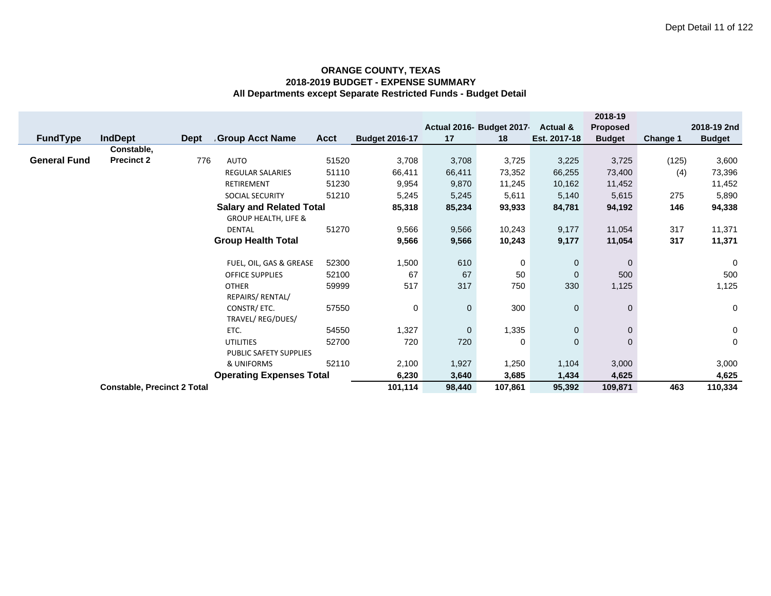|                           |                                    |             |                                 |        |                       |                |                          |                     | 2018-19         |             |               |
|---------------------------|------------------------------------|-------------|---------------------------------|--------|-----------------------|----------------|--------------------------|---------------------|-----------------|-------------|---------------|
|                           |                                    |             |                                 |        |                       |                | Actual 2016- Budget 2017 | <b>Actual &amp;</b> | <b>Proposed</b> |             | 2018-19 2nd   |
| <b>FundType</b>           | <b>IndDept</b>                     | <b>Dept</b> | <b>Group Acct Name</b>          | Acct   | <b>Budget 2016-17</b> | 17             | 18                       | Est. 2017-18        | <b>Budget</b>   | Change 1    | <b>Budget</b> |
|                           | Constable,                         |             |                                 |        |                       |                |                          |                     |                 |             |               |
| <b>General Fund</b>       | <b>Precinct 2</b>                  | 776         | <b>AUTO</b>                     | 51520  | 3,708                 | 3,708          | 3,725                    | 3,225               | 3,725           | (125)       | 3,600         |
|                           |                                    |             | REGULAR SALARIES                | 51110  | 66,411                | 66,411         | 73,352                   | 66,255              | 73,400          | (4)         | 73,396        |
|                           |                                    |             | <b>RETIREMENT</b>               | 51230  | 9,954                 | 9,870          | 11,245                   | 10,162              | 11,452          |             | 11,452        |
|                           |                                    |             | <b>SOCIAL SECURITY</b>          | 51210  | 5,245                 | 5,245          | 5,611                    | 5,140               | 5,615           | 275         | 5,890         |
|                           |                                    |             | <b>Salary and Related Total</b> |        | 85,318                | 85,234         | 93,933                   | 84,781              | 94,192          | 146         | 94,338        |
|                           |                                    |             | <b>GROUP HEALTH, LIFE &amp;</b> |        |                       |                |                          |                     |                 |             |               |
|                           |                                    |             | <b>DENTAL</b>                   | 51270  | 9,566                 | 9,566          | 10,243                   | 9,177               | 11,054          | 317         | 11,371        |
|                           | <b>Group Health Total</b>          |             |                                 |        |                       | 9,566          | 10,243                   | 9,177               | 11,054          | 317         | 11,371        |
|                           |                                    |             |                                 |        |                       |                |                          |                     |                 |             |               |
|                           |                                    |             | FUEL, OIL, GAS & GREASE         | 52300  | 1,500                 | 610            | 0                        | $\mathbf 0$         | $\Omega$        |             | $\mathbf 0$   |
|                           |                                    |             | <b>OFFICE SUPPLIES</b>          | 52100  | 67                    | 67             | 50                       | $\mathbf 0$         | 500             |             | 500           |
|                           |                                    |             | <b>OTHER</b>                    | 59999  | 517                   | 317            | 750                      | 330                 | 1,125           |             | 1,125         |
|                           |                                    |             | REPAIRS/ RENTAL/                |        |                       |                |                          |                     |                 |             |               |
|                           |                                    |             | CONSTR/ ETC.                    | 57550  | 0                     | 0              | 300                      | $\mathbf 0$         | $\Omega$        |             | 0             |
| TRAVEL/ REG/DUES/         |                                    |             |                                 |        |                       |                |                          |                     |                 |             |               |
|                           |                                    |             | ETC.                            | 54550  | 1,327                 | 0              | 1,335                    | $\mathbf 0$         | $\mathbf{0}$    |             | $\mathbf 0$   |
| 52700<br><b>UTILITIES</b> |                                    |             |                                 | 720    | 720                   | 0              | $\mathbf 0$              | $\Omega$            |                 | $\mathbf 0$ |               |
| PUBLIC SAFETY SUPPLIES    |                                    |             |                                 |        |                       |                |                          |                     |                 |             |               |
|                           |                                    |             | & UNIFORMS                      | 52110  | 2,100<br>6,230        | 1,927<br>3,640 | 1,250                    | 1,104               | 3,000           |             | 3,000         |
|                           | <b>Operating Expenses Total</b>    |             |                                 |        |                       |                | 3,685                    | 1,434               | 4,625           |             | 4,625         |
|                           | <b>Constable, Precinct 2 Total</b> |             | 101,114                         | 98,440 | 107,861               | 95,392         | 109,871                  | 463                 | 110,334         |             |               |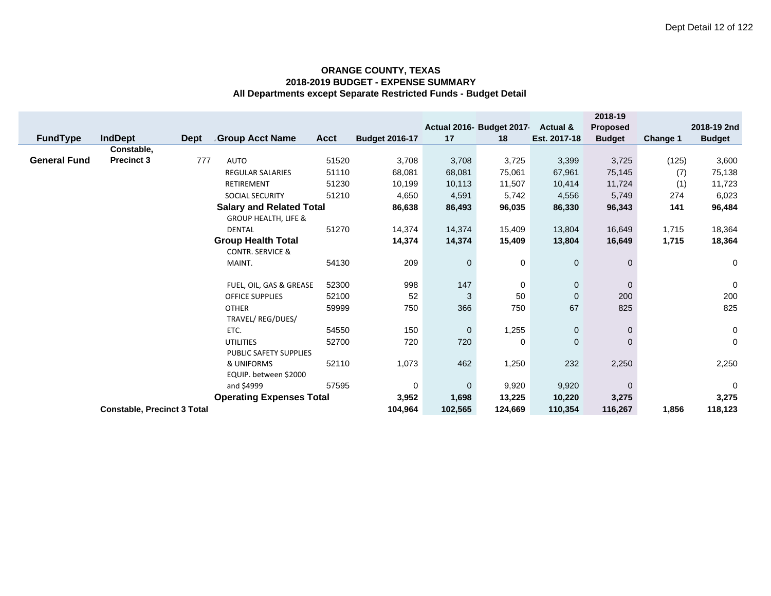|                        |                                    |      |                                                                    |       |                       |              |                           |                     | 2018-19         |          |               |
|------------------------|------------------------------------|------|--------------------------------------------------------------------|-------|-----------------------|--------------|---------------------------|---------------------|-----------------|----------|---------------|
|                        |                                    |      |                                                                    |       |                       |              | Actual 2016- Budget 2017- | <b>Actual &amp;</b> | <b>Proposed</b> |          | 2018-19 2nd   |
| <b>FundType</b>        | <b>IndDept</b>                     | Dept | <b>Group Acct Name</b>                                             | Acct  | <b>Budget 2016-17</b> | 17           | 18                        | Est. 2017-18        | <b>Budget</b>   | Change 1 | <b>Budget</b> |
|                        | Constable,                         |      |                                                                    |       |                       |              |                           |                     |                 |          |               |
| <b>General Fund</b>    | <b>Precinct 3</b>                  | 777  | AUTO                                                               | 51520 | 3,708                 | 3,708        | 3,725                     | 3,399               | 3,725           | (125)    | 3,600         |
|                        |                                    |      | <b>REGULAR SALARIES</b>                                            | 51110 | 68,081                | 68,081       | 75,061                    | 67,961              | 75,145          | (7)      | 75,138        |
|                        |                                    |      | <b>RETIREMENT</b>                                                  | 51230 | 10,199                | 10,113       | 11,507                    | 10,414              | 11,724          | (1)      | 11,723        |
|                        |                                    |      | SOCIAL SECURITY                                                    | 51210 | 4,650                 | 4,591        | 5,742                     | 4,556               | 5,749           | 274      | 6,023         |
|                        |                                    |      | <b>Salary and Related Total</b><br><b>GROUP HEALTH, LIFE &amp;</b> |       | 86,638                | 86,493       | 96,035                    | 86,330              | 96,343          | 141      | 96,484        |
|                        |                                    |      | <b>DENTAL</b>                                                      | 51270 | 14,374                | 14,374       | 15,409                    | 13,804              | 16,649          | 1,715    | 18,364        |
|                        |                                    |      | <b>Group Health Total</b>                                          |       | 14,374                | 14,374       | 15,409                    | 13,804              | 16,649          | 1,715    | 18,364        |
|                        |                                    |      | <b>CONTR. SERVICE &amp;</b>                                        |       |                       |              |                           |                     |                 |          |               |
|                        |                                    |      | MAINT.                                                             | 54130 | 209                   | $\mathbf{0}$ | 0                         | $\mathbf 0$         | $\mathbf{0}$    |          | 0             |
|                        |                                    |      | FUEL, OIL, GAS & GREASE                                            | 52300 | 998                   | 147          | 0                         | $\mathbf{0}$        | $\mathbf{0}$    |          | $\pmb{0}$     |
|                        |                                    |      | <b>OFFICE SUPPLIES</b>                                             | 52100 | 52                    | 3            | 50                        | $\Omega$            | 200             |          | 200           |
|                        |                                    |      | <b>OTHER</b><br>TRAVEL/ REG/DUES/                                  | 59999 | 750                   | 366          | 750                       | 67                  | 825             |          | 825           |
|                        |                                    |      | ETC.                                                               | 54550 | 150                   | $\mathbf 0$  | 1,255                     | $\mathbf 0$         | $\mathbf 0$     |          | 0             |
|                        |                                    |      | <b>UTILITIES</b>                                                   | 52700 | 720                   | 720          | 0                         | $\mathbf{0}$        | $\Omega$        |          | $\mathbf 0$   |
| PUBLIC SAFETY SUPPLIES |                                    |      |                                                                    |       |                       |              |                           |                     |                 |          |               |
|                        |                                    |      | & UNIFORMS                                                         | 52110 | 1,073                 | 462          | 1,250                     | 232                 | 2,250           |          | 2,250         |
|                        | EQUIP. between \$2000              |      |                                                                    |       |                       |              |                           |                     |                 |          |               |
|                        |                                    |      | and \$4999                                                         | 57595 | $\mathbf 0$           | $\mathbf 0$  | 9,920                     | 9,920               | $\mathbf{0}$    |          | $\mathbf 0$   |
|                        |                                    |      | <b>Operating Expenses Total</b>                                    |       | 3,952                 | 1,698        | 13,225                    | 10,220              | 3,275           |          | 3,275         |
|                        | <b>Constable, Precinct 3 Total</b> |      |                                                                    |       | 104,964               | 102,565      | 124,669                   | 110,354             | 116,267         | 1,856    | 118,123       |
|                        |                                    |      |                                                                    |       |                       |              |                           |                     |                 |          |               |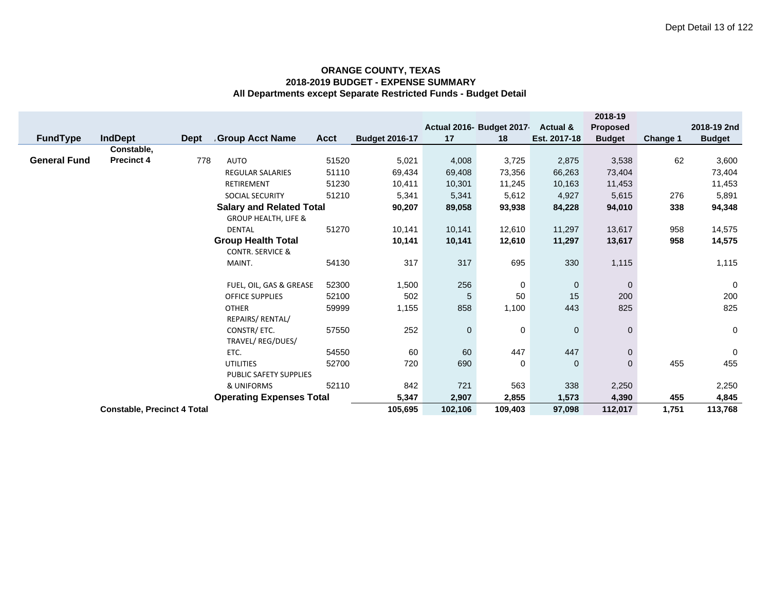|                     |                                    |             |                                      |       |                       |             |                           |                     | 2018-19        |                 |               |
|---------------------|------------------------------------|-------------|--------------------------------------|-------|-----------------------|-------------|---------------------------|---------------------|----------------|-----------------|---------------|
|                     |                                    |             |                                      |       |                       |             | Actual 2016- Budget 2017- | <b>Actual &amp;</b> | Proposed       |                 | 2018-19 2nd   |
| <b>FundType</b>     | <b>IndDept</b>                     | <b>Dept</b> | <b>Group Acct Name</b>               | Acct  | <b>Budget 2016-17</b> | 17          | 18                        | Est. 2017-18        | <b>Budget</b>  | <b>Change 1</b> | <b>Budget</b> |
|                     | Constable,                         |             |                                      |       |                       |             |                           |                     |                |                 |               |
| <b>General Fund</b> | <b>Precinct 4</b>                  | 778         | <b>AUTO</b>                          | 51520 | 5,021                 | 4,008       | 3,725                     | 2,875               | 3,538          | 62              | 3,600         |
|                     |                                    |             | <b>REGULAR SALARIES</b>              | 51110 | 69,434                | 69,408      | 73,356                    | 66,263              | 73,404         |                 | 73,404        |
|                     |                                    |             | <b>RETIREMENT</b>                    | 51230 | 10,411                | 10,301      | 11,245                    | 10,163              | 11,453         |                 | 11,453        |
|                     |                                    |             | SOCIAL SECURITY                      | 51210 | 5,341                 | 5,341       | 5,612                     | 4,927               | 5,615          | 276             | 5,891         |
|                     |                                    |             | <b>Salary and Related Total</b>      |       | 90,207                | 89,058      | 93,938                    | 84,228              | 94,010         | 338             | 94,348        |
|                     |                                    |             | <b>GROUP HEALTH, LIFE &amp;</b>      |       |                       |             |                           |                     |                |                 |               |
|                     |                                    |             | <b>DENTAL</b>                        | 51270 | 10,141                | 10,141      | 12,610                    | 11,297              | 13,617         | 958             | 14,575        |
|                     |                                    |             | <b>Group Health Total</b>            |       | 10,141                | 10,141      | 12,610                    | 11,297              | 13,617         | 958             | 14,575        |
|                     |                                    |             | <b>CONTR. SERVICE &amp;</b>          |       |                       |             |                           |                     |                |                 |               |
|                     |                                    |             | MAINT.                               | 54130 | 317                   | 317         | 695                       | 330                 | 1,115          |                 | 1,115         |
|                     |                                    |             |                                      |       |                       |             |                           |                     |                |                 |               |
|                     |                                    |             | FUEL, OIL, GAS & GREASE              | 52300 | 1,500                 | 256         | 0                         | $\overline{0}$      | $\mathbf{0}$   |                 | $\mathbf 0$   |
|                     |                                    |             | <b>OFFICE SUPPLIES</b>               | 52100 | 502                   | 5           | 50                        | 15                  | 200            |                 | 200           |
|                     |                                    |             | <b>OTHER</b>                         | 59999 | 1,155                 | 858         | 1,100                     | 443                 | 825            |                 | 825           |
|                     |                                    |             | REPAIRS/ RENTAL/                     |       |                       |             |                           |                     |                |                 |               |
|                     |                                    |             | CONSTR/ETC.                          | 57550 | 252                   | $\mathbf 0$ | 0                         | $\mathbf 0$         | $\mathbf 0$    |                 | 0             |
|                     |                                    |             | TRAVEL/REG/DUES/                     | 54550 | 60                    | 60          | 447                       | 447                 | $\overline{0}$ |                 | $\mathbf 0$   |
|                     |                                    |             | ETC.                                 |       |                       |             |                           |                     |                |                 |               |
|                     |                                    |             | <b>UTILITIES</b>                     | 52700 | 720                   | 690         | 0                         | $\mathbf 0$         | $\overline{0}$ | 455             | 455           |
|                     |                                    |             | PUBLIC SAFETY SUPPLIES<br>& UNIFORMS | 52110 | 842                   | 721         | 563                       | 338                 | 2,250          |                 | 2,250         |
|                     |                                    |             | <b>Operating Expenses Total</b>      |       | 5,347                 | 2,907       | 2,855                     | 1,573               | 4,390          | 455             | 4,845         |
|                     |                                    |             |                                      |       |                       |             |                           |                     |                |                 |               |
|                     | <b>Constable, Precinct 4 Total</b> |             |                                      |       |                       | 102,106     | 109,403                   | 97,098              | 112,017        | 1,751           | 113,768       |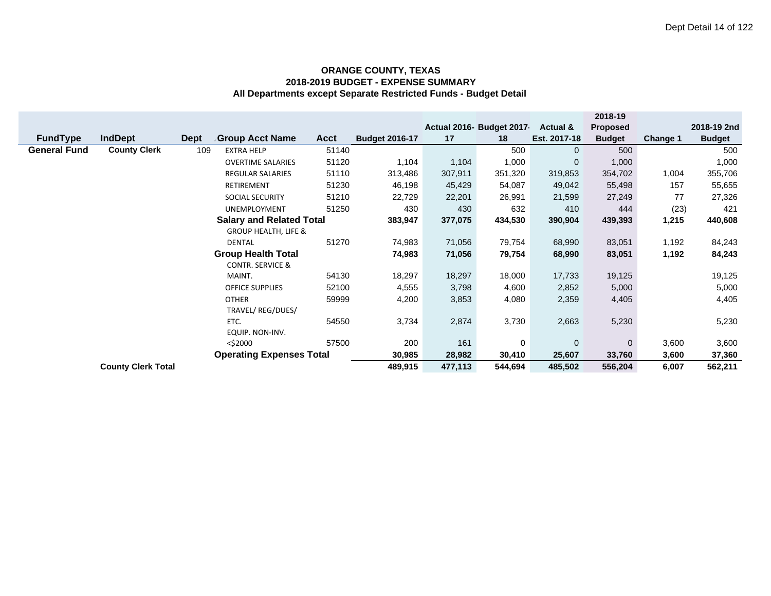|                     |                                 |             |                                 |             |                       |         |                           |                     | 2018-19         |          |               |
|---------------------|---------------------------------|-------------|---------------------------------|-------------|-----------------------|---------|---------------------------|---------------------|-----------------|----------|---------------|
|                     |                                 |             |                                 |             |                       |         | Actual 2016- Budget 2017- | <b>Actual &amp;</b> | <b>Proposed</b> |          | 2018-19 2nd   |
| <b>FundType</b>     | <b>IndDept</b>                  | <b>Dept</b> | <b>Group Acct Name</b>          | <b>Acct</b> | <b>Budget 2016-17</b> | 17      | 18                        | Est. 2017-18        | <b>Budget</b>   | Change 1 | <b>Budget</b> |
| <b>General Fund</b> | <b>County Clerk</b>             | 109         | <b>EXTRA HELP</b>               | 51140       |                       |         | 500                       | $\Omega$            | 500             |          | 500           |
|                     |                                 |             | <b>OVERTIME SALARIES</b>        | 51120       | 1,104                 | 1,104   | 1,000                     | $\mathbf{0}$        | 1,000           |          | 1,000         |
|                     |                                 |             | <b>REGULAR SALARIES</b>         | 51110       | 313,486               | 307,911 | 351,320                   | 319,853             | 354,702         | 1,004    | 355,706       |
|                     |                                 |             | RETIREMENT                      | 51230       | 46,198                | 45,429  | 54,087                    | 49,042              | 55,498          | 157      | 55,655        |
|                     |                                 |             | SOCIAL SECURITY                 | 51210       | 22,729                | 22,201  | 26,991                    | 21,599              | 27,249          | 77       | 27,326        |
|                     |                                 |             | <b>UNEMPLOYMENT</b>             | 51250       | 430                   | 430     | 632                       | 410                 | 444             | (23)     | 421           |
|                     |                                 |             | <b>Salary and Related Total</b> |             | 383,947               | 377,075 | 434,530                   | 390,904             | 439,393         | 1,215    | 440,608       |
|                     |                                 |             | <b>GROUP HEALTH, LIFE &amp;</b> |             |                       |         |                           |                     |                 |          |               |
|                     |                                 |             | DENTAL                          | 51270       | 74,983                | 71,056  | 79,754                    | 68,990              | 83,051          | 1,192    | 84,243        |
|                     |                                 |             | <b>Group Health Total</b>       |             | 74,983                | 71,056  | 79,754                    | 68,990              | 83,051          | 1,192    | 84,243        |
|                     |                                 |             | <b>CONTR. SERVICE &amp;</b>     |             |                       |         |                           |                     |                 |          |               |
|                     |                                 |             | MAINT.                          | 54130       | 18,297                | 18,297  | 18,000                    | 17,733              | 19,125          |          | 19,125        |
|                     |                                 |             | <b>OFFICE SUPPLIES</b>          | 52100       | 4,555                 | 3,798   | 4,600                     | 2,852               | 5,000           |          | 5,000         |
|                     |                                 |             | <b>OTHER</b>                    | 59999       | 4,200                 | 3,853   | 4,080                     | 2,359               | 4,405           |          | 4,405         |
|                     | TRAVEL/REG/DUES/                |             |                                 |             |                       |         |                           |                     |                 |          |               |
|                     |                                 |             | ETC.                            | 54550       | 3,734                 | 2,874   | 3,730                     | 2,663               | 5,230           |          | 5,230         |
|                     |                                 |             | EQUIP. NON-INV.                 |             |                       |         |                           |                     |                 |          |               |
|                     |                                 |             | $<$ \$2000                      | 57500       | 200                   | 161     | 0                         | $\mathbf{0}$        | $\Omega$        | 3,600    | 3,600         |
|                     | <b>Operating Expenses Total</b> |             |                                 |             |                       | 28,982  | 30,410                    | 25,607              | 33,760          | 3,600    | 37,360        |
|                     | <b>County Clerk Total</b>       |             | 489,915                         | 477,113     | 544,694               | 485,502 | 556,204                   | 6,007               | 562,211         |          |               |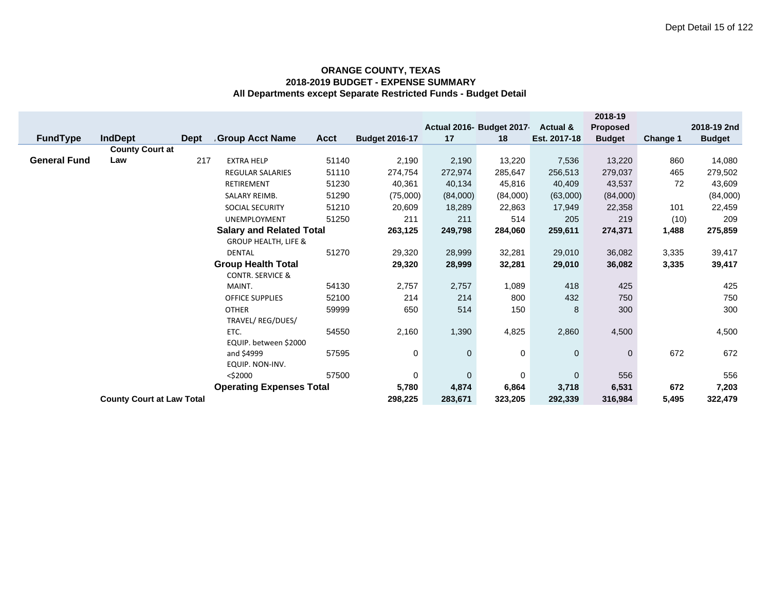|                       |                                  |             |                                 |             |                       |              |                           |              | 2018-19         |          |               |
|-----------------------|----------------------------------|-------------|---------------------------------|-------------|-----------------------|--------------|---------------------------|--------------|-----------------|----------|---------------|
|                       |                                  |             |                                 |             |                       |              | Actual 2016- Budget 2017- | Actual &     | <b>Proposed</b> |          | 2018-19 2nd   |
| <b>FundType</b>       | <b>IndDept</b>                   | <b>Dept</b> | <b>Group Acct Name</b>          | <b>Acct</b> | <b>Budget 2016-17</b> | 17           | 18                        | Est. 2017-18 | <b>Budget</b>   | Change 1 | <b>Budget</b> |
|                       | <b>County Court at</b>           |             |                                 |             |                       |              |                           |              |                 |          |               |
| <b>General Fund</b>   | Law                              | 217         | <b>EXTRA HELP</b>               | 51140       | 2,190                 | 2,190        | 13,220                    | 7,536        | 13,220          | 860      | 14,080        |
|                       |                                  |             | <b>REGULAR SALARIES</b>         | 51110       | 274,754               | 272,974      | 285,647                   | 256,513      | 279,037         | 465      | 279,502       |
|                       |                                  |             | <b>RETIREMENT</b>               | 51230       | 40,361                | 40,134       | 45,816                    | 40,409       | 43,537          | 72       | 43,609        |
|                       |                                  |             | SALARY REIMB.                   | 51290       | (75,000)              | (84,000)     | (84,000)                  | (63,000)     | (84,000)        |          | (84,000)      |
|                       |                                  |             | <b>SOCIAL SECURITY</b>          | 51210       | 20,609                | 18,289       | 22,863                    | 17,949       | 22,358          | 101      | 22,459        |
|                       |                                  |             | UNEMPLOYMENT                    | 51250       | 211                   | 211          | 514                       | 205          | 219             | (10)     | 209           |
|                       |                                  |             | <b>Salary and Related Total</b> |             | 263,125               | 249,798      | 284,060                   | 259,611      | 274,371         | 1,488    | 275,859       |
|                       |                                  |             | <b>GROUP HEALTH, LIFE &amp;</b> |             |                       |              |                           |              |                 |          |               |
|                       |                                  |             | <b>DENTAL</b>                   | 51270       | 29,320                | 28,999       | 32,281                    | 29,010       | 36,082          | 3,335    | 39,417        |
|                       |                                  |             | <b>Group Health Total</b>       |             | 29,320                | 28,999       | 32,281                    | 29,010       | 36,082          | 3,335    | 39,417        |
|                       |                                  |             | <b>CONTR. SERVICE &amp;</b>     |             |                       |              |                           |              |                 |          |               |
|                       |                                  |             | MAINT.                          | 54130       | 2,757                 | 2,757        | 1,089                     | 418          | 425             |          | 425           |
|                       |                                  |             | <b>OFFICE SUPPLIES</b>          | 52100       | 214                   | 214          | 800                       | 432          | 750             |          | 750           |
|                       |                                  |             | <b>OTHER</b>                    | 59999       | 650                   | 514          | 150                       | 8            | 300             |          | 300           |
|                       |                                  |             | TRAVEL/REG/DUES/                |             |                       |              |                           |              |                 |          |               |
|                       |                                  |             | ETC.                            | 54550       | 2,160                 | 1,390        | 4,825                     | 2,860        | 4,500           |          | 4,500         |
| EQUIP. between \$2000 |                                  |             |                                 |             |                       |              |                           |              |                 |          |               |
|                       |                                  |             | and \$4999                      | 57595       | 0                     | $\mathbf 0$  | 0                         | $\mathbf 0$  | $\mathbf{0}$    | 672      | 672           |
|                       | EQUIP. NON-INV.                  |             |                                 |             |                       |              |                           |              |                 |          |               |
| 57500<br>$<$ \$2000   |                                  |             |                                 |             | 0<br>5,780            | $\mathbf{0}$ | $\mathbf 0$               | $\mathbf 0$  | 556             |          | 556           |
|                       | <b>Operating Expenses Total</b>  |             |                                 |             |                       | 4,874        | 6,864                     | 3,718        | 6,531           | 672      | 7,203         |
|                       | <b>County Court at Law Total</b> | 298,225     | 283,671                         | 323,205     | 292,339               | 316,984      | 5,495                     | 322,479      |                 |          |               |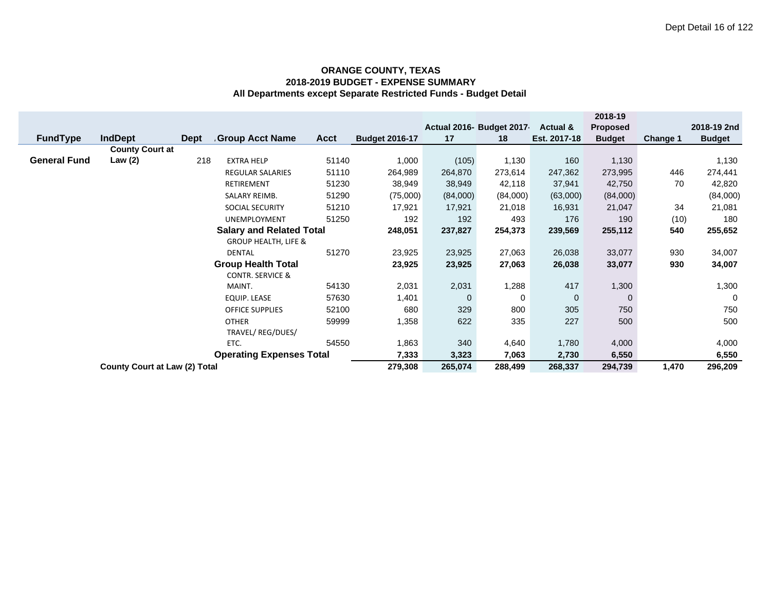|                                 |                                      |                                 |                             |             |                       |             |                           |                     | 2018-19         |          |               |
|---------------------------------|--------------------------------------|---------------------------------|-----------------------------|-------------|-----------------------|-------------|---------------------------|---------------------|-----------------|----------|---------------|
|                                 |                                      |                                 |                             |             |                       |             | Actual 2016- Budget 2017- | <b>Actual &amp;</b> | <b>Proposed</b> |          | 2018-19 2nd   |
| <b>FundType</b>                 | <b>IndDept</b>                       | Dept                            | <b>Group Acct Name</b>      | <b>Acct</b> | <b>Budget 2016-17</b> | 17          | 18                        | Est. 2017-18        | <b>Budget</b>   | Change 1 | <b>Budget</b> |
|                                 | <b>County Court at</b>               |                                 |                             |             |                       |             |                           |                     |                 |          |               |
| <b>General Fund</b>             | Law (2)                              | 218                             | <b>EXTRA HELP</b>           | 51140       | 1,000                 | (105)       | 1,130                     | 160                 | 1,130           |          | 1,130         |
|                                 |                                      |                                 | <b>REGULAR SALARIES</b>     | 51110       | 264,989               | 264,870     | 273,614                   | 247,362             | 273,995         | 446      | 274,441       |
|                                 |                                      |                                 | <b>RETIREMENT</b>           | 51230       | 38,949                | 38,949      | 42,118                    | 37,941              | 42,750          | 70       | 42,820        |
|                                 |                                      |                                 | SALARY REIMB.               | 51290       | (75,000)              | (84,000)    | (84,000)                  | (63,000)            | (84,000)        |          | (84,000)      |
|                                 |                                      |                                 | <b>SOCIAL SECURITY</b>      | 51210       | 17,921                | 17,921      | 21,018                    | 16,931              | 21,047          | 34       | 21,081        |
|                                 |                                      |                                 | UNEMPLOYMENT                | 51250       | 192                   | 192         | 493                       | 176                 | 190             | (10)     | 180           |
|                                 |                                      | <b>Salary and Related Total</b> |                             | 248,051     | 237,827               | 254,373     | 239,569                   | 255,112             | 540             | 255,652  |               |
|                                 | <b>GROUP HEALTH, LIFE &amp;</b>      |                                 |                             |             |                       |             |                           |                     |                 |          |               |
|                                 |                                      |                                 | <b>DENTAL</b>               | 51270       | 23,925                | 23,925      | 27,063                    | 26,038              | 33,077          | 930      | 34,007        |
|                                 |                                      |                                 | <b>Group Health Total</b>   |             | 23,925                | 23,925      | 27,063                    | 26,038              | 33,077          | 930      | 34,007        |
|                                 |                                      |                                 | <b>CONTR. SERVICE &amp;</b> |             |                       |             |                           |                     |                 |          |               |
|                                 |                                      |                                 | MAINT.                      | 54130       | 2,031                 | 2,031       | 1,288                     | 417                 | 1,300           |          | 1,300         |
|                                 |                                      |                                 | <b>EQUIP. LEASE</b>         | 57630       | 1,401                 | $\mathbf 0$ | 0                         | $\overline{0}$      | $\mathbf 0$     |          | 0             |
|                                 | <b>OFFICE SUPPLIES</b>               |                                 |                             | 52100       | 680                   | 329         | 800                       | 305                 | 750             |          | 750           |
| 59999<br><b>OTHER</b>           |                                      |                                 | 1,358                       | 622         | 335                   | 227         | 500                       |                     | 500             |          |               |
|                                 | TRAVEL/ REG/DUES/                    |                                 |                             |             |                       |             |                           |                     |                 |          |               |
| 54550<br>ETC.                   |                                      |                                 |                             | 1,863       | 340                   | 4,640       | 1,780                     | 4,000               |                 | 4,000    |               |
| <b>Operating Expenses Total</b> |                                      |                                 |                             |             | 7,333                 | 3,323       | 7,063                     | 2,730               | 6,550           |          | 6,550         |
|                                 | <b>County Court at Law (2) Total</b> |                                 |                             |             |                       | 265,074     | 288,499                   | 268,337             | 294,739         | 1,470    | 296,209       |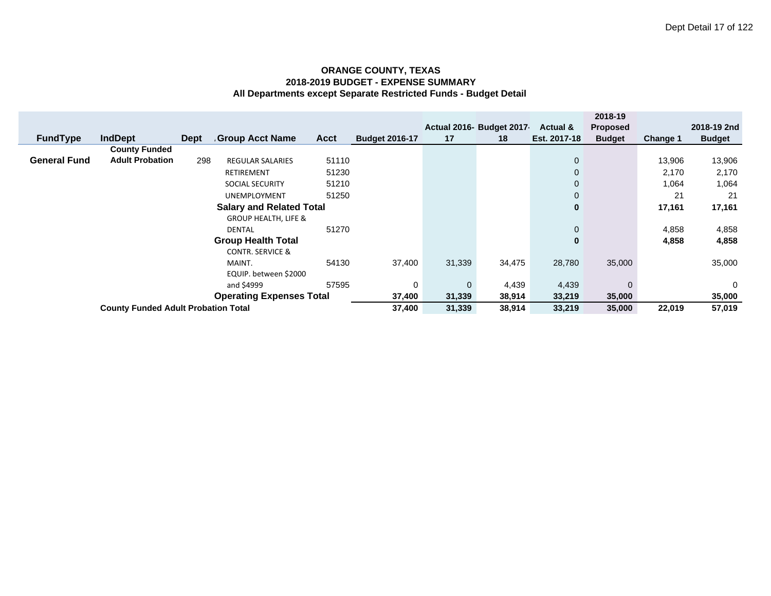|                                 |                                            |      |                                 |             |                       |        |                           |              | 2018-19       |          |               |
|---------------------------------|--------------------------------------------|------|---------------------------------|-------------|-----------------------|--------|---------------------------|--------------|---------------|----------|---------------|
|                                 |                                            |      |                                 |             |                       |        | Actual 2016- Budget 2017- | Actual &     | Proposed      |          | 2018-19 2nd   |
| <b>FundType</b>                 | <b>IndDept</b>                             | Dept | <b>Group Acct Name</b>          | <b>Acct</b> | <b>Budget 2016-17</b> | 17     | 18                        | Est. 2017-18 | <b>Budget</b> | Change 1 | <b>Budget</b> |
|                                 | <b>County Funded</b>                       |      |                                 |             |                       |        |                           |              |               |          |               |
| <b>General Fund</b>             | <b>Adult Probation</b>                     | 298  | <b>REGULAR SALARIES</b>         | 51110       |                       |        |                           | $\mathbf 0$  |               | 13,906   | 13,906        |
|                                 |                                            |      | <b>RETIREMENT</b>               | 51230       |                       |        |                           | $\mathbf 0$  |               | 2,170    | 2,170         |
|                                 |                                            |      | <b>SOCIAL SECURITY</b>          | 51210       |                       |        |                           | $\mathbf 0$  |               | 1,064    | 1,064         |
|                                 |                                            |      | <b>UNEMPLOYMENT</b>             | 51250       |                       |        |                           | $\mathbf 0$  |               | 21       | 21            |
|                                 |                                            |      | <b>Salary and Related Total</b> |             |                       |        |                           | $\mathbf{0}$ |               | 17,161   | 17,161        |
|                                 |                                            |      | <b>GROUP HEALTH, LIFE &amp;</b> |             |                       |        |                           |              |               |          |               |
|                                 |                                            |      | <b>DENTAL</b>                   | 51270       |                       |        |                           | $\mathbf 0$  |               | 4,858    | 4,858         |
|                                 |                                            |      | <b>Group Health Total</b>       |             |                       |        |                           | $\mathbf{0}$ |               | 4,858    | 4,858         |
|                                 |                                            |      | <b>CONTR. SERVICE &amp;</b>     |             |                       |        |                           |              |               |          |               |
|                                 |                                            |      | MAINT.                          | 54130       | 37,400                | 31,339 | 34,475                    | 28,780       | 35,000        |          | 35,000        |
|                                 |                                            |      | EQUIP. between \$2000           |             |                       |        |                           |              |               |          |               |
|                                 |                                            |      | and \$4999                      | 0           | $\mathbf{0}$          | 4,439  | 4,439                     | $\Omega$     |               | 0        |               |
| <b>Operating Expenses Total</b> |                                            |      |                                 |             |                       | 31,339 | 38,914                    | 33,219       | 35,000        |          | 35,000        |
|                                 | <b>County Funded Adult Probation Total</b> |      |                                 |             |                       |        | 38,914                    | 33,219       | 35,000        | 22,019   | 57,019        |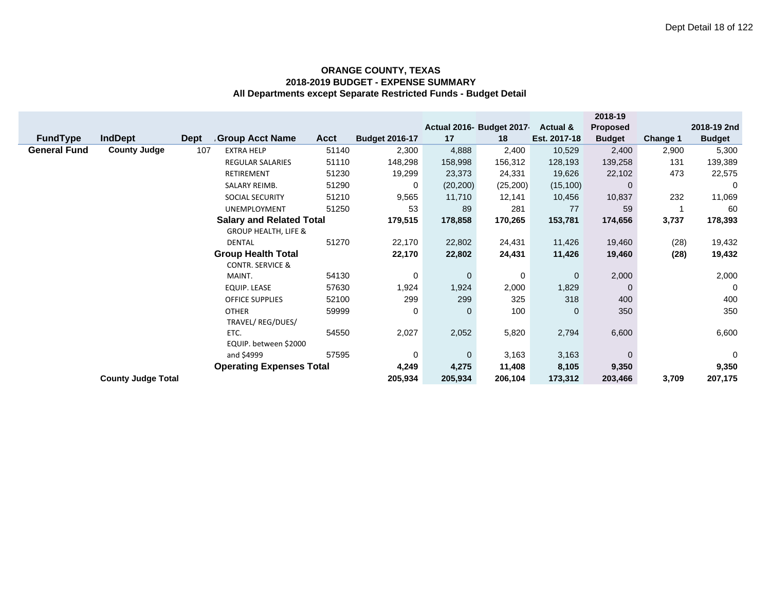|                     |                           |             |                                               |             |                       |           |                          |                     | 2018-19         |                 |               |
|---------------------|---------------------------|-------------|-----------------------------------------------|-------------|-----------------------|-----------|--------------------------|---------------------|-----------------|-----------------|---------------|
|                     |                           |             |                                               |             |                       |           | Actual 2016- Budget 2017 | <b>Actual &amp;</b> | <b>Proposed</b> |                 | 2018-19 2nd   |
| <b>FundType</b>     | <b>IndDept</b>            | <b>Dept</b> | Group Acct Name                               | <b>Acct</b> | <b>Budget 2016-17</b> | 17        | 18                       | Est. 2017-18        | <b>Budget</b>   | <b>Change 1</b> | <b>Budget</b> |
| <b>General Fund</b> | <b>County Judge</b>       | 107         | <b>EXTRA HELP</b>                             | 51140       | 2,300                 | 4,888     | 2,400                    | 10,529              | 2,400           | 2,900           | 5,300         |
|                     |                           |             | REGULAR SALARIES                              | 51110       | 148,298               | 158,998   | 156,312                  | 128,193             | 139,258         | 131             | 139,389       |
|                     |                           |             | <b>RETIREMENT</b>                             | 51230       | 19,299                | 23,373    | 24,331                   | 19,626              | 22,102          | 473             | 22,575        |
|                     |                           |             | SALARY REIMB.                                 | 51290       | 0                     | (20, 200) | (25, 200)                | (15, 100)           | 0               |                 | 0             |
|                     |                           |             | <b>SOCIAL SECURITY</b>                        | 51210       | 9,565                 | 11,710    | 12,141                   | 10,456              | 10,837          | 232             | 11,069        |
|                     |                           |             | <b>UNEMPLOYMENT</b>                           | 51250       | 53                    | 89        | 281                      | 77                  | 59              |                 | 60            |
|                     |                           |             | <b>Salary and Related Total</b>               |             | 179,515               | 178,858   | 170,265                  | 153,781             | 174,656         | 3,737           | 178,393       |
|                     |                           |             | <b>GROUP HEALTH, LIFE &amp;</b>               |             |                       |           |                          |                     |                 |                 |               |
|                     |                           |             | <b>DENTAL</b>                                 | 51270       | 22,170                | 22,802    | 24,431                   | 11,426              | 19,460          | (28)            | 19,432        |
|                     |                           |             | <b>Group Health Total</b>                     |             | 22,170                | 22,802    | 24,431                   | 11,426              | 19,460          | (28)            | 19,432        |
|                     |                           |             | <b>CONTR. SERVICE &amp;</b>                   |             |                       |           |                          |                     |                 |                 |               |
|                     |                           |             | MAINT.                                        | 54130       | 0                     | 0         | 0                        | $\mathbf 0$         | 2,000           |                 | 2,000         |
|                     |                           |             | EQUIP. LEASE                                  | 57630       | 1,924                 | 1,924     | 2,000                    | 1,829               | 0               |                 | 0             |
|                     |                           |             | <b>OFFICE SUPPLIES</b>                        | 52100       | 299                   | 299       | 325                      | 318                 | 400             |                 | 400           |
|                     |                           |             | <b>OTHER</b>                                  | 59999       | 0                     | 0         | 100                      | $\mathbf 0$         | 350             |                 | 350           |
|                     |                           |             |                                               |             |                       |           |                          |                     |                 |                 |               |
|                     |                           |             | ETC.                                          | 54550       | 2,027                 | 2,052     | 5,820                    | 2,794               | 6,600           |                 | 6,600         |
|                     |                           |             | EQUIP. between \$2000                         |             |                       |           |                          |                     |                 |                 |               |
|                     |                           |             | and \$4999<br><b>Operating Expenses Total</b> | 57595       | 0                     | 0         | 3,163                    | 3,163               | $\Omega$        |                 | $\mathbf 0$   |
|                     | 4,249                     | 4,275       | 11,408                                        | 8,105       | 9,350                 |           | 9,350                    |                     |                 |                 |               |
|                     | <b>County Judge Total</b> |             |                                               |             | 205,934               | 205,934   | 206,104                  | 173,312             | 203,466         | 3,709           | 207,175       |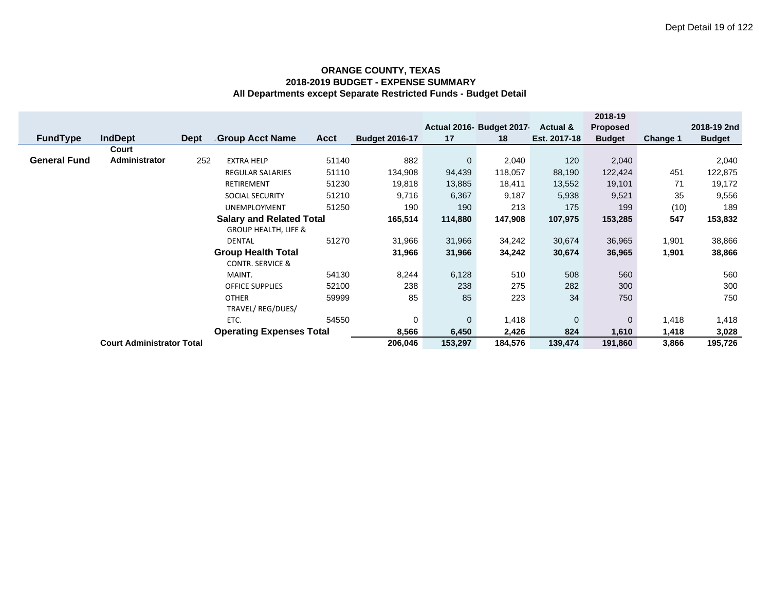|                                  |                                 |             |                                 |             |                       |             |                           |              | 2018-19         |          |               |
|----------------------------------|---------------------------------|-------------|---------------------------------|-------------|-----------------------|-------------|---------------------------|--------------|-----------------|----------|---------------|
|                                  |                                 |             |                                 |             |                       |             | Actual 2016- Budget 2017- | Actual &     | <b>Proposed</b> |          | 2018-19 2nd   |
| <b>FundType</b>                  | <b>IndDept</b>                  | <b>Dept</b> | <b>Group Acct Name</b>          | <b>Acct</b> | <b>Budget 2016-17</b> | 17          | 18                        | Est. 2017-18 | <b>Budget</b>   | Change 1 | <b>Budget</b> |
|                                  | Court                           |             |                                 |             |                       |             |                           |              |                 |          |               |
| <b>General Fund</b>              | Administrator                   | 252         | <b>EXTRA HELP</b>               | 51140       | 882                   | $\mathbf 0$ | 2,040                     | 120          | 2,040           |          | 2,040         |
|                                  |                                 |             | <b>REGULAR SALARIES</b>         | 51110       | 134,908               | 94,439      | 118,057                   | 88,190       | 122,424         | 451      | 122,875       |
|                                  |                                 |             | <b>RETIREMENT</b>               | 51230       | 19,818                | 13,885      | 18,411                    | 13,552       | 19,101          | 71       | 19,172        |
|                                  |                                 |             | <b>SOCIAL SECURITY</b>          | 51210       | 9,716                 | 6,367       | 9,187                     | 5,938        | 9,521           | 35       | 9,556         |
|                                  |                                 |             | <b>UNEMPLOYMENT</b>             | 51250       | 190                   | 190         | 213                       | 175          | 199             | (10)     | 189           |
|                                  | <b>Salary and Related Total</b> | 165,514     | 114,880                         | 147,908     | 107,975               | 153,285     | 547                       | 153,832      |                 |          |               |
|                                  |                                 |             | <b>GROUP HEALTH, LIFE &amp;</b> |             |                       |             |                           |              |                 |          |               |
|                                  | 51270<br><b>DENTAL</b>          |             |                                 |             |                       | 31,966      | 34,242                    | 30,674       | 36,965          | 1,901    | 38,866        |
|                                  |                                 |             | <b>Group Health Total</b>       |             | 31,966                | 31,966      | 34,242                    | 30,674       | 36,965          | 1,901    | 38,866        |
|                                  |                                 |             | <b>CONTR. SERVICE &amp;</b>     |             |                       |             |                           |              |                 |          |               |
|                                  |                                 |             | MAINT.                          | 54130       | 8,244                 | 6,128       | 510                       | 508          | 560             |          | 560           |
|                                  |                                 |             | <b>OFFICE SUPPLIES</b>          | 52100       | 238                   | 238         | 275                       | 282          | 300             |          | 300           |
|                                  |                                 |             | <b>OTHER</b>                    | 59999       | 85                    | 85          | 223                       | 34           | 750             |          | 750           |
|                                  | TRAVEL/ REG/DUES/               |             |                                 |             |                       |             |                           |              |                 |          |               |
| 54550<br>ETC.                    |                                 |             | 0                               | $\mathbf 0$ | 1,418                 | $\mathbf 0$ | $\mathbf{0}$              | 1,418        | 1,418           |          |               |
| <b>Operating Expenses Total</b>  |                                 |             |                                 |             | 8,566                 | 6,450       | 2,426                     | 824          | 1,610           | 1,418    | 3,028         |
| <b>Court Administrator Total</b> |                                 |             |                                 |             | 206,046               | 153,297     | 184,576                   | 139,474      | 191,860         | 3,866    | 195,726       |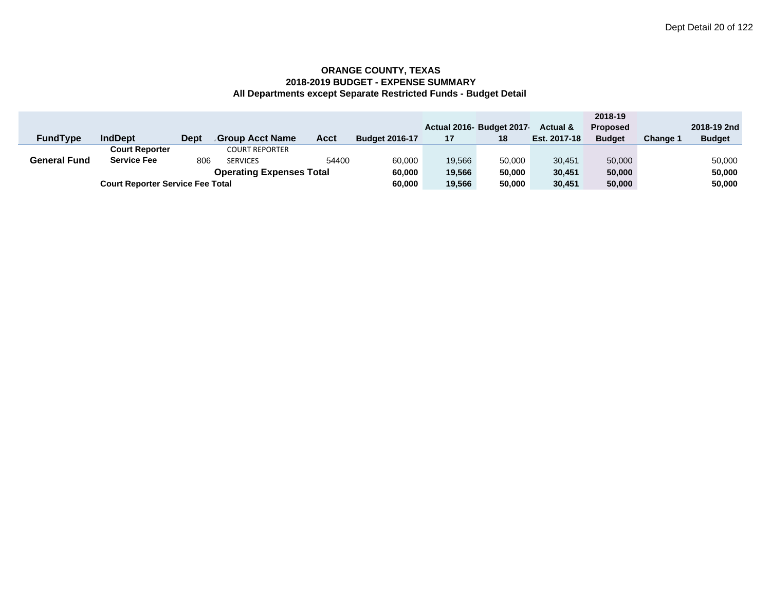|                     |                                         |             |                        |        |                       |        |                          |                     | 2018-19         |          |               |
|---------------------|-----------------------------------------|-------------|------------------------|--------|-----------------------|--------|--------------------------|---------------------|-----------------|----------|---------------|
|                     |                                         |             |                        |        |                       |        | Actual 2016- Budget 2017 | <b>Actual &amp;</b> | <b>Proposed</b> |          | 2018-19 2nd   |
| <b>FundType</b>     | <b>IndDept</b>                          | <b>Dept</b> | <b>Group Acct Name</b> | Acct   | <b>Budget 2016-17</b> | 17     | 18                       | Est. 2017-18        | <b>Budget</b>   | Change 1 | <b>Budget</b> |
|                     | <b>Court Reporter</b>                   |             | <b>COURT REPORTER</b>  |        |                       |        |                          |                     |                 |          |               |
| <b>General Fund</b> | <b>Service Fee</b>                      | 806         | <b>SERVICES</b>        | 54400  | 60.000                | 19.566 | 50,000                   | 30.451              | 50,000          |          | 50,000        |
|                     | 60,000                                  | 19,566      | 50,000                 | 30,451 | 50,000                |        | 50,000                   |                     |                 |          |               |
|                     | <b>Court Reporter Service Fee Total</b> |             |                        |        |                       |        | 50,000                   | 30,451              | 50,000          |          | 50,000        |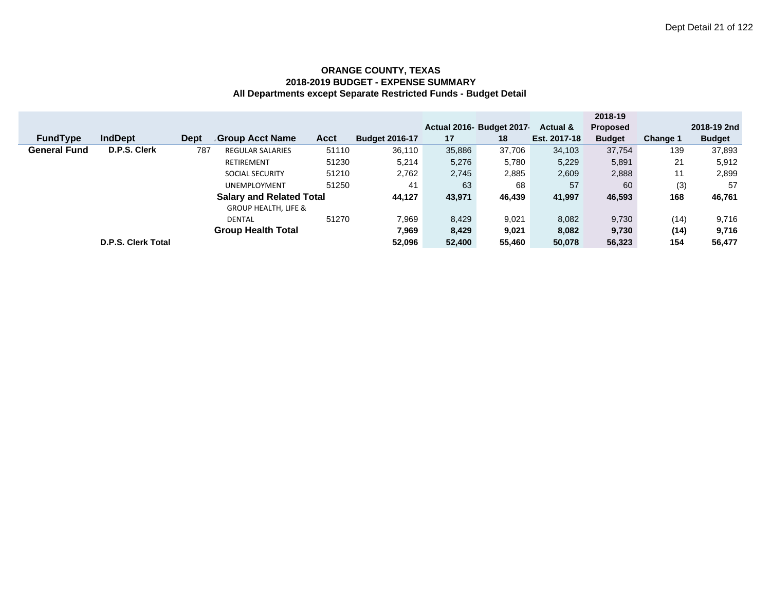|                     |                    |             |                                 |             |                       |        |                          |              | 2018-19         |          |               |
|---------------------|--------------------|-------------|---------------------------------|-------------|-----------------------|--------|--------------------------|--------------|-----------------|----------|---------------|
|                     |                    |             |                                 |             |                       |        | Actual 2016- Budget 2017 | Actual &     | <b>Proposed</b> |          | 2018-19 2nd   |
| <b>FundType</b>     | <b>IndDept</b>     | <b>Dept</b> | <b>Group Acct Name</b>          | <b>Acct</b> | <b>Budget 2016-17</b> | 17     | 18                       | Est. 2017-18 | <b>Budget</b>   | Change 1 | <b>Budget</b> |
| <b>General Fund</b> | D.P.S. Clerk       | 787         | <b>REGULAR SALARIES</b>         | 51110       | 36,110                | 35,886 | 37,706                   | 34,103       | 37,754          | 139      | 37,893        |
|                     |                    |             | <b>RETIREMENT</b>               | 51230       | 5,214                 | 5,276  | 5,780                    | 5,229        | 5,891           | 21       | 5,912         |
|                     |                    |             | <b>SOCIAL SECURITY</b>          | 51210       | 2,762                 | 2,745  | 2,885                    | 2,609        | 2,888           | 11       | 2,899         |
|                     |                    |             | <b>UNEMPLOYMENT</b>             | 51250       | 41                    | 63     | 68                       | 57           | 60              | (3)      | 57            |
|                     |                    |             | <b>Salary and Related Total</b> |             | 44,127                | 43,971 | 46,439                   | 41,997       | 46,593          | 168      | 46,761        |
|                     |                    |             | <b>GROUP HEALTH, LIFE &amp;</b> |             |                       |        |                          |              |                 |          |               |
|                     |                    |             | <b>DENTAL</b>                   | 51270       | 7,969                 | 8,429  | 9,021                    | 8,082        | 9,730           | (14)     | 9,716         |
|                     |                    |             | <b>Group Health Total</b>       |             | 7,969                 | 8,429  | 9,021                    | 8,082        | 9,730           | (14)     | 9,716         |
|                     | D.P.S. Clerk Total |             |                                 |             | 52.096                | 52,400 | 55.460                   | 50,078       | 56.323          | 154      | 56,477        |
|                     |                    |             |                                 |             |                       |        |                          |              |                 |          |               |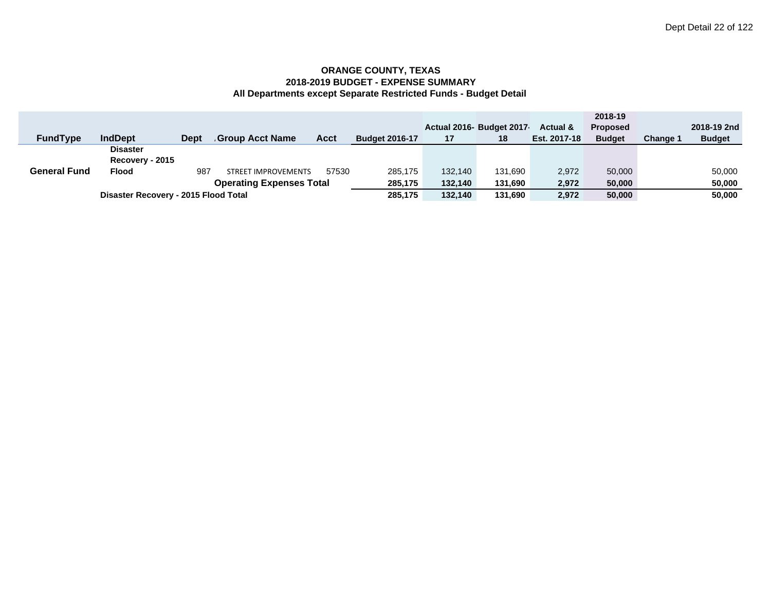|                     |                                      |             |                                 |       |                       |         |                         |                     | 2018-19         |                 |               |
|---------------------|--------------------------------------|-------------|---------------------------------|-------|-----------------------|---------|-------------------------|---------------------|-----------------|-----------------|---------------|
|                     |                                      |             |                                 |       |                       |         | Actual 2016 Budget 2017 | <b>Actual &amp;</b> | <b>Proposed</b> |                 | 2018-19 2nd   |
| <b>FundType</b>     | <b>IndDept</b>                       | <b>Dept</b> | Group Acct Name                 | Acct  | <b>Budget 2016-17</b> | 17      | 18                      | Est. 2017-18        | <b>Budget</b>   | <b>Change 1</b> | <b>Budget</b> |
|                     | <b>Disaster</b>                      |             |                                 |       |                       |         |                         |                     |                 |                 |               |
|                     | Recovery - 2015                      |             |                                 |       |                       |         |                         |                     |                 |                 |               |
| <b>General Fund</b> | <b>Flood</b>                         | 987         | <b>STREET IMPROVEMENTS</b>      | 57530 | 285.175               | 132,140 | 131.690                 | 2,972               | 50,000          |                 | 50,000        |
|                     |                                      |             | <b>Operating Expenses Total</b> |       | 285,175               | 132,140 | 131,690                 | 2,972               | 50,000          |                 | 50,000        |
|                     | Disaster Recovery - 2015 Flood Total |             |                                 |       |                       | 132,140 | 131.690                 | 2,972               | 50,000          |                 | 50,000        |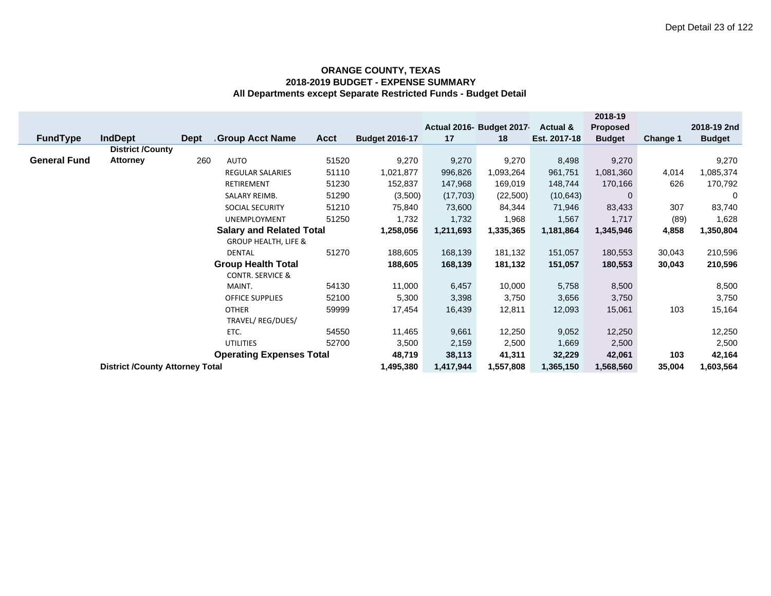|                     |                                                                           |                                 |                                 |             |                       |           |                          |              | 2018-19         |          |               |
|---------------------|---------------------------------------------------------------------------|---------------------------------|---------------------------------|-------------|-----------------------|-----------|--------------------------|--------------|-----------------|----------|---------------|
|                     |                                                                           |                                 |                                 |             |                       |           | Actual 2016- Budget 2017 | Actual &     | <b>Proposed</b> |          | 2018-19 2nd   |
| <b>FundType</b>     | <b>IndDept</b>                                                            | <b>Dept</b>                     | <b>Group Acct Name</b>          | <b>Acct</b> | <b>Budget 2016-17</b> | 17        | 18                       | Est. 2017-18 | <b>Budget</b>   | Change 1 | <b>Budget</b> |
|                     | <b>District /County</b>                                                   |                                 |                                 |             |                       |           |                          |              |                 |          |               |
| <b>General Fund</b> | <b>Attorney</b>                                                           | 260                             | <b>AUTO</b>                     | 51520       | 9,270                 | 9,270     | 9,270                    | 8,498        | 9,270           |          | 9,270         |
|                     |                                                                           |                                 | <b>REGULAR SALARIES</b>         | 51110       | 1,021,877             | 996,826   | 1,093,264                | 961,751      | 1,081,360       | 4,014    | 1,085,374     |
|                     |                                                                           |                                 | <b>RETIREMENT</b>               | 51230       | 152,837               | 147,968   | 169,019                  | 148,744      | 170,166         | 626      | 170,792       |
|                     |                                                                           |                                 | SALARY REIMB.                   | 51290       | (3,500)               | (17,703)  | (22,500)                 | (10, 643)    | $\mathbf{0}$    |          | 0             |
|                     |                                                                           |                                 | SOCIAL SECURITY                 | 51210       | 75,840                | 73,600    | 84,344                   | 71,946       | 83,433          | 307      | 83,740        |
|                     |                                                                           |                                 | UNEMPLOYMENT                    | 51250       | 1,732                 | 1,732     | 1,968                    | 1,567        | 1,717           | (89)     | 1,628         |
|                     |                                                                           |                                 | <b>Salary and Related Total</b> |             | 1,258,056             | 1,211,693 | 1,335,365                | 1,181,864    | 1,345,946       | 4,858    | 1,350,804     |
|                     |                                                                           | <b>GROUP HEALTH, LIFE &amp;</b> |                                 |             |                       |           |                          |              |                 |          |               |
|                     |                                                                           |                                 | <b>DENTAL</b>                   | 51270       | 188,605               | 168,139   | 181,132                  | 151,057      | 180,553         | 30,043   | 210,596       |
|                     |                                                                           |                                 | <b>Group Health Total</b>       |             | 188,605               | 168,139   | 181,132                  | 151,057      | 180,553         | 30,043   | 210,596       |
|                     |                                                                           |                                 | <b>CONTR. SERVICE &amp;</b>     |             |                       |           |                          |              |                 |          |               |
|                     |                                                                           |                                 | MAINT.                          | 54130       | 11,000                | 6,457     | 10,000                   | 5,758        | 8,500           |          | 8,500         |
|                     |                                                                           |                                 | <b>OFFICE SUPPLIES</b>          | 52100       | 5,300                 | 3,398     | 3,750                    | 3,656        | 3,750           |          | 3,750         |
|                     | <b>OTHER</b><br>59999                                                     |                                 |                                 |             |                       | 16,439    | 12,811                   | 12,093       | 15,061          | 103      | 15,164        |
|                     | TRAVEL/REG/DUES/                                                          |                                 |                                 |             |                       |           |                          |              |                 |          |               |
|                     |                                                                           |                                 | ETC.                            | 54550       | 11,465                | 9,661     | 12,250                   | 9,052        | 12,250          |          | 12,250        |
|                     |                                                                           |                                 | <b>UTILITIES</b>                | 52700       | 3,500                 | 2,159     | 2,500                    | 1,669        | 2,500           |          | 2,500         |
|                     | 48,719                                                                    | 38,113                          | 41,311                          | 32,229      | 42,061                | 103       | 42,164                   |              |                 |          |               |
|                     | <b>Operating Expenses Total</b><br><b>District /County Attorney Total</b> |                                 |                                 |             |                       | 1,417,944 | 1,557,808                | 1,365,150    | 1,568,560       | 35,004   | 1,603,564     |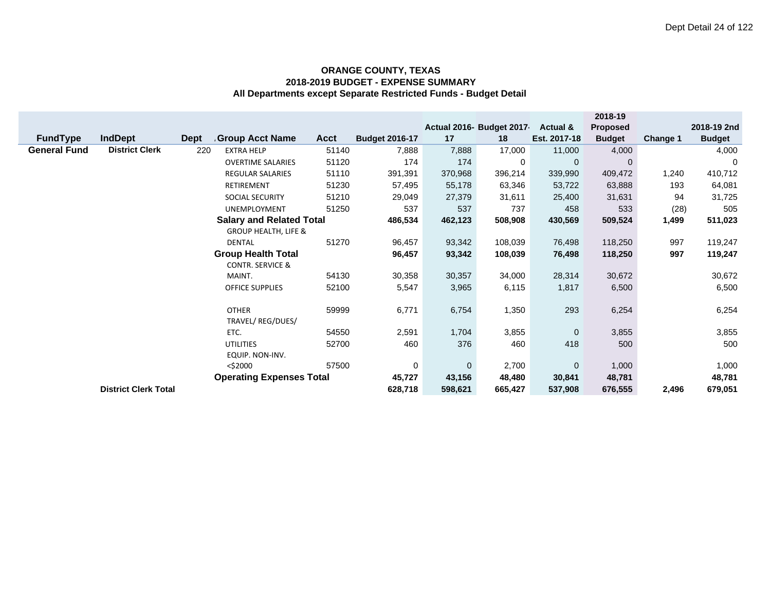|                     |                             |             |                                 |             |                       |             |                          |                     | 2018-19         |          |               |
|---------------------|-----------------------------|-------------|---------------------------------|-------------|-----------------------|-------------|--------------------------|---------------------|-----------------|----------|---------------|
|                     |                             |             |                                 |             |                       |             | Actual 2016- Budget 2017 | <b>Actual &amp;</b> | <b>Proposed</b> |          | 2018-19 2nd   |
| <b>FundType</b>     | <b>IndDept</b>              | <b>Dept</b> | Group Acct Name                 | <b>Acct</b> | <b>Budget 2016-17</b> | 17          | 18                       | Est. 2017-18        | <b>Budget</b>   | Change 1 | <b>Budget</b> |
| <b>General Fund</b> | <b>District Clerk</b>       | 220         | <b>EXTRA HELP</b>               | 51140       | 7,888                 | 7,888       | 17,000                   | 11,000              | 4,000           |          | 4,000         |
|                     |                             |             | <b>OVERTIME SALARIES</b>        | 51120       | 174                   | 174         | 0                        | $\mathbf 0$         | $\Omega$        |          | 0             |
|                     |                             |             | <b>REGULAR SALARIES</b>         | 51110       | 391,391               | 370,968     | 396,214                  | 339,990             | 409,472         | 1,240    | 410,712       |
|                     |                             |             | <b>RETIREMENT</b>               | 51230       | 57,495                | 55,178      | 63,346                   | 53,722              | 63,888          | 193      | 64,081        |
|                     |                             |             | <b>SOCIAL SECURITY</b>          | 51210       | 29,049                | 27,379      | 31,611                   | 25,400              | 31,631          | 94       | 31,725        |
|                     |                             |             | UNEMPLOYMENT                    | 51250       | 537                   | 537         | 737                      | 458                 | 533             | (28)     | 505           |
|                     |                             |             | <b>Salary and Related Total</b> |             | 486,534               | 462,123     | 508,908                  | 430,569             | 509,524         | 1,499    | 511,023       |
|                     |                             |             | <b>GROUP HEALTH, LIFE &amp;</b> |             |                       |             |                          |                     |                 |          |               |
|                     |                             |             | <b>DENTAL</b>                   | 51270       | 96,457                | 93,342      | 108,039                  | 76,498              | 118,250         | 997      | 119,247       |
|                     |                             |             | <b>Group Health Total</b>       |             | 96,457                | 93,342      | 108,039                  | 76,498              | 118,250         | 997      | 119,247       |
|                     |                             |             | <b>CONTR. SERVICE &amp;</b>     |             |                       |             |                          |                     |                 |          |               |
|                     |                             |             | MAINT.                          | 54130       | 30,358                | 30,357      | 34,000                   | 28,314              | 30,672          |          | 30,672        |
|                     |                             |             | <b>OFFICE SUPPLIES</b>          | 52100       | 5,547                 | 3,965       | 6,115                    | 1,817               | 6,500           |          | 6,500         |
|                     |                             |             |                                 |             |                       |             |                          |                     |                 |          |               |
|                     |                             |             | <b>OTHER</b>                    | 59999       | 6,771                 | 6,754       | 1,350                    | 293                 | 6,254           |          | 6,254         |
|                     |                             |             | TRAVEL/REG/DUES/                |             |                       |             |                          |                     |                 |          |               |
|                     |                             |             | ETC.                            | 54550       | 2,591                 | 1,704       | 3,855                    | $\overline{0}$      | 3,855           |          | 3,855         |
|                     |                             |             | <b>UTILITIES</b>                | 52700       | 460                   | 376         | 460                      | 418                 | 500             |          | 500           |
|                     |                             |             | EQUIP. NON-INV.                 |             |                       |             |                          |                     |                 |          |               |
|                     |                             |             | $<$ \$2000                      | 57500       | 0                     | $\mathbf 0$ | 2,700                    | $\mathbf 0$         | 1,000           |          | 1,000         |
|                     |                             |             | <b>Operating Expenses Total</b> |             | 45,727                | 43,156      | 48,480                   | 30,841              | 48,781          |          | 48,781        |
|                     | <b>District Clerk Total</b> |             |                                 |             | 628,718               | 598,621     | 665,427                  | 537,908             | 676,555         | 2,496    | 679,051       |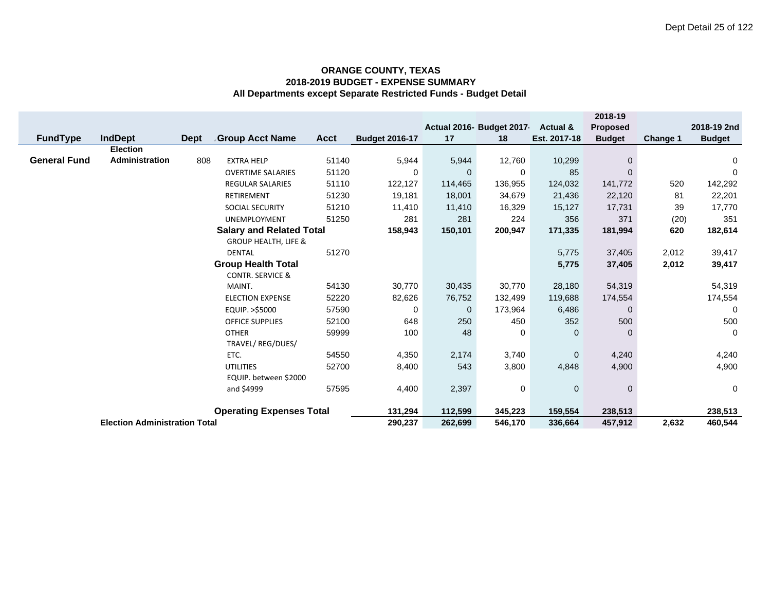|                     |                                      |                           |                                 |             |                       |              |                          |              | 2018-19       |          |               |
|---------------------|--------------------------------------|---------------------------|---------------------------------|-------------|-----------------------|--------------|--------------------------|--------------|---------------|----------|---------------|
|                     |                                      |                           |                                 |             |                       |              | Actual 2016- Budget 2017 | Actual &     | Proposed      |          | 2018-19 2nd   |
| <b>FundType</b>     | IndDept                              | <b>Dept</b>               | <b>Group Acct Name</b>          | <b>Acct</b> | <b>Budget 2016-17</b> | 17           | 18                       | Est. 2017-18 | <b>Budget</b> | Change 1 | <b>Budget</b> |
|                     | <b>Election</b>                      |                           |                                 |             |                       |              |                          |              |               |          |               |
| <b>General Fund</b> | Administration                       | 808                       | <b>EXTRA HELP</b>               | 51140       | 5,944                 | 5,944        | 12,760                   | 10,299       | $\mathbf{0}$  |          | 0             |
|                     |                                      |                           | <b>OVERTIME SALARIES</b>        | 51120       | 0                     | $\Omega$     | 0                        | 85           | $\Omega$      |          | 0             |
|                     |                                      |                           | <b>REGULAR SALARIES</b>         | 51110       | 122,127               | 114,465      | 136,955                  | 124,032      | 141,772       | 520      | 142,292       |
|                     |                                      |                           | RETIREMENT                      | 51230       | 19,181                | 18,001       | 34,679                   | 21,436       | 22,120        | 81       | 22,201        |
|                     |                                      |                           | SOCIAL SECURITY                 | 51210       | 11,410                | 11,410       | 16,329                   | 15,127       | 17,731        | 39       | 17,770        |
|                     |                                      |                           | <b>UNEMPLOYMENT</b>             | 51250       | 281                   | 281          | 224                      | 356          | 371           | (20)     | 351           |
|                     |                                      |                           | <b>Salary and Related Total</b> |             | 158,943               | 150,101      | 200,947                  | 171,335      | 181,994       | 620      | 182,614       |
|                     |                                      |                           | <b>GROUP HEALTH, LIFE &amp;</b> |             |                       |              |                          |              |               |          |               |
|                     |                                      |                           | <b>DENTAL</b>                   | 51270       |                       |              |                          | 5,775        | 37,405        | 2,012    | 39,417        |
|                     |                                      | <b>Group Health Total</b> |                                 |             |                       | 5,775        | 37,405                   | 2,012        | 39,417        |          |               |
|                     |                                      |                           | <b>CONTR. SERVICE &amp;</b>     |             |                       |              |                          |              |               |          |               |
|                     |                                      |                           | MAINT.                          | 54130       | 30,770                | 30,435       | 30,770                   | 28,180       | 54,319        |          | 54,319        |
|                     |                                      |                           | <b>ELECTION EXPENSE</b>         | 52220       | 82,626                | 76,752       | 132,499                  | 119,688      | 174,554       |          | 174,554       |
|                     |                                      |                           | EQUIP. >\$5000                  | 57590       | 0                     | $\mathbf{0}$ | 173,964                  | 6,486        | $\mathbf{0}$  |          | 0             |
|                     |                                      |                           | <b>OFFICE SUPPLIES</b>          | 52100       | 648                   | 250          | 450                      | 352          | 500           |          | 500           |
|                     |                                      |                           | <b>OTHER</b>                    | 59999       | 100                   | 48           | 0                        | $\mathbf{0}$ | 0             |          | $\mathbf 0$   |
|                     |                                      |                           | TRAVEL/ REG/DUES/               |             |                       |              |                          |              |               |          |               |
|                     | ETC.<br>54550                        |                           |                                 |             |                       | 2,174        | 3,740                    | $\mathbf{0}$ | 4,240         |          | 4,240         |
|                     |                                      | <b>UTILITIES</b>          | 8,400                           | 543         | 3,800                 | 4,848        | 4,900                    |              | 4,900         |          |               |
|                     | EQUIP. between \$2000<br>57595       |                           |                                 |             |                       |              |                          |              |               |          |               |
|                     |                                      | and \$4999                | 4,400                           | 2,397       | 0                     | $\mathbf 0$  | $\mathbf{0}$             |              | $\mathbf 0$   |          |               |
|                     |                                      |                           |                                 |             |                       |              |                          |              |               |          |               |
|                     | <b>Operating Expenses Total</b>      |                           |                                 |             |                       | 112,599      | 345,223                  | 159,554      | 238,513       |          | 238,513       |
|                     | <b>Election Administration Total</b> |                           |                                 |             | 290,237               | 262,699      | 546,170                  | 336,664      | 457,912       | 2,632    | 460,544       |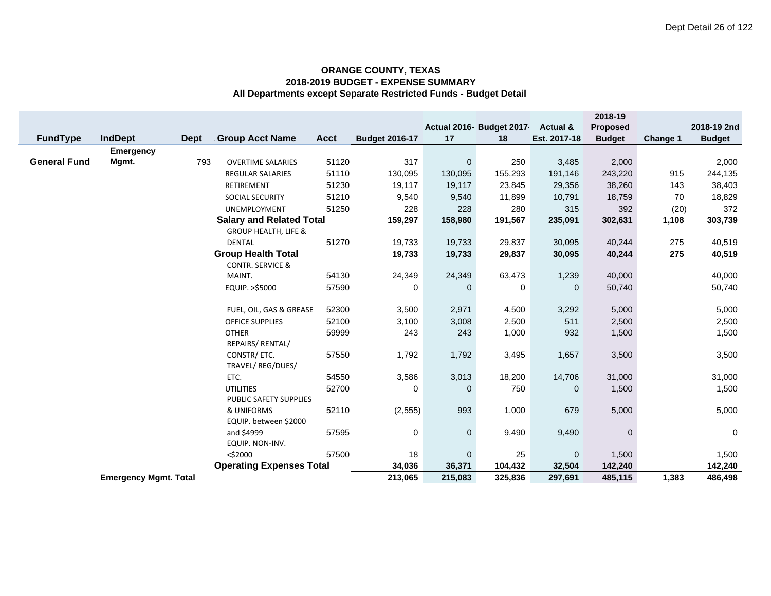|                     |                              |             |                                                  |             |                       |              |                           |                     | 2018-19         |                 |               |
|---------------------|------------------------------|-------------|--------------------------------------------------|-------------|-----------------------|--------------|---------------------------|---------------------|-----------------|-----------------|---------------|
|                     |                              |             |                                                  |             |                       |              | Actual 2016- Budget 2017- | <b>Actual &amp;</b> | <b>Proposed</b> |                 | 2018-19 2nd   |
| FundType            | <b>IndDept</b>               | <b>Dept</b> | <b>Group Acct Name</b>                           | <b>Acct</b> | <b>Budget 2016-17</b> | 17           | 18                        | Est. 2017-18        | <b>Budget</b>   | <b>Change 1</b> | <b>Budget</b> |
|                     | <b>Emergency</b>             |             |                                                  |             |                       |              |                           |                     |                 |                 |               |
| <b>General Fund</b> | Mgmt.                        | 793         | <b>OVERTIME SALARIES</b>                         | 51120       | 317                   | $\mathbf 0$  | 250                       | 3,485               | 2,000           |                 | 2,000         |
|                     |                              |             | <b>REGULAR SALARIES</b>                          | 51110       | 130,095               | 130,095      | 155,293                   | 191,146             | 243,220         | 915             | 244,135       |
|                     |                              |             | RETIREMENT                                       | 51230       | 19,117                | 19,117       | 23,845                    | 29,356              | 38,260          | 143             | 38,403        |
|                     |                              |             | SOCIAL SECURITY                                  | 51210       | 9,540                 | 9,540        | 11,899                    | 10,791              | 18,759          | 70              | 18,829        |
|                     |                              |             | <b>UNEMPLOYMENT</b>                              | 51250       | 228                   | 228          | 280                       | 315                 | 392             | (20)            | 372           |
|                     |                              |             | <b>Salary and Related Total</b>                  |             | 159,297               | 158,980      | 191,567                   | 235,091             | 302,631         | 1,108           | 303,739       |
|                     |                              |             | <b>GROUP HEALTH, LIFE &amp;</b><br><b>DENTAL</b> | 51270       | 19,733                | 19,733       | 29,837                    | 30,095              | 40,244          | 275             | 40,519        |
|                     |                              |             | <b>Group Health Total</b>                        |             | 19,733                | 19,733       | 29,837                    | 30,095              | 40,244          | 275             | 40,519        |
|                     |                              |             | <b>CONTR. SERVICE &amp;</b>                      |             |                       |              |                           |                     |                 |                 |               |
|                     |                              |             | MAINT.                                           | 54130       | 24,349                | 24,349       | 63,473                    | 1,239               | 40,000          |                 | 40,000        |
|                     |                              |             | EQUIP. >\$5000                                   | 57590       | 0                     | $\Omega$     | 0                         | $\mathbf 0$         | 50,740          |                 | 50,740        |
|                     |                              |             |                                                  |             |                       |              |                           |                     |                 |                 |               |
|                     |                              |             | FUEL, OIL, GAS & GREASE                          | 52300       | 3,500                 | 2,971        | 4,500                     | 3,292               | 5,000           |                 | 5,000         |
|                     |                              |             | <b>OFFICE SUPPLIES</b>                           | 52100       | 3,100                 | 3,008        | 2,500                     | 511                 | 2,500           |                 | 2,500         |
|                     |                              |             | <b>OTHER</b>                                     | 59999       | 243                   | 243          | 1,000                     | 932                 | 1,500           |                 | 1,500         |
|                     |                              |             | REPAIRS/ RENTAL/                                 |             |                       |              |                           |                     |                 |                 |               |
|                     |                              |             | CONSTR/ ETC.                                     | 57550       | 1,792                 | 1,792        | 3,495                     | 1,657               | 3,500           |                 | 3,500         |
|                     |                              |             | TRAVEL/REG/DUES/                                 |             |                       |              |                           |                     |                 |                 |               |
|                     |                              |             | ETC.                                             | 54550       | 3,586                 | 3,013        | 18,200                    | 14,706              | 31,000          |                 | 31,000        |
|                     |                              |             | <b>UTILITIES</b>                                 | 52700       | 0                     | 0            | 750                       | 0                   | 1,500           |                 | 1,500         |
|                     |                              |             | PUBLIC SAFETY SUPPLIES                           |             |                       |              |                           |                     |                 |                 |               |
|                     |                              |             | & UNIFORMS                                       | 52110       | (2, 555)              | 993          | 1,000                     | 679                 | 5,000           |                 | 5,000         |
|                     |                              |             | EQUIP. between \$2000                            |             |                       |              |                           |                     |                 |                 |               |
|                     |                              |             | and \$4999                                       | 57595       | 0                     | $\mathbf{0}$ | 9,490                     | 9,490               | $\mathbf 0$     |                 | $\mathbf 0$   |
|                     |                              |             | EQUIP. NON-INV.<br>$<$ \$2000                    | 57500       | 18                    | $\mathbf 0$  | 25                        | $\mathbf 0$         | 1,500           |                 | 1,500         |
|                     |                              |             | <b>Operating Expenses Total</b>                  |             | 34,036                | 36,371       | 104,432                   | 32,504              | 142,240         |                 | 142,240       |
|                     | <b>Emergency Mgmt. Total</b> |             |                                                  |             | 213,065               | 215,083      | 325,836                   | 297,691             | 485,115         | 1,383           | 486,498       |
|                     |                              |             |                                                  |             |                       |              |                           |                     |                 |                 |               |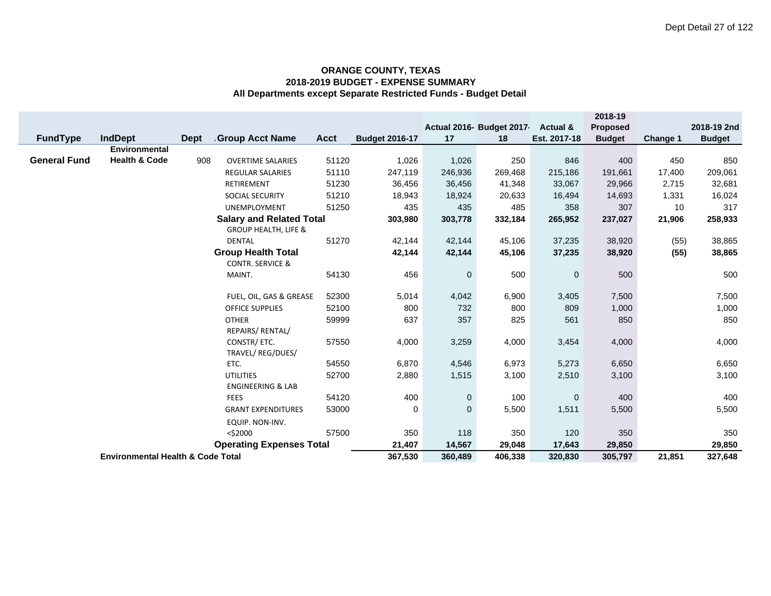|                     |                                                      |             |                                 |             |                       |             |                          |                     | 2018-19       |          |               |
|---------------------|------------------------------------------------------|-------------|---------------------------------|-------------|-----------------------|-------------|--------------------------|---------------------|---------------|----------|---------------|
|                     |                                                      |             |                                 |             |                       |             | Actual 2016- Budget 2017 | <b>Actual &amp;</b> | Proposed      |          | 2018-19 2nd   |
| <b>FundType</b>     | <b>IndDept</b>                                       | <b>Dept</b> | <b>Group Acct Name</b>          | <b>Acct</b> | <b>Budget 2016-17</b> | 17          | 18                       | Est. 2017-18        | <b>Budget</b> | Change 1 | <b>Budget</b> |
|                     | <b>Environmental</b>                                 |             |                                 |             |                       |             |                          |                     |               |          |               |
| <b>General Fund</b> | <b>Health &amp; Code</b>                             | 908         | <b>OVERTIME SALARIES</b>        | 51120       | 1,026                 | 1,026       | 250                      | 846                 | 400           | 450      | 850           |
|                     |                                                      |             | REGULAR SALARIES                | 51110       | 247,119               | 246,936     | 269,468                  | 215,186             | 191,661       | 17,400   | 209,061       |
|                     |                                                      |             | RETIREMENT                      | 51230       | 36,456                | 36,456      | 41,348                   | 33,067              | 29,966        | 2,715    | 32,681        |
|                     |                                                      |             | SOCIAL SECURITY                 | 51210       | 18,943                | 18,924      | 20,633                   | 16,494              | 14,693        | 1,331    | 16,024        |
|                     |                                                      |             | <b>UNEMPLOYMENT</b>             | 51250       | 435                   | 435         | 485                      | 358                 | 307           | 10       | 317           |
|                     |                                                      |             | <b>Salary and Related Total</b> |             | 303,980               | 303,778     | 332,184                  | 265,952             | 237,027       | 21,906   | 258,933       |
|                     |                                                      |             | <b>GROUP HEALTH, LIFE &amp;</b> |             |                       |             |                          |                     |               |          |               |
|                     |                                                      |             | <b>DENTAL</b>                   | 51270       | 42,144                | 42,144      | 45,106                   | 37,235              | 38,920        | (55)     | 38,865        |
|                     |                                                      |             | <b>Group Health Total</b>       |             | 42,144                | 42,144      | 45,106                   | 37,235              | 38,920        | (55)     | 38,865        |
|                     |                                                      |             | <b>CONTR. SERVICE &amp;</b>     |             |                       |             |                          |                     |               |          |               |
|                     |                                                      |             | MAINT.                          | 54130       | 456                   | $\mathbf 0$ | 500                      | $\mathbf 0$         | 500           |          | 500           |
|                     | 52300<br>FUEL, OIL, GAS & GREASE                     |             |                                 |             |                       |             |                          |                     |               |          |               |
|                     |                                                      |             |                                 |             | 5,014                 | 4,042       | 6,900                    | 3,405               | 7,500         |          | 7,500         |
|                     |                                                      |             | OFFICE SUPPLIES                 | 52100       | 800                   | 732         | 800                      | 809                 | 1,000         |          | 1,000         |
|                     |                                                      |             | <b>OTHER</b>                    | 59999       | 637                   | 357         | 825                      | 561                 | 850           |          | 850           |
|                     |                                                      |             | REPAIRS/ RENTAL/                |             |                       |             |                          |                     |               |          |               |
|                     |                                                      |             | CONSTR/ ETC.                    | 57550       | 4,000                 | 3,259       | 4,000                    | 3,454               | 4,000         |          | 4,000         |
|                     |                                                      |             | TRAVEL/REG/DUES/                |             |                       |             |                          |                     |               |          |               |
|                     |                                                      |             | ETC.                            | 54550       | 6,870<br>2,880        | 4,546       | 6,973                    | 5,273               | 6,650         |          | 6,650         |
|                     | <b>UTILITIES</b><br>52700                            |             |                                 |             |                       | 1,515       | 3,100                    | 2,510               | 3,100         |          | 3,100         |
|                     | <b>ENGINEERING &amp; LAB</b><br>54120<br><b>FEES</b> |             |                                 |             | 400                   |             | 100                      |                     | 400           |          | 400           |
|                     | 53000                                                |             |                                 |             | 0                     | 0           |                          | $\mathbf 0$         |               |          |               |
|                     | <b>GRANT EXPENDITURES</b>                            |             |                                 |             |                       | $\mathbf 0$ | 5,500                    | 1,511               | 5,500         |          | 5,500         |
|                     | EQUIP. NON-INV.                                      |             |                                 |             |                       |             |                          |                     |               |          |               |
|                     | 57500<br>$<$ \$2000                                  |             |                                 |             |                       | 118         | 350                      | 120                 | 350           |          | 350           |
|                     | <b>Operating Expenses Total</b>                      |             |                                 |             |                       | 14,567      | 29,048                   | 17,643              | 29,850        |          | 29,850        |
|                     | <b>Environmental Health &amp; Code Total</b>         |             |                                 |             |                       | 360,489     | 406,338                  | 320,830             | 305,797       | 21,851   | 327,648       |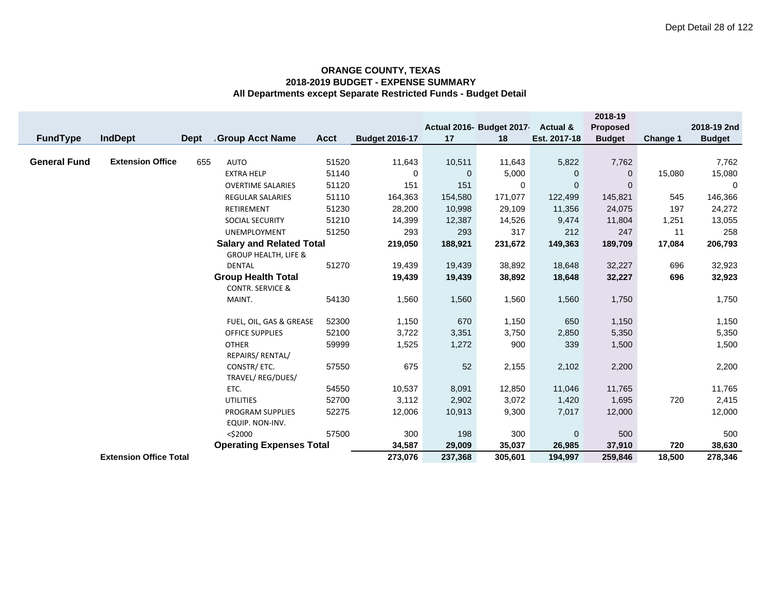|                     |                               |             |                                 |             |                       |              |                           |              | 2018-19         |          |               |
|---------------------|-------------------------------|-------------|---------------------------------|-------------|-----------------------|--------------|---------------------------|--------------|-----------------|----------|---------------|
|                     |                               |             |                                 |             |                       |              | Actual 2016- Budget 2017- | Actual &     | <b>Proposed</b> |          | 2018-19 2nd   |
| <b>FundType</b>     | <b>IndDept</b>                | <b>Dept</b> | Group Acct Name                 | <b>Acct</b> | <b>Budget 2016-17</b> | 17           | 18                        | Est. 2017-18 | <b>Budget</b>   | Change 1 | <b>Budget</b> |
|                     |                               |             |                                 |             |                       |              |                           |              |                 |          |               |
| <b>General Fund</b> | <b>Extension Office</b>       | 655         | <b>AUTO</b>                     | 51520       | 11,643                | 10,511       | 11,643                    | 5,822        | 7,762           |          | 7,762         |
|                     |                               |             | <b>EXTRA HELP</b>               | 51140       | 0                     | $\mathbf{0}$ | 5,000                     | 0            | $\mathbf{0}$    | 15,080   | 15,080        |
|                     |                               |             | <b>OVERTIME SALARIES</b>        | 51120       | 151                   | 151          | 0                         | 0            | $\Omega$        |          | 0             |
|                     |                               |             | <b>REGULAR SALARIES</b>         | 51110       | 164,363               | 154,580      | 171,077                   | 122,499      | 145,821         | 545      | 146,366       |
|                     |                               |             | RETIREMENT                      | 51230       | 28,200                | 10,998       | 29,109                    | 11,356       | 24,075          | 197      | 24,272        |
|                     |                               |             | SOCIAL SECURITY                 | 51210       | 14,399                | 12,387       | 14,526                    | 9,474        | 11,804          | 1,251    | 13,055        |
|                     |                               |             | UNEMPLOYMENT                    | 51250       | 293                   | 293          | 317                       | 212          | 247             | 11       | 258           |
|                     |                               |             | <b>Salary and Related Total</b> |             | 219,050               | 188,921      | 231,672                   | 149,363      | 189,709         | 17,084   | 206,793       |
|                     |                               |             | <b>GROUP HEALTH, LIFE &amp;</b> |             |                       |              |                           |              |                 |          |               |
|                     |                               |             | <b>DENTAL</b>                   | 51270       | 19,439                | 19,439       | 38,892                    | 18,648       | 32,227          | 696      | 32,923        |
|                     |                               |             | <b>Group Health Total</b>       |             | 19,439                | 19,439       | 38,892                    | 18,648       | 32,227          | 696      | 32,923        |
|                     |                               |             | <b>CONTR. SERVICE &amp;</b>     |             |                       |              |                           |              |                 |          |               |
|                     |                               |             | MAINT.                          | 54130       | 1,560                 | 1,560        | 1,560                     | 1,560        | 1,750           |          | 1,750         |
|                     |                               |             |                                 |             |                       |              |                           |              |                 |          |               |
|                     |                               |             | FUEL, OIL, GAS & GREASE         | 52300       | 1,150                 | 670          | 1,150                     | 650          | 1,150           |          | 1,150         |
|                     |                               |             | <b>OFFICE SUPPLIES</b>          | 52100       | 3,722                 | 3,351        | 3,750                     | 2,850        | 5,350           |          | 5,350         |
|                     |                               |             | <b>OTHER</b>                    | 59999       | 1,525                 | 1,272        | 900                       | 339          | 1,500           |          | 1,500         |
|                     |                               |             | REPAIRS/ RENTAL/                |             |                       |              |                           |              |                 |          |               |
|                     |                               |             | CONSTR/ETC.                     | 57550       | 675                   | 52           | 2,155                     | 2,102        | 2,200           |          | 2,200         |
|                     |                               |             | TRAVEL/REG/DUES/                |             |                       |              |                           |              |                 |          |               |
|                     |                               |             | ETC.                            | 54550       | 10,537                | 8,091        | 12,850                    | 11,046       | 11,765          |          | 11,765        |
|                     |                               |             | <b>UTILITIES</b>                | 52700       | 3,112                 | 2,902        | 3,072                     | 1,420        | 1,695           | 720      | 2,415         |
|                     |                               |             | PROGRAM SUPPLIES                | 52275       | 12,006                | 10,913       | 9,300                     | 7,017        | 12,000          |          | 12,000        |
|                     |                               |             | EQUIP. NON-INV.                 |             |                       |              |                           |              |                 |          |               |
|                     |                               |             | $<$ \$2000                      | 57500       | 300                   | 198          | 300                       | $\mathbf 0$  | 500             |          | 500           |
|                     |                               |             | <b>Operating Expenses Total</b> |             | 34,587                | 29,009       | 35,037                    | 26,985       | 37,910          | 720      | 38,630        |
|                     | <b>Extension Office Total</b> |             |                                 |             | 273,076               | 237,368      | 305,601                   | 194,997      | 259,846         | 18,500   | 278,346       |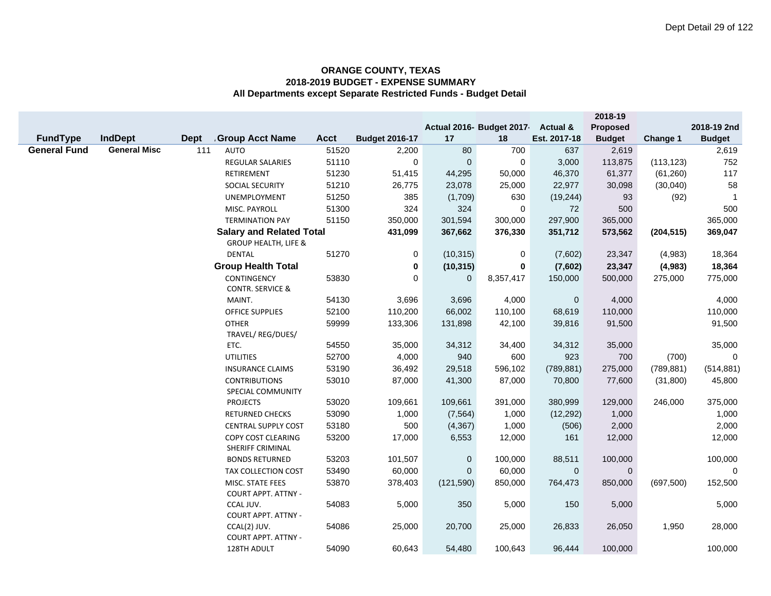|                     |                     |             |                                           |             |                       |                |                                |                                     | 2018-19                          |            |                              |
|---------------------|---------------------|-------------|-------------------------------------------|-------------|-----------------------|----------------|--------------------------------|-------------------------------------|----------------------------------|------------|------------------------------|
| <b>FundType</b>     | <b>IndDept</b>      | <b>Dept</b> | <b>Group Acct Name</b>                    | <b>Acct</b> | <b>Budget 2016-17</b> | 17             | Actual 2016- Budget 2017<br>18 | <b>Actual &amp;</b><br>Est. 2017-18 | <b>Proposed</b><br><b>Budget</b> | Change 1   | 2018-19 2nd<br><b>Budget</b> |
| <b>General Fund</b> | <b>General Misc</b> | 111         | <b>AUTO</b>                               | 51520       | 2,200                 | 80             | 700                            | 637                                 | 2,619                            |            | 2,619                        |
|                     |                     |             | <b>REGULAR SALARIES</b>                   | 51110       | $\mathbf 0$           | $\overline{0}$ | $\mathbf 0$                    | 3,000                               | 113,875                          | (113, 123) | 752                          |
|                     |                     |             | RETIREMENT                                | 51230       | 51,415                | 44,295         | 50,000                         | 46,370                              | 61,377                           | (61, 260)  | 117                          |
|                     |                     |             | <b>SOCIAL SECURITY</b>                    | 51210       | 26,775                | 23,078         | 25,000                         | 22,977                              | 30,098                           | (30,040)   | 58                           |
|                     |                     |             | UNEMPLOYMENT                              | 51250       | 385                   | (1,709)        | 630                            | (19, 244)                           | 93                               | (92)       | -1                           |
|                     |                     |             | MISC. PAYROLL                             | 51300       | 324                   | 324            | $\mathbf 0$                    | 72                                  | 500                              |            | 500                          |
|                     |                     |             | <b>TERMINATION PAY</b>                    | 51150       | 350,000               | 301,594        | 300,000                        | 297,900                             | 365,000                          |            | 365,000                      |
|                     |                     |             | <b>Salary and Related Total</b>           |             | 431,099               | 367,662        | 376,330                        | 351,712                             | 573,562                          | (204, 515) | 369,047                      |
|                     |                     |             | <b>GROUP HEALTH, LIFE &amp;</b>           |             |                       |                |                                |                                     |                                  |            |                              |
|                     |                     |             | <b>DENTAL</b>                             | 51270       | 0                     | (10, 315)      | 0                              | (7,602)                             | 23,347                           | (4,983)    | 18,364                       |
|                     |                     |             | <b>Group Health Total</b>                 |             | 0                     | (10, 315)      | $\bf{0}$                       | (7,602)                             | 23,347                           | (4,983)    | 18,364                       |
|                     |                     |             | CONTINGENCY                               | 53830       | 0                     | $\mathbf 0$    | 8,357,417                      | 150,000                             | 500,000                          | 275,000    | 775,000                      |
|                     |                     |             | <b>CONTR. SERVICE &amp;</b>               |             |                       |                |                                |                                     |                                  |            |                              |
|                     |                     |             | MAINT.                                    | 54130       | 3,696                 | 3,696          | 4,000                          | $\overline{0}$                      | 4,000                            |            | 4,000                        |
|                     |                     |             | <b>OFFICE SUPPLIES</b>                    | 52100       | 110,200               | 66,002         | 110,100                        | 68,619                              | 110,000                          |            | 110,000                      |
|                     |                     |             | <b>OTHER</b>                              | 59999       | 133,306               | 131,898        | 42,100                         | 39,816                              | 91,500                           |            | 91,500                       |
|                     |                     |             | TRAVEL/ REG/DUES/                         |             |                       |                |                                |                                     |                                  |            |                              |
|                     |                     |             | ETC.                                      | 54550       | 35,000                | 34,312         | 34,400                         | 34,312                              | 35,000                           |            | 35,000                       |
|                     |                     |             | <b>UTILITIES</b>                          | 52700       | 4,000                 | 940            | 600                            | 923                                 | 700                              | (700)      | $\Omega$                     |
|                     |                     |             | <b>INSURANCE CLAIMS</b>                   | 53190       | 36,492                | 29,518         | 596,102                        | (789, 881)                          | 275,000                          | (789, 881) | (514, 881)                   |
|                     |                     |             | <b>CONTRIBUTIONS</b><br>SPECIAL COMMUNITY | 53010       | 87,000                | 41,300         | 87,000                         | 70,800                              | 77,600                           | (31, 800)  | 45,800                       |
|                     |                     |             | <b>PROJECTS</b>                           | 53020       | 109,661               | 109,661        | 391,000                        | 380,999                             | 129,000                          | 246,000    | 375,000                      |
|                     |                     |             | <b>RETURNED CHECKS</b>                    | 53090       | 1,000                 | (7, 564)       | 1,000                          | (12, 292)                           | 1,000                            |            | 1,000                        |
|                     |                     |             | <b>CENTRAL SUPPLY COST</b>                | 53180       | 500                   | (4, 367)       | 1,000                          | (506)                               | 2,000                            |            | 2,000                        |
|                     |                     |             | COPY COST CLEARING                        | 53200       | 17,000                | 6,553          | 12,000                         | 161                                 | 12,000                           |            | 12,000                       |
|                     |                     |             | SHERIFF CRIMINAL                          |             |                       |                |                                |                                     |                                  |            |                              |
|                     |                     |             | <b>BONDS RETURNED</b>                     | 53203       | 101,507               | $\mathbf 0$    | 100,000                        | 88,511                              | 100,000                          |            | 100,000                      |
|                     |                     |             | TAX COLLECTION COST                       | 53490       | 60,000                | $\overline{0}$ | 60,000                         | $\mathbf 0$                         | $\mathbf{0}$                     |            | $\mathbf 0$                  |
|                     |                     |             | MISC. STATE FEES                          | 53870       | 378,403               | (121, 590)     | 850,000                        | 764,473                             | 850,000                          | (697, 500) | 152,500                      |
|                     |                     |             | <b>COURT APPT. ATTNY -</b>                |             |                       |                |                                |                                     |                                  |            |                              |
|                     |                     |             | CCAL JUV.                                 | 54083       | 5,000                 | 350            | 5,000                          | 150                                 | 5,000                            |            | 5,000                        |
|                     |                     |             | <b>COURT APPT. ATTNY -</b>                | 54086       | 25,000                |                | 25,000                         |                                     |                                  | 1,950      | 28,000                       |
|                     |                     |             | CCAL(2) JUV.<br>COURT APPT. ATTNY -       |             |                       | 20,700         |                                | 26,833                              | 26,050                           |            |                              |
|                     |                     |             | 128TH ADULT                               | 54090       | 60,643                | 54,480         | 100,643                        | 96,444                              | 100,000                          |            | 100,000                      |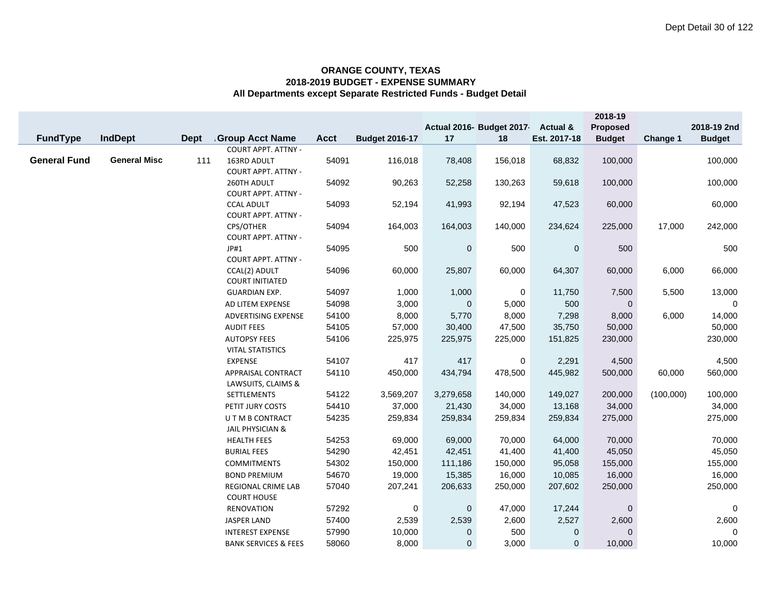|                     |                     |             |                                                 |             |                       |             | Actual 2016- Budget 2017- | <b>Actual &amp;</b> | 2018-19<br>Proposed |           | 2018-19 2nd   |
|---------------------|---------------------|-------------|-------------------------------------------------|-------------|-----------------------|-------------|---------------------------|---------------------|---------------------|-----------|---------------|
| <b>FundType</b>     | <b>IndDept</b>      | <b>Dept</b> | <b>Group Acct Name</b>                          | <b>Acct</b> | <b>Budget 2016-17</b> | 17          | 18                        | Est. 2017-18        | <b>Budget</b>       | Change 1  | <b>Budget</b> |
|                     |                     |             | <b>COURT APPT. ATTNY -</b>                      |             |                       |             |                           |                     |                     |           |               |
| <b>General Fund</b> | <b>General Misc</b> | 111         | 163RD ADULT<br><b>COURT APPT. ATTNY -</b>       | 54091       | 116,018               | 78,408      | 156,018                   | 68,832              | 100,000             |           | 100,000       |
|                     |                     |             | 260TH ADULT<br>COURT APPT. ATTNY -              | 54092       | 90,263                | 52,258      | 130,263                   | 59,618              | 100,000             |           | 100,000       |
|                     |                     |             | <b>CCAL ADULT</b><br><b>COURT APPT. ATTNY -</b> | 54093       | 52,194                | 41,993      | 92,194                    | 47,523              | 60,000              |           | 60,000        |
|                     |                     |             | CPS/OTHER<br><b>COURT APPT. ATTNY -</b>         | 54094       | 164,003               | 164,003     | 140,000                   | 234,624             | 225,000             | 17,000    | 242,000       |
|                     |                     |             | JP#1<br><b>COURT APPT. ATTNY -</b>              | 54095       | 500                   | $\mathbf 0$ | 500                       | $\mathbf 0$         | 500                 |           | 500           |
|                     |                     |             | CCAL(2) ADULT<br><b>COURT INITIATED</b>         | 54096       | 60,000                | 25,807      | 60,000                    | 64,307              | 60,000              | 6,000     | 66,000        |
|                     |                     |             | <b>GUARDIAN EXP.</b>                            | 54097       | 1,000                 | 1,000       | 0                         | 11,750              | 7,500               | 5,500     | 13,000        |
|                     |                     |             | AD LITEM EXPENSE                                | 54098       | 3,000                 | $\mathbf 0$ | 5,000                     | 500                 | $\mathbf 0$         |           | $\mathbf 0$   |
|                     |                     |             | ADVERTISING EXPENSE                             | 54100       | 8,000                 | 5,770       | 8,000                     | 7,298               | 8,000               | 6,000     | 14,000        |
|                     |                     |             | <b>AUDIT FEES</b>                               | 54105       | 57,000                | 30,400      | 47,500                    | 35,750              | 50,000              |           | 50,000        |
|                     |                     |             | <b>AUTOPSY FEES</b>                             | 54106       | 225,975               | 225,975     | 225,000                   | 151,825             | 230,000             |           | 230,000       |
|                     |                     |             | <b>VITAL STATISTICS</b>                         |             |                       |             |                           |                     |                     |           |               |
|                     |                     |             | <b>EXPENSE</b>                                  | 54107       | 417                   | 417         | 0                         | 2,291               | 4,500               |           | 4,500         |
|                     |                     |             | APPRAISAL CONTRACT<br>LAWSUITS, CLAIMS &        | 54110       | 450,000               | 434,794     | 478,500                   | 445,982             | 500,000             | 60,000    | 560,000       |
|                     |                     |             | SETTLEMENTS                                     | 54122       | 3,569,207             | 3,279,658   | 140,000                   | 149,027             | 200,000             | (100,000) | 100,000       |
|                     |                     |             | PETIT JURY COSTS                                | 54410       | 37,000                | 21,430      | 34,000                    | 13,168              | 34,000              |           | 34,000        |
|                     |                     |             | U T M B CONTRACT<br><b>JAIL PHYSICIAN &amp;</b> | 54235       | 259,834               | 259,834     | 259,834                   | 259,834             | 275,000             |           | 275,000       |
|                     |                     |             | <b>HEALTH FEES</b>                              | 54253       | 69,000                | 69,000      | 70,000                    | 64,000              | 70,000              |           | 70,000        |
|                     |                     |             | <b>BURIAL FEES</b>                              | 54290       | 42,451                | 42,451      | 41,400                    | 41,400              | 45,050              |           | 45,050        |
|                     |                     |             | <b>COMMITMENTS</b>                              | 54302       | 150,000               | 111,186     | 150,000                   | 95,058              | 155,000             |           | 155,000       |
|                     |                     |             | <b>BOND PREMIUM</b>                             | 54670       | 19,000                | 15,385      | 16,000                    | 10,085              | 16,000              |           | 16,000        |
|                     |                     |             | REGIONAL CRIME LAB<br><b>COURT HOUSE</b>        | 57040       | 207,241               | 206,633     | 250,000                   | 207,602             | 250,000             |           | 250,000       |
|                     |                     |             | <b>RENOVATION</b>                               | 57292       | 0                     | $\mathbf 0$ | 47,000                    | 17,244              | 0                   |           | 0             |
|                     |                     |             | <b>JASPER LAND</b>                              | 57400       | 2,539                 | 2,539       | 2,600                     | 2,527               | 2,600               |           | 2,600         |
|                     |                     |             | <b>INTEREST EXPENSE</b>                         | 57990       | 10,000                | $\mathbf 0$ | 500                       | 0                   | $\mathbf{0}$        |           | $\mathbf 0$   |
|                     |                     |             | <b>BANK SERVICES &amp; FEES</b>                 | 58060       | 8,000                 | $\mathbf 0$ | 3,000                     | $\overline{0}$      | 10,000              |           | 10,000        |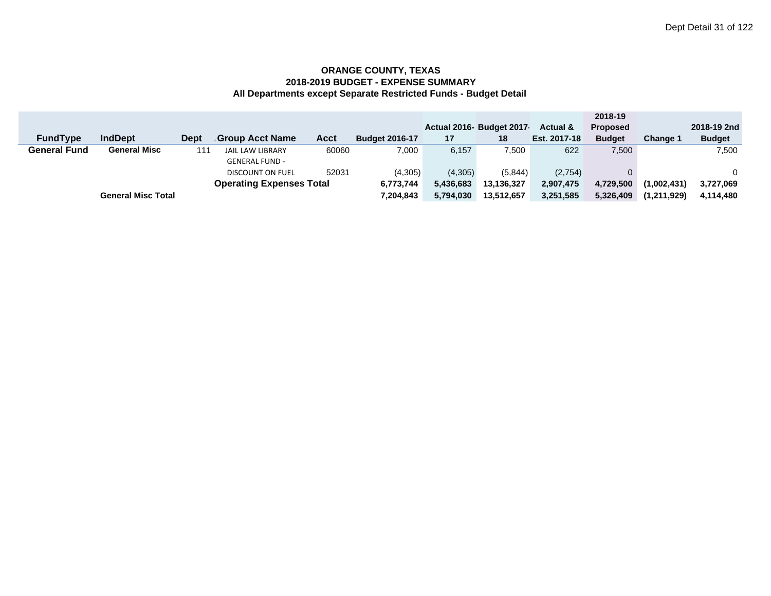|                     |                           |      |                                 |       |                       |           |                          |                     | 2018-19         |                 |               |
|---------------------|---------------------------|------|---------------------------------|-------|-----------------------|-----------|--------------------------|---------------------|-----------------|-----------------|---------------|
|                     |                           |      |                                 |       |                       |           | Actual 2016- Budget 2017 | <b>Actual &amp;</b> | <b>Proposed</b> |                 | 2018-19 2nd   |
| <b>FundType</b>     | <b>IndDept</b>            | Dept | Group Acct Name                 | Acct  | <b>Budget 2016-17</b> | 17        | 18                       | Est. 2017-18        | <b>Budget</b>   | <b>Change 1</b> | <b>Budget</b> |
| <b>General Fund</b> | <b>General Misc</b>       | 111  | <b>JAIL LAW LIBRARY</b>         | 60060 | 7.000                 | 6.157     | 7,500                    | 622                 | 7,500           |                 | 7,500         |
|                     |                           |      | <b>GENERAL FUND -</b>           |       |                       |           |                          |                     |                 |                 |               |
|                     |                           |      | <b>DISCOUNT ON FUEL</b>         | 52031 | (4.305)               | (4,305)   | (5.844)                  | (2,754)             |                 |                 |               |
|                     |                           |      | <b>Operating Expenses Total</b> |       | 6,773,744             | 5,436,683 | 13.136.327               | 2,907,475           | 4,729,500       | (1,002,431)     | 3,727,069     |
|                     | <b>General Misc Total</b> |      |                                 |       | 7,204,843             | 5,794,030 | 13,512,657               | 3,251,585           | 5,326,409       | (1,211,929)     | 4,114,480     |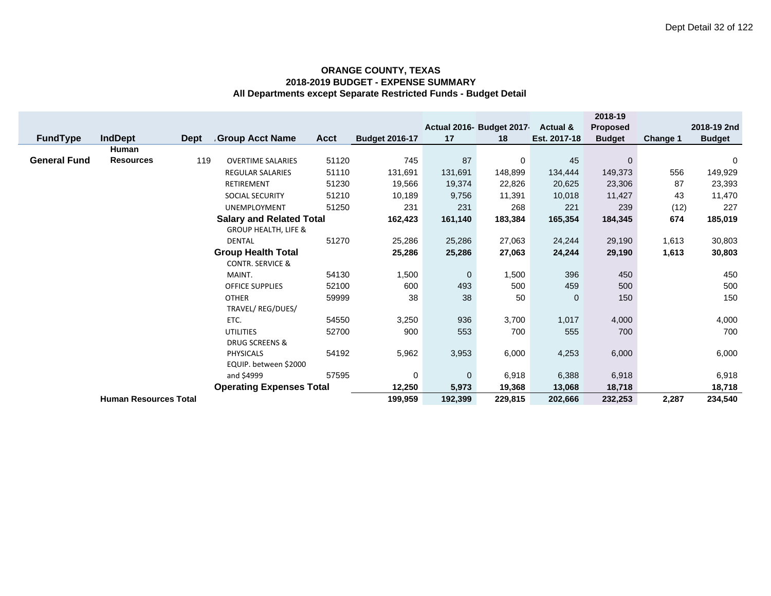|                                 |                              |                             |                                 |       |                       |              |                           |                     | 2018-19         |          |               |
|---------------------------------|------------------------------|-----------------------------|---------------------------------|-------|-----------------------|--------------|---------------------------|---------------------|-----------------|----------|---------------|
|                                 |                              |                             |                                 |       |                       |              | Actual 2016- Budget 2017- | <b>Actual &amp;</b> | <b>Proposed</b> |          | 2018-19 2nd   |
| <b>FundType</b>                 | <b>IndDept</b>               | <b>Dept</b>                 | Group Acct Name                 | Acct  | <b>Budget 2016-17</b> | 17           | 18                        | Est. 2017-18        | <b>Budget</b>   | Change 1 | <b>Budget</b> |
|                                 | <b>Human</b>                 |                             |                                 |       |                       |              |                           |                     |                 |          |               |
| <b>General Fund</b>             | <b>Resources</b>             | 119                         | <b>OVERTIME SALARIES</b>        | 51120 | 745                   | 87           | 0                         | 45                  | $\mathbf{0}$    |          | 0             |
|                                 |                              |                             | <b>REGULAR SALARIES</b>         | 51110 | 131,691               | 131,691      | 148,899                   | 134,444             | 149,373         | 556      | 149,929       |
|                                 |                              |                             | RETIREMENT                      | 51230 | 19,566                | 19,374       | 22,826                    | 20,625              | 23,306          | 87       | 23,393        |
|                                 |                              |                             | <b>SOCIAL SECURITY</b>          | 51210 | 10,189                | 9,756        | 11,391                    | 10,018              | 11,427          | 43       | 11,470        |
|                                 |                              |                             | <b>UNEMPLOYMENT</b>             | 51250 | 231                   | 231          | 268                       | 221                 | 239             | (12)     | 227           |
|                                 |                              |                             | <b>Salary and Related Total</b> |       | 162,423               | 161,140      | 183,384                   | 165,354             | 184,345         | 674      | 185,019       |
|                                 |                              |                             | <b>GROUP HEALTH, LIFE &amp;</b> |       |                       |              |                           |                     |                 |          |               |
|                                 |                              |                             | <b>DENTAL</b>                   | 51270 | 25,286                | 25,286       | 27,063                    | 24,244              | 29,190          | 1,613    | 30,803        |
|                                 | <b>Group Health Total</b>    |                             |                                 |       |                       |              | 27,063                    | 24,244              | 29,190          | 1,613    | 30,803        |
|                                 |                              | <b>CONTR. SERVICE &amp;</b> |                                 |       |                       |              |                           |                     |                 |          |               |
|                                 |                              |                             | MAINT.                          | 54130 | 1,500                 | $\mathbf{0}$ | 1,500                     | 396                 | 450             |          | 450           |
|                                 |                              |                             | <b>OFFICE SUPPLIES</b>          | 52100 | 600                   | 493          | 500                       | 459                 | 500             |          | 500           |
|                                 |                              |                             | <b>OTHER</b>                    | 59999 | 38                    | 38           | 50                        | $\overline{0}$      | 150             |          | 150           |
|                                 |                              |                             | TRAVEL/ REG/DUES/               |       |                       |              |                           |                     |                 |          |               |
|                                 |                              |                             | ETC.                            | 54550 | 3,250                 | 936          | 3,700                     | 1,017               | 4,000           |          | 4,000         |
|                                 |                              |                             | <b>UTILITIES</b>                | 52700 | 900                   | 553          | 700                       | 555                 | 700             |          | 700           |
|                                 |                              | <b>DRUG SCREENS &amp;</b>   |                                 |       |                       |              |                           |                     |                 |          |               |
|                                 |                              |                             | <b>PHYSICALS</b>                | 54192 | 5,962                 | 3,953        | 6,000                     | 4,253               | 6,000           |          | 6,000         |
|                                 | EQUIP. between \$2000        |                             |                                 |       |                       |              |                           |                     |                 |          |               |
|                                 |                              |                             | and \$4999                      | 57595 | 0<br>12,250           | $\mathbf{0}$ | 6,918                     | 6,388               | 6,918           |          | 6,918         |
| <b>Operating Expenses Total</b> |                              |                             |                                 |       |                       | 5,973        | 19,368                    | 13,068              | 18,718          |          | 18,718        |
|                                 | <b>Human Resources Total</b> |                             |                                 |       | 199,959               | 192,399      | 229,815                   | 202,666             | 232,253         | 2,287    | 234,540       |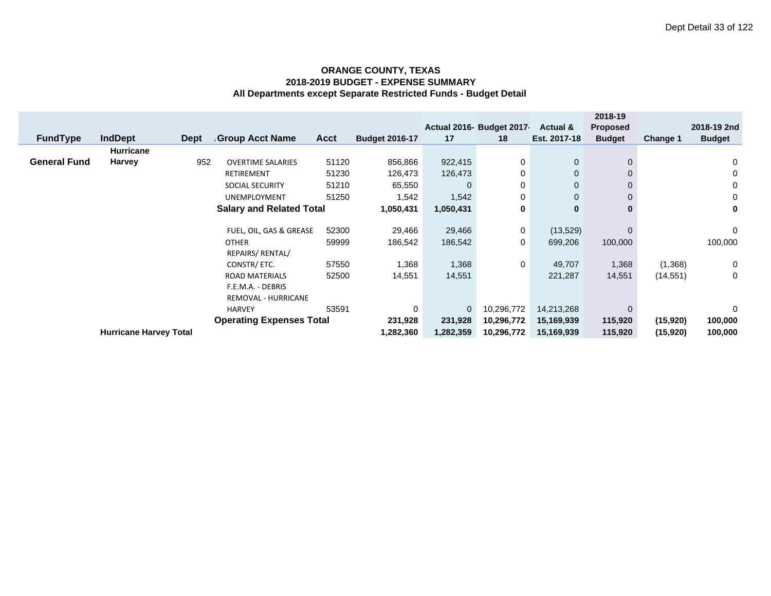|                     |                               |             |                                 |             |                       |             |                           |                     | 2018-19         |           |               |
|---------------------|-------------------------------|-------------|---------------------------------|-------------|-----------------------|-------------|---------------------------|---------------------|-----------------|-----------|---------------|
|                     |                               |             |                                 |             |                       |             | Actual 2016- Budget 2017- | <b>Actual &amp;</b> | <b>Proposed</b> |           | 2018-19 2nd   |
| <b>FundType</b>     | <b>IndDept</b>                | <b>Dept</b> | <b>Group Acct Name</b>          | <b>Acct</b> | <b>Budget 2016-17</b> | 17          | 18                        | Est. 2017-18        | <b>Budget</b>   | Change 1  | <b>Budget</b> |
|                     | <b>Hurricane</b>              |             |                                 |             |                       |             |                           |                     |                 |           |               |
| <b>General Fund</b> | <b>Harvey</b>                 | 952         | <b>OVERTIME SALARIES</b>        | 51120       | 856,866               | 922,415     | 0                         | $\mathbf 0$         | 0               |           | 0             |
|                     |                               |             | <b>RETIREMENT</b>               | 51230       | 126,473               | 126,473     | 0                         | $\mathbf 0$         | $\Omega$        |           | 0             |
|                     |                               |             | <b>SOCIAL SECURITY</b>          | 51210       | 65,550                | $\mathbf 0$ | 0                         | $\mathbf 0$         | 0               |           | 0             |
|                     |                               |             | <b>UNEMPLOYMENT</b>             | 51250       | 1,542                 | 1,542       | 0                         | $\mathbf 0$         | 0               |           | 0             |
|                     |                               |             | <b>Salary and Related Total</b> |             | 1,050,431             | 1,050,431   | 0                         | $\bf{0}$            | 0               |           | 0             |
|                     |                               |             |                                 |             |                       |             |                           |                     |                 |           |               |
|                     |                               |             | FUEL, OIL, GAS & GREASE         | 52300       | 29,466                | 29,466      | 0                         | (13, 529)           | $\Omega$        |           | 0             |
|                     |                               |             | <b>OTHER</b>                    | 59999       | 186,542               | 186,542     | 0                         | 699,206             | 100,000         |           | 100,000       |
|                     |                               |             | REPAIRS/ RENTAL/                |             |                       |             |                           |                     |                 |           |               |
|                     |                               |             | CONSTR/ ETC.                    | 57550       | 1,368                 | 1,368       | 0                         | 49,707              | 1,368           | (1,368)   | 0             |
|                     |                               |             | <b>ROAD MATERIALS</b>           | 52500       | 14,551                | 14,551      |                           | 221,287             | 14,551          | (14, 551) | 0             |
|                     |                               |             | F.E.M.A. - DEBRIS               |             |                       |             |                           |                     |                 |           |               |
|                     |                               |             | REMOVAL - HURRICANE             |             |                       |             |                           |                     |                 |           |               |
|                     |                               |             | <b>HARVEY</b>                   | 53591       | 0                     | $\mathbf 0$ | 10,296,772                | 14,213,268          | $\Omega$        |           | 0             |
|                     |                               |             | <b>Operating Expenses Total</b> |             | 231,928               | 231,928     | 10,296,772                | 15,169,939          | 115,920         | (15, 920) | 100,000       |
|                     | <b>Hurricane Harvey Total</b> |             |                                 |             | 1,282,360             | 1,282,359   | 10,296,772                | 15,169,939          | 115,920         | (15, 920) | 100,000       |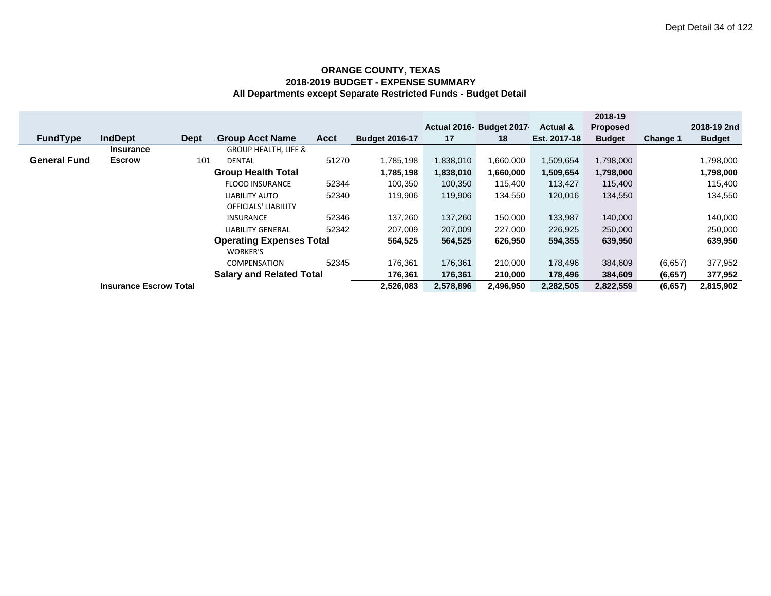|                     |                               |             |                                 |             |                       |           |                          |              | 2018-19         |          |               |
|---------------------|-------------------------------|-------------|---------------------------------|-------------|-----------------------|-----------|--------------------------|--------------|-----------------|----------|---------------|
|                     |                               |             |                                 |             |                       |           | Actual 2016- Budget 2017 | Actual &     | <b>Proposed</b> |          | 2018-19 2nd   |
| <b>FundType</b>     | <b>IndDept</b>                | <b>Dept</b> | <b>Group Acct Name</b>          | <b>Acct</b> | <b>Budget 2016-17</b> | 17        | 18                       | Est. 2017-18 | <b>Budget</b>   | Change 1 | <b>Budget</b> |
|                     | <b>Insurance</b>              |             | <b>GROUP HEALTH, LIFE &amp;</b> |             |                       |           |                          |              |                 |          |               |
| <b>General Fund</b> | <b>Escrow</b>                 | 101         | <b>DENTAL</b>                   | 51270       | 1,785,198             | 1,838,010 | 1,660,000                | 1,509,654    | 1,798,000       |          | 1,798,000     |
|                     |                               |             | <b>Group Health Total</b>       |             | 1,785,198             | 1,838,010 | 1,660,000                | 1,509,654    | 1,798,000       |          | 1,798,000     |
|                     |                               |             | <b>FLOOD INSURANCE</b>          | 52344       | 100,350               | 100,350   | 115,400                  | 113,427      | 115,400         |          | 115,400       |
|                     |                               |             | LIABILITY AUTO                  | 52340       | 119,906               | 119,906   | 134,550                  | 120,016      | 134,550         |          | 134,550       |
|                     |                               |             | <b>OFFICIALS' LIABILITY</b>     |             |                       |           |                          |              |                 |          |               |
|                     |                               |             | <b>INSURANCE</b>                | 52346       | 137,260               | 137,260   | 150,000                  | 133,987      | 140,000         |          | 140,000       |
|                     |                               |             | <b>LIABILITY GENERAL</b>        | 52342       | 207,009               | 207,009   | 227,000                  | 226,925      | 250,000         |          | 250,000       |
|                     |                               |             | <b>Operating Expenses Total</b> |             | 564,525               | 564,525   | 626,950                  | 594,355      | 639,950         |          | 639,950       |
|                     |                               |             | <b>WORKER'S</b>                 |             |                       |           |                          |              |                 |          |               |
|                     |                               |             | <b>COMPENSATION</b>             | 52345       | 176,361               | 176,361   | 210,000                  | 178,496      | 384,609         | (6,657)  | 377,952       |
|                     |                               |             | <b>Salary and Related Total</b> |             | 176,361               | 176,361   | 210,000                  | 178,496      | 384,609         | (6, 657) | 377,952       |
|                     | <b>Insurance Escrow Total</b> |             |                                 |             | 2,526,083             | 2,578,896 | 2,496,950                | 2,282,505    | 2,822,559       | (6, 657) | 2,815,902     |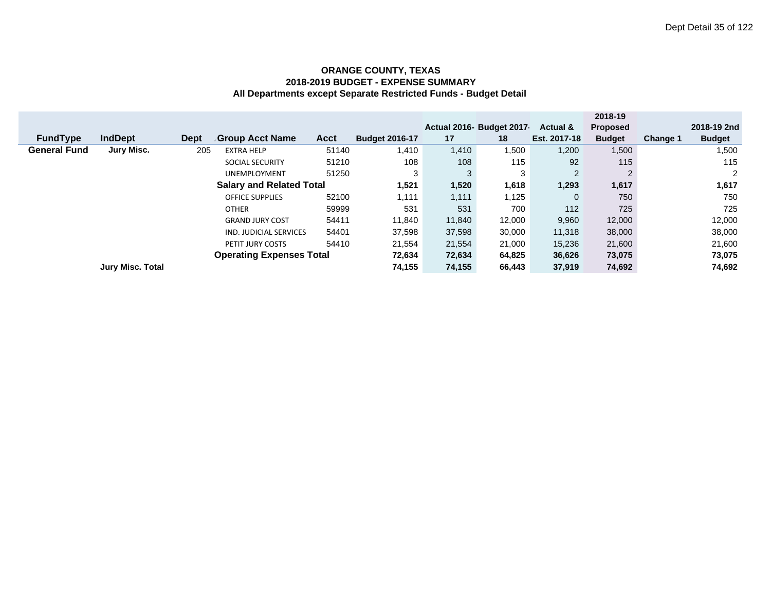|                                 |                         |             |                                 |             |                       |        |                          |                     | 2018-19         |          |               |
|---------------------------------|-------------------------|-------------|---------------------------------|-------------|-----------------------|--------|--------------------------|---------------------|-----------------|----------|---------------|
|                                 |                         |             |                                 |             |                       |        | Actual 2016- Budget 2017 | <b>Actual &amp;</b> | <b>Proposed</b> |          | 2018-19 2nd   |
| <b>FundType</b>                 | <b>IndDept</b>          | <b>Dept</b> | <b>Group Acct Name</b>          | <b>Acct</b> | <b>Budget 2016-17</b> | 17     | 18                       | Est. 2017-18        | <b>Budget</b>   | Change 1 | <b>Budget</b> |
| <b>General Fund</b>             | Jury Misc.              | 205         | <b>EXTRA HELP</b>               | 51140       | 1,410                 | 1,410  | 1,500                    | 1,200               | 1,500           |          | 1,500         |
|                                 |                         |             | <b>SOCIAL SECURITY</b>          | 51210       | 108                   | 108    | 115                      | 92                  | 115             |          | 115           |
|                                 |                         |             | UNEMPLOYMENT                    | 51250       | 3                     | 3      | 3                        | 2                   |                 |          | 2             |
|                                 |                         |             | <b>Salary and Related Total</b> |             | 1,521                 | 1,520  | 1,618                    | 1,293               | 1,617           |          | 1,617         |
|                                 |                         |             | <b>OFFICE SUPPLIES</b>          | 52100       | 1,111                 | 1,111  | 1,125                    | $\mathbf{0}$        | 750             |          | 750           |
|                                 |                         |             | <b>OTHER</b>                    | 59999       | 531                   | 531    | 700                      | 112                 | 725             |          | 725           |
|                                 |                         |             | <b>GRAND JURY COST</b>          | 54411       | 11,840                | 11.840 | 12,000                   | 9,960               | 12,000          |          | 12,000        |
|                                 |                         |             | IND. JUDICIAL SERVICES          | 54401       | 37,598                | 37,598 | 30,000                   | 11,318              | 38,000          |          | 38,000        |
|                                 |                         |             | PETIT JURY COSTS                | 54410       | 21,554                | 21,554 | 21,000                   | 15,236              | 21,600          |          | 21,600        |
| <b>Operating Expenses Total</b> |                         |             |                                 |             | 72,634                | 72,634 | 64,825                   | 36,626              | 73,075          |          | 73,075        |
|                                 | <b>Jury Misc. Total</b> |             |                                 |             | 74,155                | 74,155 | 66,443                   | 37,919              | 74,692          |          | 74,692        |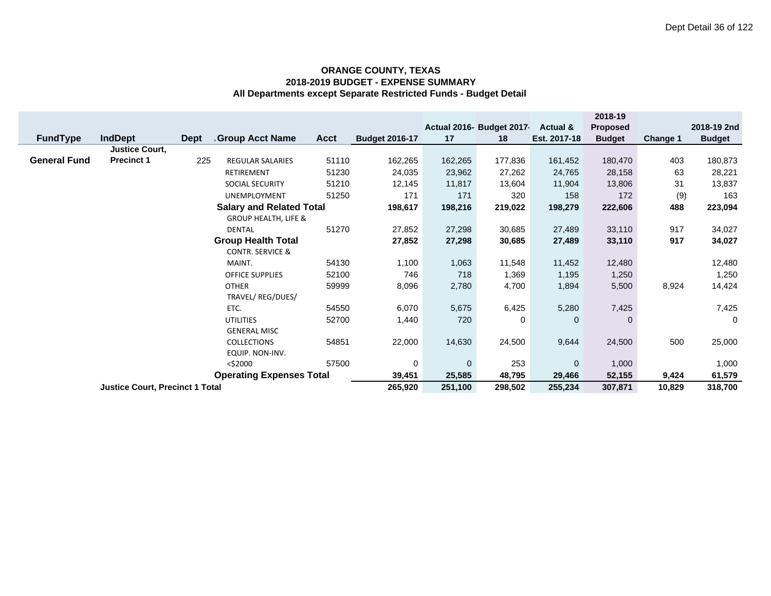|                     |                                        |             |                                 |             |                       |             |                           |                     | 2018-19       |          |               |
|---------------------|----------------------------------------|-------------|---------------------------------|-------------|-----------------------|-------------|---------------------------|---------------------|---------------|----------|---------------|
|                     |                                        |             |                                 |             |                       |             | Actual 2016- Budget 2017- | <b>Actual &amp;</b> | Proposed      |          | 2018-19 2nd   |
| <b>FundType</b>     | <b>IndDept</b>                         | <b>Dept</b> | <b>Group Acct Name</b>          | <b>Acct</b> | <b>Budget 2016-17</b> | 17          | 18                        | Est. 2017-18        | <b>Budget</b> | Change 1 | <b>Budget</b> |
|                     | <b>Justice Court,</b>                  |             |                                 |             |                       |             |                           |                     |               |          |               |
| <b>General Fund</b> | <b>Precinct 1</b>                      | 225         | <b>REGULAR SALARIES</b>         | 51110       | 162,265               | 162,265     | 177,836                   | 161,452             | 180,470       | 403      | 180,873       |
|                     |                                        |             | <b>RETIREMENT</b>               | 51230       | 24,035                | 23,962      | 27,262                    | 24,765              | 28,158        | 63       | 28,221        |
|                     |                                        |             | <b>SOCIAL SECURITY</b>          | 51210       | 12,145                | 11,817      | 13,604                    | 11,904              | 13,806        | 31       | 13,837        |
|                     |                                        |             | <b>UNEMPLOYMENT</b>             | 51250       | 171                   | 171         | 320                       | 158                 | 172           | (9)      | 163           |
|                     |                                        |             | <b>Salary and Related Total</b> |             | 198,617               | 198,216     | 219,022                   | 198,279             | 222,606       | 488      | 223,094       |
|                     |                                        |             | <b>GROUP HEALTH, LIFE &amp;</b> |             |                       |             |                           |                     |               |          |               |
|                     |                                        |             | <b>DENTAL</b>                   | 51270       | 27,852                | 27,298      | 30,685                    | 27,489              | 33,110        | 917      | 34,027        |
|                     |                                        |             | <b>Group Health Total</b>       |             | 27,852                | 27,298      | 30,685                    | 27,489              | 33,110        | 917      | 34,027        |
|                     |                                        |             | <b>CONTR. SERVICE &amp;</b>     |             |                       |             |                           |                     |               |          |               |
|                     |                                        |             | MAINT.                          | 54130       | 1,100                 | 1,063       | 11,548                    | 11,452              | 12,480        |          | 12,480        |
|                     |                                        |             | <b>OFFICE SUPPLIES</b>          | 52100       | 746                   | 718         | 1,369                     | 1,195               | 1,250         |          | 1,250         |
|                     |                                        |             | <b>OTHER</b>                    | 59999       | 8,096                 | 2,780       | 4,700                     | 1,894               | 5,500         | 8,924    | 14,424        |
|                     |                                        |             | TRAVEL/ REG/DUES/               |             |                       |             |                           |                     |               |          |               |
|                     |                                        |             | ETC.                            | 54550       | 6,070                 | 5,675       | 6,425                     | 5,280               | 7,425         |          | 7,425         |
|                     |                                        |             | <b>UTILITIES</b>                | 52700       | 1,440                 | 720         | 0                         | $\mathbf 0$         | 0             |          | 0             |
|                     |                                        |             | <b>GENERAL MISC</b>             |             |                       |             |                           |                     |               |          |               |
|                     |                                        |             | <b>COLLECTIONS</b>              | 54851       | 22,000                | 14,630      | 24,500                    | 9,644               | 24,500        | 500      | 25,000        |
|                     |                                        |             | EQUIP. NON-INV.                 |             |                       |             |                           |                     |               |          |               |
|                     |                                        |             | $<$ \$2000                      | 57500       | 0<br>39,451           | $\mathbf 0$ | 253                       | $\mathbf 0$         | 1,000         |          | 1,000         |
|                     | <b>Operating Expenses Total</b>        |             |                                 |             |                       | 25,585      | 48,795                    | 29,466              | 52,155        | 9,424    | 61,579        |
|                     | <b>Justice Court, Precinct 1 Total</b> |             |                                 |             | 265,920               | 251,100     | 298,502                   | 255,234             | 307,871       | 10,829   | 318,700       |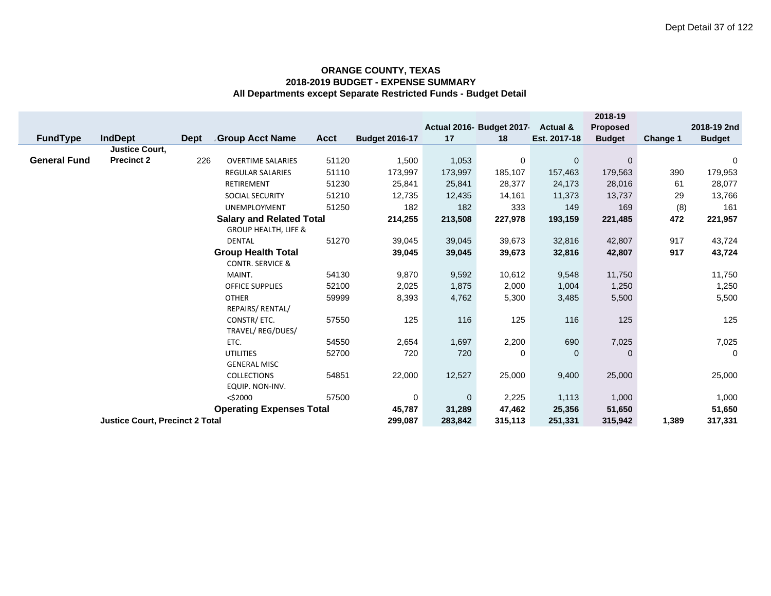|                             |                                        |      |                                 |             |                       |             |                           |                     | 2018-19         |          |               |
|-----------------------------|----------------------------------------|------|---------------------------------|-------------|-----------------------|-------------|---------------------------|---------------------|-----------------|----------|---------------|
|                             |                                        |      |                                 |             |                       |             | Actual 2016- Budget 2017- | <b>Actual &amp;</b> | <b>Proposed</b> |          | 2018-19 2nd   |
| <b>FundType</b>             | <b>IndDept</b>                         | Dept | <b>Group Acct Name</b>          | <b>Acct</b> | <b>Budget 2016-17</b> | 17          | 18                        | Est. 2017-18        | <b>Budget</b>   | Change 1 | <b>Budget</b> |
|                             | <b>Justice Court.</b>                  |      |                                 |             |                       |             |                           |                     |                 |          |               |
| <b>General Fund</b>         | <b>Precinct 2</b>                      | 226  | <b>OVERTIME SALARIES</b>        | 51120       | 1,500                 | 1,053       | 0                         | $\mathbf 0$         | $\mathbf 0$     |          | 0             |
|                             |                                        |      | <b>REGULAR SALARIES</b>         | 51110       | 173,997               | 173,997     | 185,107                   | 157,463             | 179,563         | 390      | 179,953       |
|                             |                                        |      | <b>RETIREMENT</b>               | 51230       | 25,841                | 25,841      | 28,377                    | 24,173              | 28,016          | 61       | 28,077        |
|                             |                                        |      | SOCIAL SECURITY                 | 51210       | 12,735                | 12,435      | 14,161                    | 11,373              | 13,737          | 29       | 13,766        |
|                             |                                        |      | <b>UNEMPLOYMENT</b>             | 51250       | 182                   | 182         | 333                       | 149                 | 169             | (8)      | 161           |
|                             |                                        |      | <b>Salary and Related Total</b> |             | 214,255               | 213,508     | 227,978                   | 193,159             | 221,485         | 472      | 221,957       |
|                             |                                        |      | <b>GROUP HEALTH, LIFE &amp;</b> |             |                       |             |                           |                     |                 |          |               |
|                             |                                        |      | <b>DENTAL</b>                   | 51270       | 39,045                | 39,045      | 39,673                    | 32,816              | 42,807          | 917      | 43,724        |
|                             |                                        |      | <b>Group Health Total</b>       |             | 39,045                | 39,045      | 39,673                    | 32,816              | 42,807          | 917      | 43,724        |
|                             |                                        |      | <b>CONTR. SERVICE &amp;</b>     |             |                       |             |                           |                     |                 |          |               |
|                             |                                        |      | MAINT.                          | 54130       | 9,870                 | 9,592       | 10,612                    | 9,548               | 11,750          |          | 11,750        |
|                             |                                        |      | <b>OFFICE SUPPLIES</b>          | 52100       | 2,025                 | 1,875       | 2,000                     | 1,004               | 1,250           |          | 1,250         |
|                             |                                        |      | <b>OTHER</b>                    | 59999       | 8,393                 | 4,762       | 5,300                     | 3,485               | 5,500           |          | 5,500         |
|                             |                                        |      | REPAIRS/ RENTAL/                |             |                       |             |                           |                     |                 |          |               |
|                             |                                        |      | CONSTR/ ETC.                    | 57550       | 125                   | 116         | 125                       | 116                 | 125             |          | 125           |
|                             |                                        |      | TRAVEL/REG/DUES/                |             |                       |             |                           |                     |                 |          |               |
|                             |                                        |      | ETC.                            | 54550       | 2,654                 | 1,697       | 2,200                     | 690                 | 7,025           |          | 7,025         |
|                             |                                        |      | <b>UTILITIES</b>                | 52700       | 720                   | 720         | 0                         | $\mathbf{0}$        | $\mathbf 0$     |          | $\mathbf 0$   |
| <b>GENERAL MISC</b>         |                                        |      |                                 |             |                       |             |                           |                     |                 |          |               |
| 54851<br><b>COLLECTIONS</b> |                                        |      |                                 |             | 22,000                | 12,527      | 25,000                    | 9,400               | 25,000          |          | 25,000        |
| EQUIP. NON-INV.             |                                        |      |                                 |             |                       |             |                           |                     |                 |          |               |
| 57500<br>$<$ \$2000         |                                        |      |                                 |             | 0                     | $\mathbf 0$ | 2,225                     | 1,113               | 1,000           |          | 1,000         |
|                             |                                        |      | <b>Operating Expenses Total</b> |             | 45,787                | 31,289      | 47,462                    | 25,356              | 51,650          |          | 51,650        |
|                             | <b>Justice Court, Precinct 2 Total</b> |      |                                 | 299,087     | 283,842               | 315,113     | 251,331                   | 315,942             | 1,389           | 317,331  |               |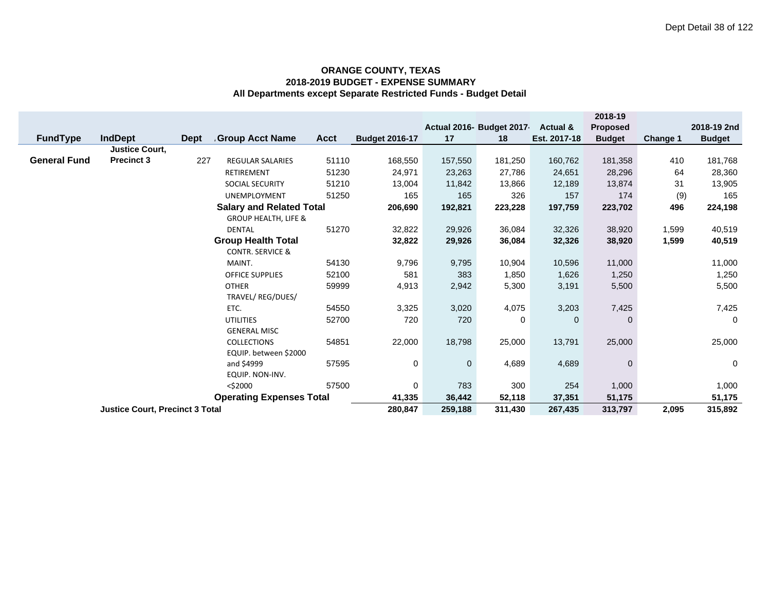|                                        |                                        |             |                                 |         |                       |              |                           |                     | 2018-19       |          |               |
|----------------------------------------|----------------------------------------|-------------|---------------------------------|---------|-----------------------|--------------|---------------------------|---------------------|---------------|----------|---------------|
|                                        |                                        |             |                                 |         |                       |              | Actual 2016- Budget 2017- | <b>Actual &amp;</b> | Proposed      |          | 2018-19 2nd   |
| <b>FundType</b>                        | <b>IndDept</b>                         | <b>Dept</b> | <b>Group Acct Name</b>          | Acct    | <b>Budget 2016-17</b> | 17           | 18                        | Est. 2017-18        | <b>Budget</b> | Change 1 | <b>Budget</b> |
|                                        | <b>Justice Court.</b>                  |             |                                 |         |                       |              |                           |                     |               |          |               |
| <b>General Fund</b>                    | <b>Precinct 3</b>                      | 227         | <b>REGULAR SALARIES</b>         | 51110   | 168,550               | 157,550      | 181,250                   | 160,762             | 181,358       | 410      | 181,768       |
|                                        |                                        |             | <b>RETIREMENT</b>               | 51230   | 24,971                | 23,263       | 27,786                    | 24,651              | 28,296        | 64       | 28,360        |
|                                        |                                        |             | SOCIAL SECURITY                 | 51210   | 13,004                | 11,842       | 13,866                    | 12,189              | 13,874        | 31       | 13,905        |
|                                        |                                        |             | <b>UNEMPLOYMENT</b>             | 51250   | 165                   | 165          | 326                       | 157                 | 174           | (9)      | 165           |
|                                        |                                        |             | <b>Salary and Related Total</b> |         | 206,690               | 192,821      | 223,228                   | 197,759             | 223,702       | 496      | 224,198       |
|                                        |                                        |             | <b>GROUP HEALTH, LIFE &amp;</b> |         |                       |              |                           |                     |               |          |               |
|                                        |                                        |             | <b>DENTAL</b>                   | 51270   | 32,822                | 29,926       | 36,084                    | 32,326              | 38,920        | 1,599    | 40,519        |
|                                        |                                        |             | <b>Group Health Total</b>       |         | 32,822                | 29,926       | 36,084                    | 32,326              | 38,920        | 1,599    | 40,519        |
|                                        |                                        |             | <b>CONTR. SERVICE &amp;</b>     |         |                       |              |                           |                     |               |          |               |
|                                        |                                        |             | MAINT.                          | 54130   | 9,796                 | 9,795        | 10,904                    | 10,596              | 11,000        |          | 11,000        |
|                                        |                                        |             | <b>OFFICE SUPPLIES</b>          | 52100   | 581                   | 383          | 1,850                     | 1,626               | 1,250         |          | 1,250         |
|                                        |                                        |             | <b>OTHER</b>                    | 59999   | 4,913                 | 2,942        | 5,300                     | 3,191               | 5,500         |          | 5,500         |
|                                        |                                        |             | TRAVEL/REG/DUES/                |         |                       |              |                           |                     |               |          |               |
|                                        |                                        |             | ETC.                            | 54550   | 3,325                 | 3,020        | 4,075                     | 3,203               | 7,425         |          | 7,425         |
|                                        |                                        |             | <b>UTILITIES</b>                | 52700   | 720                   | 720          | 0                         | $\mathbf{0}$        | $\mathbf 0$   |          | 0             |
|                                        |                                        |             | <b>GENERAL MISC</b>             |         |                       |              |                           |                     |               |          |               |
|                                        |                                        |             | <b>COLLECTIONS</b>              | 54851   | 22,000                | 18,798       | 25,000                    | 13,791              | 25,000        |          | 25,000        |
|                                        |                                        |             | EQUIP. between \$2000           |         |                       |              |                           |                     |               |          |               |
|                                        |                                        |             | and \$4999                      | 57595   | 0                     | $\mathbf{0}$ | 4,689                     | 4,689               | $\mathbf{0}$  |          | $\mathbf 0$   |
| EQUIP. NON-INV.<br>57500<br>$<$ \$2000 |                                        |             |                                 |         |                       |              |                           |                     |               |          |               |
|                                        |                                        |             |                                 |         | 0                     | 783          | 300                       | 254                 | 1,000         |          | 1,000         |
|                                        |                                        |             | <b>Operating Expenses Total</b> |         | 41,335                | 36,442       | 52,118                    | 37,351              | 51,175        |          | 51,175        |
|                                        | <b>Justice Court, Precinct 3 Total</b> |             | 280,847                         | 259,188 | 311,430               | 267,435      | 313,797                   | 2,095               | 315,892       |          |               |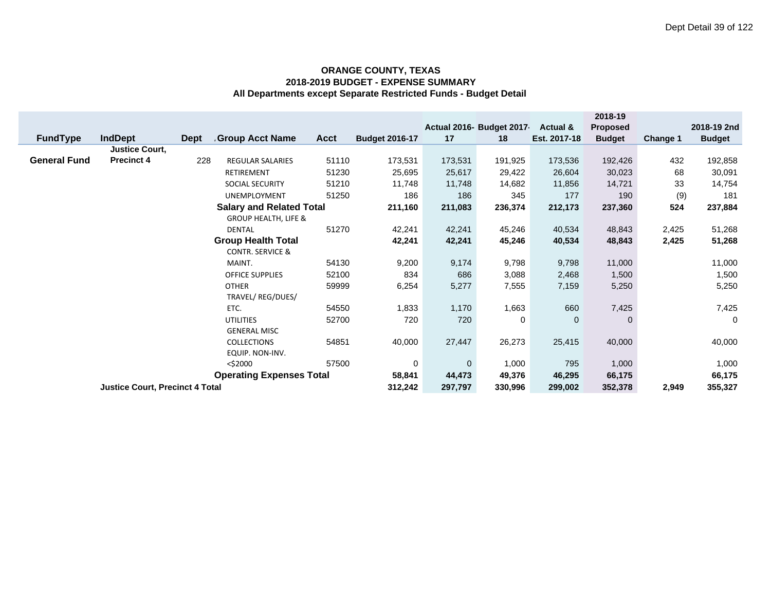|                                                     |                                        |             |                                 |             |                       |              |                          |                     | 2018-19         |                 |               |
|-----------------------------------------------------|----------------------------------------|-------------|---------------------------------|-------------|-----------------------|--------------|--------------------------|---------------------|-----------------|-----------------|---------------|
|                                                     |                                        |             |                                 |             |                       |              | Actual 2016- Budget 2017 | <b>Actual &amp;</b> | <b>Proposed</b> |                 | 2018-19 2nd   |
| <b>FundType</b>                                     | <b>IndDept</b>                         | <b>Dept</b> | <b>Group Acct Name</b>          | <b>Acct</b> | <b>Budget 2016-17</b> | 17           | 18                       | Est. 2017-18        | <b>Budget</b>   | <b>Change 1</b> | <b>Budget</b> |
|                                                     | <b>Justice Court,</b>                  |             |                                 |             |                       |              |                          |                     |                 |                 |               |
| <b>General Fund</b>                                 | <b>Precinct 4</b>                      | 228         | REGULAR SALARIES                | 51110       | 173,531               | 173,531      | 191,925                  | 173,536             | 192,426         | 432             | 192,858       |
|                                                     |                                        |             | RETIREMENT                      | 51230       | 25,695                | 25,617       | 29,422                   | 26,604              | 30,023          | 68              | 30,091        |
|                                                     |                                        |             | SOCIAL SECURITY                 | 51210       | 11,748                | 11,748       | 14,682                   | 11,856              | 14,721          | 33              | 14,754        |
|                                                     |                                        |             | <b>UNEMPLOYMENT</b>             | 51250       | 186                   | 186          | 345                      | 177                 | 190             | (9)             | 181           |
|                                                     |                                        |             | <b>Salary and Related Total</b> |             | 211,160               | 211,083      | 236,374                  | 212,173             | 237,360         | 524             | 237,884       |
|                                                     |                                        |             | <b>GROUP HEALTH, LIFE &amp;</b> |             |                       |              |                          |                     |                 |                 |               |
|                                                     |                                        |             | <b>DENTAL</b>                   | 51270       | 42,241                | 42,241       | 45,246                   | 40,534              | 48,843          | 2,425           | 51,268        |
|                                                     |                                        |             | <b>Group Health Total</b>       |             | 42,241                | 42,241       | 45,246                   | 40,534              | 48,843          | 2,425           | 51,268        |
|                                                     |                                        |             | <b>CONTR. SERVICE &amp;</b>     |             |                       |              |                          |                     |                 |                 |               |
|                                                     |                                        |             | MAINT.                          | 54130       | 9,200                 | 9,174        | 9,798                    | 9,798               | 11,000          |                 | 11,000        |
|                                                     |                                        |             | <b>OFFICE SUPPLIES</b>          | 52100       | 834                   | 686          | 3,088                    | 2,468               | 1,500           |                 | 1,500         |
|                                                     |                                        |             | <b>OTHER</b>                    | 59999       | 6,254                 | 5,277        | 7,555                    | 7,159               | 5,250           |                 | 5,250         |
|                                                     |                                        |             | TRAVEL/ REG/DUES/               |             |                       |              |                          |                     |                 |                 |               |
|                                                     |                                        |             | ETC.                            | 54550       | 1,833                 | 1,170        | 1,663                    | 660                 | 7,425           |                 | 7,425         |
|                                                     |                                        |             | <b>UTILITIES</b>                | 52700       | 720                   | 720          | 0                        | $\mathbf 0$         | $\mathbf{0}$    |                 | 0             |
|                                                     |                                        |             | <b>GENERAL MISC</b>             |             |                       |              |                          |                     |                 |                 |               |
|                                                     |                                        |             | <b>COLLECTIONS</b>              | 54851       | 40,000                | 27,447       | 26,273                   | 25,415              | 40,000          |                 | 40,000        |
|                                                     |                                        |             | EQUIP. NON-INV.                 |             |                       |              |                          |                     |                 |                 |               |
| 57500<br><\$2000<br><b>Operating Expenses Total</b> |                                        |             |                                 |             | 0                     | $\mathbf{0}$ | 1,000                    | 795                 | 1,000           |                 | 1,000         |
|                                                     |                                        | 58,841      | 44,473                          | 49,376      | 46,295                | 66,175       |                          | 66,175              |                 |                 |               |
|                                                     | <b>Justice Court, Precinct 4 Total</b> |             | 312,242                         | 297,797     | 330,996               | 299,002      | 352,378                  | 2,949               | 355,327         |                 |               |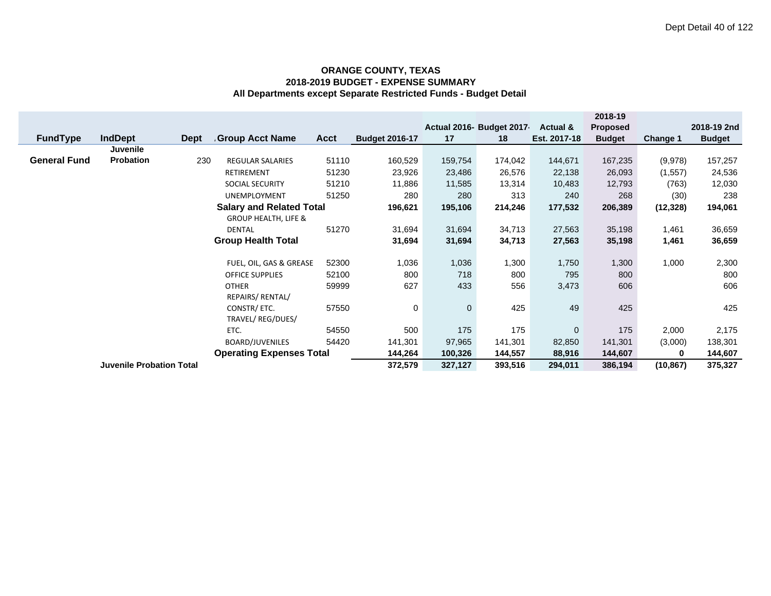|                          |                                 |             |                                 |             |                       |              |                          |                     | 2018-19         |           |               |
|--------------------------|---------------------------------|-------------|---------------------------------|-------------|-----------------------|--------------|--------------------------|---------------------|-----------------|-----------|---------------|
|                          |                                 |             |                                 |             |                       |              | Actual 2016- Budget 2017 | <b>Actual &amp;</b> | <b>Proposed</b> |           | 2018-19 2nd   |
| <b>FundType</b>          | <b>IndDept</b>                  | <b>Dept</b> | <b>Group Acct Name</b>          | <b>Acct</b> | <b>Budget 2016-17</b> | 17           | 18                       | Est. 2017-18        | <b>Budget</b>   | Change 1  | <b>Budget</b> |
|                          | Juvenile                        |             |                                 |             |                       |              |                          |                     |                 |           |               |
| <b>General Fund</b>      | Probation                       | 230         | <b>REGULAR SALARIES</b>         | 51110       | 160,529               | 159,754      | 174,042                  | 144,671             | 167,235         | (9,978)   | 157,257       |
|                          |                                 |             | <b>RETIREMENT</b>               | 51230       | 23,926                | 23,486       | 26,576                   | 22,138              | 26,093          | (1, 557)  | 24,536        |
|                          |                                 |             | <b>SOCIAL SECURITY</b>          | 51210       | 11,886                | 11,585       | 13,314                   | 10,483              | 12,793          | (763)     | 12,030        |
|                          |                                 |             | <b>UNEMPLOYMENT</b>             | 51250       | 280                   | 280          | 313                      | 240                 | 268             | (30)      | 238           |
|                          |                                 |             | <b>Salary and Related Total</b> |             | 196,621               | 195,106      | 214,246                  | 177,532             | 206,389         | (12, 328) | 194,061       |
|                          |                                 |             | <b>GROUP HEALTH, LIFE &amp;</b> |             |                       |              |                          |                     |                 |           |               |
|                          |                                 |             | <b>DENTAL</b>                   | 51270       | 31,694                | 31,694       | 34,713                   | 27,563              | 35,198          | 1,461     | 36,659        |
|                          |                                 |             | <b>Group Health Total</b>       |             | 31,694                | 31,694       | 34,713                   | 27,563              | 35,198          | 1,461     | 36,659        |
|                          |                                 |             |                                 |             |                       |              |                          |                     |                 |           |               |
|                          |                                 |             | FUEL, OIL, GAS & GREASE         | 52300       | 1,036                 | 1,036        | 1,300                    | 1,750               | 1,300           | 1,000     | 2,300         |
|                          |                                 |             | <b>OFFICE SUPPLIES</b>          | 52100       | 800                   | 718          | 800                      | 795                 | 800             |           | 800           |
|                          |                                 |             | <b>OTHER</b>                    | 59999       | 627                   | 433          | 556                      | 3,473               | 606             |           | 606           |
|                          |                                 |             | REPAIRS/ RENTAL/                |             |                       |              |                          |                     |                 |           |               |
|                          |                                 |             | CONSTR/ ETC.                    | 57550       | 0                     | $\mathbf{0}$ | 425                      | 49                  | 425             |           | 425           |
|                          |                                 |             | TRAVEL/REG/DUES/                |             |                       |              |                          |                     |                 |           |               |
|                          |                                 |             | ETC.                            | 54550       | 500                   | 175          | 175                      | $\mathbf 0$         | 175             | 2,000     | 2,175         |
| 54420<br>BOARD/JUVENILES |                                 |             | 141,301                         | 97,965      | 141,301               | 82,850       | 141,301                  | (3,000)             | 138,301         |           |               |
|                          |                                 |             | <b>Operating Expenses Total</b> |             | 144,264               | 100,326      | 144,557                  | 88,916              | 144,607         | 0         | 144,607       |
|                          | <b>Juvenile Probation Total</b> |             |                                 |             | 372,579               | 327,127      | 393,516                  | 294,011             | 386,194         | (10, 867) | 375,327       |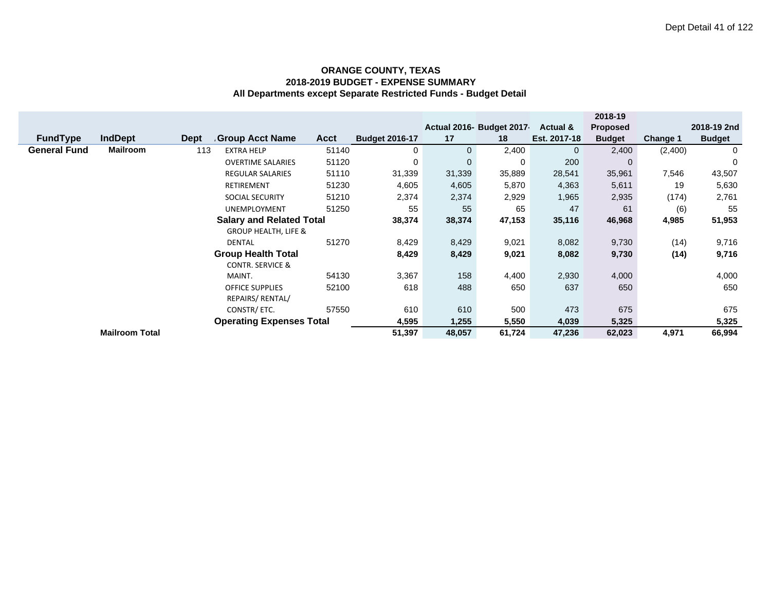|                                 |                 |             |                                 |             |                       |              |                          |              | 2018-19         |          |               |
|---------------------------------|-----------------|-------------|---------------------------------|-------------|-----------------------|--------------|--------------------------|--------------|-----------------|----------|---------------|
|                                 |                 |             |                                 |             |                       |              | Actual 2016- Budget 2017 | Actual &     | <b>Proposed</b> |          | 2018-19 2nd   |
| <b>FundType</b>                 | <b>IndDept</b>  | <b>Dept</b> | Group Acct Name                 | <b>Acct</b> | <b>Budget 2016-17</b> | 17           | 18                       | Est. 2017-18 | <b>Budget</b>   | Change 1 | <b>Budget</b> |
| <b>General Fund</b>             | <b>Mailroom</b> | 113         | <b>EXTRA HELP</b>               | 51140       | $\mathbf 0$           | $\mathbf{0}$ | 2,400                    | $\mathbf{0}$ | 2,400           | (2,400)  | 0             |
|                                 |                 |             | <b>OVERTIME SALARIES</b>        | 51120       | 0                     | $\mathbf 0$  | 0                        | 200          | $\Omega$        |          | $\mathbf 0$   |
|                                 |                 |             | REGULAR SALARIES                | 51110       | 31,339                | 31,339       | 35,889                   | 28,541       | 35,961          | 7,546    | 43,507        |
|                                 |                 |             | <b>RETIREMENT</b>               | 51230       | 4,605                 | 4,605        | 5,870                    | 4,363        | 5,611           | 19       | 5,630         |
|                                 |                 |             | <b>SOCIAL SECURITY</b>          | 51210       | 2,374                 | 2,374        | 2,929                    | 1,965        | 2,935           | (174)    | 2,761         |
|                                 |                 |             | <b>UNEMPLOYMENT</b>             | 51250       | 55                    | 55           | 65                       | 47           | 61              | (6)      | 55            |
|                                 |                 |             | <b>Salary and Related Total</b> |             | 38,374                | 38,374       | 47,153                   | 35,116       | 46,968          | 4,985    | 51,953        |
|                                 |                 |             | <b>GROUP HEALTH, LIFE &amp;</b> |             |                       |              |                          |              |                 |          |               |
|                                 |                 |             | <b>DENTAL</b>                   | 51270       | 8,429                 | 8,429        | 9,021                    | 8,082        | 9,730           | (14)     | 9,716         |
|                                 |                 |             | <b>Group Health Total</b>       |             | 8,429                 | 8,429        | 9,021                    | 8,082        | 9,730           | (14)     | 9,716         |
|                                 |                 |             | <b>CONTR. SERVICE &amp;</b>     |             |                       |              |                          |              |                 |          |               |
|                                 |                 |             | MAINT.                          | 54130       | 3,367                 | 158          | 4,400                    | 2,930        | 4,000           |          | 4,000         |
| 52100<br><b>OFFICE SUPPLIES</b> |                 | 618         | 488                             | 650         | 637                   | 650          |                          | 650          |                 |          |               |
| REPAIRS/ RENTAL/                |                 |             |                                 |             |                       |              |                          |              |                 |          |               |
| 57550<br>CONSTR/ ETC.           |                 |             | 610                             | 610         | 500                   | 473          | 675                      |              | 675             |          |               |
| <b>Operating Expenses Total</b> |                 |             |                                 | 4,595       | 1,255                 | 5,550        | 4,039                    | 5,325        |                 | 5,325    |               |
| <b>Mailroom Total</b>           |                 |             |                                 |             | 51,397                | 48,057       | 61,724                   | 47,236       | 62,023          | 4,971    | 66,994        |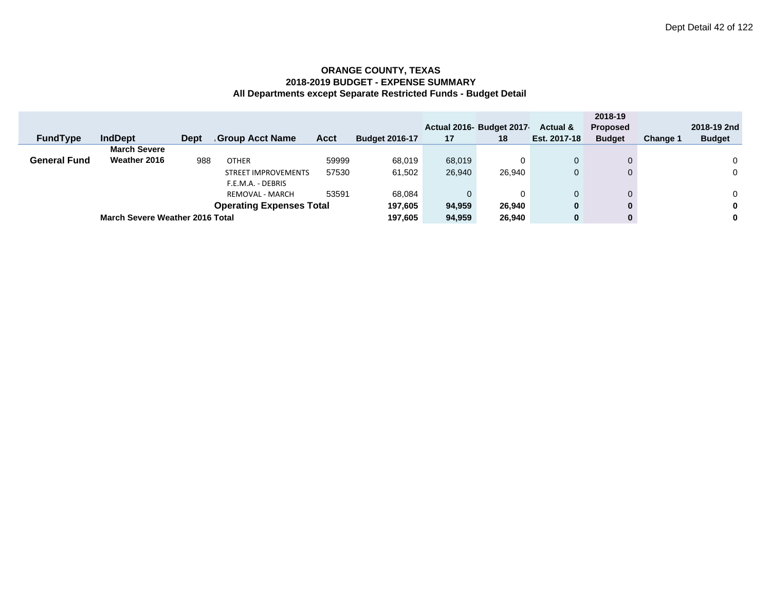|                                     |                                        |             |                        |        |                       |        |                          |                     | 2018-19         |                 |               |
|-------------------------------------|----------------------------------------|-------------|------------------------|--------|-----------------------|--------|--------------------------|---------------------|-----------------|-----------------|---------------|
|                                     |                                        |             |                        |        |                       |        | Actual 2016- Budget 2017 | <b>Actual &amp;</b> | <b>Proposed</b> |                 | 2018-19 2nd   |
| <b>FundType</b>                     | <b>IndDept</b>                         | <b>Dept</b> | <b>Group Acct Name</b> | Acct   | <b>Budget 2016-17</b> | 17     | 18                       | Est. 2017-18        | <b>Budget</b>   | <b>Change 1</b> | <b>Budget</b> |
|                                     | <b>March Severe</b>                    |             |                        |        |                       |        |                          |                     |                 |                 |               |
| <b>General Fund</b>                 | Weather 2016                           | 988         | <b>OTHER</b>           | 59999  | 68,019                | 68.019 | 0                        |                     |                 |                 | 0             |
| 57530<br><b>STREET IMPROVEMENTS</b> |                                        |             |                        | 61,502 | 26,940                | 26,940 |                          |                     |                 | $\mathbf 0$     |               |
|                                     |                                        |             | F.E.M.A. - DEBRIS      |        |                       |        |                          |                     |                 |                 |               |
|                                     |                                        |             | <b>REMOVAL - MARCH</b> | 53591  | 68.084                | 0      | 0                        |                     |                 |                 | 0             |
|                                     | <b>Operating Expenses Total</b>        |             |                        |        |                       |        | 26,940                   | 0                   | $\bf{0}$        |                 | 0             |
|                                     | <b>March Severe Weather 2016 Total</b> |             |                        |        |                       | 94,959 | 26,940                   | 0                   | $\bf{0}$        |                 | 0             |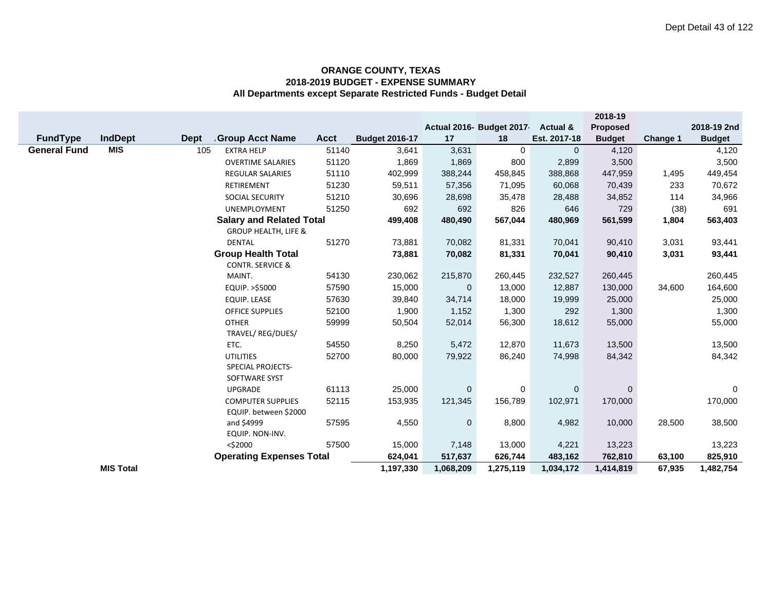|                     |                  |             |                                 |             |                       |             |                           |              | 2018-19       |          |               |
|---------------------|------------------|-------------|---------------------------------|-------------|-----------------------|-------------|---------------------------|--------------|---------------|----------|---------------|
|                     |                  |             |                                 |             |                       |             | Actual 2016- Budget 2017- | Actual &     | Proposed      |          | 2018-19 2nd   |
| FundType            | <b>IndDept</b>   | <b>Dept</b> | <b>Group Acct Name</b>          | <b>Acct</b> | <b>Budget 2016-17</b> | 17          | 18                        | Est. 2017-18 | <b>Budget</b> | Change 1 | <b>Budget</b> |
| <b>General Fund</b> | <b>MIS</b>       | 105         | <b>EXTRA HELP</b>               | 51140       | 3,641                 | 3,631       | 0                         | $\mathbf{0}$ | 4,120         |          | 4,120         |
|                     |                  |             | <b>OVERTIME SALARIES</b>        | 51120       | 1,869                 | 1,869       | 800                       | 2,899        | 3,500         |          | 3,500         |
|                     |                  |             | <b>REGULAR SALARIES</b>         | 51110       | 402,999               | 388,244     | 458,845                   | 388,868      | 447,959       | 1,495    | 449,454       |
|                     |                  |             | RETIREMENT                      | 51230       | 59,511                | 57,356      | 71,095                    | 60,068       | 70,439        | 233      | 70,672        |
|                     |                  |             | SOCIAL SECURITY                 | 51210       | 30,696                | 28,698      | 35,478                    | 28,488       | 34,852        | 114      | 34,966        |
|                     |                  |             | <b>UNEMPLOYMENT</b>             | 51250       | 692                   | 692         | 826                       | 646          | 729           | (38)     | 691           |
|                     |                  |             | <b>Salary and Related Total</b> |             | 499,408               | 480,490     | 567,044                   | 480,969      | 561,599       | 1,804    | 563,403       |
|                     |                  |             | <b>GROUP HEALTH, LIFE &amp;</b> |             |                       |             |                           |              |               |          |               |
|                     |                  |             | <b>DENTAL</b>                   | 51270       | 73,881                | 70,082      | 81,331                    | 70,041       | 90,410        | 3,031    | 93,441        |
|                     |                  |             | <b>Group Health Total</b>       |             | 73,881                | 70,082      | 81,331                    | 70,041       | 90,410        | 3,031    | 93,441        |
|                     |                  |             | <b>CONTR. SERVICE &amp;</b>     |             |                       |             |                           |              |               |          |               |
|                     |                  |             | MAINT.                          | 54130       | 230,062               | 215,870     | 260,445                   | 232,527      | 260,445       |          | 260,445       |
|                     |                  |             | EQUIP. >\$5000                  | 57590       | 15,000                | $\mathbf 0$ | 13,000                    | 12,887       | 130,000       | 34,600   | 164,600       |
|                     |                  |             | EQUIP. LEASE                    | 57630       | 39,840                | 34,714      | 18,000                    | 19,999       | 25,000        |          | 25,000        |
|                     |                  |             | <b>OFFICE SUPPLIES</b>          | 52100       | 1,900                 | 1,152       | 1,300                     | 292          | 1,300         |          | 1,300         |
|                     |                  |             | <b>OTHER</b>                    | 59999       | 50,504                | 52,014      | 56,300                    | 18,612       | 55,000        |          | 55,000        |
|                     |                  |             | TRAVEL/ REG/DUES/               |             |                       |             |                           |              |               |          |               |
|                     |                  |             | ETC.                            | 54550       | 8,250                 | 5,472       | 12,870                    | 11,673       | 13,500        |          | 13,500        |
|                     |                  |             | <b>UTILITIES</b>                | 52700       | 80,000                | 79,922      | 86,240                    | 74,998       | 84,342        |          | 84,342        |
|                     |                  |             | <b>SPECIAL PROJECTS-</b>        |             |                       |             |                           |              |               |          |               |
|                     |                  |             | SOFTWARE SYST                   |             |                       |             |                           |              |               |          |               |
|                     |                  |             | <b>UPGRADE</b>                  | 61113       | 25,000                | $\mathbf 0$ | 0                         | $\mathbf 0$  | $\mathbf{0}$  |          | 0             |
|                     |                  |             | <b>COMPUTER SUPPLIES</b>        | 52115       | 153,935               | 121,345     | 156,789                   | 102,971      | 170,000       |          | 170,000       |
|                     |                  |             | EQUIP. between \$2000           |             |                       |             |                           |              |               |          |               |
|                     |                  |             | and \$4999                      | 57595       | 4,550                 | $\mathbf 0$ | 8,800                     | 4,982        | 10,000        | 28,500   | 38,500        |
|                     |                  |             | EQUIP. NON-INV.                 |             |                       |             |                           |              |               |          |               |
|                     |                  |             | $<$ \$2000                      | 57500       | 15,000                | 7,148       | 13,000                    | 4,221        | 13,223        |          | 13,223        |
|                     |                  |             | <b>Operating Expenses Total</b> |             | 624,041               | 517,637     | 626,744                   | 483,162      | 762,810       | 63,100   | 825,910       |
|                     | <b>MIS Total</b> |             |                                 |             | 1,197,330             | 1,068,209   | 1,275,119                 | 1,034,172    | 1,414,819     | 67,935   | 1,482,754     |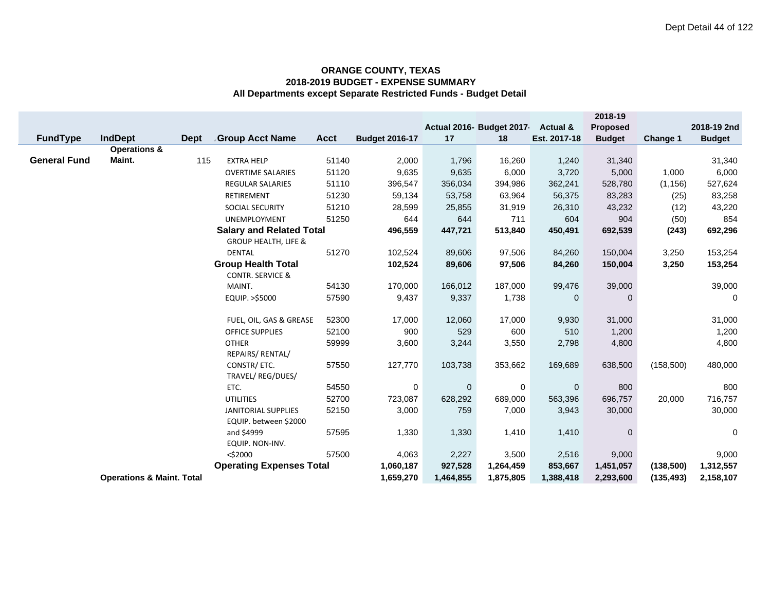|                     |                                      |             |                                                                    |                |                       |               |                          |                     | 2018-19          |            |               |
|---------------------|--------------------------------------|-------------|--------------------------------------------------------------------|----------------|-----------------------|---------------|--------------------------|---------------------|------------------|------------|---------------|
|                     |                                      |             |                                                                    |                |                       |               | Actual 2016- Budget 2017 | <b>Actual &amp;</b> | <b>Proposed</b>  |            | 2018-19 2nd   |
| <b>FundType</b>     | <b>IndDept</b>                       | <b>Dept</b> | Group Acct Name                                                    | <b>Acct</b>    | <b>Budget 2016-17</b> | 17            | 18                       | Est. 2017-18        | <b>Budget</b>    | Change 1   | <b>Budget</b> |
| <b>General Fund</b> | <b>Operations &amp;</b><br>Maint.    | 115         | <b>EXTRA HELP</b>                                                  | 51140          | 2,000                 | 1,796         | 16,260                   | 1,240               | 31,340           |            | 31,340        |
|                     |                                      |             |                                                                    |                | 9,635                 |               | 6,000                    |                     |                  | 1,000      |               |
|                     |                                      |             | <b>OVERTIME SALARIES</b><br><b>REGULAR SALARIES</b>                | 51120<br>51110 | 396,547               | 9,635         | 394,986                  | 3,720               | 5,000<br>528,780 |            | 6,000         |
|                     |                                      |             | RETIREMENT                                                         | 51230          |                       | 356,034       |                          | 362,241             |                  | (1, 156)   | 527,624       |
|                     |                                      |             |                                                                    |                | 59,134                | 53,758        | 63,964                   | 56,375              | 83,283           | (25)       | 83,258        |
|                     |                                      |             | SOCIAL SECURITY                                                    | 51210<br>51250 | 28,599<br>644         | 25,855<br>644 | 31,919<br>711            | 26,310<br>604       | 43,232<br>904    | (12)       | 43,220<br>854 |
|                     |                                      |             | UNEMPLOYMENT                                                       |                |                       |               |                          |                     |                  | (50)       |               |
|                     |                                      |             | <b>Salary and Related Total</b><br><b>GROUP HEALTH, LIFE &amp;</b> |                | 496,559               | 447,721       | 513,840                  | 450,491             | 692,539          | (243)      | 692,296       |
|                     |                                      |             | <b>DENTAL</b>                                                      | 51270          | 102,524               | 89,606        | 97,506                   | 84,260              | 150,004          | 3,250      | 153,254       |
|                     |                                      |             | <b>Group Health Total</b>                                          |                | 102,524               | 89,606        | 97,506                   | 84,260              | 150,004          | 3,250      | 153,254       |
|                     |                                      |             | <b>CONTR. SERVICE &amp;</b>                                        |                |                       |               |                          |                     |                  |            |               |
|                     |                                      |             | MAINT.                                                             | 54130          | 170,000               | 166,012       | 187,000                  | 99,476              | 39,000           |            | 39,000        |
|                     |                                      |             | EQUIP. >\$5000                                                     | 57590          | 9,437                 | 9,337         | 1,738                    | $\mathbf 0$         | $\mathbf 0$      |            | 0             |
|                     |                                      |             |                                                                    |                |                       |               |                          |                     |                  |            |               |
|                     |                                      |             | FUEL, OIL, GAS & GREASE                                            | 52300          | 17,000                | 12,060        | 17,000                   | 9,930               | 31,000           |            | 31,000        |
|                     |                                      |             | <b>OFFICE SUPPLIES</b>                                             | 52100          | 900                   | 529           | 600                      | 510                 | 1,200            |            | 1,200         |
|                     |                                      |             | <b>OTHER</b>                                                       | 59999          | 3,600                 | 3,244         | 3,550                    | 2,798               | 4,800            |            | 4,800         |
|                     |                                      |             | REPAIRS/ RENTAL/                                                   |                |                       |               |                          |                     |                  |            |               |
|                     |                                      |             | CONSTR/ ETC.                                                       | 57550          | 127,770               | 103,738       | 353,662                  | 169,689             | 638,500          | (158, 500) | 480,000       |
|                     |                                      |             | TRAVEL/ REG/DUES/                                                  |                |                       |               |                          |                     |                  |            |               |
|                     |                                      |             | ETC.                                                               | 54550          | 0                     | $\mathbf 0$   | 0                        | $\mathbf 0$         | 800              |            | 800           |
|                     |                                      |             | <b>UTILITIES</b>                                                   | 52700          | 723,087               | 628,292       | 689,000                  | 563,396             | 696,757          | 20,000     | 716,757       |
|                     |                                      |             | JANITORIAL SUPPLIES                                                | 52150          | 3,000                 | 759           | 7,000                    | 3,943               | 30,000           |            | 30,000        |
|                     |                                      |             | EQUIP. between \$2000                                              |                |                       |               |                          |                     |                  |            |               |
|                     |                                      |             | and \$4999                                                         | 57595          | 1,330                 | 1,330         | 1,410                    | 1,410               | $\mathbf 0$      |            | 0             |
|                     |                                      |             | EQUIP. NON-INV.                                                    |                |                       |               |                          |                     |                  |            |               |
|                     |                                      |             | $<$ \$2000                                                         | 57500          | 4,063                 | 2,227         | 3,500                    | 2,516               | 9,000            |            | 9,000         |
|                     |                                      |             | <b>Operating Expenses Total</b>                                    |                | 1,060,187             | 927,528       | 1,264,459                | 853,667             | 1,451,057        | (138,500)  | 1,312,557     |
|                     | <b>Operations &amp; Maint. Total</b> |             |                                                                    |                | 1,659,270             | 1,464,855     | 1,875,805                | 1,388,418           | 2,293,600        | (135, 493) | 2,158,107     |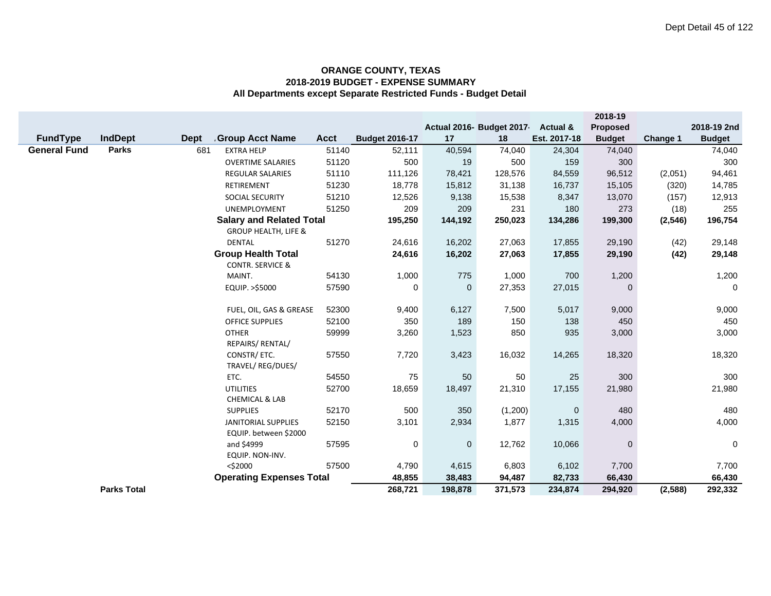|                     |                    |             |                                  |             |                       |             |                          |                     | 2018-19       |          |               |
|---------------------|--------------------|-------------|----------------------------------|-------------|-----------------------|-------------|--------------------------|---------------------|---------------|----------|---------------|
|                     |                    |             |                                  |             |                       |             | Actual 2016- Budget 2017 | <b>Actual &amp;</b> | Proposed      |          | 2018-19 2nd   |
| <b>FundType</b>     | <b>IndDept</b>     | <b>Dept</b> | <b>Group Acct Name</b>           | <b>Acct</b> | <b>Budget 2016-17</b> | 17          | 18                       | Est. 2017-18        | <b>Budget</b> | Change 1 | <b>Budget</b> |
| <b>General Fund</b> | <b>Parks</b>       | 681         | <b>EXTRA HELP</b>                | 51140       | 52,111                | 40,594      | 74,040                   | 24,304              | 74,040        |          | 74,040        |
|                     |                    |             | <b>OVERTIME SALARIES</b>         | 51120       | 500                   | 19          | 500                      | 159                 | 300           |          | 300           |
|                     |                    |             | <b>REGULAR SALARIES</b>          | 51110       | 111,126               | 78,421      | 128,576                  | 84,559              | 96,512        | (2,051)  | 94,461        |
|                     |                    |             | RETIREMENT                       | 51230       | 18,778                | 15,812      | 31,138                   | 16,737              | 15,105        | (320)    | 14,785        |
|                     |                    |             | SOCIAL SECURITY                  | 51210       | 12,526                | 9,138       | 15,538                   | 8,347               | 13,070        | (157)    | 12,913        |
|                     |                    |             | <b>UNEMPLOYMENT</b>              | 51250       | 209                   | 209         | 231                      | 180                 | 273           | (18)     | 255           |
|                     |                    |             | <b>Salary and Related Total</b>  |             | 195,250               | 144,192     | 250,023                  | 134,286             | 199,300       | (2, 546) | 196,754       |
|                     |                    |             | <b>GROUP HEALTH, LIFE &amp;</b>  |             |                       |             |                          |                     |               |          |               |
|                     |                    |             | <b>DENTAL</b>                    | 51270       | 24,616                | 16,202      | 27,063                   | 17,855              | 29,190        | (42)     | 29,148        |
|                     |                    |             | <b>Group Health Total</b>        |             | 24,616                | 16,202      | 27,063                   | 17,855              | 29,190        | (42)     | 29,148        |
|                     |                    |             | <b>CONTR. SERVICE &amp;</b>      |             |                       |             |                          |                     |               |          |               |
|                     |                    |             | MAINT.                           | 54130       | 1,000                 | 775         | 1,000                    | 700                 | 1,200         |          | 1,200         |
|                     |                    |             | EQUIP. >\$5000                   | 57590       | 0                     | $\mathbf 0$ | 27,353                   | 27,015              | $\mathbf{0}$  |          | $\mathbf 0$   |
|                     |                    |             |                                  |             |                       |             |                          |                     |               |          |               |
|                     |                    |             | FUEL, OIL, GAS & GREASE          | 52300       | 9,400                 | 6,127       | 7,500                    | 5,017               | 9,000         |          | 9,000         |
|                     |                    |             | OFFICE SUPPLIES                  | 52100       | 350                   | 189         | 150                      | 138                 | 450           |          | 450           |
|                     |                    |             | <b>OTHER</b><br>REPAIRS/ RENTAL/ | 59999       | 3,260                 | 1,523       | 850                      | 935                 | 3,000         |          | 3,000         |
|                     |                    |             | CONSTR/ ETC.                     | 57550       | 7,720                 | 3,423       | 16,032                   | 14,265              | 18,320        |          | 18,320        |
|                     |                    |             | TRAVEL/ REG/DUES/                |             |                       |             |                          |                     |               |          |               |
|                     |                    |             | ETC.                             | 54550       | 75                    | 50          | 50                       | 25                  | 300           |          | 300           |
|                     |                    |             | <b>UTILITIES</b>                 | 52700       | 18,659                | 18,497      | 21,310                   | 17,155              | 21,980        |          | 21,980        |
|                     |                    |             | <b>CHEMICAL &amp; LAB</b>        |             |                       |             |                          |                     |               |          |               |
|                     |                    |             | <b>SUPPLIES</b>                  | 52170       | 500                   | 350         | (1,200)                  | $\mathbf 0$         | 480           |          | 480           |
|                     |                    |             | <b>JANITORIAL SUPPLIES</b>       | 52150       | 3,101                 | 2,934       | 1,877                    | 1,315               | 4,000         |          | 4,000         |
|                     |                    |             | EQUIP. between \$2000            |             |                       |             |                          |                     |               |          |               |
|                     |                    |             | and \$4999                       | 57595       | 0                     | $\pmb{0}$   | 12,762                   | 10,066              | $\mathbf 0$   |          | $\mathbf 0$   |
|                     |                    |             | EQUIP. NON-INV.                  |             |                       |             |                          |                     |               |          |               |
|                     |                    |             | $<$ \$2000                       | 57500       | 4,790                 | 4,615       | 6,803                    | 6,102               | 7,700         |          | 7,700         |
|                     |                    |             | <b>Operating Expenses Total</b>  |             | 48,855                | 38,483      | 94,487                   | 82,733              | 66,430        |          | 66,430        |
|                     | <b>Parks Total</b> |             |                                  |             | 268,721               | 198,878     | 371,573                  | 234,874             | 294,920       | (2,588)  | 292,332       |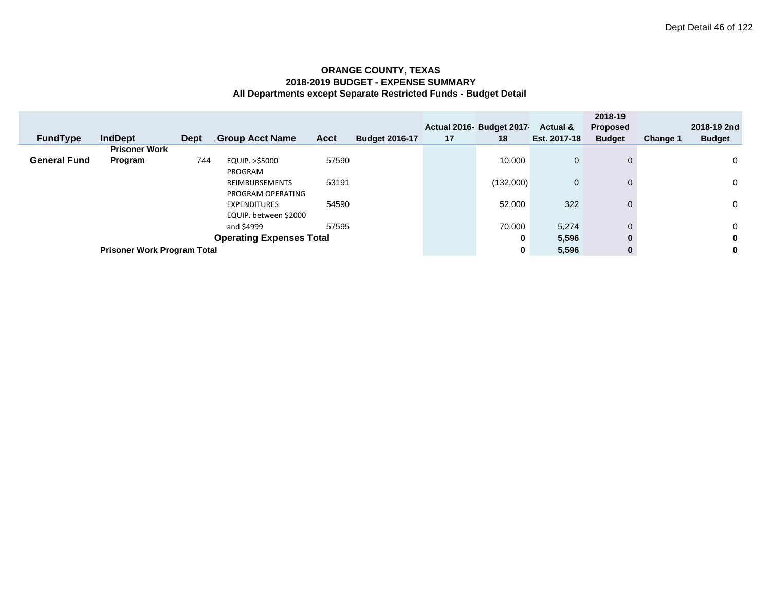|                                 |                                    |             |                        |             |                       |    | Actual 2016- Budget 2017 | Actual &     | 2018-19<br><b>Proposed</b> |          | 2018-19 2nd   |
|---------------------------------|------------------------------------|-------------|------------------------|-------------|-----------------------|----|--------------------------|--------------|----------------------------|----------|---------------|
| <b>FundType</b>                 | <b>IndDept</b>                     | <b>Dept</b> | <b>Group Acct Name</b> | <b>Acct</b> | <b>Budget 2016-17</b> | 17 | 18                       | Est. 2017-18 | <b>Budget</b>              | Change 1 | <b>Budget</b> |
|                                 | <b>Prisoner Work</b>               |             |                        |             |                       |    |                          |              |                            |          |               |
| <b>General Fund</b>             | Program                            | 744         | EQUIP. >\$5000         | 57590       |                       |    | 10,000                   | $\mathbf 0$  | $\Omega$                   |          | 0             |
|                                 |                                    |             | PROGRAM                |             |                       |    |                          |              |                            |          |               |
|                                 |                                    |             | <b>REIMBURSEMENTS</b>  | 53191       |                       |    | (132,000)                | $\mathbf 0$  | $\Omega$                   |          | 0             |
|                                 |                                    |             | PROGRAM OPERATING      |             |                       |    |                          |              |                            |          |               |
|                                 |                                    |             | <b>EXPENDITURES</b>    | 54590       |                       |    | 52,000                   | 322          | $\Omega$                   |          | 0             |
|                                 |                                    |             |                        |             |                       |    |                          |              |                            |          |               |
|                                 |                                    |             | EQUIP. between \$2000  |             |                       |    |                          |              |                            |          |               |
|                                 |                                    |             | and \$4999             | 57595       |                       |    | 70,000                   | 5,274        | $\Omega$                   |          | 0             |
| <b>Operating Expenses Total</b> |                                    |             |                        |             |                       |    | 0                        | 5,596        | 0                          |          | 0             |
|                                 | <b>Prisoner Work Program Total</b> |             |                        |             |                       |    |                          | 5,596        | $\bf{0}$                   |          | 0             |
|                                 |                                    |             |                        |             |                       |    | 0                        |              |                            |          |               |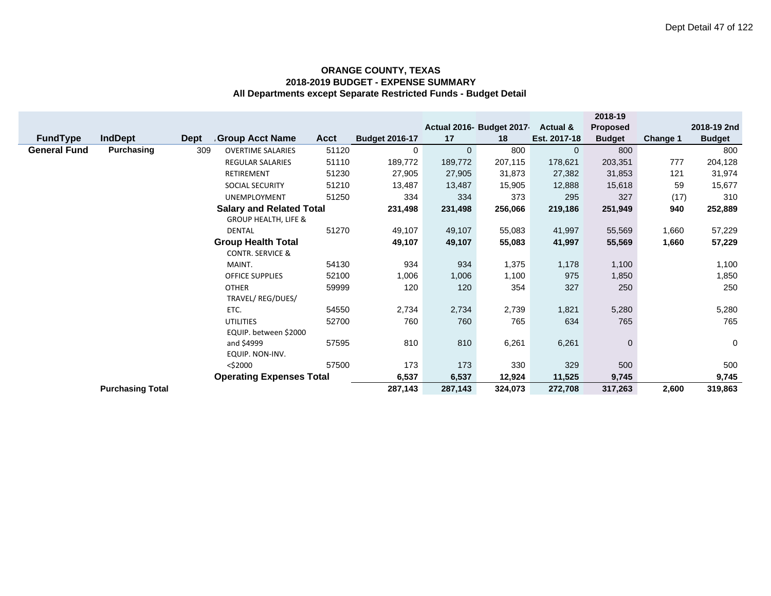|                     |                         |             |                                 |             |                       |              |                          |                     | 2018-19       |                 |               |
|---------------------|-------------------------|-------------|---------------------------------|-------------|-----------------------|--------------|--------------------------|---------------------|---------------|-----------------|---------------|
|                     |                         |             |                                 |             |                       |              | Actual 2016- Budget 2017 | <b>Actual &amp;</b> | Proposed      |                 | 2018-19 2nd   |
| <b>FundType</b>     | <b>IndDept</b>          | <b>Dept</b> | Group Acct Name                 | <b>Acct</b> | <b>Budget 2016-17</b> | 17           | 18                       | Est. 2017-18        | <b>Budget</b> | <b>Change 1</b> | <b>Budget</b> |
| <b>General Fund</b> | Purchasing              | 309         | <b>OVERTIME SALARIES</b>        | 51120       | 0                     | $\mathbf{0}$ | 800                      | $\mathbf{0}$        | 800           |                 | 800           |
|                     |                         |             | REGULAR SALARIES                | 51110       | 189,772               | 189,772      | 207,115                  | 178,621             | 203,351       | 777             | 204,128       |
|                     |                         |             | RETIREMENT                      | 51230       | 27,905                | 27,905       | 31,873                   | 27,382              | 31,853        | 121             | 31,974        |
|                     |                         |             | <b>SOCIAL SECURITY</b>          | 51210       | 13,487                | 13,487       | 15,905                   | 12,888              | 15,618        | 59              | 15,677        |
|                     |                         |             | <b>UNEMPLOYMENT</b>             | 51250       | 334                   | 334          | 373                      | 295                 | 327           | (17)            | 310           |
|                     |                         |             | <b>Salary and Related Total</b> |             | 231,498               | 231,498      | 256,066                  | 219,186             | 251,949       | 940             | 252,889       |
|                     |                         |             | <b>GROUP HEALTH, LIFE &amp;</b> |             |                       |              |                          |                     |               |                 |               |
|                     |                         |             | DENTAL                          | 51270       | 49,107                | 49,107       | 55,083                   | 41,997              | 55,569        | 1,660           | 57,229        |
|                     |                         |             | <b>Group Health Total</b>       |             | 49,107                | 49,107       | 55,083                   | 41,997              | 55,569        | 1,660           | 57,229        |
|                     |                         |             | <b>CONTR. SERVICE &amp;</b>     |             |                       |              |                          |                     |               |                 |               |
|                     |                         |             | MAINT.                          | 54130       | 934                   | 934          | 1,375                    | 1,178               | 1,100         |                 | 1,100         |
|                     |                         |             | <b>OFFICE SUPPLIES</b>          | 52100       | 1,006                 | 1,006        | 1,100                    | 975                 | 1,850         |                 | 1,850         |
|                     |                         |             | <b>OTHER</b>                    | 59999       | 120                   | 120          | 354                      | 327                 | 250           |                 | 250           |
|                     |                         |             | TRAVEL/ REG/DUES/               |             |                       |              |                          |                     |               |                 |               |
|                     |                         |             | ETC.                            | 54550       | 2,734                 | 2,734        | 2,739                    | 1,821               | 5,280         |                 | 5,280         |
|                     |                         |             | <b>UTILITIES</b>                | 52700       | 760                   | 760          | 765                      | 634                 | 765           |                 | 765           |
|                     |                         |             | EQUIP. between \$2000           |             |                       |              |                          |                     |               |                 |               |
|                     |                         |             | and \$4999                      | 57595       | 810                   | 810          | 6,261                    | 6,261               | $\mathbf 0$   |                 | $\mathbf 0$   |
|                     |                         |             | EQUIP. NON-INV.                 |             |                       |              |                          |                     |               |                 |               |
|                     |                         |             | $<$ \$2000                      | 57500       | 173                   | 173          | 330                      | 329                 | 500           |                 | 500           |
|                     |                         |             | <b>Operating Expenses Total</b> |             | 6,537                 | 6,537        | 12,924                   | 11,525              | 9,745         |                 | 9,745         |
|                     | <b>Purchasing Total</b> |             |                                 |             | 287,143               | 287,143      | 324,073                  | 272,708             | 317,263       | 2,600           | 319,863       |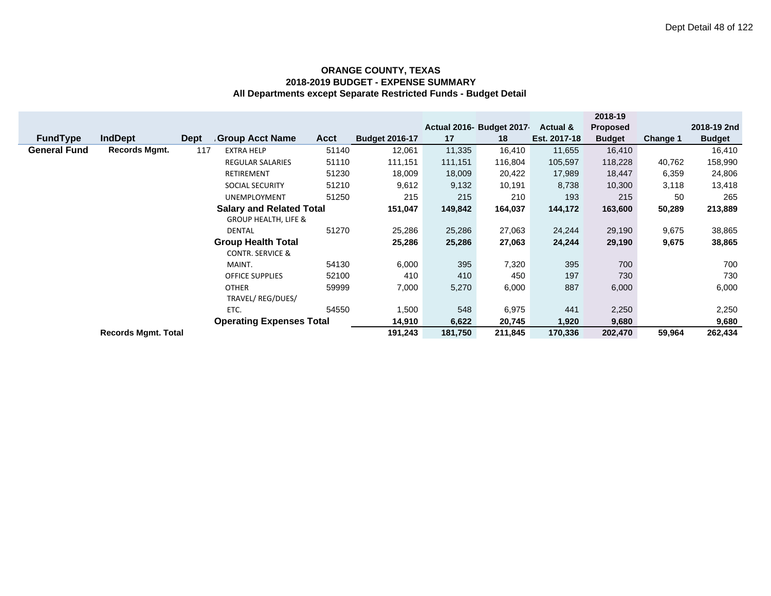|                     |                            |             |                                 |         |                       |         |                           |              | 2018-19         |          |               |
|---------------------|----------------------------|-------------|---------------------------------|---------|-----------------------|---------|---------------------------|--------------|-----------------|----------|---------------|
|                     |                            |             |                                 |         |                       |         | Actual 2016- Budget 2017- | Actual &     | <b>Proposed</b> |          | 2018-19 2nd   |
| <b>FundType</b>     | <b>IndDept</b>             | <b>Dept</b> | <b>Group Acct Name</b>          | Acct    | <b>Budget 2016-17</b> | 17      | 18                        | Est. 2017-18 | <b>Budget</b>   | Change 1 | <b>Budget</b> |
| <b>General Fund</b> | <b>Records Mgmt.</b>       | 117         | <b>EXTRA HELP</b>               | 51140   | 12,061                | 11,335  | 16,410                    | 11,655       | 16,410          |          | 16,410        |
|                     |                            |             | <b>REGULAR SALARIES</b>         | 51110   | 111,151               | 111,151 | 116,804                   | 105,597      | 118,228         | 40,762   | 158,990       |
|                     |                            |             | <b>RETIREMENT</b>               | 51230   | 18,009                | 18,009  | 20,422                    | 17,989       | 18,447          | 6,359    | 24,806        |
|                     |                            |             | SOCIAL SECURITY                 | 51210   | 9,612                 | 9,132   | 10,191                    | 8,738        | 10,300          | 3,118    | 13,418        |
|                     |                            |             | <b>UNEMPLOYMENT</b>             | 51250   | 215                   | 215     | 210                       | 193          | 215             | 50       | 265           |
|                     |                            |             | <b>Salary and Related Total</b> |         | 151,047               | 149,842 | 164,037                   | 144,172      | 163,600         | 50,289   | 213,889       |
|                     |                            |             | <b>GROUP HEALTH, LIFE &amp;</b> |         |                       |         |                           |              |                 |          |               |
|                     |                            |             | DENTAL                          | 51270   | 25,286                | 25,286  | 27,063                    | 24,244       | 29,190          | 9,675    | 38,865        |
|                     |                            |             | <b>Group Health Total</b>       |         | 25,286                | 25,286  | 27,063                    | 24,244       | 29,190          | 9,675    | 38,865        |
|                     |                            |             | <b>CONTR. SERVICE &amp;</b>     |         |                       |         |                           |              |                 |          |               |
|                     |                            |             | MAINT.                          | 54130   | 6,000                 | 395     | 7,320                     | 395          | 700             |          | 700           |
|                     |                            |             | <b>OFFICE SUPPLIES</b>          | 52100   | 410                   | 410     | 450                       | 197          | 730             |          | 730           |
|                     |                            |             | <b>OTHER</b>                    | 59999   | 7,000                 | 5,270   | 6,000                     | 887          | 6,000           |          | 6,000         |
|                     |                            |             | TRAVEL/REG/DUES/                |         |                       |         |                           |              |                 |          |               |
|                     |                            |             | ETC.                            | 54550   | 1,500                 | 548     | 6,975                     | 441          | 2,250           |          | 2,250         |
|                     |                            |             | <b>Operating Expenses Total</b> |         | 14,910                | 6,622   | 20,745                    | 1,920        | 9,680           |          | 9,680         |
|                     | <b>Records Mgmt. Total</b> |             |                                 | 191,243 | 181,750               | 211,845 | 170,336                   | 202,470      | 59,964          | 262,434  |               |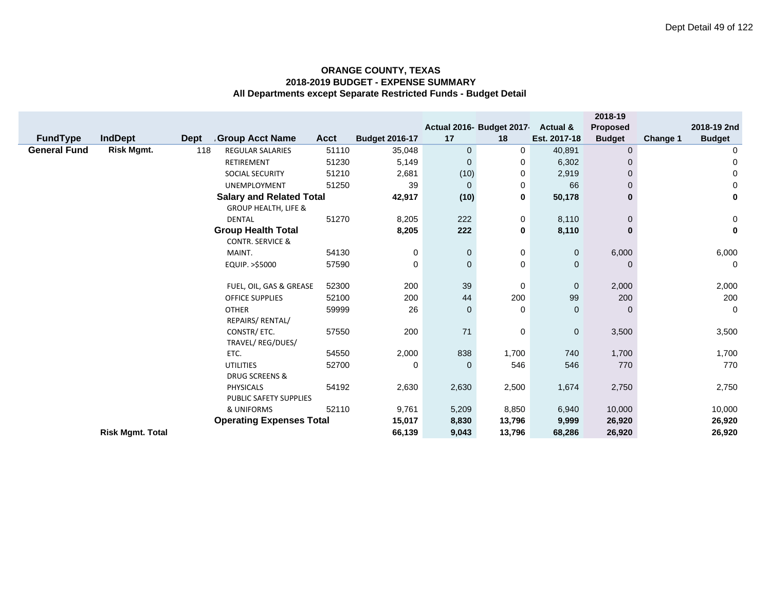|                                 |                         |             |                                 |                  |                       |              |                           |              | 2018-19       |          |                |
|---------------------------------|-------------------------|-------------|---------------------------------|------------------|-----------------------|--------------|---------------------------|--------------|---------------|----------|----------------|
|                                 |                         |             |                                 |                  |                       |              | Actual 2016- Budget 2017- | Actual &     | Proposed      |          | 2018-19 2nd    |
| <b>FundType</b>                 | <b>IndDept</b>          | <b>Dept</b> | <b>Group Acct Name</b>          | <b>Acct</b>      | <b>Budget 2016-17</b> | 17           | 18                        | Est. 2017-18 | <b>Budget</b> | Change 1 | <b>Budget</b>  |
| <b>General Fund</b>             | <b>Risk Mgmt.</b>       | 118         | <b>REGULAR SALARIES</b>         | 51110            | 35,048                | $\mathbf 0$  | 0                         | 40,891       | 0             |          | 0              |
|                                 |                         |             | <b>RETIREMENT</b>               | 51230            | 5,149                 | $\mathbf 0$  | 0                         | 6,302        | 0             |          | 0              |
|                                 |                         |             | <b>SOCIAL SECURITY</b>          | 51210            | 2,681                 | (10)         | 0                         | 2,919        | 0             |          | 0              |
|                                 |                         |             | UNEMPLOYMENT                    | 51250            | 39                    | $\mathbf{0}$ | 0                         | 66           | $\Omega$      |          | $\mathbf 0$    |
|                                 |                         |             | <b>Salary and Related Total</b> |                  | 42,917                | (10)         | 0                         | 50,178       | $\bf{0}$      |          | $\mathbf 0$    |
|                                 |                         |             | <b>GROUP HEALTH, LIFE &amp;</b> |                  |                       |              |                           |              |               |          |                |
|                                 |                         |             | <b>DENTAL</b>                   | 51270            | 8,205                 | 222          | 0                         | 8,110        | 0             |          | $\mathbf 0$    |
|                                 |                         |             | <b>Group Health Total</b>       |                  | 8,205                 | 222          | 0                         | 8,110        | $\bf{0}$      |          | $\bf{0}$       |
|                                 |                         |             | <b>CONTR. SERVICE &amp;</b>     |                  |                       |              |                           |              |               |          |                |
|                                 |                         |             | MAINT.                          | 54130            | 0                     | $\mathbf 0$  | 0                         | $\mathbf 0$  | 6,000         |          | 6,000          |
|                                 |                         |             | EQUIP. >\$5000                  | 57590            | 0                     | $\mathbf 0$  | 0                         | $\mathbf{0}$ | $\Omega$      |          | $\overline{0}$ |
|                                 |                         |             |                                 |                  |                       |              |                           |              |               |          |                |
|                                 |                         |             | FUEL, OIL, GAS & GREASE         | 52300            | 200                   | 39           | 0                         | $\mathbf 0$  | 2,000         |          | 2,000          |
|                                 |                         |             | <b>OFFICE SUPPLIES</b>          | 52100            | 200                   | 44           | 200                       | 99           | 200           |          | 200            |
|                                 |                         |             | <b>OTHER</b>                    | 59999            | 26                    | $\mathbf 0$  | 0                         | $\mathbf{0}$ | $\Omega$      |          | $\overline{0}$ |
|                                 |                         |             | REPAIRS/ RENTAL/                |                  |                       |              |                           |              |               |          |                |
|                                 |                         |             | CONSTR/ ETC.                    | 57550            | 200                   | 71           | 0                         | 0            | 3,500         |          | 3,500          |
|                                 |                         |             | TRAVEL/REG/DUES/                |                  |                       |              |                           |              |               |          |                |
|                                 |                         |             | ETC.                            | 54550            | 2,000                 | 838          | 1,700                     | 740          | 1,700         |          | 1,700          |
|                                 |                         |             | <b>UTILITIES</b>                | 52700            | 0                     | $\mathbf{0}$ | 546                       | 546          | 770           |          | 770            |
|                                 |                         |             | <b>DRUG SCREENS &amp;</b>       |                  |                       |              |                           |              |               |          |                |
|                                 |                         |             | PHYSICALS                       | 54192            | 2,630                 | 2,630        | 2,500                     | 1,674        | 2,750         |          | 2,750          |
|                                 |                         |             | PUBLIC SAFETY SUPPLIES          |                  |                       |              |                           |              |               |          |                |
| 52110<br>& UNIFORMS             |                         |             | 9,761                           | 5,209            | 8,850                 | 6,940        | 10,000                    |              | 10,000        |          |                |
| <b>Operating Expenses Total</b> |                         |             |                                 | 15,017<br>66,139 | 8,830                 | 13,796       | 9,999                     | 26,920       |               | 26,920   |                |
|                                 | <b>Risk Mgmt. Total</b> |             |                                 |                  |                       | 9,043        | 13,796                    | 68,286       | 26,920        |          | 26,920         |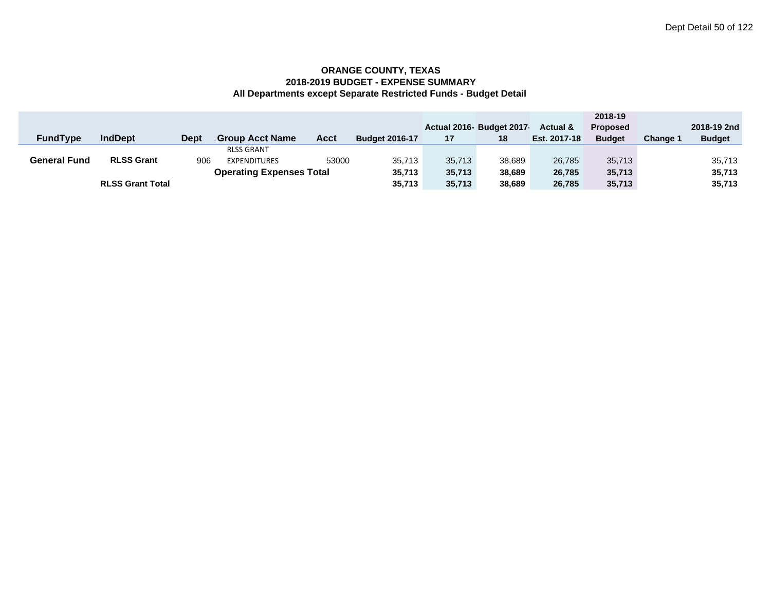|                     |                         |             |                                 |       |                       |        |                           |                     | 2018-19         |          |               |
|---------------------|-------------------------|-------------|---------------------------------|-------|-----------------------|--------|---------------------------|---------------------|-----------------|----------|---------------|
|                     |                         |             |                                 |       |                       |        | Actual 2016- Budget 2017- | <b>Actual &amp;</b> | <b>Proposed</b> |          | 2018-19 2nd   |
| <b>FundType</b>     | <b>IndDept</b>          | <b>Dept</b> | <b>Group Acct Name</b>          | Acct  | <b>Budget 2016-17</b> | 17     | 18                        | Est. 2017-18        | <b>Budget</b>   | Change 1 | <b>Budget</b> |
|                     |                         |             | <b>RLSS GRANT</b>               |       |                       |        |                           |                     |                 |          |               |
| <b>General Fund</b> | <b>RLSS Grant</b>       | 906         | <b>EXPENDITURES</b>             | 53000 | 35,713                | 35.713 | 38.689                    | 26.785              | 35.713          |          | 35,713        |
|                     |                         |             | <b>Operating Expenses Total</b> |       | 35.713                | 35.713 | 38.689                    | 26.785              | 35,713          |          | 35,713        |
|                     | <b>RLSS Grant Total</b> |             |                                 |       | 35,713                | 35.713 | 38.689                    | 26.785              | 35,713          |          | 35,713        |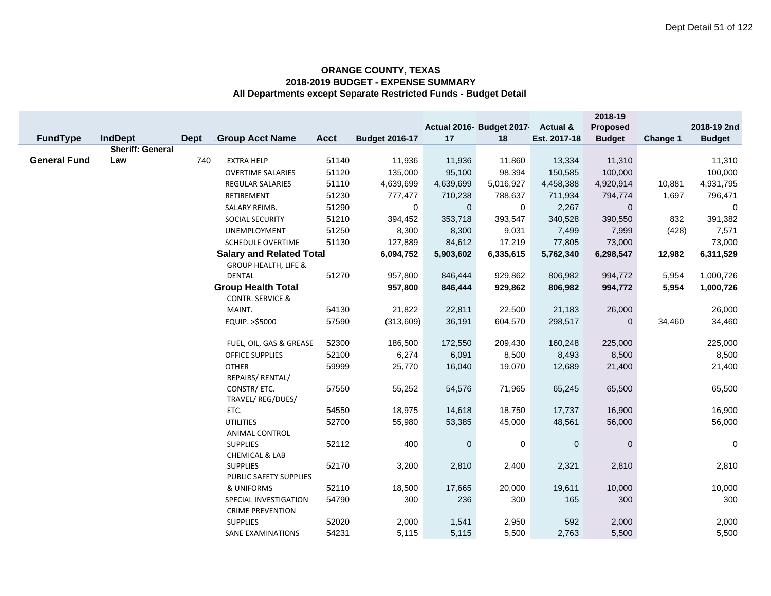|                     |                         |             |                                              |             |                       |             |                           |                     | 2018-19       |          |               |
|---------------------|-------------------------|-------------|----------------------------------------------|-------------|-----------------------|-------------|---------------------------|---------------------|---------------|----------|---------------|
|                     |                         |             |                                              |             |                       |             | Actual 2016- Budget 2017- | <b>Actual &amp;</b> | Proposed      |          | 2018-19 2nd   |
| FundType            | <b>IndDept</b>          | <b>Dept</b> | <b>Group Acct Name</b>                       | <b>Acct</b> | <b>Budget 2016-17</b> | 17          | 18                        | Est. 2017-18        | <b>Budget</b> | Change 1 | <b>Budget</b> |
|                     | <b>Sheriff: General</b> |             |                                              |             |                       |             |                           |                     |               |          |               |
| <b>General Fund</b> | Law                     | 740         | <b>EXTRA HELP</b>                            | 51140       | 11,936                | 11,936      | 11,860                    | 13,334              | 11,310        |          | 11,310        |
|                     |                         |             | <b>OVERTIME SALARIES</b>                     | 51120       | 135,000               | 95,100      | 98,394                    | 150,585             | 100,000       |          | 100,000       |
|                     |                         |             | <b>REGULAR SALARIES</b>                      | 51110       | 4,639,699             | 4,639,699   | 5,016,927                 | 4,458,388           | 4,920,914     | 10,881   | 4,931,795     |
|                     |                         |             | RETIREMENT                                   | 51230       | 777,477               | 710,238     | 788,637                   | 711,934             | 794,774       | 1,697    | 796,471       |
|                     |                         |             | SALARY REIMB.                                | 51290       | $\mathbf 0$           | $\mathbf 0$ | 0                         | 2,267               | $\mathbf{0}$  |          | $\mathbf 0$   |
|                     |                         |             | SOCIAL SECURITY                              | 51210       | 394,452               | 353,718     | 393,547                   | 340,528             | 390,550       | 832      | 391,382       |
|                     |                         |             | UNEMPLOYMENT                                 | 51250       | 8,300                 | 8,300       | 9,031                     | 7,499               | 7,999         | (428)    | 7,571         |
|                     |                         |             | SCHEDULE OVERTIME                            | 51130       | 127,889               | 84,612      | 17,219                    | 77,805              | 73,000        |          | 73,000        |
|                     |                         |             | <b>Salary and Related Total</b>              |             | 6,094,752             | 5,903,602   | 6,335,615                 | 5,762,340           | 6,298,547     | 12,982   | 6,311,529     |
|                     |                         |             | <b>GROUP HEALTH, LIFE &amp;</b>              |             |                       |             |                           |                     |               |          |               |
|                     |                         |             | <b>DENTAL</b>                                | 51270       | 957,800               | 846,444     | 929,862                   | 806,982             | 994,772       | 5,954    | 1,000,726     |
|                     |                         |             | <b>Group Health Total</b>                    |             | 957,800               | 846,444     | 929,862                   | 806,982             | 994,772       | 5,954    | 1,000,726     |
|                     |                         |             | <b>CONTR. SERVICE &amp;</b>                  |             |                       |             |                           |                     |               |          |               |
|                     |                         |             | MAINT.                                       | 54130       | 21,822                | 22,811      | 22,500                    | 21,183              | 26,000        |          | 26,000        |
|                     |                         |             | EQUIP. >\$5000                               | 57590       | (313,609)             | 36,191      | 604,570                   | 298,517             | $\Omega$      | 34,460   | 34,460        |
|                     |                         |             |                                              |             |                       |             |                           |                     |               |          |               |
|                     |                         |             | FUEL, OIL, GAS & GREASE                      | 52300       | 186,500               | 172,550     | 209,430                   | 160,248             | 225,000       |          | 225,000       |
|                     |                         |             | <b>OFFICE SUPPLIES</b>                       | 52100       | 6,274                 | 6,091       | 8,500                     | 8,493               | 8,500         |          | 8,500         |
|                     |                         |             | <b>OTHER</b>                                 | 59999       | 25,770                | 16,040      | 19,070                    | 12,689              | 21,400        |          | 21,400        |
|                     |                         |             | REPAIRS/ RENTAL/                             |             |                       |             |                           |                     |               |          |               |
|                     |                         |             | CONSTR/ ETC.                                 | 57550       | 55,252                | 54,576      | 71,965                    | 65,245              | 65,500        |          | 65,500        |
|                     |                         |             | TRAVEL/ REG/DUES/                            |             |                       |             |                           |                     |               |          |               |
|                     |                         |             | ETC.                                         | 54550       | 18,975                | 14,618      | 18,750                    | 17,737              | 16,900        |          | 16,900        |
|                     |                         |             | <b>UTILITIES</b>                             | 52700       | 55,980                | 53,385      | 45,000                    | 48,561              | 56,000        |          | 56,000        |
|                     |                         |             | <b>ANIMAL CONTROL</b>                        |             |                       |             |                           |                     |               |          |               |
|                     |                         |             | <b>SUPPLIES</b>                              | 52112       | 400                   | $\pmb{0}$   | $\pmb{0}$                 | $\pmb{0}$           | $\mathbf 0$   |          | $\mathbf 0$   |
|                     |                         |             | <b>CHEMICAL &amp; LAB</b><br><b>SUPPLIES</b> | 52170       | 3,200                 | 2,810       | 2,400                     | 2,321               | 2,810         |          | 2,810         |
|                     |                         |             |                                              |             |                       |             |                           |                     |               |          |               |
|                     |                         |             | PUBLIC SAFETY SUPPLIES<br>& UNIFORMS         | 52110       | 18,500                | 17,665      | 20,000                    | 19,611              | 10,000        |          | 10,000        |
|                     |                         |             | SPECIAL INVESTIGATION                        | 54790       | 300                   | 236         | 300                       | 165                 | 300           |          | 300           |
|                     |                         |             | <b>CRIME PREVENTION</b>                      |             |                       |             |                           |                     |               |          |               |
|                     |                         |             | <b>SUPPLIES</b>                              | 52020       | 2,000                 | 1,541       | 2,950                     | 592                 | 2,000         |          | 2,000         |
|                     |                         |             | <b>SANE EXAMINATIONS</b>                     | 54231       | 5,115                 | 5,115       | 5,500                     | 2,763               | 5,500         |          | 5,500         |
|                     |                         |             |                                              |             |                       |             |                           |                     |               |          |               |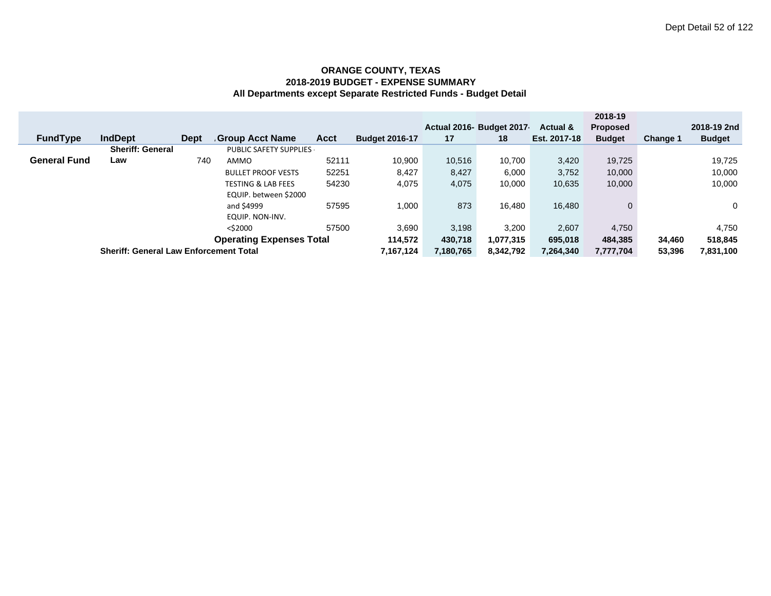|                                 |                                               |             |                               |           |                       |           | Actual 2016- Budget 2017 | <b>Actual &amp;</b> | 2018-19<br><b>Proposed</b> |           | 2018-19 2nd   |
|---------------------------------|-----------------------------------------------|-------------|-------------------------------|-----------|-----------------------|-----------|--------------------------|---------------------|----------------------------|-----------|---------------|
| <b>FundType</b>                 | <b>IndDept</b>                                | <b>Dept</b> | <b>Group Acct Name</b>        | Acct      | <b>Budget 2016-17</b> | 17        | 18                       | Est. 2017-18        | <b>Budget</b>              | Change 1  | <b>Budget</b> |
|                                 | <b>Sheriff: General</b>                       |             | PUBLIC SAFETY SUPPLIES        |           |                       |           |                          |                     |                            |           |               |
| <b>General Fund</b>             | Law                                           | 740         | AMMO                          | 52111     | 10,900                | 10,516    | 10,700                   | 3,420               | 19.725                     |           | 19,725        |
|                                 |                                               |             | <b>BULLET PROOF VESTS</b>     | 52251     | 8,427                 | 8,427     | 6,000                    | 3,752               | 10,000                     |           | 10,000        |
|                                 |                                               |             | <b>TESTING &amp; LAB FEES</b> | 54230     | 4,075                 | 4,075     | 10,000                   | 10,635              | 10,000                     |           | 10,000        |
|                                 |                                               |             | EQUIP. between \$2000         |           |                       |           |                          |                     |                            |           |               |
|                                 |                                               |             | and \$4999                    | 57595     | 1,000                 | 873       | 16.480                   | 16,480              | 0                          |           | $\Omega$      |
|                                 |                                               |             | EQUIP. NON-INV.               |           |                       |           |                          |                     |                            |           |               |
|                                 |                                               |             | $<$ \$2000                    | 57500     | 3,690                 | 3.198     | 3,200                    | 2,607               | 4,750                      |           | 4,750         |
| <b>Operating Expenses Total</b> |                                               |             |                               | 114,572   | 430,718               | 1,077,315 | 695,018                  | 484,385             | 34.460                     | 518,845   |               |
|                                 | <b>Sheriff: General Law Enforcement Total</b> |             |                               | 7,167,124 | 7,180,765             | 8,342,792 | 7,264,340                | 7,777,704           | 53,396                     | 7,831,100 |               |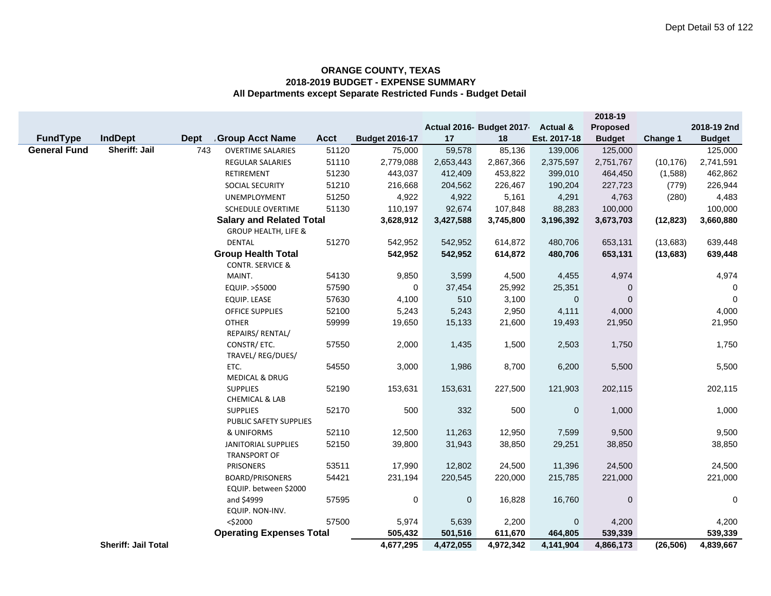|                     |                            |             |                                                          |             |                       |           |                          |                     | 2018-19       |           |               |
|---------------------|----------------------------|-------------|----------------------------------------------------------|-------------|-----------------------|-----------|--------------------------|---------------------|---------------|-----------|---------------|
|                     |                            |             |                                                          |             |                       |           | Actual 2016- Budget 2017 | <b>Actual &amp;</b> | Proposed      |           | 2018-19 2nd   |
| <b>FundType</b>     | <b>IndDept</b>             | <b>Dept</b> | <b>Group Acct Name</b>                                   | <b>Acct</b> | <b>Budget 2016-17</b> | 17        | 18                       | Est. 2017-18        | <b>Budget</b> | Change 1  | <b>Budget</b> |
| <b>General Fund</b> | <b>Sheriff: Jail</b>       | 743         | <b>OVERTIME SALARIES</b>                                 | 51120       | 75,000                | 59,578    | 85,136                   | 139,006             | 125,000       |           | 125,000       |
|                     |                            |             | REGULAR SALARIES                                         | 51110       | 2,779,088             | 2,653,443 | 2,867,366                | 2,375,597           | 2,751,767     | (10, 176) | 2,741,591     |
|                     |                            |             | RETIREMENT                                               | 51230       | 443,037               | 412,409   | 453,822                  | 399,010             | 464,450       | (1,588)   | 462,862       |
|                     |                            |             | SOCIAL SECURITY                                          | 51210       | 216,668               | 204,562   | 226,467                  | 190,204             | 227,723       | (779)     | 226,944       |
|                     |                            |             | UNEMPLOYMENT                                             | 51250       | 4,922                 | 4,922     | 5,161                    | 4,291               | 4,763         | (280)     | 4,483         |
|                     |                            |             | <b>SCHEDULE OVERTIME</b>                                 | 51130       | 110,197               | 92,674    | 107,848                  | 88,283              | 100,000       |           | 100,000       |
|                     |                            |             | <b>Salary and Related Total</b>                          |             | 3,628,912             | 3,427,588 | 3,745,800                | 3,196,392           | 3,673,703     | (12, 823) | 3,660,880     |
|                     |                            |             | <b>GROUP HEALTH, LIFE &amp;</b>                          |             |                       |           |                          |                     |               |           |               |
|                     |                            |             | <b>DENTAL</b>                                            | 51270       | 542,952               | 542,952   | 614,872                  | 480,706             | 653,131       | (13,683)  | 639,448       |
|                     |                            |             | <b>Group Health Total</b><br><b>CONTR. SERVICE &amp;</b> |             | 542,952               | 542,952   | 614,872                  | 480,706             | 653,131       | (13, 683) | 639,448       |
|                     |                            |             | MAINT.                                                   | 54130       | 9,850                 | 3,599     | 4,500                    | 4,455               | 4,974         |           | 4,974         |
|                     |                            |             | EQUIP. >\$5000                                           | 57590       | $\mathbf 0$           | 37,454    | 25,992                   | 25,351              | 0             |           | $\mathbf 0$   |
|                     |                            |             | <b>EQUIP. LEASE</b>                                      | 57630       | 4,100                 | 510       | 3,100                    | 0                   | $\mathbf{0}$  |           | $\Omega$      |
|                     |                            |             | <b>OFFICE SUPPLIES</b>                                   | 52100       | 5,243                 | 5,243     | 2,950                    | 4,111               | 4,000         |           | 4,000         |
|                     |                            |             | <b>OTHER</b>                                             | 59999       | 19,650                | 15,133    | 21,600                   | 19,493              | 21,950        |           | 21,950        |
|                     |                            |             | REPAIRS/ RENTAL/                                         |             |                       |           |                          |                     |               |           |               |
|                     |                            |             | CONSTR/ETC.                                              | 57550       | 2,000                 | 1,435     | 1,500                    | 2,503               | 1,750         |           | 1,750         |
|                     |                            |             | TRAVEL/ REG/DUES/                                        |             |                       |           |                          |                     |               |           |               |
|                     |                            |             | ETC.                                                     | 54550       | 3,000                 | 1,986     | 8,700                    | 6,200               | 5,500         |           | 5,500         |
|                     |                            |             | MEDICAL & DRUG                                           |             |                       |           |                          |                     |               |           |               |
|                     |                            |             | <b>SUPPLIES</b>                                          | 52190       | 153,631               | 153,631   | 227,500                  | 121,903             | 202,115       |           | 202,115       |
|                     |                            |             | <b>CHEMICAL &amp; LAB</b>                                |             |                       |           |                          |                     |               |           |               |
|                     |                            |             | <b>SUPPLIES</b>                                          | 52170       | 500                   | 332       | 500                      | $\mathbf 0$         | 1,000         |           | 1,000         |
|                     |                            |             | PUBLIC SAFETY SUPPLIES                                   |             |                       |           |                          |                     |               |           |               |
|                     |                            |             | & UNIFORMS                                               | 52110       | 12,500                | 11,263    | 12,950                   | 7,599               | 9,500         |           | 9,500         |
|                     |                            |             | <b>JANITORIAL SUPPLIES</b>                               | 52150       | 39,800                | 31,943    | 38,850                   | 29,251              | 38,850        |           | 38,850        |
|                     |                            |             | <b>TRANSPORT OF</b>                                      |             |                       |           |                          |                     |               |           |               |
|                     |                            |             | <b>PRISONERS</b>                                         | 53511       | 17,990                | 12,802    | 24,500                   | 11,396              | 24,500        |           | 24,500        |
|                     |                            |             | <b>BOARD/PRISONERS</b>                                   | 54421       | 231,194               | 220,545   | 220,000                  | 215,785             | 221,000       |           | 221,000       |
|                     |                            |             | EQUIP. between \$2000<br>and \$4999                      | 57595       | 0                     | 0         | 16,828                   | 16,760              | 0             |           | $\mathbf 0$   |
|                     |                            |             | EQUIP. NON-INV.                                          |             |                       |           |                          |                     |               |           |               |
|                     |                            |             | $<$ \$2000                                               | 57500       | 5,974                 | 5,639     | 2,200                    | $\mathbf 0$         | 4,200         |           | 4,200         |
|                     |                            |             | <b>Operating Expenses Total</b>                          |             | 505,432               | 501,516   | 611,670                  | 464,805             | 539,339       |           | 539,339       |
|                     | <b>Sheriff: Jail Total</b> |             |                                                          |             | 4,677,295             | 4,472,055 | 4,972,342                | 4,141,904           | 4,866,173     | (26, 506) | 4,839,667     |
|                     |                            |             |                                                          |             |                       |           |                          |                     |               |           |               |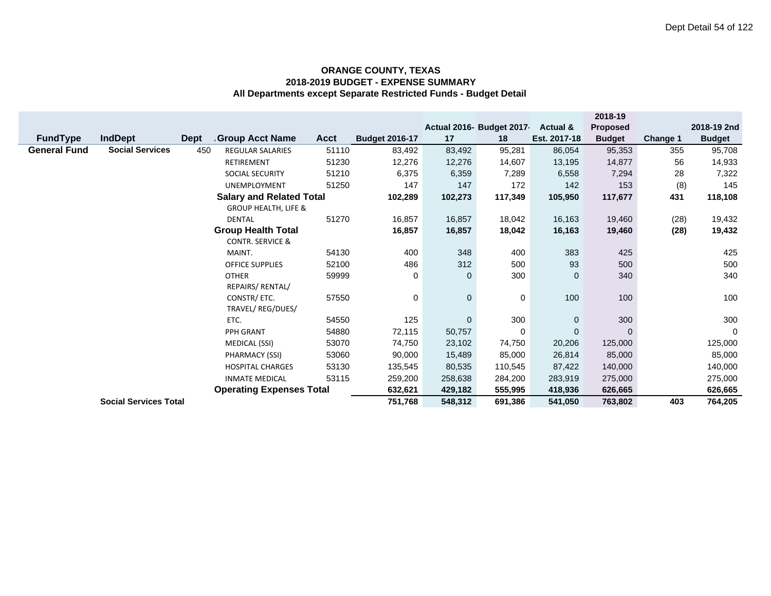|                                   |                               |                                 |             |                       |             |                          |              | 2018-19       |          |               |
|-----------------------------------|-------------------------------|---------------------------------|-------------|-----------------------|-------------|--------------------------|--------------|---------------|----------|---------------|
|                                   |                               |                                 |             |                       |             | Actual 2016- Budget 2017 | Actual &     | Proposed      |          | 2018-19 2nd   |
| <b>FundType</b><br><b>IndDept</b> | <b>Dept</b>                   | <b>Group Acct Name</b>          | <b>Acct</b> | <b>Budget 2016-17</b> | 17          | 18                       | Est. 2017-18 | <b>Budget</b> | Change 1 | <b>Budget</b> |
| <b>General Fund</b>               | <b>Social Services</b><br>450 | <b>REGULAR SALARIES</b>         | 51110       | 83,492                | 83,492      | 95,281                   | 86,054       | 95,353        | 355      | 95,708        |
|                                   |                               | <b>RETIREMENT</b>               | 51230       | 12,276                | 12,276      | 14,607                   | 13,195       | 14,877        | 56       | 14,933        |
|                                   |                               | SOCIAL SECURITY                 | 51210       | 6,375                 | 6,359       | 7,289                    | 6,558        | 7,294         | 28       | 7,322         |
|                                   |                               | <b>UNEMPLOYMENT</b>             | 51250       | 147                   | 147         | 172                      | 142          | 153           | (8)      | 145           |
|                                   |                               | <b>Salary and Related Total</b> |             | 102,289               | 102,273     | 117,349                  | 105,950      | 117,677       | 431      | 118,108       |
|                                   |                               | <b>GROUP HEALTH, LIFE &amp;</b> |             |                       |             |                          |              |               |          |               |
|                                   |                               | <b>DENTAL</b>                   | 51270       | 16,857                | 16,857      | 18,042                   | 16,163       | 19,460        | (28)     | 19,432        |
|                                   |                               | <b>Group Health Total</b>       |             | 16,857                | 16,857      | 18,042                   | 16,163       | 19,460        | (28)     | 19,432        |
|                                   |                               | <b>CONTR. SERVICE &amp;</b>     |             |                       |             |                          |              |               |          |               |
|                                   |                               | MAINT.                          | 54130       | 400                   | 348         | 400                      | 383          | 425           |          | 425           |
|                                   |                               | <b>OFFICE SUPPLIES</b>          | 52100       | 486                   | 312         | 500                      | 93           | 500           |          | 500           |
|                                   |                               | <b>OTHER</b>                    | 59999       | 0                     | $\mathbf 0$ | 300                      | $\mathbf{0}$ | 340           |          | 340           |
|                                   |                               | REPAIRS/ RENTAL/                |             |                       |             |                          |              |               |          |               |
|                                   |                               | CONSTR/ ETC.                    | 57550       | 0                     | $\mathbf 0$ | 0                        | 100          | 100           |          | 100           |
|                                   |                               | TRAVEL/ REG/DUES/               |             |                       |             |                          |              |               |          |               |
|                                   |                               | ETC.                            | 54550       | 125                   | $\mathbf 0$ | 300                      | $\mathbf 0$  | 300           |          | 300           |
|                                   |                               | PPH GRANT                       | 54880       | 72,115                | 50,757      | 0                        | $\mathbf 0$  | $\Omega$      |          | $\mathbf 0$   |
|                                   |                               | MEDICAL (SSI)                   | 53070       | 74,750                | 23,102      | 74,750                   | 20,206       | 125,000       |          | 125,000       |
|                                   |                               | PHARMACY (SSI)                  | 53060       | 90,000                | 15,489      | 85,000                   | 26,814       | 85,000        |          | 85,000        |
|                                   |                               | <b>HOSPITAL CHARGES</b>         | 53130       | 135,545               | 80,535      | 110,545                  | 87,422       | 140,000       |          | 140,000       |
|                                   |                               | <b>INMATE MEDICAL</b>           | 53115       | 259,200               | 258,638     | 284,200                  | 283,919      | 275,000       |          | 275,000       |
|                                   |                               | <b>Operating Expenses Total</b> |             | 632,621               | 429,182     | 555,995                  | 418,936      | 626,665       |          | 626,665       |
|                                   | <b>Social Services Total</b>  |                                 |             | 751,768               | 548,312     | 691,386                  | 541,050      | 763,802       | 403      | 764,205       |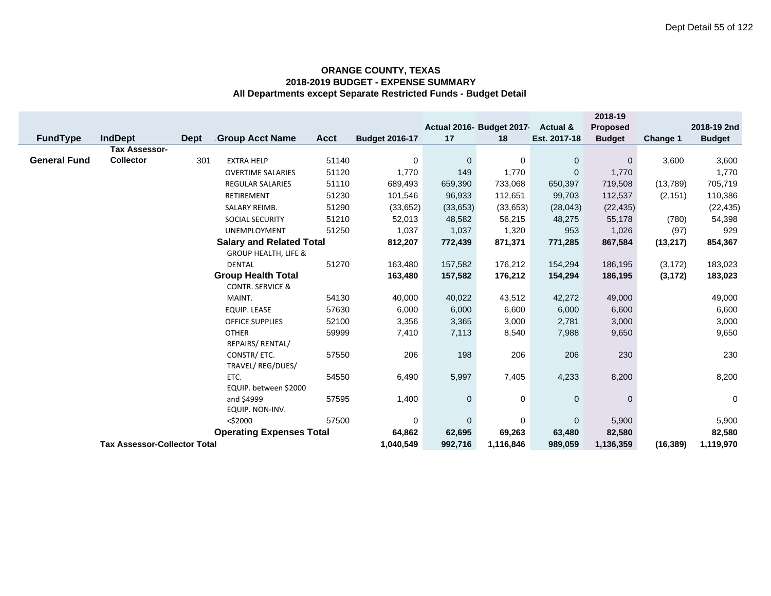|                     |                                     |             |                                 |             |                       |              |                          |                     | 2018-19         |           |               |
|---------------------|-------------------------------------|-------------|---------------------------------|-------------|-----------------------|--------------|--------------------------|---------------------|-----------------|-----------|---------------|
|                     |                                     |             |                                 |             |                       |              | Actual 2016- Budget 2017 | <b>Actual &amp;</b> | <b>Proposed</b> |           | 2018-19 2nd   |
| <b>FundType</b>     | IndDept                             | <b>Dept</b> | <b>Group Acct Name</b>          | <b>Acct</b> | <b>Budget 2016-17</b> | 17           | 18                       | Est. 2017-18        | <b>Budget</b>   | Change 1  | <b>Budget</b> |
|                     | <b>Tax Assessor-</b>                |             |                                 |             |                       |              |                          |                     |                 |           |               |
| <b>General Fund</b> | <b>Collector</b>                    | 301         | <b>EXTRA HELP</b>               | 51140       | 0                     | $\mathbf 0$  | 0                        | $\mathbf 0$         | $\mathbf 0$     | 3,600     | 3,600         |
|                     |                                     |             | <b>OVERTIME SALARIES</b>        | 51120       | 1,770                 | 149          | 1,770                    | $\mathbf 0$         | 1,770           |           | 1,770         |
|                     |                                     |             | <b>REGULAR SALARIES</b>         | 51110       | 689,493               | 659,390      | 733,068                  | 650,397             | 719,508         | (13,789)  | 705,719       |
|                     |                                     |             | RETIREMENT                      | 51230       | 101,546               | 96,933       | 112,651                  | 99,703              | 112,537         | (2, 151)  | 110,386       |
|                     |                                     |             | <b>SALARY REIMB.</b>            | 51290       | (33, 652)             | (33, 653)    | (33, 653)                | (28, 043)           | (22, 435)       |           | (22, 435)     |
|                     |                                     |             | SOCIAL SECURITY                 | 51210       | 52,013                | 48,582       | 56,215                   | 48,275              | 55,178          | (780)     | 54,398        |
|                     |                                     |             | <b>UNEMPLOYMENT</b>             | 51250       | 1,037                 | 1,037        | 1,320                    | 953                 | 1,026           | (97)      | 929           |
|                     |                                     |             | <b>Salary and Related Total</b> |             | 812,207               | 772,439      | 871,371                  | 771,285             | 867,584         | (13, 217) | 854,367       |
|                     |                                     |             | <b>GROUP HEALTH, LIFE &amp;</b> |             |                       |              |                          |                     |                 |           |               |
|                     |                                     |             | <b>DENTAL</b>                   | 51270       | 163,480               | 157,582      | 176,212                  | 154,294             | 186,195         | (3, 172)  | 183,023       |
|                     |                                     |             | <b>Group Health Total</b>       |             | 163,480               | 157,582      | 176,212                  | 154,294             | 186,195         | (3, 172)  | 183,023       |
|                     |                                     |             | <b>CONTR. SERVICE &amp;</b>     |             |                       |              |                          |                     |                 |           |               |
|                     |                                     |             | MAINT.                          | 54130       | 40,000                | 40,022       | 43,512                   | 42,272              | 49,000          |           | 49,000        |
|                     |                                     |             | EQUIP. LEASE                    | 57630       | 6,000                 | 6,000        | 6,600                    | 6,000               | 6,600           |           | 6,600         |
|                     |                                     |             | <b>OFFICE SUPPLIES</b>          | 52100       | 3,356                 | 3,365        | 3,000                    | 2,781               | 3,000           |           | 3,000         |
|                     |                                     |             | <b>OTHER</b>                    | 59999       | 7,410                 | 7,113        | 8,540                    | 7,988               | 9,650           |           | 9,650         |
|                     |                                     |             | REPAIRS/ RENTAL/                |             |                       |              |                          |                     |                 |           |               |
|                     |                                     |             | CONSTR/ ETC.                    | 57550       | 206                   | 198          | 206                      | 206                 | 230             |           | 230           |
|                     |                                     |             | TRAVEL/REG/DUES/                |             |                       |              |                          |                     |                 |           |               |
|                     |                                     |             | ETC.                            | 54550       | 6,490                 | 5,997        | 7,405                    | 4,233               | 8,200           |           | 8,200         |
|                     |                                     |             | EQUIP. between \$2000           |             |                       |              |                          |                     |                 |           |               |
|                     |                                     |             | and \$4999                      | 57595       | 1,400                 | 0            | 0                        | $\mathbf 0$         | $\mathbf 0$     |           | 0             |
|                     |                                     |             | EQUIP. NON-INV.                 |             |                       |              |                          |                     |                 |           |               |
|                     |                                     |             | $<$ \$2000                      | 57500       | 0                     | $\mathbf{0}$ | 0                        | $\mathbf 0$         | 5,900           |           | 5,900         |
|                     |                                     |             | <b>Operating Expenses Total</b> |             | 64,862                | 62,695       | 69,263                   | 63,480              | 82,580          |           | 82,580        |
|                     | <b>Tax Assessor-Collector Total</b> |             |                                 |             | 1,040,549             | 992,716      | 1,116,846                | 989,059             | 1,136,359       | (16, 389) | 1,119,970     |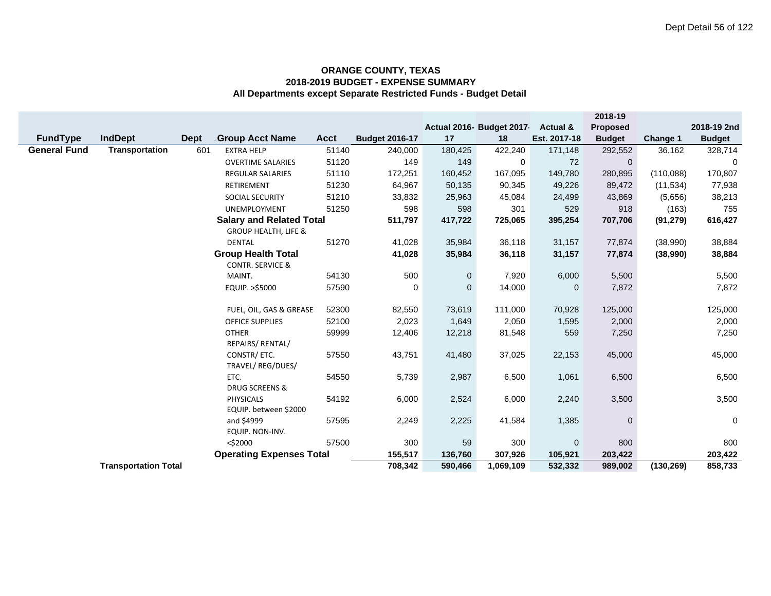|                     |                             |             |                                                          |             |                       |             |                           |                | 2018-19       |            |               |
|---------------------|-----------------------------|-------------|----------------------------------------------------------|-------------|-----------------------|-------------|---------------------------|----------------|---------------|------------|---------------|
|                     |                             |             |                                                          |             |                       |             | Actual 2016- Budget 2017- | Actual &       | Proposed      |            | 2018-19 2nd   |
| <b>FundType</b>     | <b>IndDept</b>              | <b>Dept</b> | <b>Group Acct Name</b>                                   | <b>Acct</b> | <b>Budget 2016-17</b> | 17          | 18                        | Est. 2017-18   | <b>Budget</b> | Change 1   | <b>Budget</b> |
| <b>General Fund</b> | Transportation              | 601         | <b>EXTRA HELP</b>                                        | 51140       | 240,000               | 180,425     | 422,240                   | 171,148        | 292,552       | 36,162     | 328,714       |
|                     |                             |             | <b>OVERTIME SALARIES</b>                                 | 51120       | 149                   | 149         | 0                         | 72             | $\mathbf 0$   |            | 0             |
|                     |                             |             | <b>REGULAR SALARIES</b>                                  | 51110       | 172,251               | 160,452     | 167,095                   | 149,780        | 280,895       | (110,088)  | 170,807       |
|                     |                             |             | <b>RETIREMENT</b>                                        | 51230       | 64,967                | 50,135      | 90,345                    | 49,226         | 89,472        | (11, 534)  | 77,938        |
|                     |                             |             | SOCIAL SECURITY                                          | 51210       | 33,832                | 25,963      | 45,084                    | 24,499         | 43,869        | (5,656)    | 38,213        |
|                     |                             |             | UNEMPLOYMENT                                             | 51250       | 598                   | 598         | 301                       | 529            | 918           | (163)      | 755           |
|                     |                             |             | <b>Salary and Related Total</b>                          |             | 511,797               | 417,722     | 725,065                   | 395,254        | 707,706       | (91, 279)  | 616,427       |
|                     |                             |             | <b>GROUP HEALTH, LIFE &amp;</b>                          |             |                       |             |                           |                |               |            |               |
|                     |                             |             | <b>DENTAL</b>                                            | 51270       | 41,028                | 35,984      | 36,118                    | 31,157         | 77,874        | (38,990)   | 38,884        |
|                     |                             |             | <b>Group Health Total</b><br><b>CONTR. SERVICE &amp;</b> |             | 41,028                | 35,984      | 36,118                    | 31,157         | 77,874        | (38,990)   | 38,884        |
|                     |                             |             | MAINT.                                                   | 54130       | 500                   | $\mathbf 0$ | 7,920                     | 6,000          | 5,500         |            | 5,500         |
|                     |                             |             | EQUIP. >\$5000                                           | 57590       | 0                     | $\Omega$    | 14,000                    | $\mathbf{0}$   | 7,872         |            | 7,872         |
|                     |                             |             |                                                          |             |                       |             |                           |                |               |            |               |
|                     |                             |             | FUEL, OIL, GAS & GREASE                                  | 52300       | 82,550                | 73,619      | 111,000                   | 70,928         | 125,000       |            | 125,000       |
|                     |                             |             | <b>OFFICE SUPPLIES</b>                                   | 52100       | 2,023                 | 1,649       | 2,050                     | 1,595          | 2,000         |            | 2,000         |
|                     |                             |             | <b>OTHER</b><br>REPAIRS/ RENTAL/                         | 59999       | 12,406                | 12,218      | 81,548                    | 559            | 7,250         |            | 7,250         |
|                     |                             |             | CONSTR/ ETC.<br>TRAVEL/ REG/DUES/                        | 57550       | 43,751                | 41,480      | 37,025                    | 22,153         | 45,000        |            | 45,000        |
|                     |                             |             | ETC.<br>DRUG SCREENS &                                   | 54550       | 5,739                 | 2,987       | 6,500                     | 1,061          | 6,500         |            | 6,500         |
|                     |                             |             | <b>PHYSICALS</b><br>EQUIP. between \$2000                | 54192       | 6,000                 | 2,524       | 6,000                     | 2,240          | 3,500         |            | 3,500         |
|                     |                             |             | and \$4999<br>EQUIP. NON-INV.                            | 57595       | 2,249                 | 2,225       | 41,584                    | 1,385          | $\mathbf 0$   |            | $\pmb{0}$     |
|                     |                             |             | $<$ \$2000                                               | 57500       | 300                   | 59          | 300                       | $\overline{0}$ | 800           |            | 800           |
|                     |                             |             | <b>Operating Expenses Total</b>                          |             | 155,517               | 136,760     | 307,926                   | 105,921        | 203,422       |            | 203,422       |
|                     | <b>Transportation Total</b> |             |                                                          |             | 708,342               | 590,466     | 1,069,109                 | 532,332        | 989,002       | (130, 269) | 858,733       |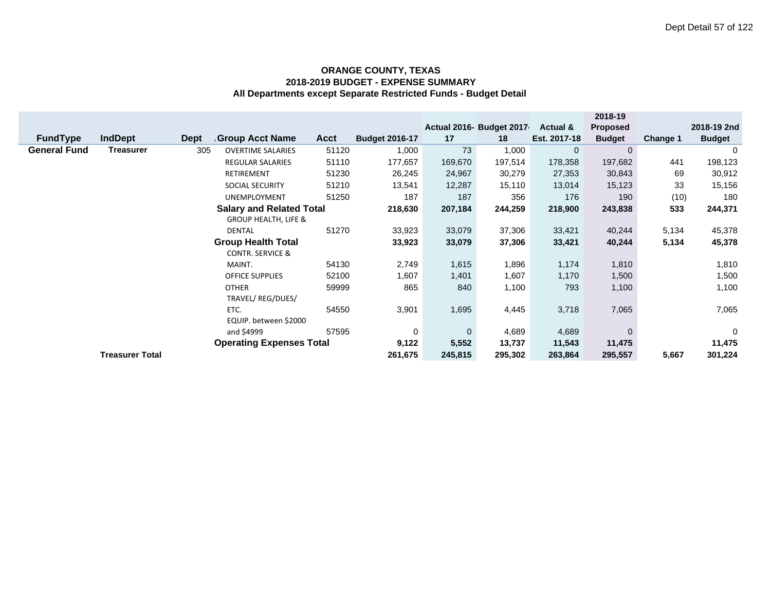|                     |                        |             |                                 |             |                       |             |                          |                | 2018-19         |                 |               |
|---------------------|------------------------|-------------|---------------------------------|-------------|-----------------------|-------------|--------------------------|----------------|-----------------|-----------------|---------------|
|                     |                        |             |                                 |             |                       |             | Actual 2016- Budget 2017 | Actual &       | <b>Proposed</b> |                 | 2018-19 2nd   |
| <b>FundType</b>     | <b>IndDept</b>         | <b>Dept</b> | Group Acct Name                 | <b>Acct</b> | <b>Budget 2016-17</b> | 17          | 18                       | Est. 2017-18   | <b>Budget</b>   | <b>Change 1</b> | <b>Budget</b> |
| <b>General Fund</b> | <b>Treasurer</b>       | 305         | <b>OVERTIME SALARIES</b>        | 51120       | 1,000                 | 73          | 1,000                    | $\overline{0}$ | $\overline{0}$  |                 | $\Omega$      |
|                     |                        |             | <b>REGULAR SALARIES</b>         | 51110       | 177,657               | 169,670     | 197,514                  | 178,358        | 197,682         | 441             | 198,123       |
|                     |                        |             | RETIREMENT                      | 51230       | 26,245                | 24,967      | 30,279                   | 27,353         | 30,843          | 69              | 30,912        |
|                     |                        |             | SOCIAL SECURITY                 | 51210       | 13,541                | 12,287      | 15,110                   | 13,014         | 15,123          | 33              | 15,156        |
|                     |                        |             | UNEMPLOYMENT                    | 51250       | 187                   | 187         | 356                      | 176            | 190             | (10)            | 180           |
|                     |                        |             | <b>Salary and Related Total</b> |             | 218,630               | 207,184     | 244,259                  | 218,900        | 243,838         | 533             | 244,371       |
|                     |                        |             | <b>GROUP HEALTH, LIFE &amp;</b> |             |                       |             |                          |                |                 |                 |               |
|                     |                        |             | DENTAL                          | 51270       | 33,923                | 33,079      | 37,306                   | 33,421         | 40,244          | 5,134           | 45,378        |
|                     |                        |             | <b>Group Health Total</b>       |             | 33,923                | 33,079      | 37,306                   | 33,421         | 40,244          | 5,134           | 45,378        |
|                     |                        |             | <b>CONTR. SERVICE &amp;</b>     |             |                       |             |                          |                |                 |                 |               |
|                     |                        |             | MAINT.                          | 54130       | 2,749                 | 1,615       | 1,896                    | 1,174          | 1,810           |                 | 1,810         |
|                     |                        |             | OFFICE SUPPLIES                 | 52100       | 1,607                 | 1,401       | 1,607                    | 1,170          | 1,500           |                 | 1,500         |
|                     |                        |             | <b>OTHER</b>                    | 59999       | 865                   | 840         | 1,100                    | 793            | 1,100           |                 | 1,100         |
|                     |                        |             | TRAVEL/REG/DUES/                |             |                       |             |                          |                |                 |                 |               |
|                     |                        |             | ETC.                            | 54550       | 3,901                 | 1,695       | 4,445                    | 3,718          | 7,065           |                 | 7,065         |
|                     |                        |             | EQUIP. between \$2000           |             |                       |             |                          |                |                 |                 |               |
|                     |                        |             | and \$4999                      | 57595       | 0                     | $\mathbf 0$ | 4,689                    | 4,689          | $\Omega$        |                 | $\mathbf 0$   |
|                     |                        |             | <b>Operating Expenses Total</b> |             | 9,122                 | 5,552       | 13,737                   | 11,543         | 11,475          |                 | 11,475        |
|                     | <b>Treasurer Total</b> |             |                                 |             | 261,675               | 245,815     | 295,302                  | 263,864        | 295,557         | 5,667           | 301,224       |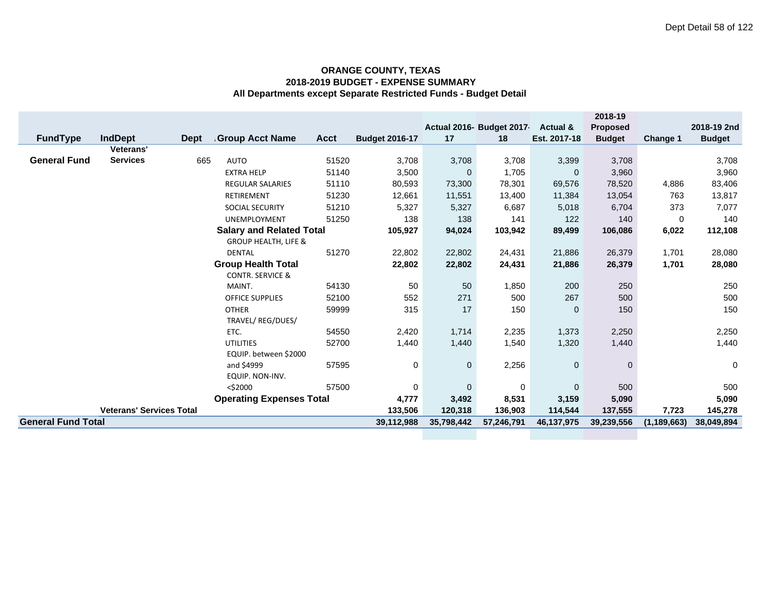|                           |                                 |             |                                 |             |                       |             |                          |                     | 2018-19         |               |               |
|---------------------------|---------------------------------|-------------|---------------------------------|-------------|-----------------------|-------------|--------------------------|---------------------|-----------------|---------------|---------------|
|                           |                                 |             |                                 |             |                       |             | Actual 2016- Budget 2017 | <b>Actual &amp;</b> | <b>Proposed</b> |               | 2018-19 2nd   |
| <b>FundType</b>           | <b>IndDept</b>                  | <b>Dept</b> | <b>Group Acct Name</b>          | <b>Acct</b> | <b>Budget 2016-17</b> | 17          | 18                       | Est. 2017-18        | <b>Budget</b>   | Change 1      | <b>Budget</b> |
|                           | Veterans'                       |             |                                 |             |                       |             |                          |                     |                 |               |               |
| <b>General Fund</b>       | <b>Services</b>                 | 665         | <b>AUTO</b>                     | 51520       | 3,708                 | 3,708       | 3,708                    | 3,399               | 3,708           |               | 3,708         |
|                           |                                 |             | <b>EXTRA HELP</b>               | 51140       | 3,500                 | $\mathbf 0$ | 1,705                    | $\mathbf 0$         | 3,960           |               | 3,960         |
|                           |                                 |             | <b>REGULAR SALARIES</b>         | 51110       | 80,593                | 73,300      | 78,301                   | 69,576              | 78,520          | 4,886         | 83,406        |
|                           |                                 |             | RETIREMENT                      | 51230       | 12,661                | 11,551      | 13,400                   | 11,384              | 13,054          | 763           | 13,817        |
|                           |                                 |             | SOCIAL SECURITY                 | 51210       | 5,327                 | 5,327       | 6,687                    | 5,018               | 6,704           | 373           | 7,077         |
|                           |                                 |             | <b>UNEMPLOYMENT</b>             | 51250       | 138                   | 138         | 141                      | 122                 | 140             | 0             | 140           |
|                           |                                 |             | <b>Salary and Related Total</b> |             | 105,927               | 94,024      | 103,942                  | 89,499              | 106,086         | 6,022         | 112,108       |
|                           |                                 |             | <b>GROUP HEALTH, LIFE &amp;</b> |             |                       |             |                          |                     |                 |               |               |
|                           |                                 |             | <b>DENTAL</b>                   | 51270       | 22,802                | 22,802      | 24,431                   | 21,886              | 26,379          | 1,701         | 28,080        |
|                           |                                 |             | <b>Group Health Total</b>       |             | 22,802                | 22,802      | 24,431                   | 21,886              | 26,379          | 1,701         | 28,080        |
|                           |                                 |             | <b>CONTR. SERVICE &amp;</b>     |             |                       |             |                          |                     |                 |               |               |
|                           |                                 |             | MAINT.                          | 54130       | 50                    | 50          | 1,850                    | 200                 | 250             |               | 250           |
|                           |                                 |             | <b>OFFICE SUPPLIES</b>          | 52100       | 552                   | 271         | 500                      | 267                 | 500             |               | 500           |
|                           |                                 |             | <b>OTHER</b>                    | 59999       | 315                   | 17          | 150                      | $\mathbf{0}$        | 150             |               | 150           |
|                           |                                 |             | TRAVEL/ REG/DUES/               |             |                       |             |                          |                     |                 |               |               |
|                           |                                 |             | ETC.                            | 54550       | 2,420                 | 1,714       | 2,235                    | 1,373               | 2,250           |               | 2,250         |
|                           |                                 |             | <b>UTILITIES</b>                | 52700       | 1,440                 | 1,440       | 1,540                    | 1,320               | 1,440           |               | 1,440         |
|                           |                                 |             | EQUIP. between \$2000           |             |                       |             |                          |                     |                 |               |               |
|                           |                                 |             | and \$4999                      | 57595       | 0                     | $\mathbf 0$ | 2,256                    | $\mathbf 0$         | $\mathbf{0}$    |               | 0             |
|                           |                                 |             | EQUIP. NON-INV.                 |             |                       |             |                          |                     |                 |               |               |
|                           |                                 |             | $<$ \$2000                      | 57500       | 0                     | $\Omega$    | 0                        | $\mathbf{0}$        | 500             |               | 500           |
|                           |                                 |             | <b>Operating Expenses Total</b> |             | 4,777                 | 3,492       | 8,531                    | 3,159               | 5,090           |               | 5,090         |
|                           | <b>Veterans' Services Total</b> |             |                                 |             | 133,506               | 120,318     | 136,903                  | 114,544             | 137,555         | 7,723         | 145,278       |
| <b>General Fund Total</b> |                                 |             |                                 |             | 39,112,988            | 35,798,442  | 57,246,791               | 46, 137, 975        | 39,239,556      | (1, 189, 663) | 38,049,894    |
|                           |                                 |             |                                 |             |                       |             |                          |                     |                 |               |               |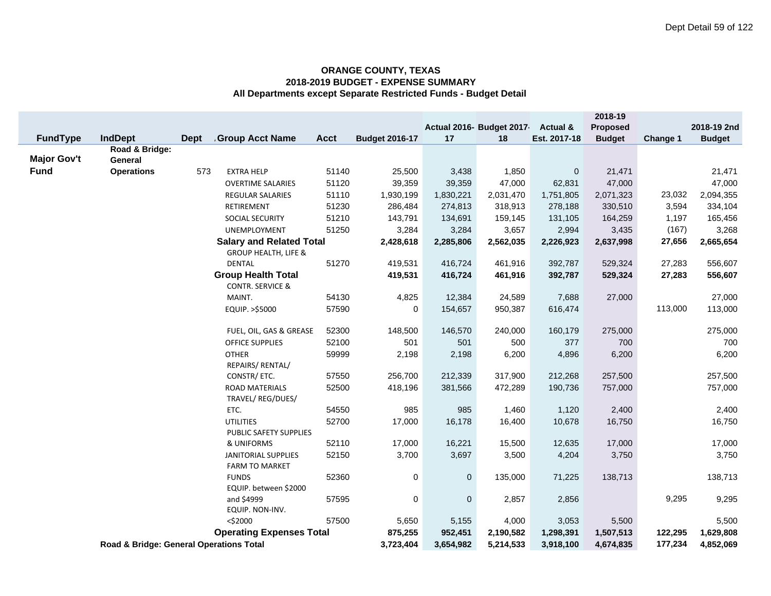|                    |                                         |             |                                 |                |                       |              |                           |              | 2018-19        |          |               |
|--------------------|-----------------------------------------|-------------|---------------------------------|----------------|-----------------------|--------------|---------------------------|--------------|----------------|----------|---------------|
|                    |                                         |             |                                 |                |                       |              | Actual 2016- Budget 2017- | Actual &     | Proposed       |          | 2018-19 2nd   |
| <b>FundType</b>    | <b>IndDept</b>                          | <b>Dept</b> | <b>Group Acct Name</b>          | <b>Acct</b>    | <b>Budget 2016-17</b> | 17           | 18                        | Est. 2017-18 | <b>Budget</b>  | Change 1 | <b>Budget</b> |
| <b>Major Gov't</b> | Road & Bridge:<br>General               |             |                                 |                |                       |              |                           |              |                |          |               |
| <b>Fund</b>        | <b>Operations</b>                       | 573         | <b>EXTRA HELP</b>               | 51140          | 25,500                | 3,438        | 1,850                     | $\mathbf 0$  | 21,471         |          | 21,471        |
|                    |                                         |             | <b>OVERTIME SALARIES</b>        | 51120          | 39,359                | 39,359       | 47,000                    | 62,831       | 47,000         |          | 47,000        |
|                    |                                         |             | <b>REGULAR SALARIES</b>         | 51110          | 1,930,199             | 1,830,221    | 2,031,470                 | 1,751,805    | 2,071,323      | 23,032   | 2,094,355     |
|                    |                                         |             | RETIREMENT                      | 51230          | 286,484               | 274,813      | 318,913                   | 278,188      | 330,510        | 3,594    | 334,104       |
|                    |                                         |             | SOCIAL SECURITY                 | 51210          | 143,791               | 134,691      | 159,145                   | 131,105      | 164,259        | 1,197    | 165,456       |
|                    |                                         |             | UNEMPLOYMENT                    | 51250          | 3,284                 | 3,284        | 3,657                     | 2,994        | 3,435          | (167)    | 3,268         |
|                    |                                         |             | <b>Salary and Related Total</b> |                | 2,428,618             | 2,285,806    | 2,562,035                 | 2,226,923    | 2,637,998      | 27,656   | 2,665,654     |
|                    |                                         |             | <b>GROUP HEALTH, LIFE &amp;</b> |                |                       |              |                           |              |                |          |               |
|                    |                                         |             | DENTAL                          | 51270          | 419,531               | 416,724      | 461,916                   | 392,787      | 529,324        | 27,283   | 556,607       |
|                    |                                         |             | <b>Group Health Total</b>       |                | 419,531               | 416,724      | 461,916                   | 392,787      | 529,324        | 27,283   | 556,607       |
|                    |                                         |             | <b>CONTR. SERVICE &amp;</b>     |                |                       |              |                           |              |                |          |               |
|                    |                                         |             | MAINT.                          | 54130          | 4,825                 | 12,384       | 24,589                    | 7,688        | 27,000         |          | 27,000        |
|                    |                                         |             | EQUIP. >\$5000                  | 57590          | 0                     | 154,657      | 950,387                   | 616,474      |                | 113,000  | 113,000       |
|                    |                                         |             |                                 |                |                       |              |                           |              |                |          |               |
|                    |                                         |             | FUEL, OIL, GAS & GREASE         | 52300          | 148,500               | 146,570      | 240,000                   | 160,179      | 275,000<br>700 |          | 275,000       |
|                    |                                         |             | OFFICE SUPPLIES<br><b>OTHER</b> | 52100<br>59999 | 501<br>2,198          | 501<br>2,198 | 500<br>6,200              | 377<br>4,896 | 6,200          |          | 700<br>6,200  |
|                    |                                         |             | REPAIRS/ RENTAL/                |                |                       |              |                           |              |                |          |               |
|                    |                                         |             | CONSTR/ ETC.                    | 57550          | 256,700               | 212,339      | 317,900                   | 212,268      | 257,500        |          | 257,500       |
|                    |                                         |             | <b>ROAD MATERIALS</b>           | 52500          | 418,196               | 381,566      | 472,289                   | 190,736      | 757,000        |          | 757,000       |
|                    |                                         |             | TRAVEL/ REG/DUES/               |                |                       |              |                           |              |                |          |               |
|                    |                                         |             | ETC.                            | 54550          | 985                   | 985          | 1,460                     | 1,120        | 2,400          |          | 2,400         |
|                    |                                         |             | <b>UTILITIES</b>                | 52700          | 17,000                | 16,178       | 16,400                    | 10,678       | 16,750         |          | 16,750        |
|                    |                                         |             | PUBLIC SAFETY SUPPLIES          |                |                       |              |                           |              |                |          |               |
|                    |                                         |             | & UNIFORMS                      | 52110          | 17,000                | 16,221       | 15,500                    | 12,635       | 17,000         |          | 17,000        |
|                    |                                         |             | JANITORIAL SUPPLIES             | 52150          | 3,700                 | 3,697        | 3,500                     | 4,204        | 3,750          |          | 3,750         |
|                    |                                         |             | <b>FARM TO MARKET</b>           |                |                       |              |                           |              |                |          |               |
|                    |                                         |             | <b>FUNDS</b>                    | 52360          | 0                     | 0            | 135,000                   | 71,225       | 138,713        |          | 138,713       |
|                    |                                         |             | EQUIP. between \$2000           |                |                       |              |                           |              |                | 9,295    |               |
|                    |                                         |             | and \$4999<br>EQUIP. NON-INV.   | 57595          | 0                     | $\pmb{0}$    | 2,857                     | 2,856        |                |          | 9,295         |
|                    | $<$ \$2000                              |             | 57500                           | 5,650          | 5,155                 | 4,000        | 3,053                     | 5,500        |                | 5,500    |               |
|                    |                                         |             | <b>Operating Expenses Total</b> |                | 875,255               | 952,451      | 2,190,582                 | 1,298,391    | 1,507,513      | 122,295  | 1,629,808     |
|                    | Road & Bridge: General Operations Total | 3,723,404   | 3,654,982                       | 5,214,533      | 3,918,100             | 4,674,835    | 177,234                   | 4,852,069    |                |          |               |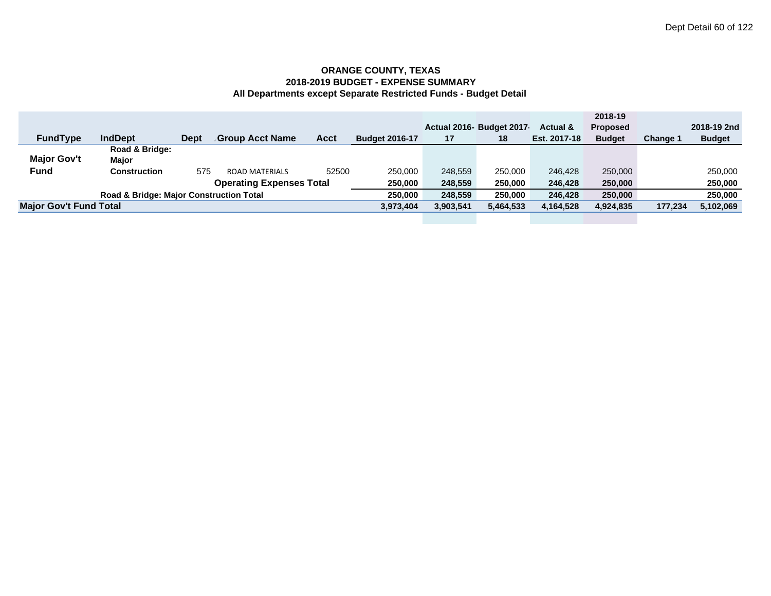|                               |                                                    |             |                                 |             |                       |           |                          |                     | 2018-19         |                 |               |
|-------------------------------|----------------------------------------------------|-------------|---------------------------------|-------------|-----------------------|-----------|--------------------------|---------------------|-----------------|-----------------|---------------|
|                               |                                                    |             |                                 |             |                       |           | Actual 2016- Budget 2017 | <b>Actual &amp;</b> | <b>Proposed</b> |                 | 2018-19 2nd   |
| <b>FundType</b>               | <b>IndDept</b>                                     | <b>Dept</b> | <b>Group Acct Name</b>          | <b>Acct</b> | <b>Budget 2016-17</b> | 17        | 18                       | Est. 2017-18        | <b>Budget</b>   | <b>Change 1</b> | <b>Budget</b> |
|                               | Road & Bridge:                                     |             |                                 |             |                       |           |                          |                     |                 |                 |               |
| <b>Major Gov't</b>            | Maior                                              |             |                                 |             |                       |           |                          |                     |                 |                 |               |
| <b>Fund</b>                   | Construction                                       | 575         | <b>ROAD MATERIALS</b>           | 52500       | 250,000               | 248,559   | 250,000                  | 246.428             | 250,000         |                 | 250,000       |
|                               |                                                    |             | <b>Operating Expenses Total</b> |             | 250,000               | 248.559   | 250,000                  | 246,428             | 250,000         |                 | 250,000       |
|                               | <b>Road &amp; Bridge: Major Construction Total</b> |             |                                 |             | 250.000               | 248.559   | 250,000                  | 246,428             | 250,000         |                 | 250,000       |
| <b>Major Gov't Fund Total</b> |                                                    |             |                                 |             | 3,973,404             | 3,903,541 | 5,464,533                | 4,164,528           | 4,924,835       | 177,234         | 5,102,069     |
|                               |                                                    |             |                                 |             |                       |           |                          |                     |                 |                 |               |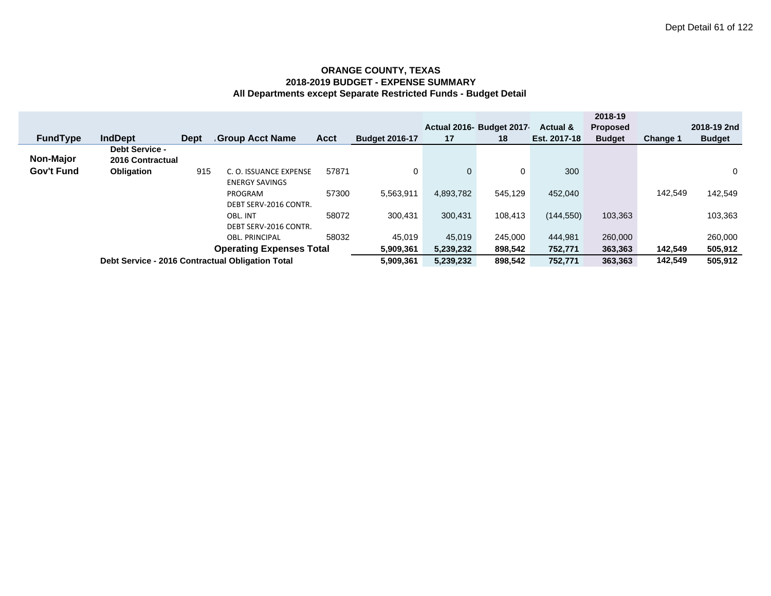|                 |                                           |             |                                                  |       |                       |           | Actual 2016- Budget 2017 | <b>Actual &amp;</b> | 2018-19<br><b>Proposed</b> |                 | 2018-19 2nd   |
|-----------------|-------------------------------------------|-------------|--------------------------------------------------|-------|-----------------------|-----------|--------------------------|---------------------|----------------------------|-----------------|---------------|
| <b>FundType</b> | <b>IndDept</b>                            | <b>Dept</b> | <b>Group Acct Name</b>                           | Acct  | <b>Budget 2016-17</b> | 17        | 18                       | Est. 2017-18        | <b>Budget</b>              | <b>Change 1</b> | <b>Budget</b> |
| Non-Major       | <b>Debt Service -</b><br>2016 Contractual |             |                                                  |       |                       |           |                          |                     |                            |                 |               |
| Gov't Fund      | <b>Obligation</b>                         | 915         | C. O. ISSUANCE EXPENSE<br><b>ENERGY SAVINGS</b>  | 57871 | $\Omega$              | 0         | 0                        | 300                 |                            |                 | 0             |
|                 |                                           |             | PROGRAM<br>DEBT SERV-2016 CONTR.                 | 57300 | 5,563,911             | 4,893,782 | 545.129                  | 452.040             |                            | 142,549         | 142,549       |
|                 |                                           |             | OBL. INT<br>DEBT SERV-2016 CONTR.                | 58072 | 300.431               | 300.431   | 108.413                  | (144, 550)          | 103,363                    |                 | 103,363       |
|                 |                                           |             | <b>OBL. PRINCIPAL</b>                            | 58032 | 45.019                | 45,019    | 245.000                  | 444.981             | 260,000                    |                 | 260,000       |
|                 | <b>Operating Expenses Total</b>           |             |                                                  |       |                       | 5,239,232 | 898,542                  | 752,771             | 363,363                    | 142,549         | 505,912       |
|                 |                                           |             | Debt Service - 2016 Contractual Obligation Total |       | 5,909,361             | 5,239,232 | 898.542                  | 752.771             | 363,363                    | 142.549         | 505.912       |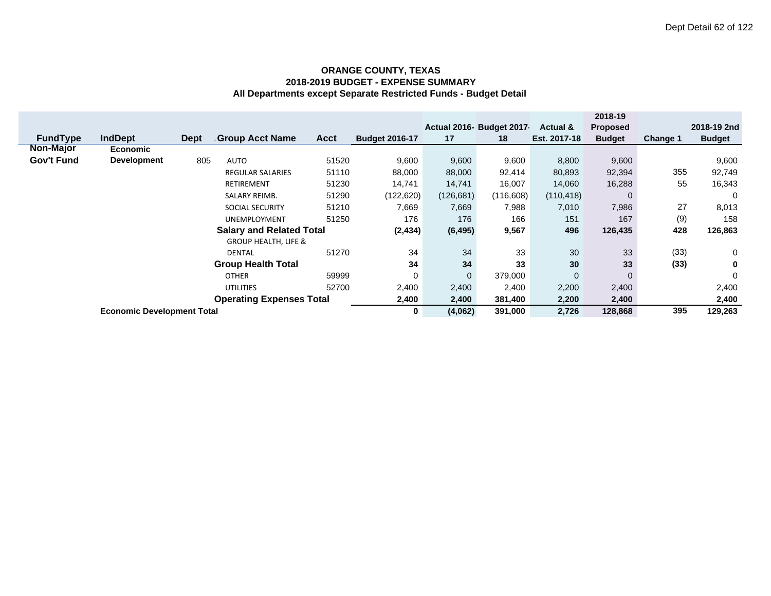|                  |                                   |      |                                 |             |                       |                      |                           |              | 2018-19         |                 |               |
|------------------|-----------------------------------|------|---------------------------------|-------------|-----------------------|----------------------|---------------------------|--------------|-----------------|-----------------|---------------|
|                  |                                   |      |                                 |             |                       |                      | Actual 2016- Budget 2017- | Actual &     | <b>Proposed</b> |                 | 2018-19 2nd   |
| <b>FundType</b>  | <b>IndDept</b>                    | Dept | <b>Group Acct Name</b>          | <b>Acct</b> | <b>Budget 2016-17</b> | 17                   | 18                        | Est. 2017-18 | <b>Budget</b>   | <b>Change 1</b> | <b>Budget</b> |
| <b>Non-Major</b> | <b>Economic</b>                   |      |                                 |             |                       |                      |                           |              |                 |                 |               |
| Gov't Fund       | <b>Development</b>                | 805  | <b>AUTO</b>                     | 51520       | 9,600                 | 9,600                | 9,600                     | 8,800        | 9,600           |                 | 9,600         |
|                  |                                   |      | <b>REGULAR SALARIES</b>         | 51110       | 88,000                | 88,000               | 92,414                    | 80,893       | 92,394          | 355             | 92,749        |
|                  |                                   |      | <b>RETIREMENT</b>               | 51230       | 14,741                | 14,741               | 16,007                    | 14,060       | 16,288          | 55              | 16,343        |
|                  |                                   |      | <b>SALARY REIMB.</b>            | 51290       | (122, 620)            | (126, 681)           | (116, 608)                | (110, 418)   |                 |                 | 0             |
|                  |                                   |      | <b>SOCIAL SECURITY</b>          | 51210       | 7,669                 | 7,669                | 7,988                     | 7,010        | 7,986           | 27              | 8,013         |
|                  |                                   |      | <b>UNEMPLOYMENT</b>             | 51250       | 176                   | 176                  | 166                       | 151          | 167             | (9)             | 158           |
|                  | <b>Salary and Related Total</b>   |      |                                 |             |                       | (2, 434)<br>(6, 495) | 9,567                     | 496          | 126,435         | 428             | 126,863       |
|                  |                                   |      | <b>GROUP HEALTH, LIFE &amp;</b> |             |                       |                      |                           |              |                 |                 |               |
|                  |                                   |      | <b>DENTAL</b>                   | 51270       | 34                    | 34                   | 33                        | 30           | 33              | (33)            | 0             |
|                  |                                   |      | <b>Group Health Total</b>       |             | 34                    | 34                   | 33                        | 30           | 33              | (33)            | 0             |
|                  | 59999<br><b>OTHER</b>             |      |                                 | 0           | $\mathbf{0}$          | 379,000              | $\mathbf{0}$              | $\Omega$     |                 | 0               |               |
|                  |                                   |      | <b>UTILITIES</b>                | 52700       | 2,400                 | 2,400                | 2,400                     | 2,200        | 2,400           |                 | 2,400         |
|                  | <b>Operating Expenses Total</b>   |      |                                 |             |                       | 2,400                | 381,400                   | 2,200        | 2,400           |                 | 2,400         |
|                  | <b>Economic Development Total</b> |      |                                 |             |                       | (4,062)              | 391,000                   | 2,726        | 128,868         | 395             | 129,263       |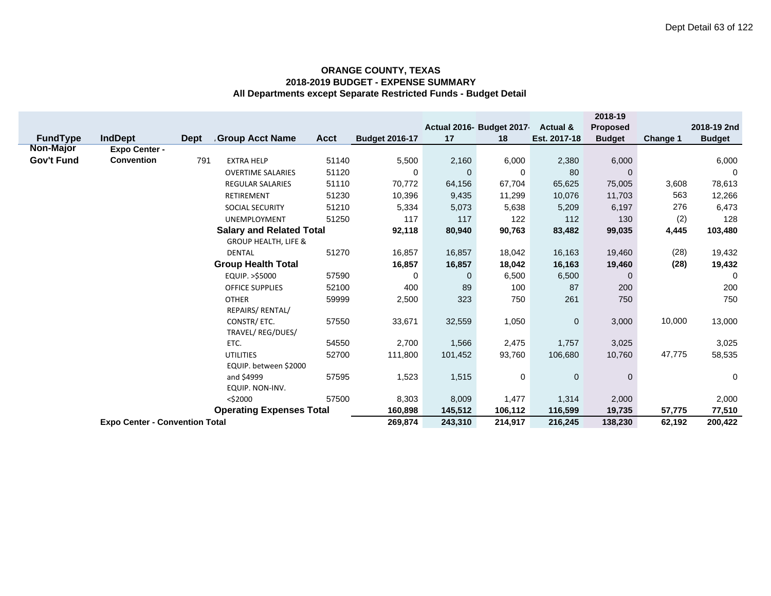|                   |                                       |             |                                            |             |                       |          |                          |              | 2018-19       |          |               |
|-------------------|---------------------------------------|-------------|--------------------------------------------|-------------|-----------------------|----------|--------------------------|--------------|---------------|----------|---------------|
|                   |                                       |             |                                            |             |                       |          | Actual 2016- Budget 2017 | Actual &     | Proposed      |          | 2018-19 2nd   |
| <b>FundType</b>   | <b>IndDept</b>                        | <b>Dept</b> | <b>Group Acct Name</b>                     | <b>Acct</b> | <b>Budget 2016-17</b> | 17       | 18                       | Est. 2017-18 | <b>Budget</b> | Change 1 | <b>Budget</b> |
| <b>Non-Major</b>  | <b>Expo Center -</b>                  |             |                                            |             |                       |          |                          |              |               |          |               |
| <b>Gov't Fund</b> | <b>Convention</b>                     | 791         | <b>EXTRA HELP</b>                          | 51140       | 5,500                 | 2,160    | 6,000                    | 2,380        | 6,000         |          | 6,000         |
|                   |                                       |             | <b>OVERTIME SALARIES</b>                   | 51120       | 0                     | $\Omega$ | 0                        | 80           | $\mathbf{0}$  |          | 0             |
|                   |                                       |             | <b>REGULAR SALARIES</b>                    | 51110       | 70,772                | 64,156   | 67,704                   | 65,625       | 75,005        | 3,608    | 78,613        |
|                   |                                       |             | RETIREMENT                                 | 51230       | 10,396                | 9,435    | 11,299                   | 10,076       | 11,703        | 563      | 12,266        |
|                   |                                       |             | <b>SOCIAL SECURITY</b>                     | 51210       | 5,334                 | 5,073    | 5,638                    | 5,209        | 6,197         | 276      | 6,473         |
|                   |                                       |             | <b>UNEMPLOYMENT</b>                        | 51250       | 117                   | 117      | 122                      | 112          | 130           | (2)      | 128           |
|                   |                                       |             | <b>Salary and Related Total</b>            |             | 92,118                | 80,940   | 90,763                   | 83,482       | 99,035        | 4,445    | 103,480       |
|                   |                                       |             | <b>GROUP HEALTH, LIFE &amp;</b>            |             |                       |          |                          |              |               |          |               |
|                   |                                       |             | <b>DENTAL</b><br><b>Group Health Total</b> | 51270       | 16,857                | 16,857   | 18,042                   | 16,163       | 19,460        | (28)     | 19,432        |
|                   |                                       | 16,857      | 16,857                                     | 18,042      | 16,163                | 19,460   | (28)                     | 19,432       |               |          |               |
|                   |                                       |             | EQUIP. >\$5000                             | 57590       | 0                     | 0        | 6,500                    | 6,500        | $\mathbf{0}$  |          | $\Omega$      |
|                   |                                       |             | <b>OFFICE SUPPLIES</b>                     | 52100       | 400                   | 89       | 100                      | 87           | 200           |          | 200           |
|                   |                                       |             | <b>OTHER</b>                               | 59999       | 2,500                 | 323      | 750                      | 261          | 750           |          | 750           |
|                   |                                       |             | REPAIRS/ RENTAL/                           |             |                       |          |                          |              |               |          |               |
|                   |                                       |             | CONSTR/ ETC.                               | 57550       | 33,671                | 32,559   | 1,050                    | $\mathbf 0$  | 3,000         | 10,000   | 13,000        |
|                   |                                       |             | TRAVEL/REG/DUES/                           |             |                       |          |                          |              |               |          |               |
|                   |                                       |             | ETC.                                       | 54550       | 2,700<br>111,800      | 1,566    | 2,475                    | 1,757        | 3,025         |          | 3,025         |
|                   | 52700<br><b>UTILITIES</b>             |             |                                            |             |                       | 101,452  | 93,760                   | 106,680      | 10,760        | 47,775   | 58,535        |
|                   | EQUIP. between \$2000                 |             |                                            |             |                       |          |                          |              |               |          |               |
|                   | and \$4999<br>57595                   |             |                                            |             |                       | 1,515    | 0                        | $\mathbf 0$  | $\mathbf{0}$  |          | 0             |
|                   |                                       |             | EQUIP. NON-INV.                            |             |                       |          |                          |              |               |          |               |
|                   |                                       | $<$ \$2000  | 8,303<br>160,898                           | 8,009       | 1,477                 | 1,314    | 2,000                    |              | 2,000         |          |               |
|                   | <b>Operating Expenses Total</b>       |             |                                            |             |                       | 145,512  | 106,112                  | 116,599      | 19,735        | 57,775   | 77,510        |
|                   | <b>Expo Center - Convention Total</b> |             |                                            |             |                       | 243,310  | 214,917                  | 216,245      | 138,230       | 62,192   | 200,422       |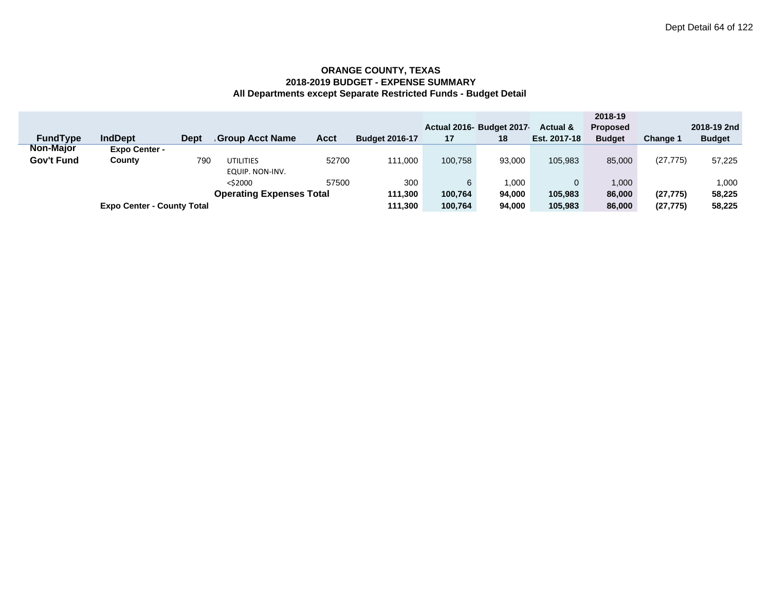|                   |                                   |      |                                 |             |                       |         |                          |                     | 2018-19         |                 |               |
|-------------------|-----------------------------------|------|---------------------------------|-------------|-----------------------|---------|--------------------------|---------------------|-----------------|-----------------|---------------|
|                   |                                   |      |                                 |             |                       |         | Actual 2016- Budget 2017 | <b>Actual &amp;</b> | <b>Proposed</b> |                 | 2018-19 2nd   |
| <b>FundType</b>   | <b>IndDept</b>                    | Dept | <b>Group Acct Name</b>          | <b>Acct</b> | <b>Budget 2016-17</b> | 17      | 18                       | Est. 2017-18        | <b>Budget</b>   | <b>Change 1</b> | <b>Budget</b> |
| <b>Non-Major</b>  | <b>Expo Center -</b>              |      |                                 |             |                       |         |                          |                     |                 |                 |               |
| <b>Gov't Fund</b> | County                            | 790  | <b>UTILITIES</b>                | 52700       | 111.000               | 100,758 | 93.000                   | 105.983             | 85,000          | (27, 775)       | 57,225        |
|                   |                                   |      | EQUIP. NON-INV.                 |             |                       |         |                          |                     |                 |                 |               |
|                   |                                   |      | $<$ \$2000                      | 57500       | 300                   | 6       | 000.                     |                     | 1.000           |                 | 1,000         |
|                   |                                   |      | <b>Operating Expenses Total</b> |             | 111,300               | 100,764 | 94.000                   | 105,983             | 86,000          | (27, 775)       | 58,225        |
|                   | <b>Expo Center - County Total</b> |      |                                 |             | 111.300               | 100.764 | 94.000                   | 105.983             | 86,000          | (27, 775)       | 58,225        |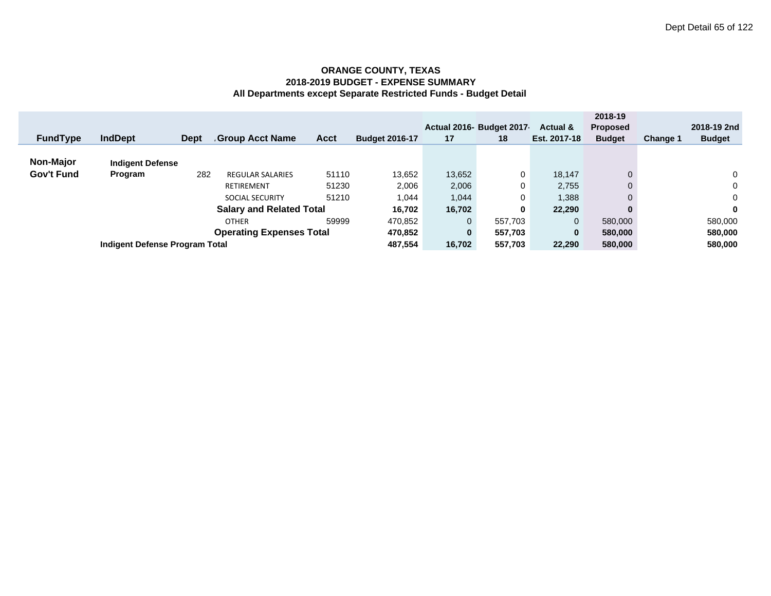|                 |                                                          |             |                         |             |                       |                         | Actual 2016- Budget 2017 | Actual &     | 2018-19<br><b>Proposed</b> |                 | 2018-19 2nd   |
|-----------------|----------------------------------------------------------|-------------|-------------------------|-------------|-----------------------|-------------------------|--------------------------|--------------|----------------------------|-----------------|---------------|
| <b>FundType</b> | <b>IndDept</b>                                           | <b>Dept</b> | <b>Group Acct Name</b>  | <b>Acct</b> | <b>Budget 2016-17</b> | 17                      | 18                       | Est. 2017-18 | <b>Budget</b>              | <b>Change 1</b> | <b>Budget</b> |
|                 |                                                          |             |                         |             |                       |                         |                          |              |                            |                 |               |
| Non-Major       | <b>Indigent Defense</b>                                  |             |                         |             |                       |                         |                          |              |                            |                 |               |
| Gov't Fund      | Program                                                  | 282         | <b>REGULAR SALARIES</b> | 51110       | 13,652                | 13,652                  | 0                        | 18,147       | $\Omega$                   |                 | $\Omega$      |
|                 | 51230<br>RETIREMENT                                      |             |                         | 2,006       | 2,006                 | 0                       | 2,755                    | 0            |                            | $\mathbf{0}$    |               |
|                 |                                                          |             | <b>SOCIAL SECURITY</b>  | 51210       | 1.044                 | 1,044                   | 0                        | 1,388        |                            |                 | $\Omega$      |
|                 |                                                          | 16.702      | 16,702                  | 0           | 22,290                | 0                       |                          | 0            |                            |                 |               |
|                 | <b>Salary and Related Total</b><br>59999<br><b>OTHER</b> |             |                         | 470,852     | 0                     | 557,703                 |                          | 580,000      |                            | 580,000         |               |
|                 | <b>Operating Expenses Total</b>                          |             |                         |             |                       | 470,852<br>$\mathbf{0}$ | 557,703                  | 0            | 580,000                    |                 | 580,000       |
|                 | Indigent Defense Program Total                           | 487,554     | 16,702                  | 557,703     | 22,290                | 580,000                 |                          | 580,000      |                            |                 |               |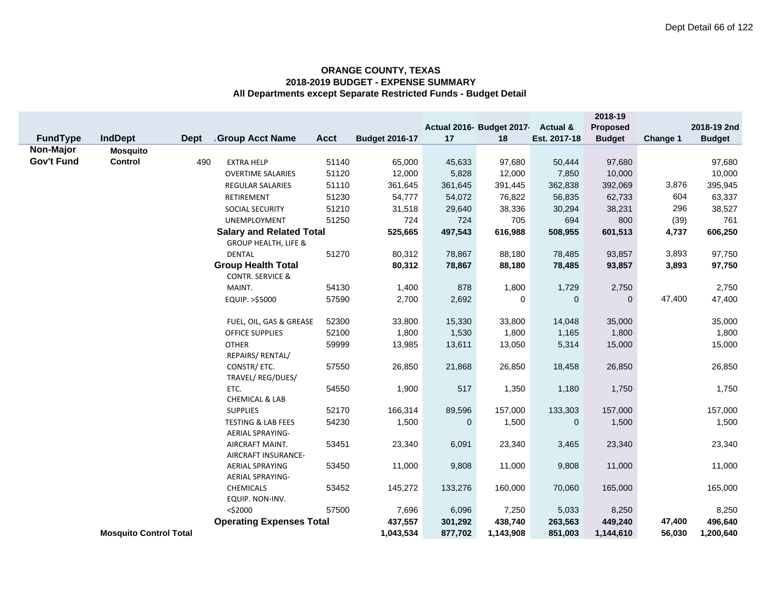|                   |                               |             |                                                          |             |                       |              |                          |                     | 2018-19       |          |               |
|-------------------|-------------------------------|-------------|----------------------------------------------------------|-------------|-----------------------|--------------|--------------------------|---------------------|---------------|----------|---------------|
|                   |                               |             |                                                          |             |                       |              | Actual 2016- Budget 2017 | <b>Actual &amp;</b> | Proposed      |          | 2018-19 2nd   |
| FundType          | <b>IndDept</b>                | <b>Dept</b> | <b>Group Acct Name</b>                                   | <b>Acct</b> | <b>Budget 2016-17</b> | 17           | 18                       | Est. 2017-18        | <b>Budget</b> | Change 1 | <b>Budget</b> |
| Non-Major         | <b>Mosquito</b>               |             |                                                          |             |                       |              |                          |                     |               |          |               |
| <b>Gov't Fund</b> | <b>Control</b>                | 490         | <b>EXTRA HELP</b>                                        | 51140       | 65,000                | 45,633       | 97,680                   | 50,444              | 97,680        |          | 97,680        |
|                   |                               |             | <b>OVERTIME SALARIES</b>                                 | 51120       | 12,000                | 5,828        | 12,000                   | 7,850               | 10,000        |          | 10,000        |
|                   |                               |             | <b>REGULAR SALARIES</b>                                  | 51110       | 361,645               | 361,645      | 391,445                  | 362,838             | 392,069       | 3,876    | 395,945       |
|                   |                               |             | RETIREMENT                                               | 51230       | 54,777                | 54,072       | 76,822                   | 56,835              | 62,733        | 604      | 63,337        |
|                   |                               |             | <b>SOCIAL SECURITY</b>                                   | 51210       | 31,518                | 29,640       | 38,336                   | 30,294              | 38,231        | 296      | 38,527        |
|                   |                               |             | UNEMPLOYMENT                                             | 51250       | 724                   | 724          | 705                      | 694                 | 800           | (39)     | 761           |
|                   |                               |             | <b>Salary and Related Total</b>                          |             | 525,665               | 497,543      | 616,988                  | 508,955             | 601,513       | 4,737    | 606,250       |
|                   |                               |             | <b>GROUP HEALTH, LIFE &amp;</b>                          |             |                       |              |                          |                     |               |          |               |
|                   |                               |             | <b>DENTAL</b>                                            | 51270       | 80,312                | 78,867       | 88,180                   | 78,485              | 93,857        | 3,893    | 97,750        |
|                   |                               |             | <b>Group Health Total</b><br><b>CONTR. SERVICE &amp;</b> |             | 80,312                | 78,867       | 88,180                   | 78,485              | 93,857        | 3,893    | 97,750        |
|                   |                               |             | MAINT.                                                   | 54130       | 1,400                 | 878          | 1,800                    | 1,729               | 2,750         |          | 2,750         |
|                   |                               |             | EQUIP. >\$5000                                           | 57590       | 2,700                 | 2,692        | 0                        | 0                   | $\mathbf{0}$  | 47,400   | 47,400        |
|                   |                               |             | FUEL, OIL, GAS & GREASE                                  | 52300       | 33,800                | 15,330       | 33,800                   | 14,048              | 35,000        |          | 35,000        |
|                   |                               |             | OFFICE SUPPLIES                                          | 52100       | 1,800                 | 1,530        | 1,800                    | 1,165               | 1,800         |          | 1,800         |
|                   |                               |             | <b>OTHER</b>                                             | 59999       | 13,985                | 13,611       | 13,050                   | 5,314               | 15,000        |          | 15,000        |
|                   |                               |             | REPAIRS/ RENTAL/                                         |             |                       |              |                          |                     |               |          |               |
|                   |                               |             | CONSTR/ ETC.<br>TRAVEL/REG/DUES/                         | 57550       | 26,850                | 21,868       | 26,850                   | 18,458              | 26,850        |          | 26,850        |
|                   |                               |             | ETC.                                                     | 54550       | 1,900                 | 517          | 1,350                    | 1,180               | 1,750         |          | 1,750         |
|                   |                               |             | CHEMICAL & LAB                                           |             |                       |              |                          |                     |               |          |               |
|                   |                               |             | <b>SUPPLIES</b>                                          | 52170       | 166,314               | 89,596       | 157,000                  | 133,303             | 157,000       |          | 157,000       |
|                   |                               |             | <b>TESTING &amp; LAB FEES</b><br><b>AERIAL SPRAYING-</b> | 54230       | 1,500                 | $\mathbf{0}$ | 1,500                    | $\mathbf{0}$        | 1,500         |          | 1,500         |
|                   |                               |             | AIRCRAFT MAINT.<br>AIRCRAFT INSURANCE-                   | 53451       | 23,340                | 6,091        | 23,340                   | 3,465               | 23,340        |          | 23,340        |
|                   |                               |             | <b>AERIAL SPRAYING</b><br><b>AERIAL SPRAYING-</b>        | 53450       | 11,000                | 9,808        | 11,000                   | 9,808               | 11,000        |          | 11,000        |
|                   |                               |             | <b>CHEMICALS</b><br>EQUIP. NON-INV.                      | 53452       | 145,272               | 133,276      | 160,000                  | 70,060              | 165,000       |          | 165,000       |
|                   |                               |             | $<$ \$2000                                               | 57500       | 7,696                 | 6,096        | 7,250                    | 5,033               | 8,250         |          | 8,250         |
|                   |                               |             | <b>Operating Expenses Total</b>                          |             | 437,557               | 301,292      | 438,740                  | 263,563             | 449,240       | 47,400   | 496,640       |
|                   | <b>Mosquito Control Total</b> |             |                                                          |             | 1,043,534             | 877,702      | 1,143,908                | 851,003             | 1,144,610     | 56,030   | 1,200,640     |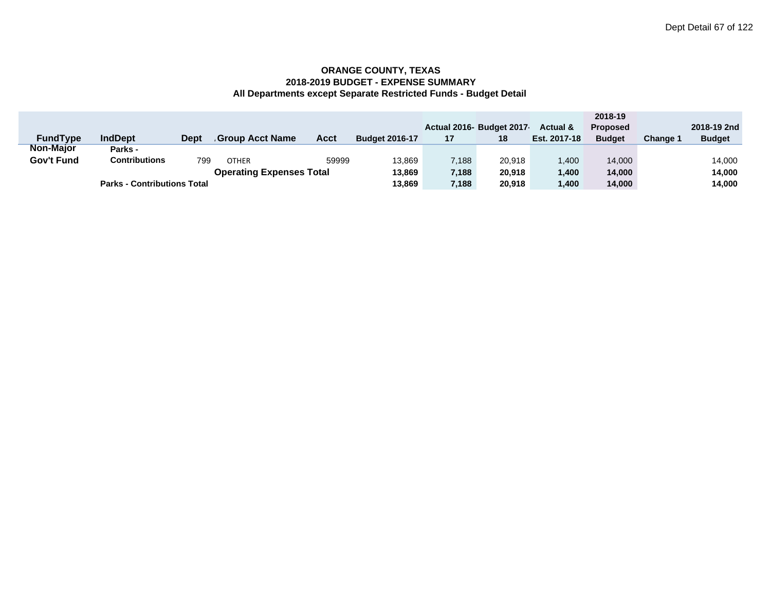|                 |                                    |      |                                 |             |                       |       |                          |                     | 2018-19         |          |               |
|-----------------|------------------------------------|------|---------------------------------|-------------|-----------------------|-------|--------------------------|---------------------|-----------------|----------|---------------|
|                 |                                    |      |                                 |             |                       |       | Actual 2016- Budget 2017 | <b>Actual &amp;</b> | <b>Proposed</b> |          | 2018-19 2nd   |
| <b>FundType</b> | <b>IndDept</b>                     | Dept | <b>Group Acct Name</b>          | <b>Acct</b> | <b>Budget 2016-17</b> | 17    | 18                       | Est. 2017-18        | <b>Budget</b>   | Change ' | <b>Budget</b> |
| Non-Major       | Parks -                            |      |                                 |             |                       |       |                          |                     |                 |          |               |
| Gov't Fund      | Contributions                      | 799  | <b>OTHER</b>                    | 59999       | 13,869                | 7,188 | 20.918                   | 1.400               | 14,000          |          | 14,000        |
|                 |                                    |      | <b>Operating Expenses Total</b> |             | 13,869                | 7,188 | 20,918                   | 1.400               | 14,000          |          | 14,000        |
|                 | <b>Parks - Contributions Total</b> |      |                                 |             |                       | 7,188 | 20,918                   | ,400                | 14,000          |          | 14,000        |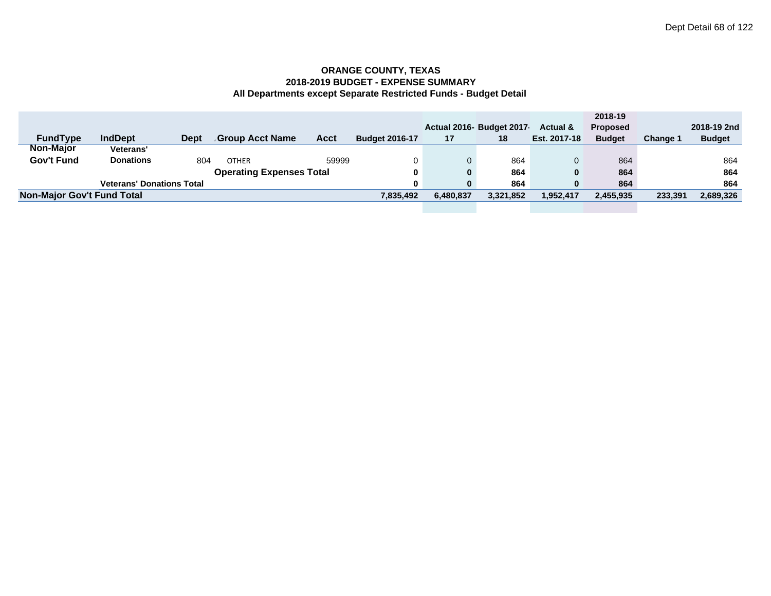|                                   |                                  |      |                                 |       |                       |           |                          |              | 2018-19         |                 |               |
|-----------------------------------|----------------------------------|------|---------------------------------|-------|-----------------------|-----------|--------------------------|--------------|-----------------|-----------------|---------------|
|                                   |                                  |      |                                 |       |                       |           | Actual 2016- Budget 2017 | Actual &     | <b>Proposed</b> |                 | 2018-19 2nd   |
| <b>FundType</b>                   | <b>IndDept</b>                   | Dept | Group Acct Name                 | Acct  | <b>Budget 2016-17</b> | 17        | 18                       | Est. 2017-18 | <b>Budget</b>   | <b>Change 1</b> | <b>Budget</b> |
| <b>Non-Major</b>                  | <b>Veterans'</b>                 |      |                                 |       |                       |           |                          |              |                 |                 |               |
| Gov't Fund                        | <b>Donations</b>                 | 804  | <b>OTHER</b>                    | 59999 |                       |           | 864                      |              | 864             |                 | 864           |
|                                   |                                  |      | <b>Operating Expenses Total</b> |       | 0                     |           | 864                      | 0            | 864             |                 | 864           |
|                                   | <b>Veterans' Donations Total</b> |      |                                 |       | 0                     | 0         | 864                      | 0            | 864             |                 | 864           |
| <b>Non-Major Gov't Fund Total</b> |                                  |      |                                 |       | 7,835,492             | 6,480,837 | 3,321,852                | 1,952,417    | 2,455,935       | 233,391         | 2,689,326     |
|                                   |                                  |      |                                 |       |                       |           |                          |              |                 |                 |               |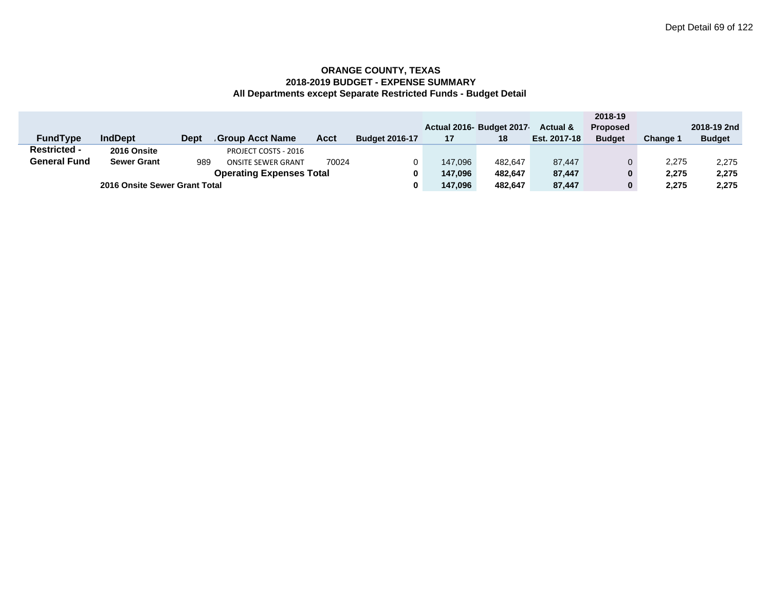|                                 |                               |             |                           |             |                       |         |                           |                     | 2018-19         |          |               |
|---------------------------------|-------------------------------|-------------|---------------------------|-------------|-----------------------|---------|---------------------------|---------------------|-----------------|----------|---------------|
|                                 |                               |             |                           |             |                       |         | Actual 2016- Budget 2017- | <b>Actual &amp;</b> | <b>Proposed</b> |          | 2018-19 2nd   |
| <b>FundType</b>                 | <b>IndDept</b>                | <b>Dept</b> | Group Acct Name           | <b>Acct</b> | <b>Budget 2016-17</b> | 17      | 18                        | Est. 2017-18        | <b>Budget</b>   | Change 1 | <b>Budget</b> |
| <b>Restricted -</b>             | 2016 Onsite                   |             | PROJECT COSTS - 2016      |             |                       |         |                           |                     |                 |          |               |
| <b>General Fund</b>             | <b>Sewer Grant</b>            | 989         | <b>ONSITE SEWER GRANT</b> | 70024       |                       | 147.096 | 482.647                   | 87.447              | 0               | 2,275    | 2,275         |
| <b>Operating Expenses Total</b> |                               |             |                           |             |                       | 147.096 | 482.647                   | 87,447              | 0               | 2,275    | 2,275         |
|                                 | 2016 Onsite Sewer Grant Total |             |                           |             |                       | 147.096 | 482.647                   | 87,447              | 0               | 2,275    | 2,275         |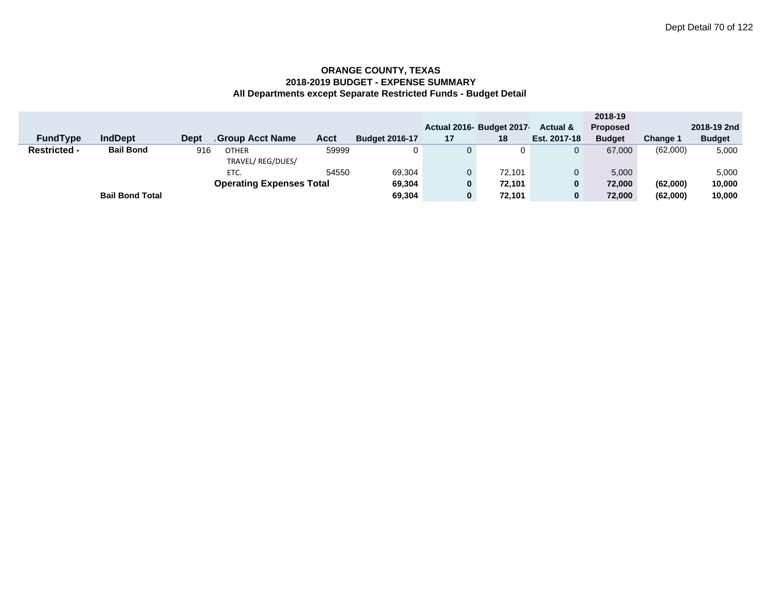|                     |                        |             |                                 |       |                       |          |                          |                     | 2018-19         |                 |               |
|---------------------|------------------------|-------------|---------------------------------|-------|-----------------------|----------|--------------------------|---------------------|-----------------|-----------------|---------------|
|                     |                        |             |                                 |       |                       |          | Actual 2016- Budget 2017 | <b>Actual &amp;</b> | <b>Proposed</b> |                 | 2018-19 2nd   |
| <b>FundType</b>     | <b>IndDept</b>         | <b>Dept</b> | <b>Group Acct Name</b>          | Acct  | <b>Budget 2016-17</b> | 17       | 18                       | Est. 2017-18        | <b>Budget</b>   | <b>Change 1</b> | <b>Budget</b> |
| <b>Restricted -</b> | <b>Bail Bond</b>       | 916         | <b>OTHER</b>                    | 59999 | 0                     |          | 0                        |                     | 67,000          | (62,000)        | 5,000         |
|                     |                        |             | TRAVEL/REG/DUES/                |       |                       |          |                          |                     |                 |                 |               |
|                     |                        |             | ETC.                            | 54550 | 69.304                |          | 72.101                   |                     | 5,000           |                 | 5,000         |
|                     |                        |             | <b>Operating Expenses Total</b> |       | 69,304                | $\bf{0}$ | 72,101                   |                     | 72.000          | (62,000)        | 10,000        |
|                     | <b>Bail Bond Total</b> |             |                                 |       | 69,304                | 0        | 72,101                   | 0                   | 72,000          | (62,000)        | 10,000        |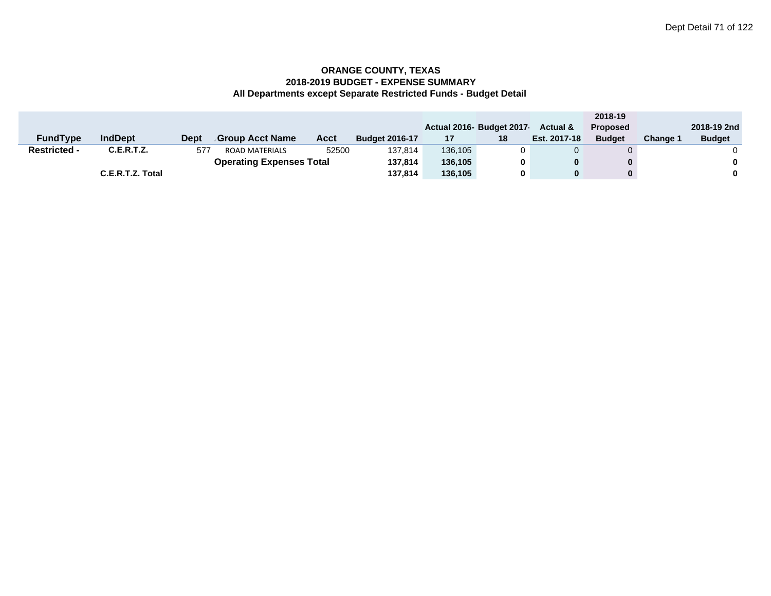|                                 |                   |      |                       |       |                       |         |                          |                     | 2018-19         |          |               |
|---------------------------------|-------------------|------|-----------------------|-------|-----------------------|---------|--------------------------|---------------------|-----------------|----------|---------------|
|                                 |                   |      |                       |       |                       |         | Actual 2016- Budget 2017 | <b>Actual &amp;</b> | <b>Proposed</b> |          | 2018-19 2nd   |
| <b>FundType</b>                 | <b>IndDept</b>    | Dept | Group Acct Name       | Acct  | <b>Budget 2016-17</b> | 17      | 18                       | Est. 2017-18        | <b>Budget</b>   | Change ' | <b>Budget</b> |
| <b>Restricted -</b>             | <b>C.E.R.T.Z.</b> | 577  | <b>ROAD MATERIALS</b> | 52500 | 137,814               | 136.105 |                          |                     | 0               |          |               |
| <b>Operating Expenses Total</b> |                   |      |                       |       | 137.814               | 136.105 | 0                        |                     | 0               |          | 0             |
|                                 | C.E.R.T.Z. Total  |      |                       |       | 137,814               | 136,105 | 0                        |                     | 0               |          | 0             |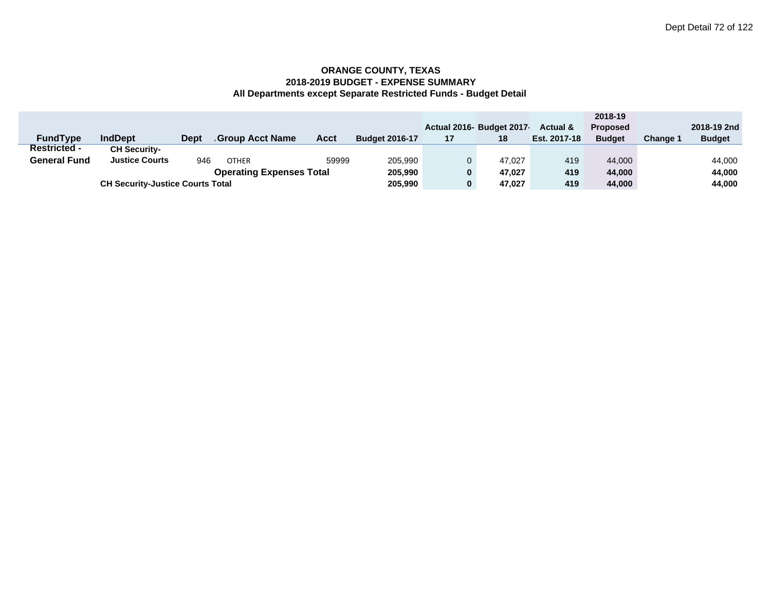|                     |                                         |      |                 |       |                       |    |                         |                     | 2018-19         |          |               |
|---------------------|-----------------------------------------|------|-----------------|-------|-----------------------|----|-------------------------|---------------------|-----------------|----------|---------------|
|                     |                                         |      |                 |       |                       |    | Actual 2016 Budget 2017 | <b>Actual &amp;</b> | <b>Proposed</b> |          | 2018-19 2nd   |
| <b>FundType</b>     | <b>IndDept</b>                          | Dept | Group Acct Name | Acct  | <b>Budget 2016-17</b> | 17 | 18                      | Est. 2017-18        | <b>Budget</b>   | Change 1 | <b>Budget</b> |
| <b>Restricted -</b> | <b>CH Security-</b>                     |      |                 |       |                       |    |                         |                     |                 |          |               |
| General Fund        | <b>Justice Courts</b>                   | 946  | <b>OTHER</b>    | 59999 | 205,990               | 0  | 47.027                  | 419                 | 44.000          |          | 44,000        |
|                     | 205,990                                 | 0    | 47.027          | 419   | 44.000                |    | 44,000                  |                     |                 |          |               |
|                     | <b>CH Security-Justice Courts Total</b> |      |                 |       |                       | 0  | 47,027                  | 419                 | 44.000          |          | 44,000        |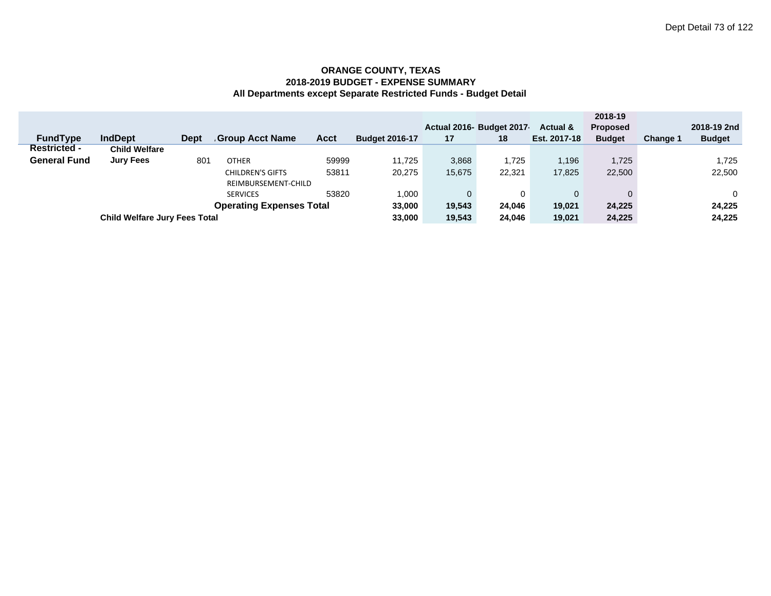|                                  |                                      |             |                     |             |                       |              |                          |                     | 2018-19         |                 |               |
|----------------------------------|--------------------------------------|-------------|---------------------|-------------|-----------------------|--------------|--------------------------|---------------------|-----------------|-----------------|---------------|
|                                  |                                      |             |                     |             |                       |              | Actual 2016- Budget 2017 | <b>Actual &amp;</b> | <b>Proposed</b> |                 | 2018-19 2nd   |
| <b>FundType</b>                  | <b>IndDept</b>                       | <b>Dept</b> | Group Acct Name     | <b>Acct</b> | <b>Budget 2016-17</b> | 17           | 18                       | Est. 2017-18        | <b>Budget</b>   | <b>Change 1</b> | <b>Budget</b> |
| <b>Restricted -</b>              | <b>Child Welfare</b>                 |             |                     |             |                       |              |                          |                     |                 |                 |               |
| <b>General Fund</b>              | <b>Jury Fees</b>                     | 801         | <b>OTHER</b>        | 59999       | 11.725                | 3,868        | 1.725                    | 1.196               | 1,725           |                 | 1,725         |
| 53811<br><b>CHILDREN'S GIFTS</b> |                                      |             |                     | 20,275      | 15,675                | 22,321       | 17,825                   | 22,500              |                 | 22,500          |               |
|                                  |                                      |             | REIMBURSEMENT-CHILD |             |                       |              |                          |                     |                 |                 |               |
|                                  |                                      |             | <b>SERVICES</b>     | 53820       | 1,000                 | $\mathbf{0}$ | 0                        | $\Omega$            | $\Omega$        |                 | 0             |
| <b>Operating Expenses Total</b>  |                                      |             |                     |             | 33,000                | 19,543       | 24,046                   | 19,021              | 24.225          |                 | 24,225        |
|                                  | <b>Child Welfare Jury Fees Total</b> |             |                     |             |                       | 19,543       | 24,046                   | 19,021              | 24,225          |                 | 24,225        |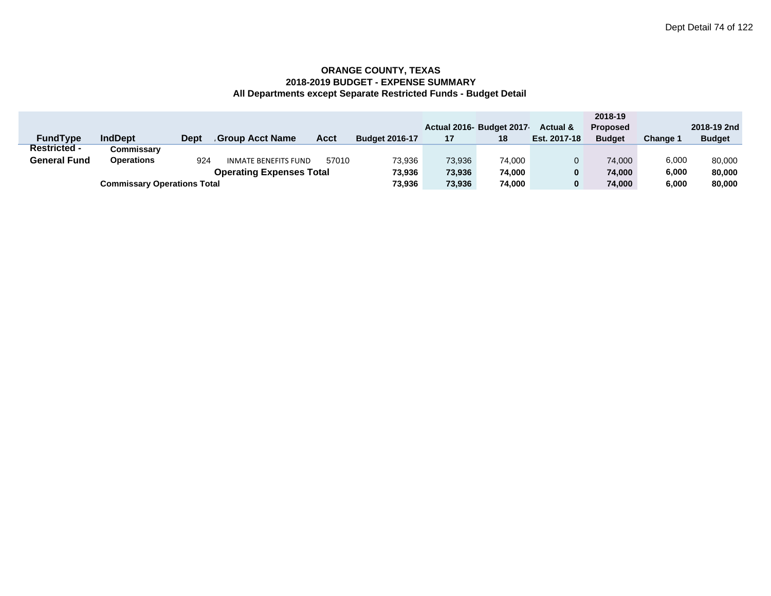|                     |                                              |        |                             |       |                       |        |                          |                     | 2018-19         |               |               |
|---------------------|----------------------------------------------|--------|-----------------------------|-------|-----------------------|--------|--------------------------|---------------------|-----------------|---------------|---------------|
|                     |                                              |        |                             |       |                       |        | Actual 2016- Budget 2017 | <b>Actual &amp;</b> | <b>Proposed</b> |               | 2018-19 2nd   |
| <b>FundType</b>     | <b>IndDept</b>                               | Dept   | Group Acct Name.            | Acct  | <b>Budget 2016-17</b> | 17     | 18                       | Est. 2017-18        | <b>Budget</b>   | <b>Change</b> | <b>Budget</b> |
| <b>Restricted -</b> | Commissarv                                   |        |                             |       |                       |        |                          |                     |                 |               |               |
| <b>General Fund</b> | <b>Operations</b>                            | 924    | <b>INMATE BENEFITS FUND</b> | 57010 | 73,936                | 73,936 | 74.000                   |                     | 74.000          | 6,000         | 80,000        |
|                     | 73.936                                       | 73,936 | 74.000                      | 0     | 74.000                | 6.000  | 80,000                   |                     |                 |               |               |
|                     | 73,936<br><b>Commissary Operations Total</b> |        |                             |       |                       |        | 74.000                   | 0                   | 74.000          | 6,000         | 80,000        |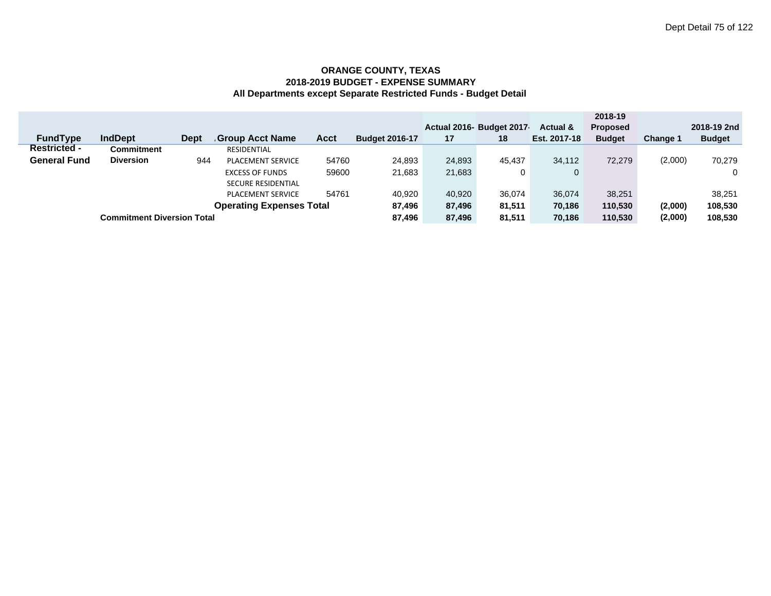|                                 |                                   |             |                           |        |                       |        |                          |                     | 2018-19         |          |               |
|---------------------------------|-----------------------------------|-------------|---------------------------|--------|-----------------------|--------|--------------------------|---------------------|-----------------|----------|---------------|
|                                 |                                   |             |                           |        |                       |        | Actual 2016- Budget 2017 | <b>Actual &amp;</b> | <b>Proposed</b> |          | 2018-19 2nd   |
| <b>FundType</b>                 | <b>IndDept</b>                    | <b>Dept</b> | <b>Group Acct Name</b>    | Acct   | <b>Budget 2016-17</b> | 17     | 18                       | Est. 2017-18        | <b>Budget</b>   | Change 1 | <b>Budget</b> |
| <b>Restricted -</b>             | Commitment                        |             | RESIDENTIAL               |        |                       |        |                          |                     |                 |          |               |
| <b>General Fund</b>             | <b>Diversion</b>                  | 944         | <b>PLACEMENT SERVICE</b>  | 54760  | 24.893                | 24,893 | 45.437                   | 34.112              | 72.279          | (2,000)  | 70,279        |
| 59600<br><b>EXCESS OF FUNDS</b> |                                   |             |                           | 21.683 | 21,683                | 0      | $\mathbf{0}$             |                     |                 |          |               |
|                                 |                                   |             | <b>SECURE RESIDENTIAL</b> |        |                       |        |                          |                     |                 |          |               |
|                                 |                                   |             | <b>PLACEMENT SERVICE</b>  | 54761  | 40.920                | 40,920 | 36,074                   | 36,074              | 38.251          |          | 38.251        |
| <b>Operating Expenses Total</b> |                                   |             |                           |        |                       | 87,496 | 81,511                   | 70,186              | 110.530         | (2,000)  | 108,530       |
|                                 | <b>Commitment Diversion Total</b> |             |                           |        |                       | 87,496 | 81.511                   | 70,186              | 110,530         | (2,000)  | 108,530       |
|                                 |                                   |             |                           |        |                       |        |                          |                     |                 |          |               |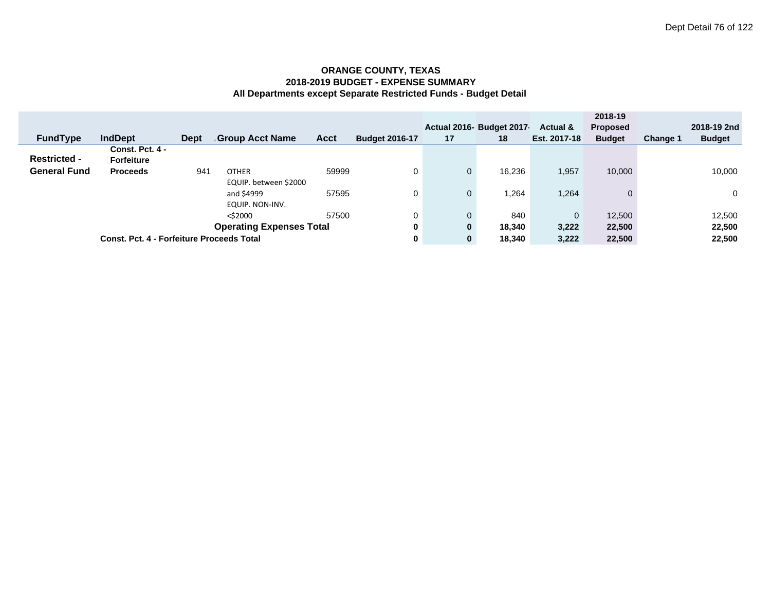|                     |                                                  |             |                                 |       |                       |              |                           |              | 2018-19         |          |               |
|---------------------|--------------------------------------------------|-------------|---------------------------------|-------|-----------------------|--------------|---------------------------|--------------|-----------------|----------|---------------|
|                     |                                                  |             |                                 |       |                       |              | Actual 2016- Budget 2017- | Actual &     | <b>Proposed</b> |          | 2018-19 2nd   |
| <b>FundType</b>     | <b>IndDept</b>                                   | <b>Dept</b> | Group Acct Name.                | Acct  | <b>Budget 2016-17</b> | 17           | 18                        | Est. 2017-18 | <b>Budget</b>   | Change 1 | <b>Budget</b> |
|                     | Const. Pct. 4 -                                  |             |                                 |       |                       |              |                           |              |                 |          |               |
| <b>Restricted -</b> | <b>Forfeiture</b>                                |             |                                 |       |                       |              |                           |              |                 |          |               |
| <b>General Fund</b> | <b>Proceeds</b>                                  | 941         | <b>OTHER</b>                    | 59999 |                       | 0            | 16,236                    | 1,957        | 10,000          |          | 10,000        |
|                     |                                                  |             | EQUIP. between \$2000           |       |                       |              |                           |              |                 |          |               |
|                     |                                                  |             | and \$4999                      | 57595 | 0                     | $\mathbf{0}$ | 1,264                     | 1,264        | $\Omega$        |          | $\mathbf 0$   |
|                     |                                                  |             | EQUIP. NON-INV.                 |       |                       |              |                           |              |                 |          |               |
|                     |                                                  |             | $<$ \$2000                      | 57500 | 0                     | 0            | 840                       | $\Omega$     | 12,500          |          | 12,500        |
|                     |                                                  |             | <b>Operating Expenses Total</b> | 0     | $\mathbf{0}$          | 18,340       | 3,222                     | 22,500       |                 | 22,500   |               |
|                     | <b>Const. Pct. 4 - Forfeiture Proceeds Total</b> |             |                                 | 0     | 0                     | 18.340       | 3,222                     | 22.500       |                 | 22.500   |               |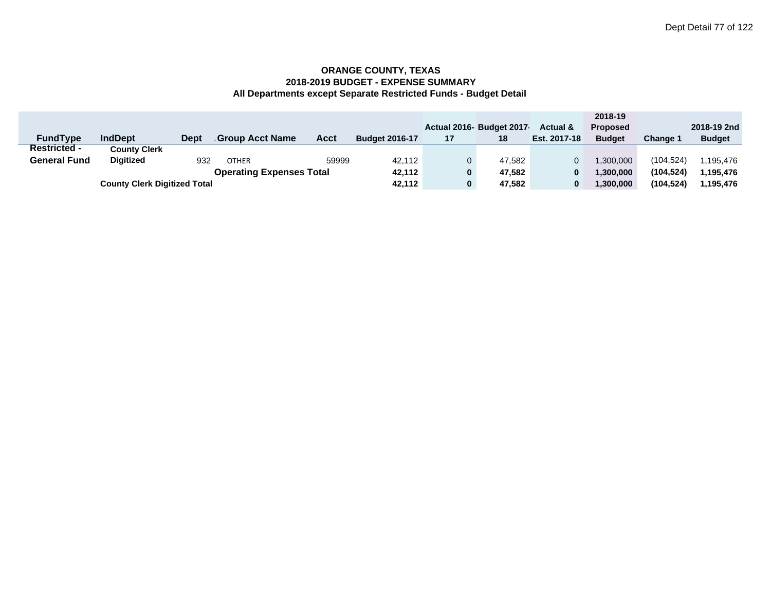|                                 |                                     |             |                  |             |                       |    |                           |                     | 2018-19         |                 |               |
|---------------------------------|-------------------------------------|-------------|------------------|-------------|-----------------------|----|---------------------------|---------------------|-----------------|-----------------|---------------|
|                                 |                                     |             |                  |             |                       |    | Actual 2016- Budget 2017- | <b>Actual &amp;</b> | <b>Proposed</b> |                 | 2018-19 2nd   |
| <b>FundType</b>                 | <b>IndDept</b>                      | <b>Dept</b> | Group Acct Name. | <b>Acct</b> | <b>Budget 2016-17</b> | 17 | 18                        | Est. 2017-18        | <b>Budget</b>   | <b>Change 1</b> | <b>Budget</b> |
| <b>Restricted -</b>             | <b>County Clerk</b>                 |             |                  |             |                       |    |                           |                     |                 |                 |               |
| <b>General Fund</b>             | <b>Digitized</b>                    | 932         | <b>OTHER</b>     | 59999       | 42.112                |    | 47.582                    |                     | 1.300.000       | (104, 524)      | 1.195.476     |
| <b>Operating Expenses Total</b> |                                     |             |                  |             |                       |    | 47.582                    | 0                   | 1.300.000       | (104.524)       | 1.195.476     |
|                                 | <b>County Clerk Digitized Total</b> |             |                  |             |                       |    | 47.582                    |                     | 1.300.000       | (104, 524)      | 1,195,476     |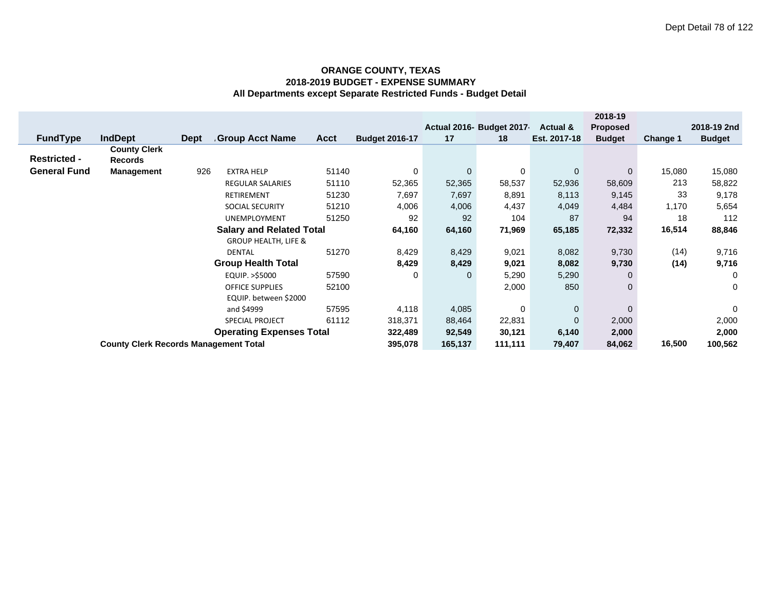|                     |                                              |             |                                 |        |                       |              |                           |                     | 2018-19         |          |               |
|---------------------|----------------------------------------------|-------------|---------------------------------|--------|-----------------------|--------------|---------------------------|---------------------|-----------------|----------|---------------|
|                     |                                              |             |                                 |        |                       |              | Actual 2016- Budget 2017- | <b>Actual &amp;</b> | <b>Proposed</b> |          | 2018-19 2nd   |
| <b>FundType</b>     | <b>IndDept</b>                               | <b>Dept</b> | <b>Group Acct Name</b>          | Acct   | <b>Budget 2016-17</b> | 17           | 18                        | Est. 2017-18        | <b>Budget</b>   | Change 1 | <b>Budget</b> |
|                     | <b>County Clerk</b>                          |             |                                 |        |                       |              |                           |                     |                 |          |               |
| <b>Restricted -</b> | Records                                      |             |                                 |        |                       |              |                           |                     |                 |          |               |
| <b>General Fund</b> | <b>Management</b>                            | 926         | <b>EXTRA HELP</b>               | 51140  | $\Omega$              | $\mathbf{0}$ | 0                         | $\mathbf 0$         | $\Omega$        | 15,080   | 15,080        |
|                     |                                              |             | <b>REGULAR SALARIES</b>         | 51110  | 52,365                | 52,365       | 58,537                    | 52,936              | 58,609          | 213      | 58,822        |
|                     |                                              |             | RETIREMENT                      | 51230  | 7,697                 | 7,697        | 8,891                     | 8,113               | 9,145           | 33       | 9,178         |
|                     |                                              |             | <b>SOCIAL SECURITY</b>          | 51210  | 4,006                 | 4,006        | 4,437                     | 4,049               | 4,484           | 1,170    | 5,654         |
|                     |                                              |             | <b>UNEMPLOYMENT</b>             | 51250  | 92                    | 92           | 104                       | 87                  | 94              | 18       | 112           |
|                     |                                              | 64,160      | 64,160                          | 71,969 | 65,185                | 72,332       | 16,514                    | 88,846              |                 |          |               |
|                     |                                              |             | <b>GROUP HEALTH, LIFE &amp;</b> |        |                       |              |                           |                     |                 |          |               |
|                     |                                              |             | <b>DENTAL</b>                   | 51270  | 8,429                 | 8,429        | 9,021                     | 8,082               | 9,730           | (14)     | 9,716         |
|                     |                                              |             | <b>Group Health Total</b>       |        | 8,429                 | 8,429        | 9,021                     | 8,082               | 9,730           | (14)     | 9,716         |
|                     |                                              |             | EQUIP. >\$5000                  | 57590  | 0                     | 0            | 5,290                     | 5,290               | O               |          | 0             |
|                     |                                              |             | <b>OFFICE SUPPLIES</b>          | 52100  |                       |              | 2,000                     | 850                 |                 |          | 0             |
|                     |                                              |             | EQUIP. between \$2000           |        |                       |              |                           |                     |                 |          |               |
|                     | 57595<br>and \$4999                          |             |                                 |        | 4,118                 | 4,085        | 0                         | $\mathbf 0$         | $\Omega$        |          | 0             |
|                     | 61112<br><b>SPECIAL PROJECT</b>              |             |                                 |        |                       | 88,464       | 22,831                    | $\overline{0}$      | 2,000           |          | 2,000         |
|                     | 322,489                                      | 92,549      | 30,121                          | 6,140  | 2,000                 |              | 2,000                     |                     |                 |          |               |
|                     | <b>County Clerk Records Management Total</b> |             |                                 |        | 395,078               | 165,137      | 111,111                   | 79,407              | 84,062          | 16,500   | 100,562       |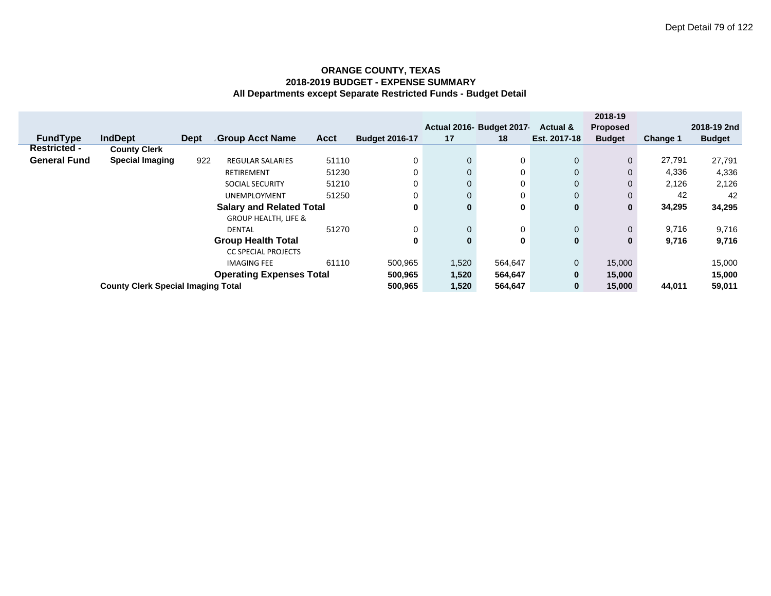|                             |                                            |                                           |                                 |                                 |             |                       |              |                           |                     | 2018-19         |          |               |
|-----------------------------|--------------------------------------------|-------------------------------------------|---------------------------------|---------------------------------|-------------|-----------------------|--------------|---------------------------|---------------------|-----------------|----------|---------------|
|                             |                                            |                                           |                                 |                                 |             |                       |              | Actual 2016- Budget 2017- | <b>Actual &amp;</b> | <b>Proposed</b> |          | 2018-19 2nd   |
|                             | <b>FundType</b>                            | <b>IndDept</b>                            | <b>Dept</b>                     | <b>Group Acct Name</b>          | <b>Acct</b> | <b>Budget 2016-17</b> | 17           | 18                        | Est. 2017-18        | <b>Budget</b>   | Change 1 | <b>Budget</b> |
|                             | <b>Restricted -</b>                        | <b>County Clerk</b>                       |                                 |                                 |             |                       |              |                           |                     |                 |          |               |
|                             | <b>General Fund</b>                        | <b>Special Imaging</b>                    | 922                             | <b>REGULAR SALARIES</b>         | 51110       | 0                     | $\mathbf{0}$ | 0                         | $\mathbf{0}$        | $\mathbf{0}$    | 27,791   | 27,791        |
|                             |                                            |                                           |                                 | <b>RETIREMENT</b>               | 51230       | 0                     | $\mathbf{0}$ | 0                         | $\mathbf{0}$        | $\mathbf{0}$    | 4,336    | 4,336         |
|                             |                                            |                                           |                                 | <b>SOCIAL SECURITY</b>          | 51210       | 0                     | $\mathbf{0}$ | 0                         | $\mathbf{0}$        | 0               | 2,126    | 2,126         |
|                             |                                            |                                           |                                 | <b>UNEMPLOYMENT</b>             | 51250       | 0                     | $\mathbf{0}$ | 0                         | $\mathbf{0}$        | 0               | 42       | 42            |
|                             |                                            |                                           | <b>Salary and Related Total</b> | 0                               | $\bf{0}$    | 0                     | $\bf{0}$     | 0                         | 34,295              | 34,295          |          |               |
|                             |                                            |                                           |                                 | <b>GROUP HEALTH, LIFE &amp;</b> |             |                       |              |                           |                     |                 |          |               |
|                             |                                            |                                           |                                 | <b>DENTAL</b>                   | 51270       | 0                     | $\mathbf{0}$ | 0                         | $\mathbf{0}$        | $\mathbf{0}$    | 9,716    | 9,716         |
|                             |                                            |                                           |                                 | <b>Group Health Total</b>       |             | 0                     | $\mathbf{0}$ | 0                         | $\mathbf{0}$        | 0               | 9,716    | 9,716         |
|                             |                                            |                                           |                                 | <b>CC SPECIAL PROJECTS</b>      |             |                       |              |                           |                     |                 |          |               |
| 61110<br><b>IMAGING FEE</b> |                                            |                                           |                                 |                                 |             | 500,965               | 1,520        | 564,647                   | $\overline{0}$      | 15,000          |          | 15,000        |
|                             | <b>Operating Expenses Total</b><br>500,965 |                                           |                                 |                                 |             |                       | 1,520        | 564,647                   | $\mathbf{0}$        | 15,000          |          | 15,000        |
|                             |                                            | <b>County Clerk Special Imaging Total</b> |                                 |                                 |             | 500,965               | 1,520        | 564,647                   | $\bf{0}$            | 15,000          | 44,011   | 59,011        |
|                             |                                            |                                           |                                 |                                 |             |                       |              |                           |                     |                 |          |               |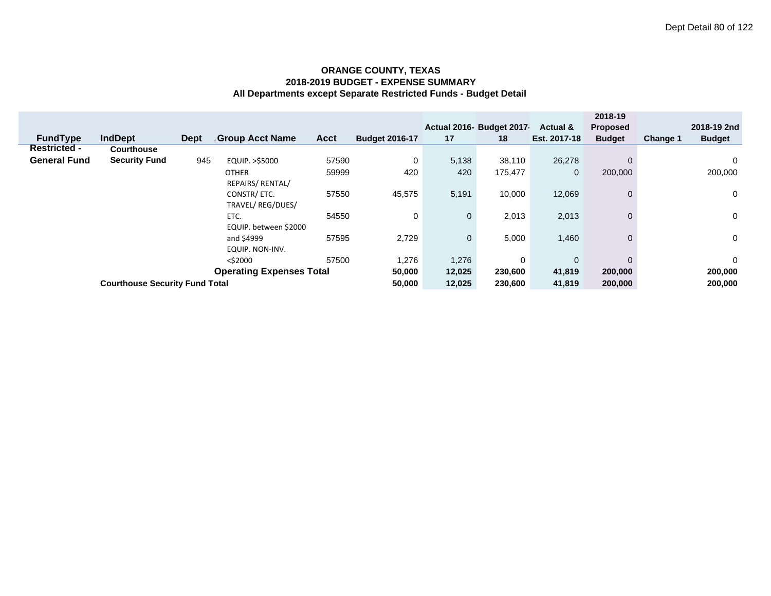|                     |                                       |             |                                 |             |                       |             |                          |                     | 2018-19         |                 |               |
|---------------------|---------------------------------------|-------------|---------------------------------|-------------|-----------------------|-------------|--------------------------|---------------------|-----------------|-----------------|---------------|
|                     |                                       |             |                                 |             |                       |             | Actual 2016- Budget 2017 | <b>Actual &amp;</b> | <b>Proposed</b> |                 | 2018-19 2nd   |
| <b>FundType</b>     | <b>IndDept</b>                        | <b>Dept</b> | <b>Group Acct Name</b>          | <b>Acct</b> | <b>Budget 2016-17</b> | 17          | 18                       | Est. 2017-18        | <b>Budget</b>   | <b>Change 1</b> | <b>Budget</b> |
| <b>Restricted -</b> | <b>Courthouse</b>                     |             |                                 |             |                       |             |                          |                     |                 |                 |               |
| <b>General Fund</b> | <b>Security Fund</b>                  | 945         | EQUIP. >\$5000                  | 57590       | 0                     | 5,138       | 38,110                   | 26,278              | $\Omega$        |                 | 0             |
|                     |                                       |             | <b>OTHER</b>                    | 59999       | 420                   | 420         | 175,477                  | $\mathbf 0$         | 200,000         |                 | 200,000       |
|                     |                                       |             | REPAIRS/ RENTAL/                |             |                       |             |                          |                     |                 |                 |               |
|                     |                                       |             | CONSTR/ETC.                     | 57550       | 45,575                | 5,191       | 10,000                   | 12,069              | $\mathbf 0$     |                 | $\mathbf 0$   |
|                     |                                       |             | TRAVEL/REG/DUES/                |             |                       |             |                          |                     |                 |                 |               |
|                     |                                       |             | ETC.                            | 54550       | 0                     | $\mathbf 0$ | 2,013                    | 2,013               | $\mathbf{0}$    |                 | 0             |
|                     |                                       |             | EQUIP. between \$2000           |             |                       |             |                          |                     |                 |                 |               |
|                     |                                       |             | and \$4999                      | 57595       | 2,729                 | $\mathbf 0$ | 5,000                    | 1,460               | $\mathbf 0$     |                 | 0             |
|                     |                                       |             | EQUIP. NON-INV.                 |             |                       |             |                          |                     |                 |                 |               |
|                     |                                       |             | $<$ \$2000                      | 57500       | 1,276                 | 1,276       | 0                        | $\mathbf{0}$        | $\Omega$        |                 | 0             |
|                     |                                       |             | <b>Operating Expenses Total</b> | 50,000      | 12,025                | 230,600     | 41,819                   | 200,000             |                 | 200,000         |               |
|                     | <b>Courthouse Security Fund Total</b> |             |                                 | 50,000      | 12,025                | 230,600     | 41,819                   | 200,000             |                 | 200,000         |               |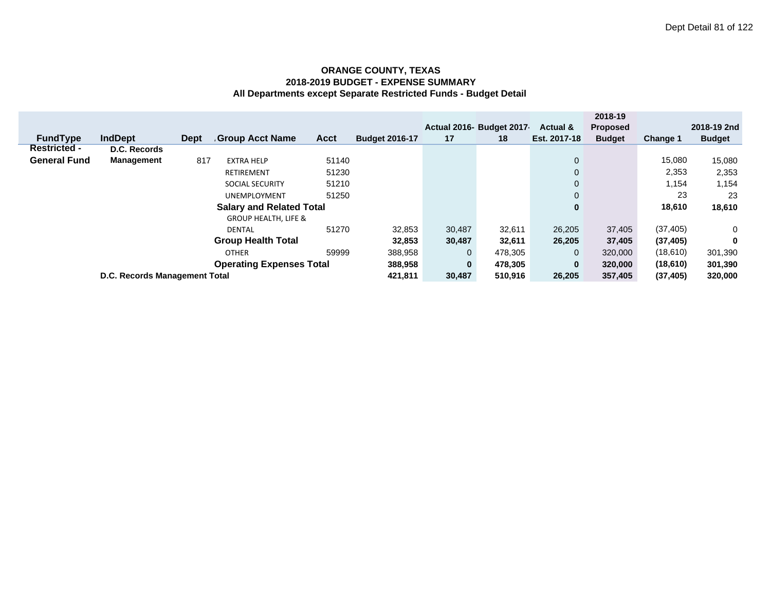|                       |                                            |                               |                     |                                 |         |                       |              |                           |                     | 2018-19         |                 |               |
|-----------------------|--------------------------------------------|-------------------------------|---------------------|---------------------------------|---------|-----------------------|--------------|---------------------------|---------------------|-----------------|-----------------|---------------|
|                       |                                            |                               |                     |                                 |         |                       |              | Actual 2016- Budget 2017- | <b>Actual &amp;</b> | <b>Proposed</b> |                 | 2018-19 2nd   |
|                       | <b>FundType</b>                            | <b>IndDept</b>                | <b>Dept</b>         | <b>Group Acct Name</b>          | Acct    | <b>Budget 2016-17</b> | 17           | 18                        | Est. 2017-18        | <b>Budget</b>   | <b>Change 1</b> | <b>Budget</b> |
|                       | <b>Restricted -</b>                        | D.C. Records                  |                     |                                 |         |                       |              |                           |                     |                 |                 |               |
|                       | <b>General Fund</b>                        | <b>Management</b>             | 817                 | <b>EXTRA HELP</b>               | 51140   |                       |              |                           | $\mathbf 0$         |                 | 15,080          | 15,080        |
|                       |                                            |                               |                     | RETIREMENT                      | 51230   |                       |              |                           | $\mathbf{0}$        |                 | 2,353           | 2,353         |
|                       |                                            |                               |                     | <b>SOCIAL SECURITY</b>          | 51210   |                       |              |                           | $\mathbf{0}$        |                 | 1,154           | 1,154         |
|                       |                                            |                               | <b>UNEMPLOYMENT</b> |                                 |         |                       | $\mathbf{0}$ |                           | 23                  | 23              |                 |               |
|                       |                                            |                               |                     | <b>Salary and Related Total</b> |         |                       |              |                           | $\bf{0}$            |                 | 18,610          | 18,610        |
|                       |                                            |                               |                     | <b>GROUP HEALTH, LIFE &amp;</b> |         |                       |              |                           |                     |                 |                 |               |
|                       |                                            |                               |                     | <b>DENTAL</b>                   | 51270   | 32,853                | 30,487       | 32,611                    | 26,205              | 37,405          | (37, 405)       | $\mathbf{0}$  |
|                       |                                            |                               |                     | <b>Group Health Total</b>       |         | 32,853                | 30,487       | 32,611                    | 26,205              | 37,405          | (37, 405)       | 0             |
| 59999<br><b>OTHER</b> |                                            |                               |                     |                                 |         |                       | $\mathbf{0}$ | 478,305                   | $\mathbf{0}$        | 320,000         | (18,610)        | 301,390       |
|                       | <b>Operating Expenses Total</b><br>388,958 |                               |                     |                                 |         |                       |              | $\mathbf{0}$<br>478,305   | $\mathbf{0}$        | 320,000         | (18,610)        | 301,390       |
|                       |                                            | D.C. Records Management Total | 421,811             | 30,487                          | 510.916 | 26,205                | 357,405      | (37, 405)                 | 320,000             |                 |                 |               |
|                       |                                            |                               |                     |                                 |         |                       |              |                           |                     |                 |                 |               |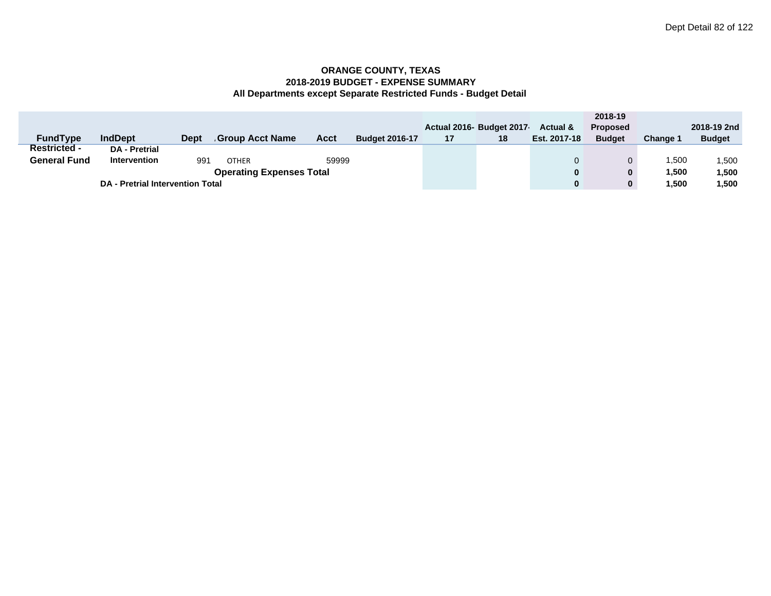|                     |                                         |                                 |                 |       |                       |    |                          |                     | 2018-19         |          |               |
|---------------------|-----------------------------------------|---------------------------------|-----------------|-------|-----------------------|----|--------------------------|---------------------|-----------------|----------|---------------|
|                     |                                         |                                 |                 |       |                       |    | Actual 2016- Budget 2017 | <b>Actual &amp;</b> | <b>Proposed</b> |          | 2018-19 2nd   |
| <b>FundType</b>     | <b>IndDept</b>                          | <b>Dept</b>                     | Group Acct Name | Acct  | <b>Budget 2016-17</b> | 17 | 18                       | Est. 2017-18        | <b>Budget</b>   | Change ' | <b>Budget</b> |
| <b>Restricted -</b> | <b>DA</b> - Pretrial                    |                                 |                 |       |                       |    |                          |                     |                 |          |               |
| <b>General Fund</b> | <b>Intervention</b>                     | 991                             | <b>OTHER</b>    | 59999 |                       |    |                          |                     |                 | 500, ا   | .500          |
|                     |                                         | <b>Operating Expenses Total</b> |                 |       | 0                     | 0  | 1.500                    | 1,500               |                 |          |               |
|                     | <b>DA - Pretrial Intervention Total</b> |                                 |                 |       |                       |    |                          | $\bf{0}$            | 0               | 500, ا   | 1,500         |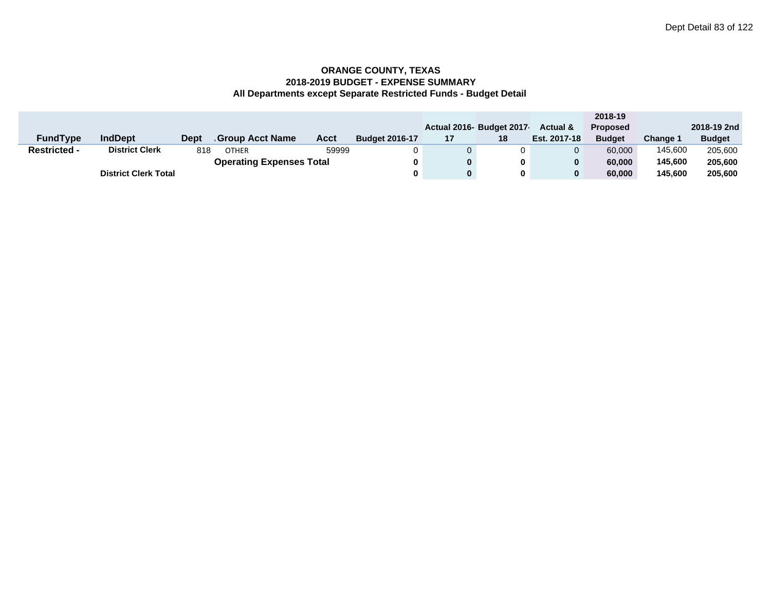|                     |                             |      |                                 |       |                       |    |                          |                     | 2018-19         |          |               |
|---------------------|-----------------------------|------|---------------------------------|-------|-----------------------|----|--------------------------|---------------------|-----------------|----------|---------------|
|                     |                             |      |                                 |       |                       |    | Actual 2016- Budget 2017 | <b>Actual &amp;</b> | <b>Proposed</b> |          | 2018-19 2nd   |
| <b>FundType</b>     | <b>IndDept</b>              | Dept | Group Acct Name                 | Acct  | <b>Budget 2016-17</b> | 17 | 18                       | Est. 2017-18        | <b>Budget</b>   | Change 1 | <b>Budget</b> |
| <b>Restricted -</b> | <b>District Clerk</b>       | 818  | <b>OTHER</b>                    | 59999 | 0                     |    |                          |                     | 60,000          | 145.600  | 205,600       |
|                     |                             |      | <b>Operating Expenses Total</b> |       | 0                     |    | 0                        |                     | 60.000          | 145.600  | 205,600       |
|                     | <b>District Clerk Total</b> |      |                                 |       | 0                     |    | 0                        |                     | 60.000          | 145.600  | 205,600       |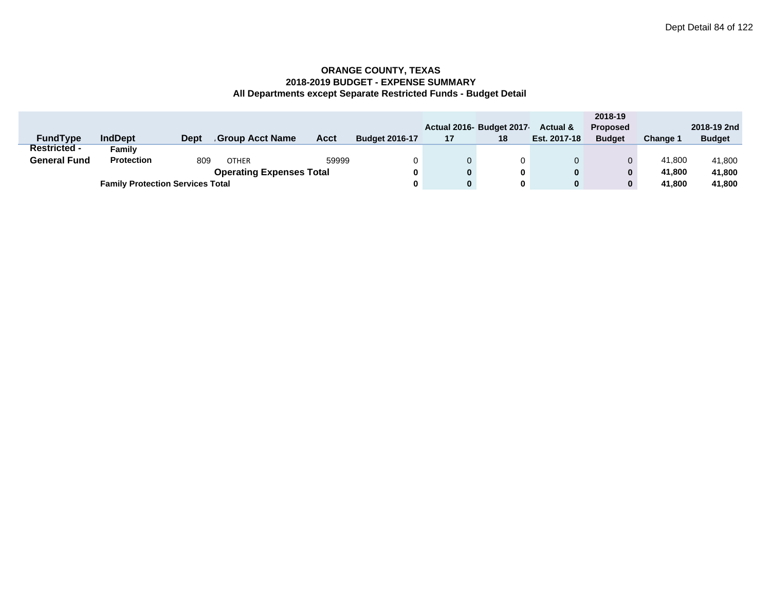|                     |                                         |             |                                 |       |                       |    |                          |                     | 2018-19         |          |               |
|---------------------|-----------------------------------------|-------------|---------------------------------|-------|-----------------------|----|--------------------------|---------------------|-----------------|----------|---------------|
|                     |                                         |             |                                 |       |                       |    | Actual 2016- Budget 2017 | <b>Actual &amp;</b> | <b>Proposed</b> |          | 2018-19 2nd   |
| <b>FundType</b>     | <b>IndDept</b>                          | <b>Dept</b> | <b>Group Acct Name</b>          | Acct  | <b>Budget 2016-17</b> | 17 | 18                       | Est. 2017-18        | <b>Budget</b>   | Change 1 | <b>Budget</b> |
| <b>Restricted -</b> | Family                                  |             |                                 |       |                       |    |                          |                     |                 |          |               |
| <b>General Fund</b> | <b>Protection</b>                       | 809         | <b>OTHER</b>                    | 59999 |                       |    | 0                        |                     | 0               | 41.800   | 41,800        |
|                     |                                         |             | <b>Operating Expenses Total</b> |       | 0                     |    | 0                        | 0                   |                 | 41.800   | 41,800        |
|                     | <b>Family Protection Services Total</b> |             |                                 |       |                       |    | 0                        | 0                   | 0               | 41.800   | 41,800        |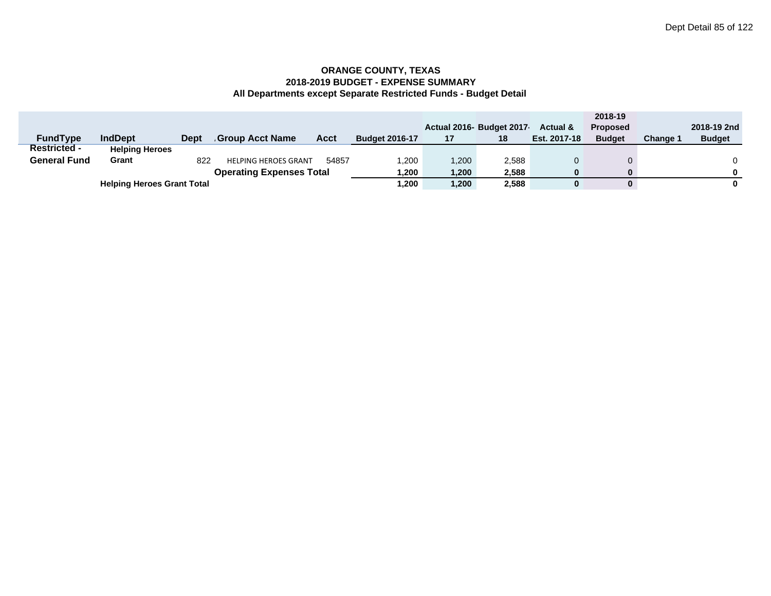|                     |                                   |      |                                 |             |                       |       |                         |                     | 2018-19         |                 |               |
|---------------------|-----------------------------------|------|---------------------------------|-------------|-----------------------|-------|-------------------------|---------------------|-----------------|-----------------|---------------|
|                     |                                   |      |                                 |             |                       |       | Actual 2016 Budget 2017 | <b>Actual &amp;</b> | <b>Proposed</b> |                 | 2018-19 2nd   |
| <b>FundType</b>     | <b>IndDept</b>                    | Dept | Group Acct Name                 | <b>Acct</b> | <b>Budget 2016-17</b> | 17    | 18                      | Est. 2017-18        | <b>Budget</b>   | <b>Change 1</b> | <b>Budget</b> |
| <b>Restricted -</b> | <b>Helping Heroes</b>             |      |                                 |             |                       |       |                         |                     |                 |                 |               |
| <b>General Fund</b> | Grant                             | 822  | <b>HELPING HEROES GRANT</b>     | 54857       | ,200                  | 1,200 | 2,588                   |                     |                 |                 |               |
|                     |                                   |      | <b>Operating Expenses Total</b> |             | .200. ا               | 1,200 | 2,588                   |                     |                 |                 |               |
|                     | <b>Helping Heroes Grant Total</b> |      |                                 |             | .200                  | 1,200 | 2,588                   |                     |                 |                 |               |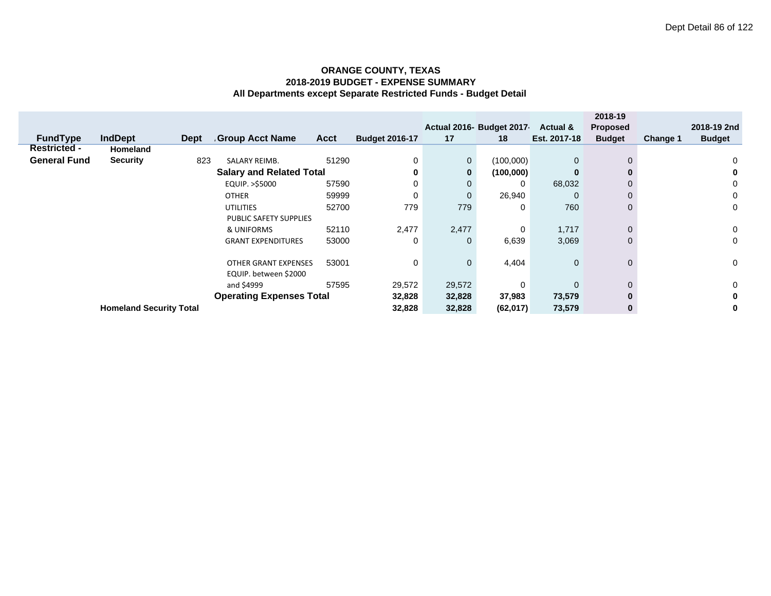|                     |                                |             |                                 |       |                       |              |                          |                     | 2018-19         |          |               |
|---------------------|--------------------------------|-------------|---------------------------------|-------|-----------------------|--------------|--------------------------|---------------------|-----------------|----------|---------------|
|                     |                                |             |                                 |       |                       |              | Actual 2016- Budget 2017 | <b>Actual &amp;</b> | <b>Proposed</b> |          | 2018-19 2nd   |
| <b>FundType</b>     | <b>IndDept</b>                 | <b>Dept</b> | <b>Group Acct Name</b>          | Acct  | <b>Budget 2016-17</b> | 17           | 18                       | Est. 2017-18        | <b>Budget</b>   | Change 1 | <b>Budget</b> |
| <b>Restricted -</b> | <b>Homeland</b>                |             |                                 |       |                       |              |                          |                     |                 |          |               |
| <b>General Fund</b> | <b>Security</b>                | 823         | <b>SALARY REIMB.</b>            | 51290 | 0                     | $\mathbf 0$  | (100,000)                | $\mathbf{0}$        | $\mathbf{0}$    |          | 0             |
|                     |                                |             | <b>Salary and Related Total</b> |       | 0                     | $\mathbf{0}$ | (100,000)                | $\bf{0}$            |                 |          | 0             |
|                     |                                |             | EQUIP. >\$5000                  | 57590 |                       | $\mathbf{0}$ | 0                        | 68,032              |                 |          | 0             |
|                     |                                |             | <b>OTHER</b>                    | 59999 |                       | $\Omega$     | 26,940                   | $\Omega$            |                 |          | 0             |
|                     |                                |             | <b>UTILITIES</b>                | 52700 | 779                   | 779          | 0                        | 760                 | 0               |          | 0             |
|                     |                                |             | PUBLIC SAFETY SUPPLIES          |       |                       |              |                          |                     |                 |          |               |
|                     |                                |             | & UNIFORMS                      | 52110 | 2,477                 | 2,477        | 0                        | 1,717               | $\Omega$        |          | 0             |
|                     |                                |             | <b>GRANT EXPENDITURES</b>       | 53000 | 0                     | $\mathbf{0}$ | 6,639                    | 3,069               | $\mathbf{0}$    |          | 0             |
|                     |                                |             |                                 |       |                       |              |                          |                     |                 |          |               |
|                     |                                |             | <b>OTHER GRANT EXPENSES</b>     | 53001 | 0                     | $\mathbf{0}$ | 4,404                    | $\mathbf{0}$        | $\mathbf{0}$    |          | 0             |
|                     |                                |             | EQUIP. between \$2000           |       |                       |              |                          |                     |                 |          |               |
|                     |                                |             | and \$4999                      | 57595 | 29,572                | 29,572       | 0                        | $\Omega$            | 0               |          | 0             |
|                     |                                |             | <b>Operating Expenses Total</b> |       | 32,828                | 32,828       | 37,983                   | 73,579              | 0               |          | 0             |
|                     | <b>Homeland Security Total</b> |             |                                 |       | 32,828                | 32,828       | (62,017)                 | 73,579              | $\bf{0}$        |          | 0             |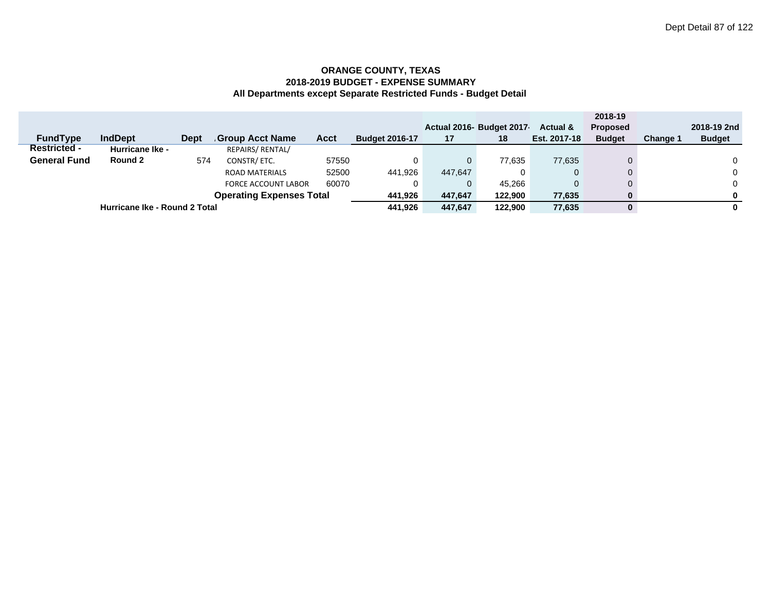|                     |                               |             |                            |        |                       |              |                          |                     | 2018-19         |                 |               |
|---------------------|-------------------------------|-------------|----------------------------|--------|-----------------------|--------------|--------------------------|---------------------|-----------------|-----------------|---------------|
|                     |                               |             |                            |        |                       |              | Actual 2016- Budget 2017 | <b>Actual &amp;</b> | <b>Proposed</b> |                 | 2018-19 2nd   |
| <b>FundType</b>     | <b>IndDept</b>                | <b>Dept</b> | Group Acct Name            | Acct   | <b>Budget 2016-17</b> | 17           | 18                       | Est. 2017-18        | <b>Budget</b>   | <b>Change 1</b> | <b>Budget</b> |
| <b>Restricted -</b> | <b>Hurricane Ike -</b>        |             | REPAIRS/ RENTAL/           |        |                       |              |                          |                     |                 |                 |               |
| <b>General Fund</b> | Round 2                       | 574         | CONSTR/ETC.                | 57550  |                       | $\mathbf{0}$ | 77,635                   | 77,635              |                 |                 | $\mathbf{0}$  |
|                     |                               |             | <b>ROAD MATERIALS</b>      | 52500  | 441,926               | 447,647      |                          | 0                   |                 |                 | $\Omega$      |
|                     |                               |             | <b>FORCE ACCOUNT LABOR</b> | 60070  |                       | $\mathbf{0}$ | 45.266                   |                     |                 |                 | 0             |
|                     | 441,926                       | 447,647     | 122.900                    | 77,635 | 0                     |              | 0                        |                     |                 |                 |               |
|                     | Hurricane Ike - Round 2 Total |             |                            |        |                       | 447.647      | 122.900                  | 77.635              | 0               |                 | 0             |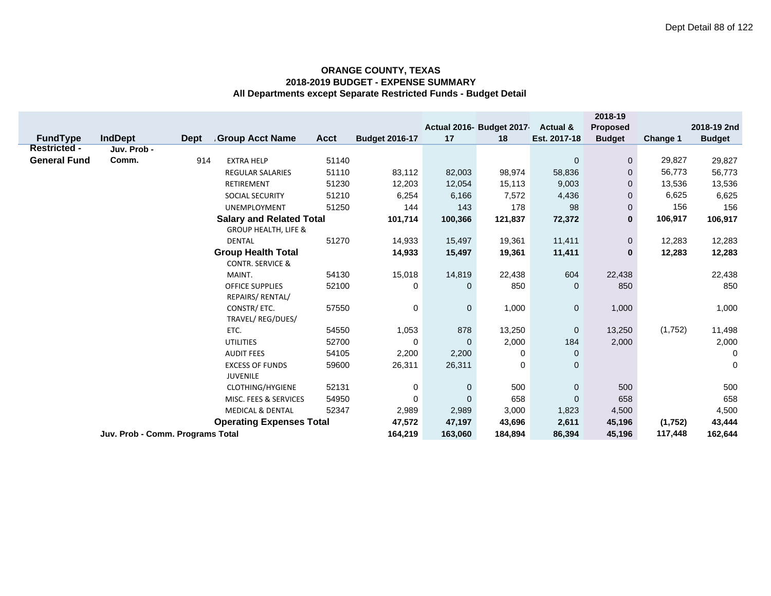|                                      |                                  |         |                                           |             |                       |              |                          |                     | 2018-19         |          |               |
|--------------------------------------|----------------------------------|---------|-------------------------------------------|-------------|-----------------------|--------------|--------------------------|---------------------|-----------------|----------|---------------|
|                                      |                                  |         |                                           |             |                       |              | Actual 2016- Budget 2017 | <b>Actual &amp;</b> | <b>Proposed</b> |          | 2018-19 2nd   |
| <b>FundType</b>                      | <b>IndDept</b>                   | Dept    | <b>Group Acct Name</b>                    | <b>Acct</b> | <b>Budget 2016-17</b> | 17           | 18                       | Est. 2017-18        | <b>Budget</b>   | Change 1 | <b>Budget</b> |
| <b>Restricted -</b>                  | Juv. Prob -                      |         |                                           |             |                       |              |                          |                     |                 |          |               |
| <b>General Fund</b>                  | Comm.                            | 914     | <b>EXTRA HELP</b>                         | 51140       |                       |              |                          | $\mathbf 0$         | $\mathbf 0$     | 29,827   | 29,827        |
|                                      |                                  |         | <b>REGULAR SALARIES</b>                   | 51110       | 83,112                | 82,003       | 98,974                   | 58,836              | $\mathbf{0}$    | 56,773   | 56,773        |
|                                      |                                  |         | RETIREMENT                                | 51230       | 12,203                | 12,054       | 15,113                   | 9,003               | 0               | 13,536   | 13,536        |
|                                      |                                  |         | <b>SOCIAL SECURITY</b>                    | 51210       | 6,254                 | 6,166        | 7,572                    | 4,436               | $\mathbf{0}$    | 6,625    | 6,625         |
|                                      |                                  |         | <b>UNEMPLOYMENT</b>                       | 51250       | 144                   | 143          | 178                      | 98                  | $\mathbf 0$     | 156      | 156           |
|                                      |                                  |         | <b>Salary and Related Total</b>           |             | 101,714               | 100,366      | 121,837                  | 72,372              | $\bf{0}$        | 106,917  | 106,917       |
|                                      |                                  |         | <b>GROUP HEALTH, LIFE &amp;</b>           |             |                       |              |                          |                     |                 |          |               |
|                                      |                                  |         | <b>DENTAL</b>                             | 51270       | 14,933                | 15,497       | 19,361                   | 11,411              | $\mathbf 0$     | 12,283   | 12,283        |
|                                      |                                  |         | <b>Group Health Total</b>                 |             | 14,933                | 15,497       | 19,361                   | 11,411              | $\bf{0}$        | 12,283   | 12,283        |
|                                      |                                  |         | <b>CONTR. SERVICE &amp;</b>               |             |                       |              |                          |                     |                 |          |               |
|                                      |                                  |         | MAINT.                                    | 54130       | 15,018                | 14,819       | 22,438                   | 604                 | 22,438          |          | 22,438        |
|                                      |                                  |         | <b>OFFICE SUPPLIES</b>                    | 52100       | 0                     | $\mathbf{0}$ | 850                      | $\mathbf 0$         | 850             |          | 850           |
|                                      |                                  |         | REPAIRS/ RENTAL/                          |             |                       |              |                          |                     |                 |          |               |
|                                      |                                  |         | CONSTR/ ETC.                              | 57550       | 0                     | $\mathbf 0$  | 1,000                    | $\mathbf 0$         | 1,000           |          | 1,000         |
|                                      |                                  |         | TRAVEL/ REG/DUES/                         |             |                       |              |                          |                     |                 |          |               |
|                                      |                                  |         | ETC.                                      | 54550       | 1,053                 | 878          | 13,250                   | $\mathbf 0$         | 13,250          | (1,752)  | 11,498        |
|                                      |                                  |         | <b>UTILITIES</b>                          | 52700       | $\mathbf 0$           | $\Omega$     | 2,000                    | 184                 | 2,000           |          | 2,000         |
|                                      |                                  |         | <b>AUDIT FEES</b>                         | 54105       | 2,200                 | 2,200        | 0                        | $\mathbf 0$         |                 |          | 0             |
|                                      |                                  |         | <b>EXCESS OF FUNDS</b><br><b>JUVENILE</b> | 59600       | 26,311                | 26,311       | $\boldsymbol{0}$         | $\mathbf 0$         |                 |          | $\mathbf 0$   |
|                                      |                                  |         | <b>CLOTHING/HYGIENE</b>                   | 52131       | 0                     | 0            | 500                      | $\mathbf{0}$        | 500             |          | 500           |
|                                      |                                  |         | MISC. FEES & SERVICES                     | 54950       | 0                     | $\mathbf{0}$ | 658                      | $\mathbf 0$         | 658             |          | 658           |
| 52347<br><b>MEDICAL &amp; DENTAL</b> |                                  |         |                                           | 2,989       | 2,989                 | 3,000        | 1,823                    | 4,500               |                 | 4,500    |               |
|                                      |                                  |         | <b>Operating Expenses Total</b>           |             | 47,572                | 47,197       | 43,696                   | 2,611               | 45,196          | (1,752)  | 43,444        |
|                                      | Juv. Prob - Comm. Programs Total | 164,219 | 163,060                                   | 184,894     | 86,394                | 45,196       | 117,448                  | 162,644             |                 |          |               |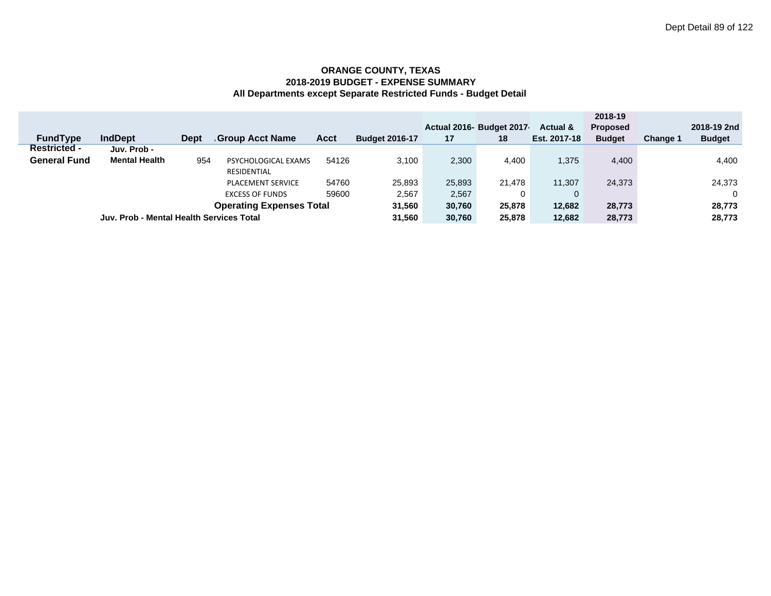|                     |                                          |             |                                 |             |                       |        |                          |                     | 2018-19         |          |               |
|---------------------|------------------------------------------|-------------|---------------------------------|-------------|-----------------------|--------|--------------------------|---------------------|-----------------|----------|---------------|
|                     |                                          |             |                                 |             |                       |        | Actual 2016- Budget 2017 | <b>Actual &amp;</b> | <b>Proposed</b> |          | 2018-19 2nd   |
| <b>FundType</b>     | <b>IndDept</b>                           | <b>Dept</b> | Group Acct Name                 | <b>Acct</b> | <b>Budget 2016-17</b> | 17     | 18                       | Est. 2017-18        | <b>Budget</b>   | Change 1 | <b>Budget</b> |
| <b>Restricted -</b> | Juv. Prob -                              |             |                                 |             |                       |        |                          |                     |                 |          |               |
| <b>General Fund</b> | <b>Mental Health</b>                     | 954         | PSYCHOLOGICAL EXAMS             | 54126       | 3.100                 | 2,300  | 4,400                    | 1.375               | 4,400           |          | 4,400         |
|                     |                                          |             | RESIDENTIAL                     |             |                       |        |                          |                     |                 |          |               |
|                     |                                          |             | <b>PLACEMENT SERVICE</b>        | 54760       | 25.893                | 25,893 | 21.478                   | 11.307              | 24.373          |          | 24,373        |
|                     |                                          |             | <b>EXCESS OF FUNDS</b>          | 59600       | 2,567                 | 2,567  | 0                        | $\mathbf{0}$        |                 |          |               |
|                     |                                          |             | <b>Operating Expenses Total</b> |             | 31.560                | 30.760 | 25,878                   | 12,682              | 28,773          |          | 28,773        |
|                     | Juv. Prob - Mental Health Services Total |             |                                 |             | 31.560                | 30,760 | 25,878                   | 12,682              | 28,773          |          | 28,773        |
|                     |                                          |             |                                 |             |                       |        |                          |                     |                 |          |               |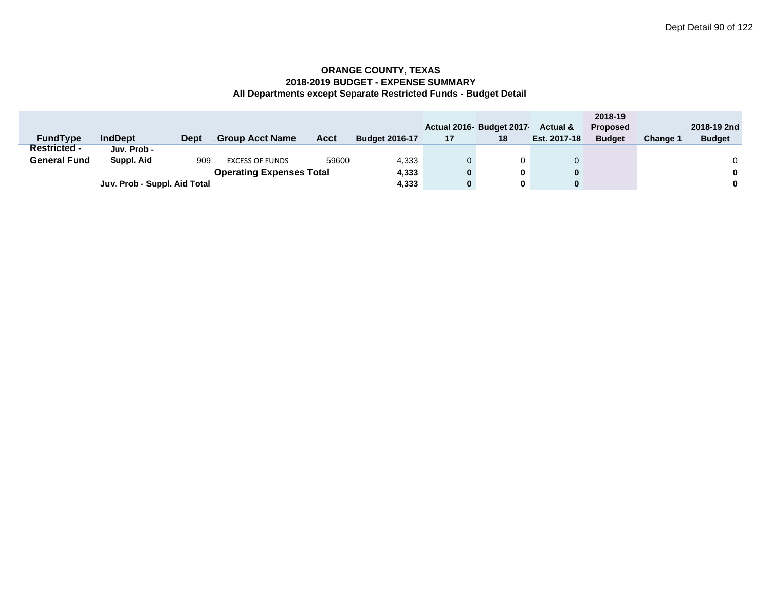|                     |                              |             |                                 |       |                       |    |                         |                     | 2018-19         |                 |               |
|---------------------|------------------------------|-------------|---------------------------------|-------|-----------------------|----|-------------------------|---------------------|-----------------|-----------------|---------------|
|                     |                              |             |                                 |       |                       |    | Actual 2016 Budget 2017 | <b>Actual &amp;</b> | <b>Proposed</b> |                 | 2018-19 2nd   |
| <b>FundType</b>     | <b>IndDept</b>               | <b>Dept</b> | Group Acct Name                 | Acct  | <b>Budget 2016-17</b> | 17 | 18                      | Est. 2017-18        | <b>Budget</b>   | <b>Change 1</b> | <b>Budget</b> |
| <b>Restricted -</b> | Juv. Prob -                  |             |                                 |       |                       |    |                         |                     |                 |                 |               |
| <b>General Fund</b> | Suppl. Aid                   | 909         | <b>EXCESS OF FUNDS</b>          | 59600 | 4,333                 |    |                         |                     |                 |                 |               |
|                     |                              |             | <b>Operating Expenses Total</b> |       | 4,333                 | 0  | 0                       |                     |                 |                 |               |
|                     | Juv. Prob - Suppl. Aid Total |             |                                 |       |                       | 0  | 0                       |                     |                 |                 |               |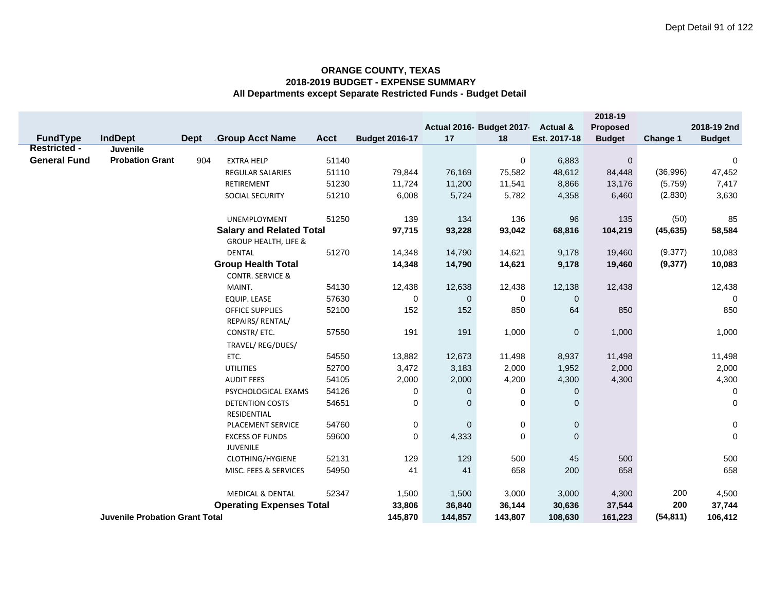|                                        |                                       |      |                                 |             |                       |              |                          |                 | 2018-19          |           |               |
|----------------------------------------|---------------------------------------|------|---------------------------------|-------------|-----------------------|--------------|--------------------------|-----------------|------------------|-----------|---------------|
|                                        |                                       |      |                                 |             |                       |              | Actual 2016- Budget 2017 | Actual &        | <b>Proposed</b>  |           | 2018-19 2nd   |
| <b>FundType</b><br><b>Restricted -</b> | <b>IndDept</b>                        | Dept | <b>Group Acct Name</b>          | <b>Acct</b> | <b>Budget 2016-17</b> | 17           | 18                       | Est. 2017-18    | <b>Budget</b>    | Change 1  | <b>Budget</b> |
| <b>General Fund</b>                    | Juvenile<br><b>Probation Grant</b>    | 904  | <b>EXTRA HELP</b>               | 51140       |                       |              |                          |                 | $\pmb{0}$        |           |               |
|                                        |                                       |      |                                 | 51110       |                       | 76,169       | 0                        | 6,883<br>48,612 |                  | (36,996)  | 0             |
|                                        |                                       |      | REGULAR SALARIES                | 51230       | 79,844<br>11,724      | 11,200       | 75,582                   |                 | 84,448<br>13,176 | (5,759)   | 47,452        |
|                                        |                                       |      | RETIREMENT                      | 51210       | 6,008                 | 5,724        | 11,541<br>5,782          | 8,866           | 6,460            |           | 7,417         |
|                                        |                                       |      | SOCIAL SECURITY                 |             |                       |              |                          | 4,358           |                  | (2,830)   | 3,630         |
|                                        |                                       |      | UNEMPLOYMENT                    | 51250       | 139                   | 134          | 136                      | 96              | 135              | (50)      | 85            |
|                                        |                                       |      | <b>Salary and Related Total</b> |             | 97,715                | 93,228       | 93,042                   | 68,816          | 104,219          | (45, 635) | 58,584        |
|                                        |                                       |      | <b>GROUP HEALTH, LIFE &amp;</b> |             |                       |              |                          |                 |                  |           |               |
|                                        |                                       |      | <b>DENTAL</b>                   | 51270       | 14,348                | 14,790       | 14,621                   | 9,178           | 19,460           | (9, 377)  | 10,083        |
|                                        |                                       |      | <b>Group Health Total</b>       |             | 14,348                | 14,790       | 14,621                   | 9,178           | 19,460           | (9, 377)  | 10,083        |
|                                        |                                       |      | <b>CONTR. SERVICE &amp;</b>     |             |                       |              |                          |                 |                  |           |               |
|                                        |                                       |      | MAINT.                          | 54130       | 12,438                | 12,638       | 12,438                   | 12,138          | 12,438           |           | 12,438        |
|                                        |                                       |      | <b>EQUIP. LEASE</b>             | 57630       | 0                     | $\mathbf 0$  | 0                        | $\mathbf 0$     |                  |           | $\mathbf 0$   |
|                                        |                                       |      | <b>OFFICE SUPPLIES</b>          | 52100       | 152                   | 152          | 850                      | 64              | 850              |           | 850           |
|                                        |                                       |      | REPAIRS/ RENTAL/                |             |                       |              |                          |                 |                  |           |               |
|                                        |                                       |      | CONSTR/ ETC.                    | 57550       | 191                   | 191          | 1,000                    | $\mathbf 0$     | 1,000            |           | 1,000         |
|                                        |                                       |      | TRAVEL/ REG/DUES/               |             |                       |              |                          |                 |                  |           |               |
|                                        |                                       |      | ETC.                            | 54550       | 13,882                | 12,673       | 11,498                   | 8,937           | 11,498           |           | 11,498        |
|                                        |                                       |      | <b>UTILITIES</b>                | 52700       | 3,472                 | 3,183        | 2,000                    | 1,952           | 2,000            |           | 2,000         |
|                                        |                                       |      | <b>AUDIT FEES</b>               | 54105       | 2,000                 | 2,000        | 4,200                    | 4,300           | 4,300            |           | 4,300         |
|                                        |                                       |      | PSYCHOLOGICAL EXAMS             | 54126       | 0                     | 0            | 0                        | $\mathbf 0$     |                  |           | 0             |
|                                        |                                       |      | <b>DETENTION COSTS</b>          | 54651       | 0                     | 0            | 0                        | $\mathbf 0$     |                  |           | $\mathbf 0$   |
|                                        |                                       |      | RESIDENTIAL                     |             |                       |              |                          |                 |                  |           |               |
|                                        |                                       |      | PLACEMENT SERVICE               | 54760       | 0                     | $\mathbf{0}$ | 0                        | $\pmb{0}$       |                  |           | $\mathsf 0$   |
|                                        |                                       |      | <b>EXCESS OF FUNDS</b>          | 59600       | $\mathbf 0$           | 4,333        | 0                        | $\mathbf{0}$    |                  |           | $\mathbf 0$   |
|                                        |                                       |      | JUVENILE                        |             |                       |              |                          |                 |                  |           |               |
|                                        |                                       |      | CLOTHING/HYGIENE                | 52131       | 129                   | 129          | 500                      | 45              | 500              |           | 500           |
|                                        |                                       |      | MISC. FEES & SERVICES           | 54950       | 41                    | 41           | 658                      | 200             | 658              |           | 658           |
|                                        |                                       |      |                                 |             |                       |              |                          |                 |                  |           |               |
|                                        |                                       |      | <b>MEDICAL &amp; DENTAL</b>     | 52347       | 1,500                 | 1,500        | 3,000                    | 3,000           | 4,300            | 200       | 4,500         |
|                                        |                                       |      | <b>Operating Expenses Total</b> |             | 33,806                | 36,840       | 36,144                   | 30,636          | 37,544           | 200       | 37,744        |
|                                        | <b>Juvenile Probation Grant Total</b> |      |                                 |             | 145,870               | 144,857      | 143,807                  | 108,630         | 161,223          | (54, 811) | 106,412       |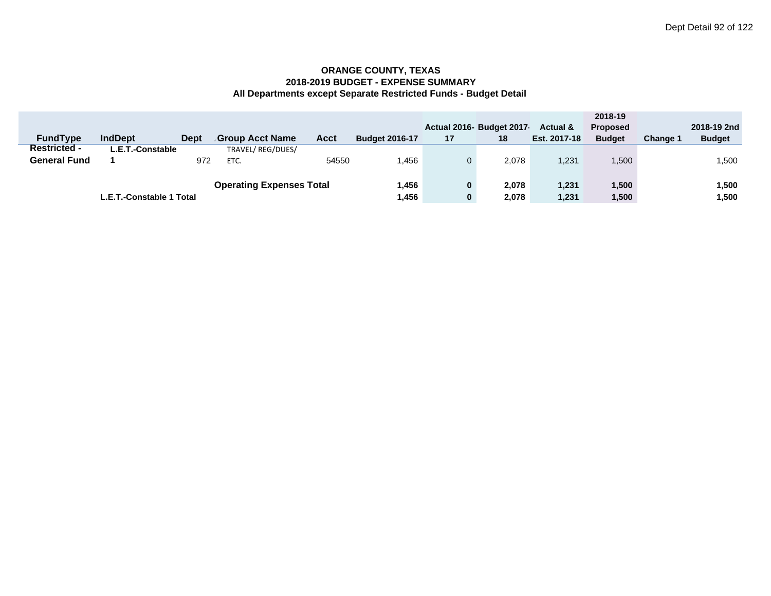|                     |                          |             |                                 |       |                       |    |                           |                     | 2018-19         |                 |               |
|---------------------|--------------------------|-------------|---------------------------------|-------|-----------------------|----|---------------------------|---------------------|-----------------|-----------------|---------------|
|                     |                          |             |                                 |       |                       |    | Actual 2016- Budget 2017- | <b>Actual &amp;</b> | <b>Proposed</b> |                 | 2018-19 2nd   |
| <b>FundType</b>     | <b>IndDept</b>           | <b>Dept</b> | <b>Group Acct Name</b>          | Acct  | <b>Budget 2016-17</b> | 17 | 18                        | Est. 2017-18        | <b>Budget</b>   | <b>Change 1</b> | <b>Budget</b> |
| <b>Restricted -</b> | L.E.T.-Constable         |             | TRAVEL/REG/DUES/                |       |                       |    |                           |                     |                 |                 |               |
| <b>General Fund</b> |                          | 972         | ETC.                            | 54550 | .456                  |    | 2.078                     | 1,231               | 1,500           |                 | ,500          |
|                     |                          |             |                                 |       |                       |    |                           |                     |                 |                 |               |
|                     |                          |             | <b>Operating Expenses Total</b> |       | 1,456                 | 0  | 2.078                     | 1,231               | 1,500           |                 | 1,500         |
|                     | L.E.T.-Constable 1 Total |             |                                 |       |                       |    | 2,078                     | 1,231               | 1,500           |                 | 500، ا        |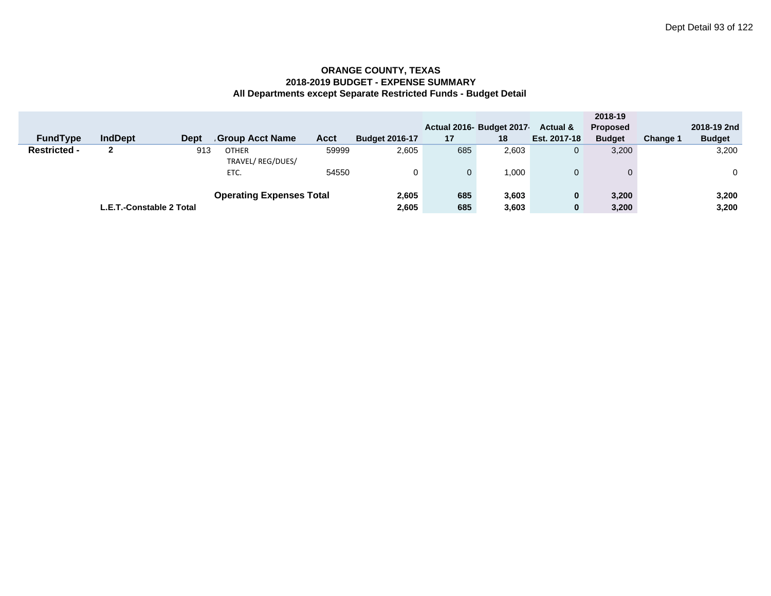|                     |                          |             |                                  |             |                       |     |                          |                | 2018-19         |                 |               |
|---------------------|--------------------------|-------------|----------------------------------|-------------|-----------------------|-----|--------------------------|----------------|-----------------|-----------------|---------------|
|                     |                          |             |                                  |             |                       |     | Actual 2016- Budget 2017 | Actual &       | <b>Proposed</b> |                 | 2018-19 2nd   |
| <b>FundType</b>     | <b>IndDept</b>           | <b>Dept</b> | <b>Group Acct Name</b>           | <b>Acct</b> | <b>Budget 2016-17</b> | 17  | 18                       | Est. 2017-18   | <b>Budget</b>   | <b>Change 1</b> | <b>Budget</b> |
| <b>Restricted -</b> |                          | 913         | <b>OTHER</b><br>TRAVEL/REG/DUES/ | 59999       | 2,605                 | 685 | 2,603                    | $\overline{0}$ | 3,200           |                 | 3,200         |
|                     |                          |             | ETC.                             | 54550       |                       |     | 1.000                    | $\Omega$       | 0               |                 | $\mathbf 0$   |
|                     |                          |             | <b>Operating Expenses Total</b>  |             | 2,605                 | 685 | 3,603                    | $\bf{0}$       | 3,200           |                 | 3,200         |
|                     | L.E.T.-Constable 2 Total |             |                                  |             | 2,605                 | 685 | 3,603                    | $\bf{0}$       | 3,200           |                 | 3,200         |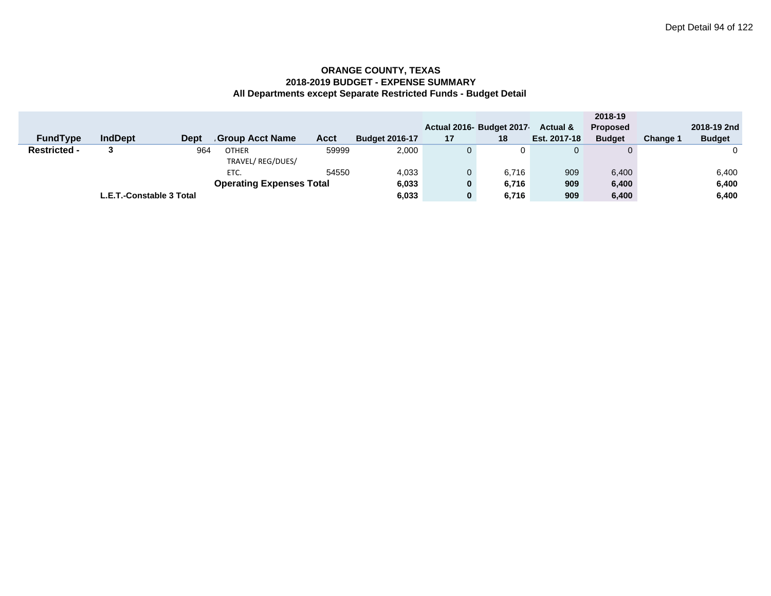|                     |                |                          |                                 |       |                       |          |                          |                     | 2018-19         |                 |               |
|---------------------|----------------|--------------------------|---------------------------------|-------|-----------------------|----------|--------------------------|---------------------|-----------------|-----------------|---------------|
|                     |                |                          |                                 |       |                       |          | Actual 2016- Budget 2017 | <b>Actual &amp;</b> | <b>Proposed</b> |                 | 2018-19 2nd   |
| <b>FundType</b>     | <b>IndDept</b> | <b>Dept</b>              | <b>Group Acct Name</b>          | Acct  | <b>Budget 2016-17</b> | 17       | 18                       | Est. 2017-18        | <b>Budget</b>   | <b>Change 1</b> | <b>Budget</b> |
| <b>Restricted -</b> |                | 964                      | <b>OTHER</b>                    | 59999 | 2,000                 |          | 0                        |                     | 0               |                 |               |
|                     |                |                          | TRAVEL/REG/DUES/                |       |                       |          |                          |                     |                 |                 |               |
|                     |                |                          | ETC.                            | 54550 | 4,033                 |          | 6.716                    | 909                 | 6,400           |                 | 6,400         |
|                     |                |                          | <b>Operating Expenses Total</b> |       | 6,033                 | $\bf{0}$ | 6,716                    | 909                 | 6,400           |                 | 6,400         |
|                     |                | L.E.T.-Constable 3 Total |                                 |       | 6,033                 | 0        | 6,716                    | 909                 | 6,400           |                 | 6,400         |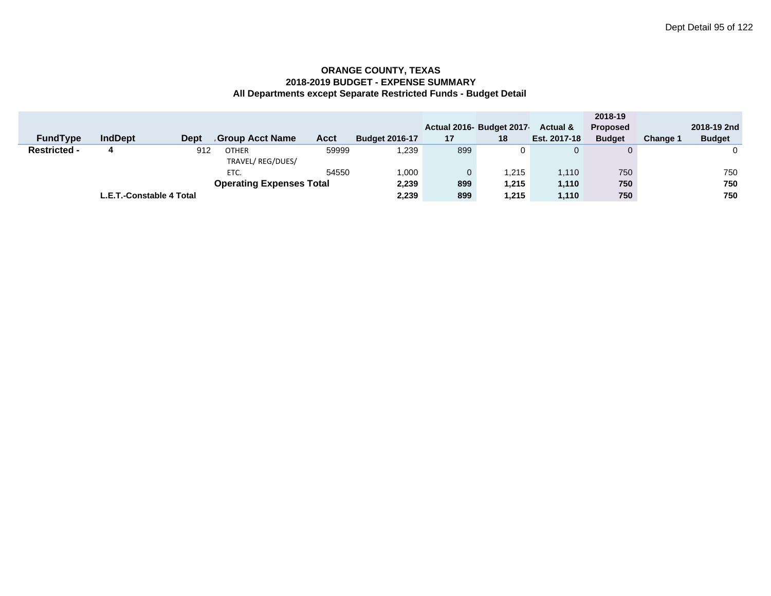|                     |                |             |                                 |       |                       |     |                          |                     | 2018-19         |          |               |
|---------------------|----------------|-------------|---------------------------------|-------|-----------------------|-----|--------------------------|---------------------|-----------------|----------|---------------|
|                     |                |             |                                 |       |                       |     | Actual 2016- Budget 2017 | <b>Actual &amp;</b> | <b>Proposed</b> |          | 2018-19 2nd   |
| <b>FundType</b>     | <b>IndDept</b> | <b>Dept</b> | <b>Group Acct Name</b>          | Acct  | <b>Budget 2016-17</b> | 17  | 18                       | Est. 2017-18        | <b>Budget</b>   | Change 1 | <b>Budget</b> |
| <b>Restricted -</b> |                | 912         | <b>OTHER</b>                    | 59999 | 239. ا                | 899 |                          |                     | $\Omega$        |          |               |
|                     |                |             | TRAVEL/REG/DUES/                |       |                       |     |                          |                     |                 |          |               |
|                     |                |             | ETC.                            | 54550 | 1,000                 |     | .215                     | 1.110               | 750             |          | 750           |
|                     |                |             | <b>Operating Expenses Total</b> |       | 2,239                 | 899 | 1,215                    | 1,110               | 750             |          | 750           |
|                     | 2,239          | 899         | 215. ا                          | 1,110 | 750                   |     | 750                      |                     |                 |          |               |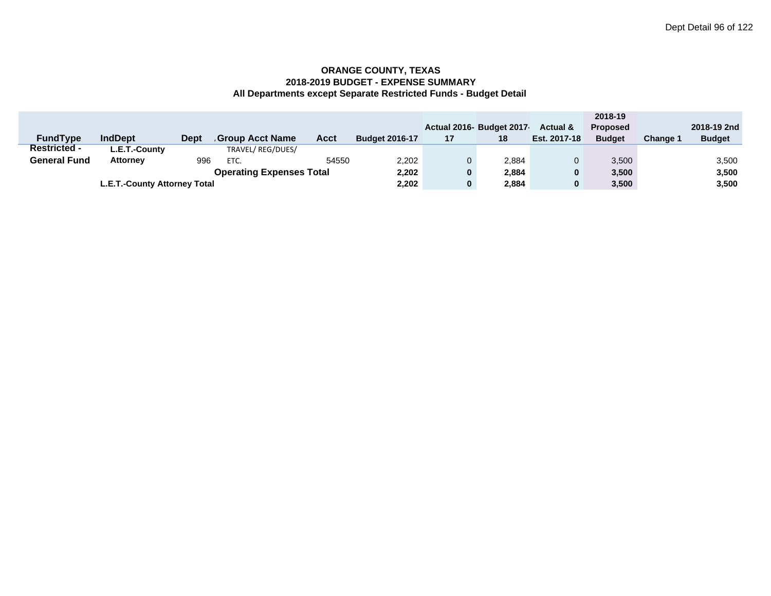|                     |                              |             |                                 |       |                       |    |                          |                     | 2018-19         |          |               |
|---------------------|------------------------------|-------------|---------------------------------|-------|-----------------------|----|--------------------------|---------------------|-----------------|----------|---------------|
|                     |                              |             |                                 |       |                       |    | Actual 2016- Budget 2017 | <b>Actual &amp;</b> | <b>Proposed</b> |          | 2018-19 2nd   |
| <b>FundType</b>     | <b>IndDept</b>               | <b>Dept</b> | <b>Group Acct Name</b>          | Acct  | <b>Budget 2016-17</b> | 17 | 18                       | Est. 2017-18        | <b>Budget</b>   | Change 1 | <b>Budget</b> |
| <b>Restricted -</b> | L.E.T.-County                |             | TRAVEL/REG/DUES/                |       |                       |    |                          |                     |                 |          |               |
| <b>General Fund</b> | <b>Attorney</b>              | 996         | ETC.                            | 54550 | 2,202                 |    | 2,884                    |                     | 3,500           |          | 3,500         |
|                     |                              |             | <b>Operating Expenses Total</b> |       | 2,202                 |    | 2,884                    | $\bf{0}$            | 3,500           |          | 3,500         |
|                     | L.E.T.-County Attorney Total |             |                                 |       |                       |    | 2,884                    | $\bf{0}$            | 3,500           |          | 3,500         |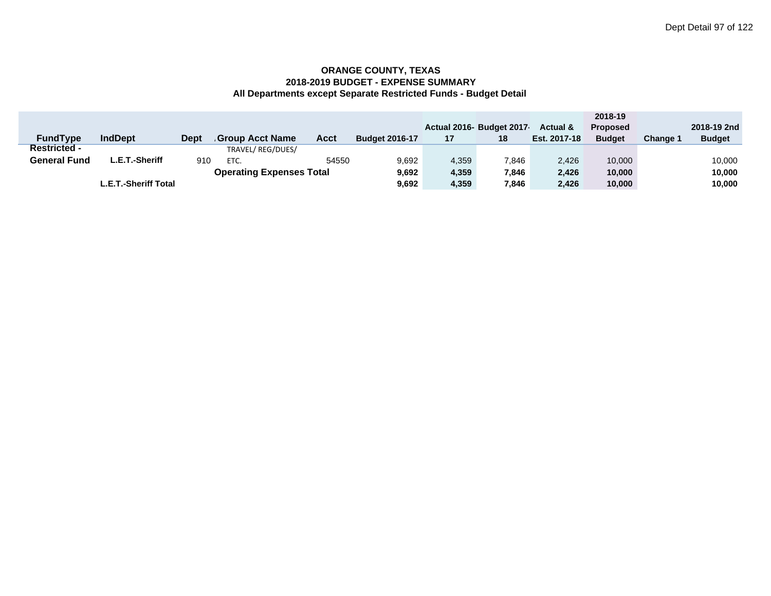|                     |                      |             |                                 |       |                       |       |                           |                     | 2018-19         |          |               |
|---------------------|----------------------|-------------|---------------------------------|-------|-----------------------|-------|---------------------------|---------------------|-----------------|----------|---------------|
|                     |                      |             |                                 |       |                       |       | Actual 2016- Budget 2017- | <b>Actual &amp;</b> | <b>Proposed</b> |          | 2018-19 2nd   |
| <b>FundType</b>     | <b>IndDept</b>       | <b>Dept</b> | <b>Group Acct Name</b>          | Acct  | <b>Budget 2016-17</b> | 17    | 18                        | Est. 2017-18        | <b>Budget</b>   | Change 1 | <b>Budget</b> |
| <b>Restricted -</b> |                      |             | TRAVEL/REG/DUES/                |       |                       |       |                           |                     |                 |          |               |
| <b>General Fund</b> | L.E.T.-Sheriff       | 910         | ETC.                            | 54550 | 9,692                 | 4,359 | 7,846                     | 2.426               | 10.000          |          | 10,000        |
|                     |                      |             | <b>Operating Expenses Total</b> |       | 9,692                 | 4,359 | 7.846                     | 2.426               | 10.000          |          | 10,000        |
|                     | L.E.T.-Sheriff Total |             |                                 |       | 9,692                 | 4,359 | 7,846                     | 2.426               | 10.000          |          | 10,000        |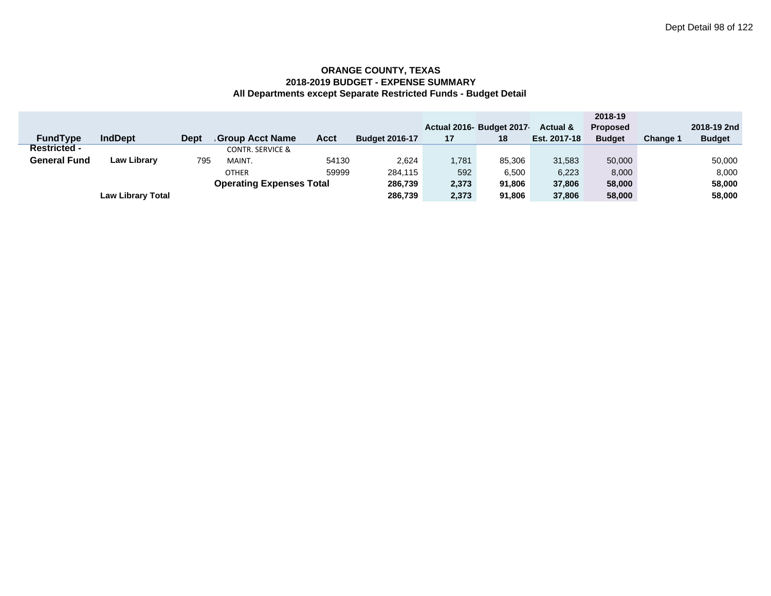|                     |                          |             |                                 |             |                       |       |                           |                     | 2018-19         |          |               |
|---------------------|--------------------------|-------------|---------------------------------|-------------|-----------------------|-------|---------------------------|---------------------|-----------------|----------|---------------|
|                     |                          |             |                                 |             |                       |       | Actual 2016- Budget 2017- | <b>Actual &amp;</b> | <b>Proposed</b> |          | 2018-19 2nd   |
| <b>FundType</b>     | <b>IndDept</b>           | <b>Dept</b> | <b>Group Acct Name</b>          | <b>Acct</b> | <b>Budget 2016-17</b> | 17    | 18                        | Est. 2017-18        | <b>Budget</b>   | Change 1 | <b>Budget</b> |
| <b>Restricted -</b> |                          |             | <b>CONTR. SERVICE &amp;</b>     |             |                       |       |                           |                     |                 |          |               |
| <b>General Fund</b> | <b>Law Library</b>       | 795         | MAINT.                          | 54130       | 2.624                 | 1,781 | 85.306                    | 31.583              | 50,000          |          | 50,000        |
|                     |                          |             | <b>OTHER</b>                    | 59999       | 284.115               | 592   | 6,500                     | 6.223               | 8,000           |          | 8,000         |
|                     |                          |             | <b>Operating Expenses Total</b> |             | 286,739               | 2,373 | 91.806                    | 37,806              | 58,000          |          | 58,000        |
|                     | <b>Law Library Total</b> |             |                                 |             | 286,739               | 2,373 | 91.806                    | 37,806              | 58,000          |          | 58,000        |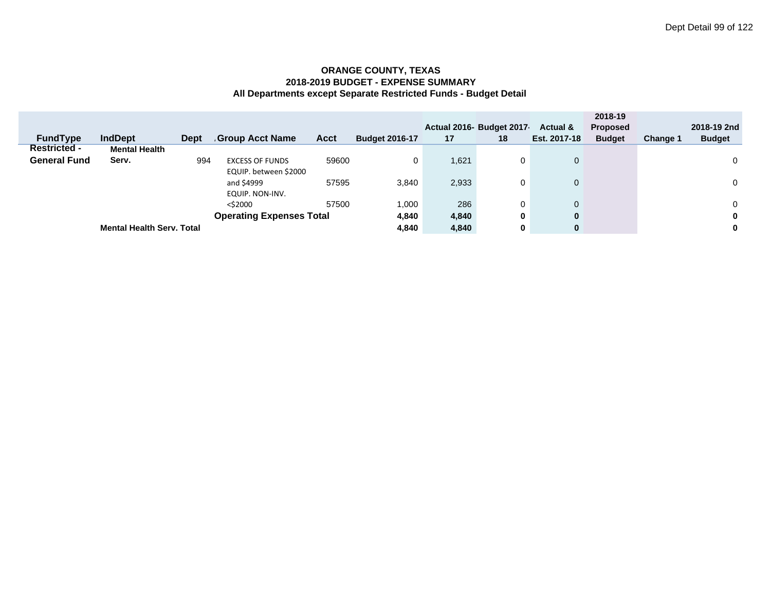|                     |                                  |             |                                 |             |                       |       |                           |                     | 2018-19         |          |               |
|---------------------|----------------------------------|-------------|---------------------------------|-------------|-----------------------|-------|---------------------------|---------------------|-----------------|----------|---------------|
|                     |                                  |             |                                 |             |                       |       | Actual 2016- Budget 2017- | <b>Actual &amp;</b> | <b>Proposed</b> |          | 2018-19 2nd   |
| <b>FundType</b>     | <b>IndDept</b>                   | <b>Dept</b> | <b>Group Acct Name</b>          | <b>Acct</b> | <b>Budget 2016-17</b> | 17    | 18                        | Est. 2017-18        | <b>Budget</b>   | Change 1 | <b>Budget</b> |
| <b>Restricted -</b> | <b>Mental Health</b>             |             |                                 |             |                       |       |                           |                     |                 |          |               |
| <b>General Fund</b> | Serv.                            | 994         | <b>EXCESS OF FUNDS</b>          | 59600       | 0                     | 1,621 | 0                         | $\mathbf 0$         |                 |          | 0             |
|                     |                                  |             | EQUIP. between \$2000           |             |                       |       |                           |                     |                 |          |               |
|                     |                                  |             | and \$4999                      | 57595       | 3,840                 | 2,933 | 0                         | $\mathbf 0$         |                 |          | 0             |
|                     |                                  |             | EQUIP. NON-INV.                 |             |                       |       |                           |                     |                 |          |               |
|                     |                                  |             | $<$ \$2000                      | 57500       | 1.000                 | 286   | 0                         |                     |                 |          | 0             |
|                     |                                  |             | <b>Operating Expenses Total</b> |             | 4,840                 | 4,840 | 0                         | $\bf{0}$            |                 |          | 0             |
|                     | <b>Mental Health Serv. Total</b> |             |                                 |             | 4,840                 | 4,840 | 0                         | $\bf{0}$            |                 |          | 0             |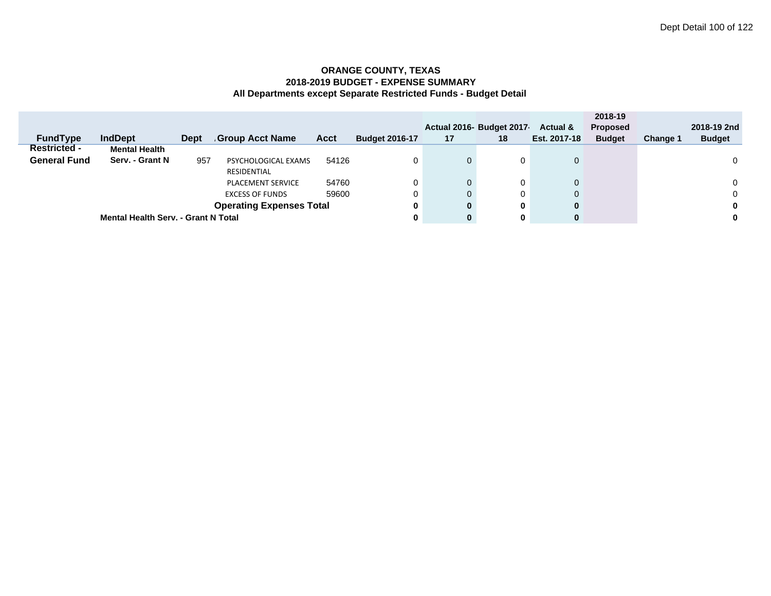|                     |                                            |      |                                 |       |                       |              |                          |              | 2018-19         |          |               |
|---------------------|--------------------------------------------|------|---------------------------------|-------|-----------------------|--------------|--------------------------|--------------|-----------------|----------|---------------|
|                     |                                            |      |                                 |       |                       |              | Actual 2016- Budget 2017 | Actual &     | <b>Proposed</b> |          | 2018-19 2nd   |
| <b>FundType</b>     | <b>IndDept</b>                             | Dept | <b>Group Acct Name</b>          | Acct  | <b>Budget 2016-17</b> | 17           | 18                       | Est. 2017-18 | <b>Budget</b>   | Change 1 | <b>Budget</b> |
| <b>Restricted -</b> | <b>Mental Health</b>                       |      |                                 |       |                       |              |                          |              |                 |          |               |
| <b>General Fund</b> | Serv. - Grant N                            | 957  | PSYCHOLOGICAL EXAMS             | 54126 | 0                     | $\mathbf{0}$ | 0                        | $\mathbf{0}$ |                 |          | 0             |
|                     |                                            |      | RESIDENTIAL                     |       |                       |              |                          |              |                 |          |               |
|                     |                                            |      | <b>PLACEMENT SERVICE</b>        | 54760 | 0                     | $\mathbf{0}$ | 0                        | $\mathbf{0}$ |                 |          | $\Omega$      |
|                     |                                            |      | <b>EXCESS OF FUNDS</b>          | 59600 | 0                     | $\mathbf{0}$ | 0                        | 0            |                 |          | 0             |
|                     |                                            |      | <b>Operating Expenses Total</b> |       | 0                     | $\mathbf{0}$ | 0                        | $\bf{0}$     |                 |          | 0             |
|                     | <b>Mental Health Serv. - Grant N Total</b> |      |                                 |       | 0                     | $\bf{0}$     | $\mathbf 0$              | $\bf{0}$     |                 |          | 0             |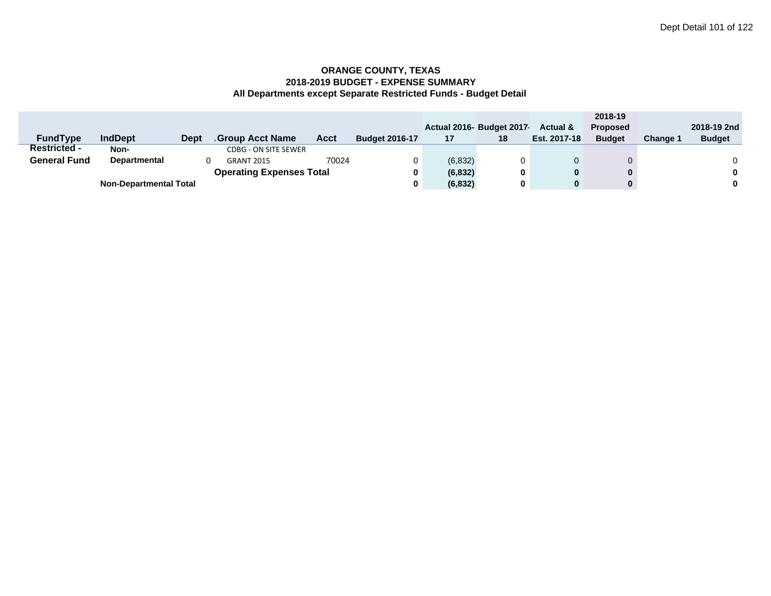|                     |                               |             |                                 |       |                       |          |                          |                     | 2018-19         |                 |               |
|---------------------|-------------------------------|-------------|---------------------------------|-------|-----------------------|----------|--------------------------|---------------------|-----------------|-----------------|---------------|
|                     |                               |             |                                 |       |                       |          | Actual 2016- Budget 2017 | <b>Actual &amp;</b> | <b>Proposed</b> |                 | 2018-19 2nd   |
| <b>FundType</b>     | <b>IndDept</b>                | <b>Dept</b> | Group Acct Name                 | Acct  | <b>Budget 2016-17</b> | 17       | 18                       | Est. 2017-18        | <b>Budget</b>   | <b>Change 1</b> | <b>Budget</b> |
| <b>Restricted -</b> | Non-                          |             | <b>CDBG - ON SITE SEWER</b>     |       |                       |          |                          |                     |                 |                 |               |
| <b>General Fund</b> | Departmental                  |             | <b>GRANT 2015</b>               | 70024 |                       | (6, 832) |                          |                     |                 |                 |               |
|                     |                               |             | <b>Operating Expenses Total</b> |       |                       | (6, 832) | 0                        | 0                   | $\mathbf{0}$    |                 | 0             |
|                     | <b>Non-Departmental Total</b> |             |                                 |       |                       | (6, 832) | 0                        | 0                   |                 |                 | 0             |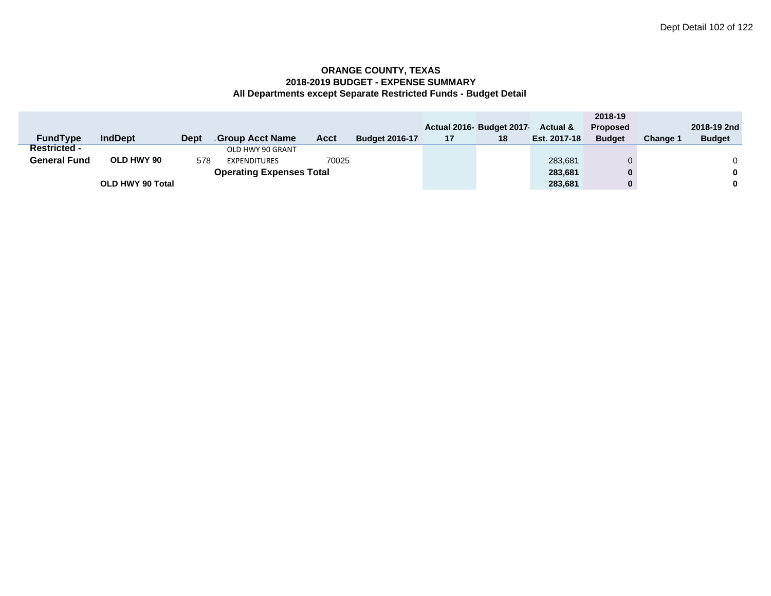|                     |                  |             |                                 |       |                       |    |                          |                     | 2018-19         |                 |               |
|---------------------|------------------|-------------|---------------------------------|-------|-----------------------|----|--------------------------|---------------------|-----------------|-----------------|---------------|
|                     |                  |             |                                 |       |                       |    | Actual 2016- Budget 2017 | <b>Actual &amp;</b> | <b>Proposed</b> |                 | 2018-19 2nd   |
| <b>FundType</b>     | <b>IndDept</b>   | <b>Dept</b> | <b>Group Acct Name</b>          | Acct  | <b>Budget 2016-17</b> | 17 | 18                       | Est. 2017-18        | <b>Budget</b>   | <b>Change 1</b> | <b>Budget</b> |
| <b>Restricted -</b> |                  |             | OLD HWY 90 GRANT                |       |                       |    |                          |                     |                 |                 |               |
| <b>General Fund</b> | OLD HWY 90       | 578         | <b>EXPENDITURES</b>             | 70025 |                       |    |                          | 283,681             |                 |                 |               |
|                     |                  |             | <b>Operating Expenses Total</b> |       |                       |    |                          | 283,681             |                 |                 | $\bf{0}$      |
|                     | OLD HWY 90 Total |             |                                 |       |                       |    |                          | 283,681             |                 |                 | $\bf{0}$      |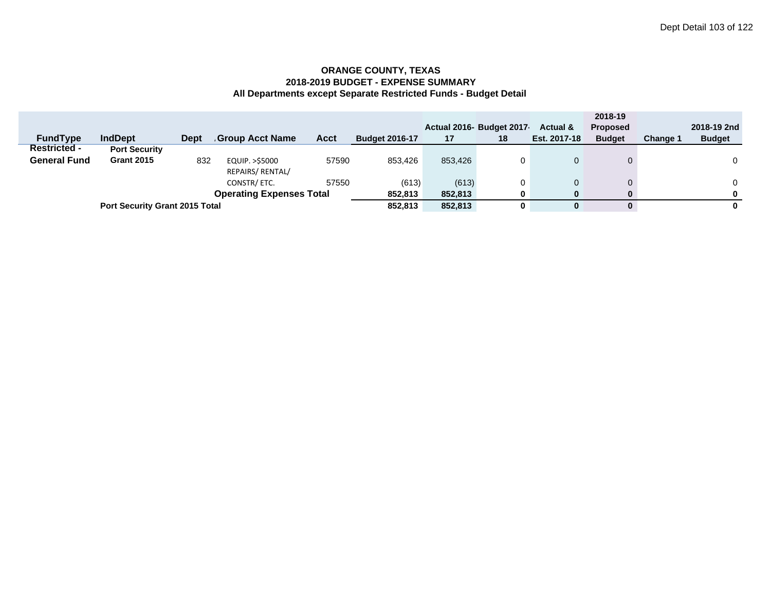|                     |                                       |             |                                 |       |                       |         |                          |                     | 2018-19         |                 |               |
|---------------------|---------------------------------------|-------------|---------------------------------|-------|-----------------------|---------|--------------------------|---------------------|-----------------|-----------------|---------------|
|                     |                                       |             |                                 |       |                       |         | Actual 2016- Budget 2017 | <b>Actual &amp;</b> | <b>Proposed</b> |                 | 2018-19 2nd   |
| <b>FundType</b>     | <b>IndDept</b>                        | <b>Dept</b> | <b>Group Acct Name</b>          | Acct  | <b>Budget 2016-17</b> | 17      | 18                       | Est. 2017-18        | <b>Budget</b>   | <b>Change 1</b> | <b>Budget</b> |
| <b>Restricted -</b> | <b>Port Security</b>                  |             |                                 |       |                       |         |                          |                     |                 |                 |               |
| <b>General Fund</b> | <b>Grant 2015</b>                     | 832         | EQUIP. > \$5000                 | 57590 | 853.426               | 853.426 |                          |                     |                 |                 | 0             |
|                     |                                       |             | REPAIRS/ RENTAL/                |       |                       |         |                          |                     |                 |                 |               |
|                     |                                       |             | CONSTR/ETC.                     | 57550 | (613)                 | (613)   |                          |                     |                 |                 | 0             |
|                     |                                       |             | <b>Operating Expenses Total</b> |       | 852,813               | 852,813 | 0                        | 0                   | 0               |                 | 0             |
|                     | <b>Port Security Grant 2015 Total</b> |             |                                 |       | 852.813               | 852.813 | 0                        |                     | 0               |                 | 0             |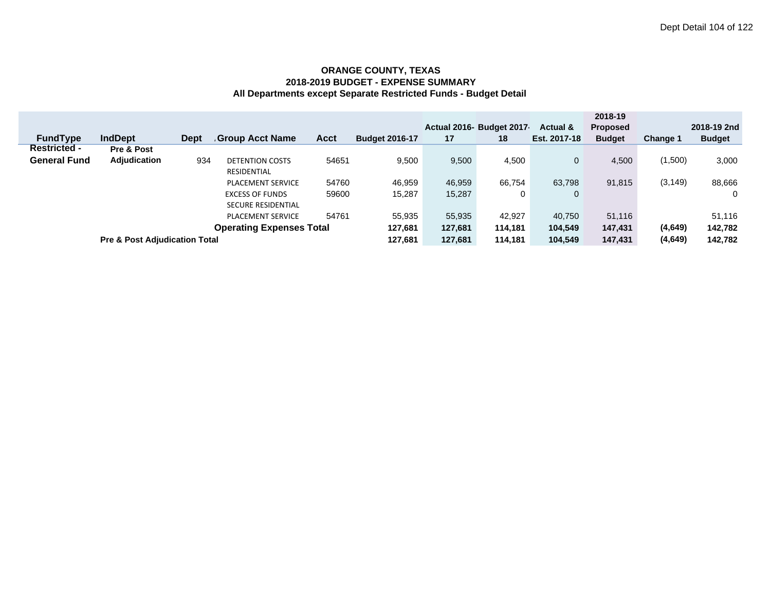|                     |                                          |             |                                 |             |                       |         | Actual 2016- Budget 2017 | Actual &     | 2018-19<br><b>Proposed</b> |                 | 2018-19 2nd   |
|---------------------|------------------------------------------|-------------|---------------------------------|-------------|-----------------------|---------|--------------------------|--------------|----------------------------|-----------------|---------------|
| <b>FundType</b>     | <b>IndDept</b>                           | <b>Dept</b> | <b>Group Acct Name</b>          | <b>Acct</b> | <b>Budget 2016-17</b> | 17      | 18                       | Est. 2017-18 | <b>Budget</b>              | <b>Change 1</b> | <b>Budget</b> |
| <b>Restricted -</b> | Pre & Post                               |             |                                 |             |                       |         |                          |              |                            |                 |               |
| <b>General Fund</b> | <b>Adjudication</b>                      | 934         | <b>DETENTION COSTS</b>          | 54651       | 9,500                 | 9,500   | 4,500                    | $\mathbf{0}$ | 4.500                      | (1,500)         | 3,000         |
|                     |                                          |             | <b>RESIDENTIAL</b>              |             |                       |         |                          |              |                            |                 |               |
|                     |                                          |             | <b>PLACEMENT SERVICE</b>        | 54760       | 46.959                | 46,959  | 66.754                   | 63.798       | 91,815                     | (3, 149)        | 88,666        |
|                     |                                          |             | <b>EXCESS OF FUNDS</b>          | 59600       | 15.287                | 15,287  | 0                        | $\mathbf{0}$ |                            |                 | 0             |
|                     |                                          |             | <b>SECURE RESIDENTIAL</b>       |             |                       |         |                          |              |                            |                 |               |
|                     |                                          |             | <b>PLACEMENT SERVICE</b>        | 54761       | 55.935                | 55,935  | 42,927                   | 40.750       | 51,116                     |                 | 51,116        |
|                     |                                          |             | <b>Operating Expenses Total</b> |             | 127,681               | 127,681 | 114,181                  | 104,549      | 147,431                    | (4,649)         | 142,782       |
|                     | <b>Pre &amp; Post Adjudication Total</b> |             |                                 |             |                       | 127,681 | 114.181                  | 104.549      | 147,431                    | (4,649)         | 142,782       |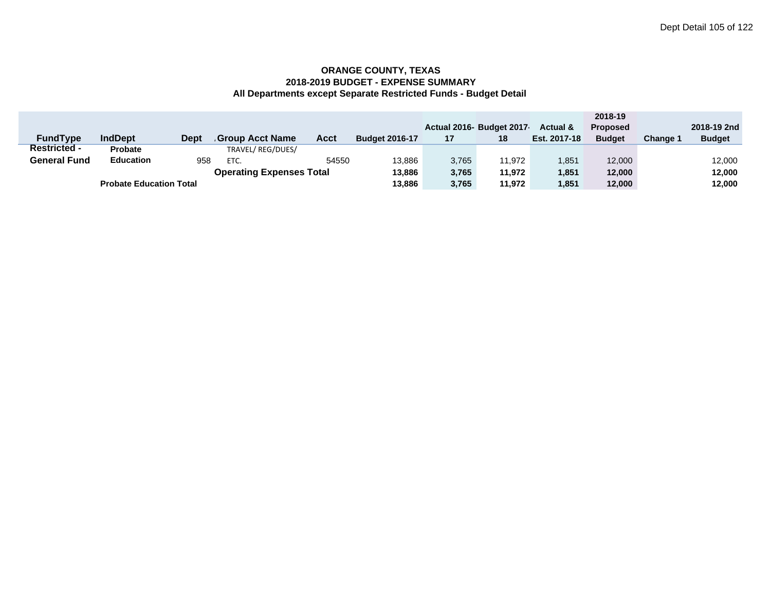|                     |                                |             |                                 |       |                       |       |                           |                     | 2018-19         |          |               |
|---------------------|--------------------------------|-------------|---------------------------------|-------|-----------------------|-------|---------------------------|---------------------|-----------------|----------|---------------|
|                     |                                |             |                                 |       |                       |       | Actual 2016- Budget 2017- | <b>Actual &amp;</b> | <b>Proposed</b> |          | 2018-19 2nd   |
| <b>FundType</b>     | <b>IndDept</b>                 | <b>Dept</b> | <b>Group Acct Name</b>          | Acct  | <b>Budget 2016-17</b> | 17    | 18                        | Est. 2017-18        | <b>Budget</b>   | Change 1 | <b>Budget</b> |
| <b>Restricted -</b> | <b>Probate</b>                 |             | TRAVEL/REG/DUES/                |       |                       |       |                           |                     |                 |          |               |
| <b>General Fund</b> | <b>Education</b>               | 958         | ETC.                            | 54550 | 13.886                | 3,765 | 11.972                    | 1.851               | 12,000          |          | 12,000        |
|                     |                                |             | <b>Operating Expenses Total</b> |       | 13,886                | 3.765 | 11.972                    | 1.851               | 12.000          |          | 12,000        |
|                     | <b>Probate Education Total</b> |             |                                 |       |                       | 3,765 | 11.972                    | 1.851               | 12.000          |          | 12,000        |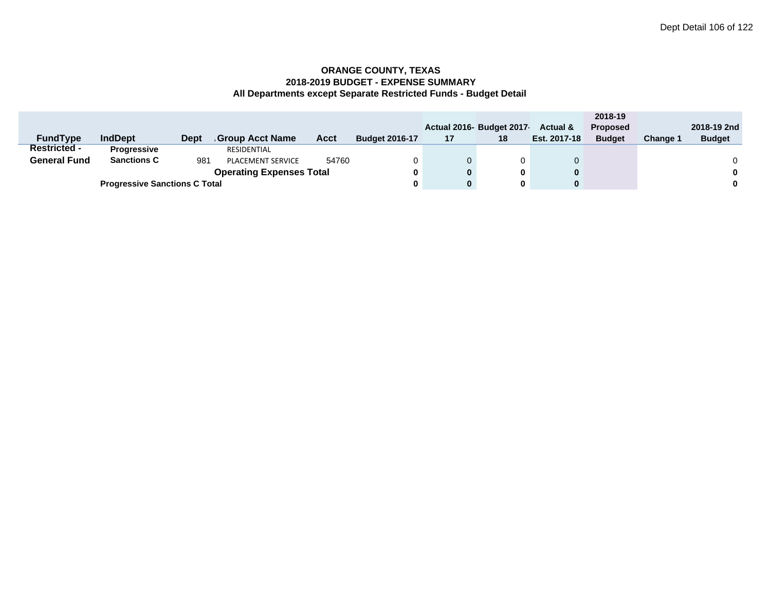|                     |                                      |             |                                 |       |                       |          |                         |                     | 2018-19         |                 |               |
|---------------------|--------------------------------------|-------------|---------------------------------|-------|-----------------------|----------|-------------------------|---------------------|-----------------|-----------------|---------------|
|                     |                                      |             |                                 |       |                       |          | Actual 2016 Budget 2017 | <b>Actual &amp;</b> | <b>Proposed</b> |                 | 2018-19 2nd   |
| <b>FundType</b>     | <b>IndDept</b>                       | <b>Dept</b> | Group Acct Name.                | Acct  | <b>Budget 2016-17</b> | 17       | 18                      | Est. 2017-18        | <b>Budget</b>   | <b>Change 1</b> | <b>Budget</b> |
| <b>Restricted -</b> | <b>Progressive</b>                   |             | RESIDENTIAL                     |       |                       |          |                         |                     |                 |                 |               |
| <b>General Fund</b> | <b>Sanctions C</b>                   | 981         | PLACEMENT SERVICE               | 54760 |                       | 0        |                         |                     |                 |                 |               |
|                     |                                      |             | <b>Operating Expenses Total</b> |       |                       | $\bf{0}$ | 0                       |                     |                 |                 | $\bf{0}$      |
|                     | <b>Progressive Sanctions C Total</b> |             | 0                               | 0     |                       |          |                         | $\bf{0}$            |                 |                 |               |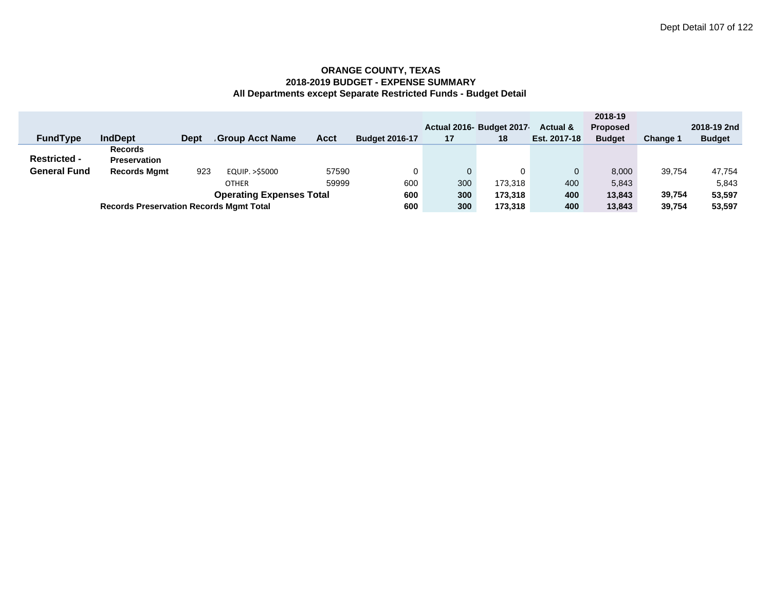|                                 |                                                |      |                 |       |                       |     |                           |              | 2018-19         |                 |               |
|---------------------------------|------------------------------------------------|------|-----------------|-------|-----------------------|-----|---------------------------|--------------|-----------------|-----------------|---------------|
|                                 |                                                |      |                 |       |                       |     | Actual 2016- Budget 2017- | Actual &     | <b>Proposed</b> |                 | 2018-19 2nd   |
| <b>FundType</b>                 | <b>IndDept</b>                                 | Dept | Group Acct Name | Acct  | <b>Budget 2016-17</b> | 17  | 18                        | Est. 2017-18 | <b>Budget</b>   | <b>Change 1</b> | <b>Budget</b> |
|                                 | <b>Records</b>                                 |      |                 |       |                       |     |                           |              |                 |                 |               |
| <b>Restricted -</b>             | <b>Preservation</b>                            |      |                 |       |                       |     |                           |              |                 |                 |               |
| <b>General Fund</b>             | <b>Records Mgmt</b>                            | 923  | EQUIP. >\$5000  | 57590 |                       | 0   |                           |              | 8,000           | 39.754          | 47,754        |
|                                 | 59999<br><b>OTHER</b>                          |      |                 |       |                       | 300 | 173.318                   | 400          | 5,843           |                 | 5,843         |
| <b>Operating Expenses Total</b> |                                                |      |                 |       |                       | 300 | 173,318                   | 400          | 13,843          | 39.754          | 53,597        |
|                                 | <b>Records Preservation Records Mgmt Total</b> |      |                 |       |                       | 300 | 173.318                   | 400          | 13,843          | 39.754          | 53,597        |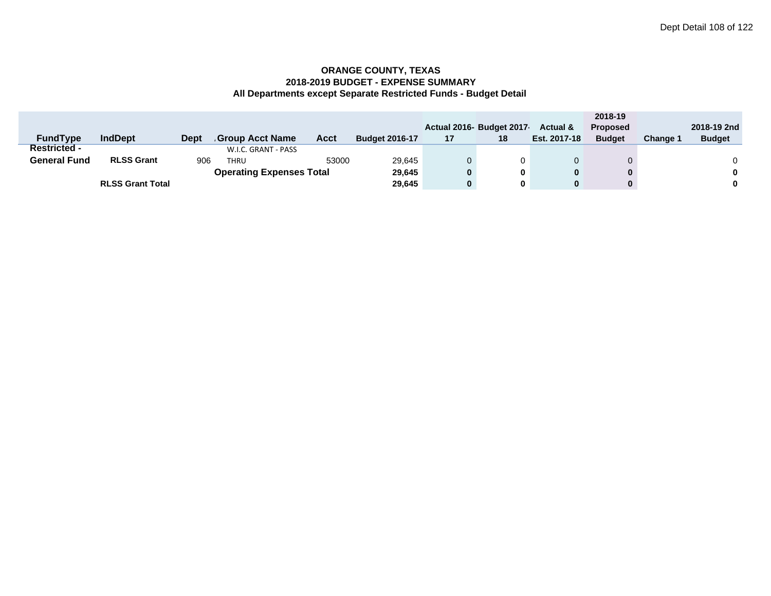|                     |                         |             |                                 |             |                       |    |                         |                     | 2018-19         |                 |               |
|---------------------|-------------------------|-------------|---------------------------------|-------------|-----------------------|----|-------------------------|---------------------|-----------------|-----------------|---------------|
|                     |                         |             |                                 |             |                       |    | Actual 2016 Budget 2017 | <b>Actual &amp;</b> | <b>Proposed</b> |                 | 2018-19 2nd   |
| <b>FundType</b>     | <b>IndDept</b>          | <b>Dept</b> | Group Acct Name.                | <b>Acct</b> | <b>Budget 2016-17</b> | 17 | 18                      | Est. 2017-18        | <b>Budget</b>   | <b>Change 1</b> | <b>Budget</b> |
| <b>Restricted -</b> |                         |             | W.I.C. GRANT - PASS             |             |                       |    |                         |                     |                 |                 |               |
| <b>General Fund</b> | <b>RLSS Grant</b>       | 906         | <b>THRU</b>                     | 53000       | 29,645                |    |                         |                     |                 |                 |               |
|                     |                         |             | <b>Operating Expenses Total</b> |             | 29,645                | 0  | 0                       |                     |                 |                 | $\bf{0}$      |
|                     | <b>RLSS Grant Total</b> |             |                                 |             | 29,645                | 0  | 0                       |                     |                 |                 | $\mathbf 0$   |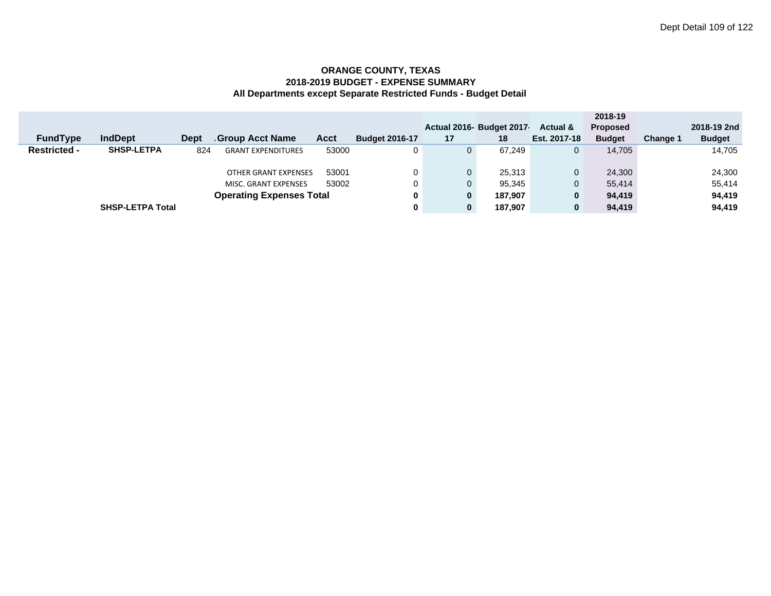|                     |                         |             |                                 |       |                       |              |                           |              | 2018-19         |          |               |
|---------------------|-------------------------|-------------|---------------------------------|-------|-----------------------|--------------|---------------------------|--------------|-----------------|----------|---------------|
|                     |                         |             |                                 |       |                       |              | Actual 2016- Budget 2017- | Actual &     | <b>Proposed</b> |          | 2018-19 2nd   |
| <b>FundType</b>     | <b>IndDept</b>          | <b>Dept</b> | Group Acct Name                 | Acct  | <b>Budget 2016-17</b> | 17           | 18                        | Est. 2017-18 | <b>Budget</b>   | Change 1 | <b>Budget</b> |
| <b>Restricted -</b> | <b>SHSP-LETPA</b>       | 824         | <b>GRANT EXPENDITURES</b>       | 53000 | 0                     | $\mathbf{0}$ | 67.249                    | 0            | 14.705          |          | 14,705        |
|                     |                         |             |                                 |       |                       |              |                           |              |                 |          |               |
|                     |                         |             | <b>OTHER GRANT EXPENSES</b>     | 53001 | 0                     | $\mathbf{0}$ | 25,313                    | $\mathbf{0}$ | 24.300          |          | 24,300        |
|                     |                         |             | MISC. GRANT EXPENSES            | 53002 | 0                     | $\Omega$     | 95.345                    | $\mathbf{0}$ | 55.414          |          | 55.414        |
|                     |                         |             | <b>Operating Expenses Total</b> |       | 0                     | 0            | 187,907                   | 0            | 94,419          |          | 94,419        |
|                     | <b>SHSP-LETPA Total</b> |             |                                 |       | 0                     | 0            | 187.907                   | 0            | 94,419          |          | 94,419        |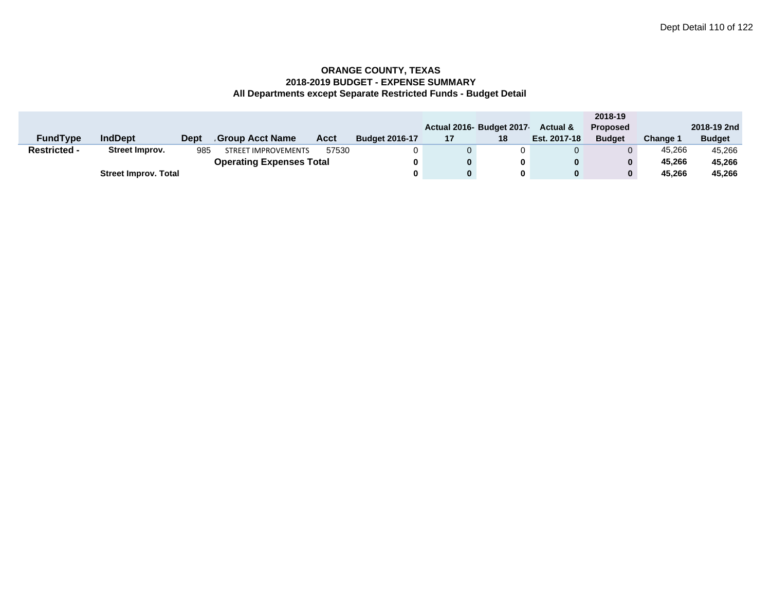|                     |                             |      |                                 |       |                       |    |                          |                     | 2018-19         |                 |               |
|---------------------|-----------------------------|------|---------------------------------|-------|-----------------------|----|--------------------------|---------------------|-----------------|-----------------|---------------|
|                     |                             |      |                                 |       |                       |    | Actual 2016- Budget 2017 | <b>Actual &amp;</b> | <b>Proposed</b> |                 | 2018-19 2nd   |
| <b>FundType</b>     | <b>IndDept</b>              | Dept | Group Acct Name                 | Acct  | <b>Budget 2016-17</b> | 17 | 18                       | Est. 2017-18        | <b>Budget</b>   | <b>Change 1</b> | <b>Budget</b> |
| <b>Restricted -</b> | Street Improv.              | 985  | <b>STREET IMPROVEMENTS</b>      | 57530 |                       |    | 0                        |                     |                 | 45.266          | 45.266        |
|                     |                             |      | <b>Operating Expenses Total</b> |       | 0                     |    | 0                        | 0                   | $\mathbf{0}$    | 45.266          | 45,266        |
|                     | <b>Street Improv. Total</b> |      |                                 |       | 0                     |    | 0                        | 0                   | $\mathbf{0}$    | 45.266          | 45,266        |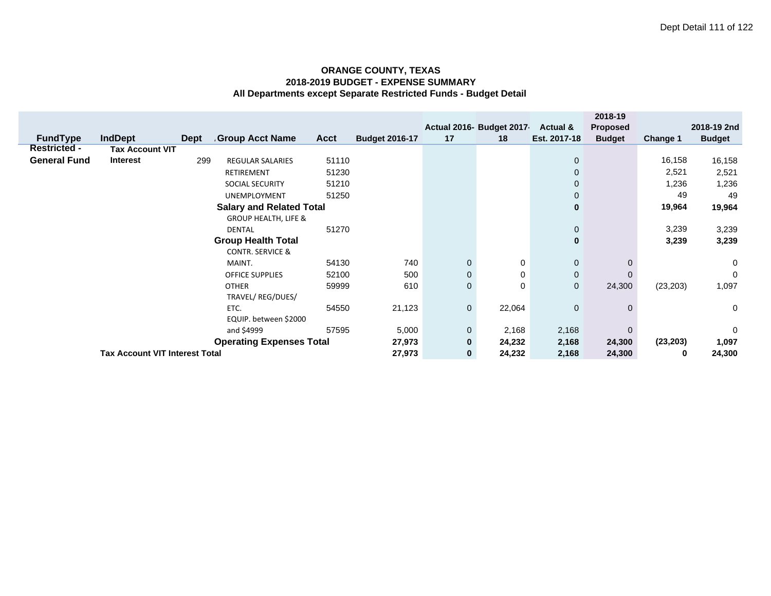|                     |                                       |             |                                 |             |                       |             | Actual 2016- Budget 2017- | Actual &       | 2018-19<br><b>Proposed</b> |                 | 2018-19 2nd   |
|---------------------|---------------------------------------|-------------|---------------------------------|-------------|-----------------------|-------------|---------------------------|----------------|----------------------------|-----------------|---------------|
| <b>FundType</b>     | <b>IndDept</b>                        | <b>Dept</b> | <b>Group Acct Name</b>          | <b>Acct</b> | <b>Budget 2016-17</b> | 17          | 18                        | Est. 2017-18   | <b>Budget</b>              |                 | <b>Budget</b> |
| <b>Restricted -</b> | <b>Tax Account VIT</b>                |             |                                 |             |                       |             |                           |                |                            | <b>Change 1</b> |               |
| <b>General Fund</b> | <b>Interest</b>                       | 299         | <b>REGULAR SALARIES</b>         | 51110       |                       |             |                           | $\mathbf{0}$   |                            | 16,158          |               |
|                     |                                       |             |                                 |             |                       |             |                           |                |                            |                 | 16,158        |
|                     |                                       |             | RETIREMENT                      | 51230       |                       |             |                           | $\mathbf{0}$   |                            | 2,521           | 2,521         |
|                     |                                       |             | SOCIAL SECURITY                 | 51210       |                       |             |                           | $\mathbf 0$    |                            | 1,236           | 1,236         |
|                     |                                       |             | UNEMPLOYMENT                    | 51250       |                       |             |                           | $\mathbf 0$    |                            | 49              | 49            |
|                     |                                       |             | <b>Salary and Related Total</b> |             |                       |             |                           | $\bf{0}$       |                            | 19,964          | 19,964        |
|                     |                                       |             | <b>GROUP HEALTH, LIFE &amp;</b> |             |                       |             |                           |                |                            |                 |               |
|                     |                                       |             | <b>DENTAL</b>                   | 51270       |                       |             | 0                         |                | 3,239                      | 3,239           |               |
|                     |                                       |             |                                 |             | $\bf{0}$              |             | 3,239                     | 3,239          |                            |                 |               |
|                     |                                       |             | <b>CONTR. SERVICE &amp;</b>     |             |                       |             |                           |                |                            |                 |               |
|                     |                                       |             | MAINT.                          | 54130       | 740                   | $\mathbf 0$ | 0                         | $\mathbf 0$    |                            |                 | 0             |
|                     |                                       |             | <b>OFFICE SUPPLIES</b>          | 52100       | 500                   | $\mathbf 0$ | 0                         | $\mathbf{0}$   |                            |                 | $\mathbf 0$   |
|                     |                                       |             | <b>OTHER</b>                    | 59999       | 610                   | $\mathbf 0$ | 0                         | $\overline{0}$ | 24,300                     | (23, 203)       | 1,097         |
|                     |                                       |             | TRAVEL/REG/DUES/                |             |                       |             |                           |                |                            |                 |               |
|                     |                                       |             | ETC.                            | 54550       | 21,123                | 0           | 22,064                    | $\mathbf 0$    | $\Omega$                   |                 | 0             |
|                     | EQUIP. between \$2000                 |             |                                 |             |                       |             |                           |                |                            |                 |               |
|                     | 57595<br>and \$4999                   |             |                                 |             |                       |             | 2,168                     | 2,168          | $\mathbf{0}$               |                 | $\mathbf 0$   |
|                     |                                       |             | <b>Operating Expenses Total</b> |             | 27,973                | $\bf{0}$    | 24,232                    | 2,168          | 24,300                     | (23, 203)       | 1,097         |
|                     | <b>Tax Account VIT Interest Total</b> |             |                                 |             |                       |             | 24,232                    | 2,168          | 24,300                     | 0               | 24,300        |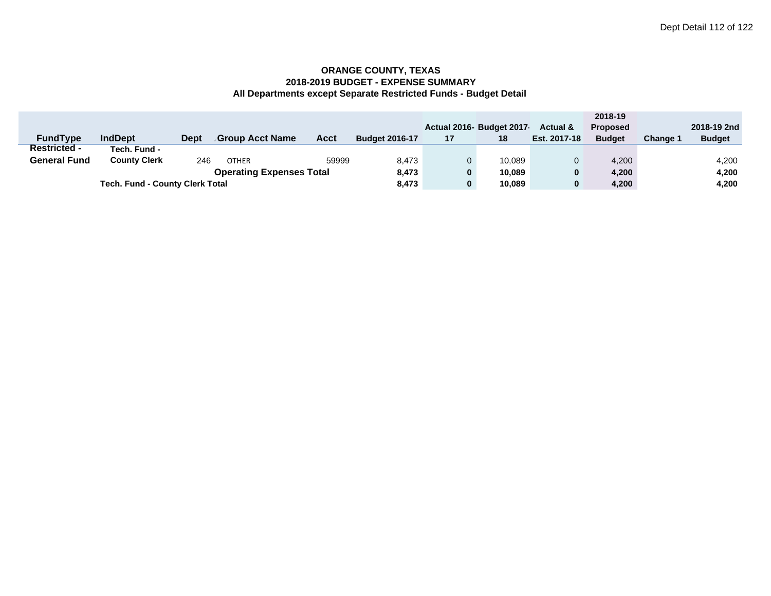|                                 |                                        |             |                  |       |                       |    |                          |                     | 2018-19         |          |               |
|---------------------------------|----------------------------------------|-------------|------------------|-------|-----------------------|----|--------------------------|---------------------|-----------------|----------|---------------|
|                                 |                                        |             |                  |       |                       |    | Actual 2016- Budget 2017 | <b>Actual &amp;</b> | <b>Proposed</b> |          | 2018-19 2nd   |
| <b>FundType</b>                 | <b>IndDept</b>                         | <b>Dept</b> | Group Acct Name. | Acct  | <b>Budget 2016-17</b> | 17 | 18                       | Est. 2017-18        | <b>Budget</b>   | Change 1 | <b>Budget</b> |
| <b>Restricted -</b>             | Tech. Fund -                           |             |                  |       |                       |    |                          |                     |                 |          |               |
| <b>General Fund</b>             | <b>County Clerk</b>                    | 246         | <b>OTHER</b>     | 59999 | 8.473                 |    | 10.089                   |                     | 4,200           |          | 4,200         |
| <b>Operating Expenses Total</b> |                                        |             |                  |       | 8,473                 |    | 10.089                   | $\bf{0}$            | 4,200           |          | 4,200         |
|                                 | <b>Tech. Fund - County Clerk Total</b> |             |                  |       |                       |    | 10,089                   | $\bf{0}$            | 4,200           |          | 4,200         |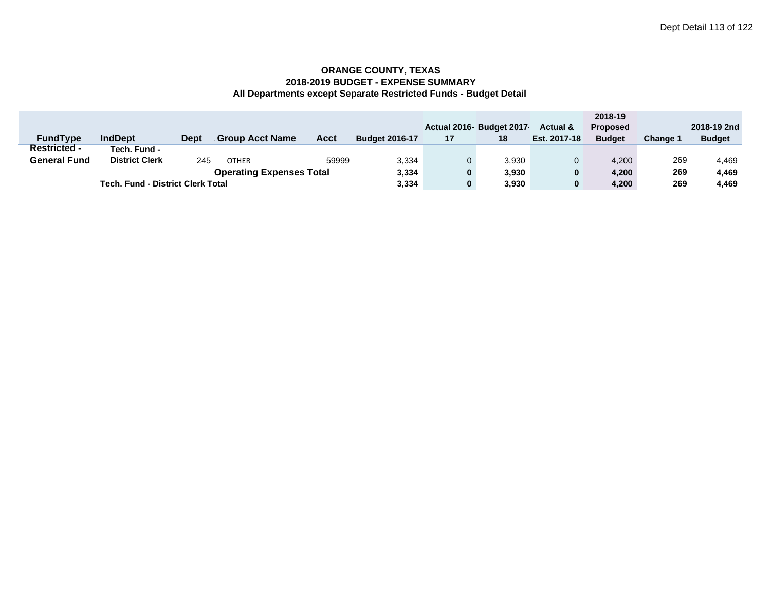|                     |                                          |             |                        |             |                       |     |                           |                     | 2018-19         |          |               |
|---------------------|------------------------------------------|-------------|------------------------|-------------|-----------------------|-----|---------------------------|---------------------|-----------------|----------|---------------|
|                     |                                          |             |                        |             |                       |     | Actual 2016- Budget 2017- | <b>Actual &amp;</b> | <b>Proposed</b> |          | 2018-19 2nd   |
| <b>FundType</b>     | <b>IndDept</b>                           | <b>Dept</b> | <b>Group Acct Name</b> | <b>Acct</b> | <b>Budget 2016-17</b> | 17  | 18                        | Est. 2017-18        | <b>Budget</b>   | Change 1 | <b>Budget</b> |
| <b>Restricted -</b> | Tech. Fund -                             |             |                        |             |                       |     |                           |                     |                 |          |               |
| <b>General Fund</b> | <b>District Clerk</b>                    | 245         | <b>OTHER</b>           | 59999       | 3,334                 |     | 3.930                     |                     | 4.200           | 269      | 4.469         |
|                     | 3,334                                    |             | 3,930                  | 0           | 4,200                 | 269 | 4,469                     |                     |                 |          |               |
|                     | <b>Tech. Fund - District Clerk Total</b> |             |                        |             |                       |     | 3,930                     | 0                   | 4,200           | 269      | 4,469         |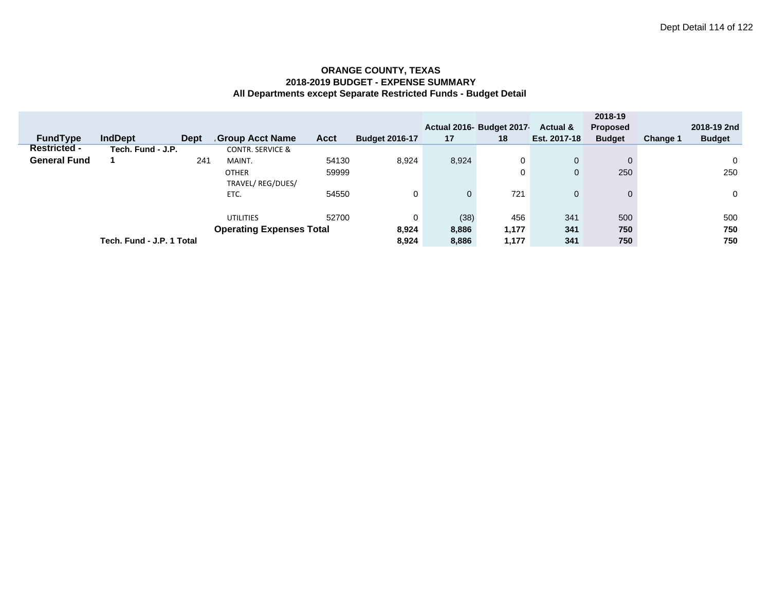|                     |                           |             |                                  |             |                       |              | Actual 2016- Budget 2017 | Actual &       | 2018-19<br><b>Proposed</b> |                 | 2018-19 2nd   |
|---------------------|---------------------------|-------------|----------------------------------|-------------|-----------------------|--------------|--------------------------|----------------|----------------------------|-----------------|---------------|
| <b>FundType</b>     | <b>IndDept</b>            | <b>Dept</b> | <b>Group Acct Name</b>           | <b>Acct</b> | <b>Budget 2016-17</b> | 17           | 18                       | Est. 2017-18   | <b>Budget</b>              | <b>Change 1</b> | <b>Budget</b> |
| <b>Restricted -</b> | Tech. Fund - J.P.         |             | <b>CONTR. SERVICE &amp;</b>      |             |                       |              |                          |                |                            |                 |               |
| <b>General Fund</b> |                           | 241         | MAINT.                           | 54130       | 8,924                 | 8,924        | 0                        | $\mathbf{0}$   | 0                          |                 | 0             |
|                     |                           |             | <b>OTHER</b><br>TRAVEL/REG/DUES/ | 59999       |                       |              | 0                        | $\mathbf 0$    | 250                        |                 | 250           |
|                     |                           |             | ETC.                             | 54550       | 0                     | $\mathbf{0}$ | 721                      | $\overline{0}$ | $\Omega$                   |                 | $\mathbf 0$   |
|                     |                           |             | <b>UTILITIES</b>                 | 52700       | 0                     | (38)         | 456                      | 341            | 500                        |                 | 500           |
|                     |                           |             | <b>Operating Expenses Total</b>  |             | 8,924                 | 8,886        | 1,177                    | 341            | 750                        |                 | 750           |
|                     | Tech. Fund - J.P. 1 Total |             |                                  |             | 8,924                 | 8,886        | 1,177                    | 341            | 750                        |                 | 750           |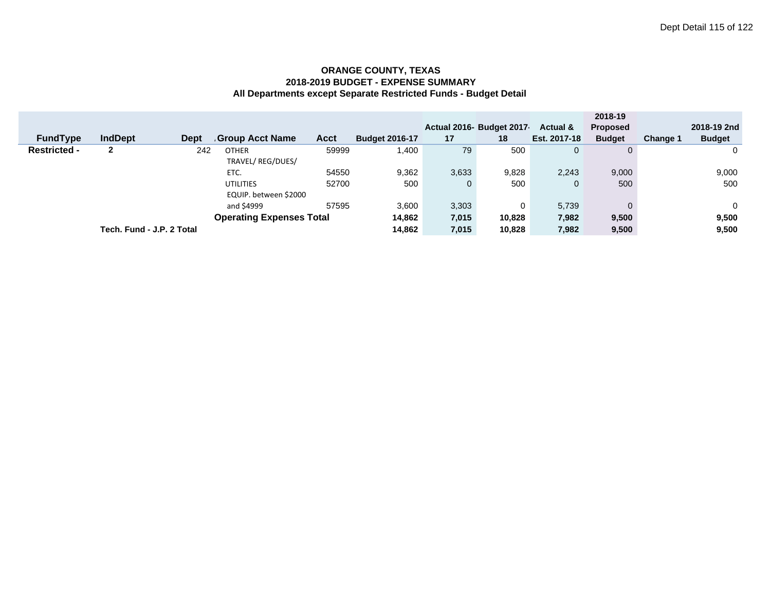|                                 |                           |             |                        |             |                       |       |                          |              | 2018-19         |                 |               |
|---------------------------------|---------------------------|-------------|------------------------|-------------|-----------------------|-------|--------------------------|--------------|-----------------|-----------------|---------------|
|                                 |                           |             |                        |             |                       |       | Actual 2016- Budget 2017 | Actual &     | <b>Proposed</b> |                 | 2018-19 2nd   |
| <b>FundType</b>                 | <b>IndDept</b>            | <b>Dept</b> | <b>Group Acct Name</b> | <b>Acct</b> | <b>Budget 2016-17</b> | 17    | 18                       | Est. 2017-18 | <b>Budget</b>   | <b>Change 1</b> | <b>Budget</b> |
| <b>Restricted -</b>             | $\mathbf{2}$              | 242         | <b>OTHER</b>           | 59999       | 1,400                 | 79    | 500                      | 0            | $\Omega$        |                 | 0             |
|                                 |                           |             | TRAVEL/REG/DUES/       |             |                       |       |                          |              |                 |                 |               |
|                                 |                           |             | ETC.                   | 54550       | 9,362                 | 3,633 | 9,828                    | 2,243        | 9,000           |                 | 9,000         |
|                                 |                           |             | <b>UTILITIES</b>       | 52700       | 500                   | 0     | 500                      | $\mathbf 0$  | 500             |                 | 500           |
|                                 |                           |             | EQUIP. between \$2000  |             |                       |       |                          |              |                 |                 |               |
|                                 |                           |             | and \$4999             | 57595       | 3,600                 | 3,303 | 0                        | 5.739        | 0               |                 | $\Omega$      |
| <b>Operating Expenses Total</b> |                           |             |                        |             | 14,862                | 7,015 | 10,828                   | 7,982        | 9,500           |                 | 9,500         |
|                                 | Tech. Fund - J.P. 2 Total |             |                        |             |                       | 7,015 | 10,828                   | 7,982        | 9,500           |                 | 9,500         |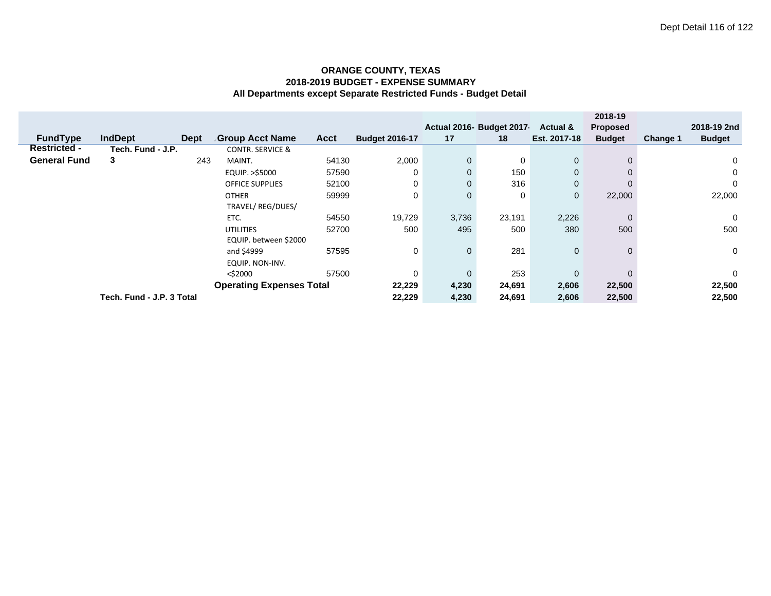|                     |                                 |             |                             |             |                       |              |                           |              | 2018-19         |          |               |
|---------------------|---------------------------------|-------------|-----------------------------|-------------|-----------------------|--------------|---------------------------|--------------|-----------------|----------|---------------|
|                     |                                 |             |                             |             |                       |              | Actual 2016- Budget 2017- | Actual &     | <b>Proposed</b> |          | 2018-19 2nd   |
| <b>FundType</b>     | <b>IndDept</b>                  | <b>Dept</b> | <b>Group Acct Name</b>      | <b>Acct</b> | <b>Budget 2016-17</b> | 17           | 18                        | Est. 2017-18 | <b>Budget</b>   | Change 1 | <b>Budget</b> |
| <b>Restricted -</b> | Tech. Fund - J.P.               |             | <b>CONTR. SERVICE &amp;</b> |             |                       |              |                           |              |                 |          |               |
| <b>General Fund</b> | 3                               | 243         | MAINT.                      | 54130       | 2,000                 | 0            | 0                         | $\mathbf{0}$ | $\Omega$        |          | 0             |
|                     |                                 |             | EQUIP. >\$5000              | 57590       | 0                     | $\mathbf{0}$ | 150                       | $\mathbf 0$  |                 |          | 0             |
|                     |                                 |             | <b>OFFICE SUPPLIES</b>      | 52100       | 0                     | $\mathbf{0}$ | 316                       | $\mathbf 0$  | 0               |          | 0             |
|                     |                                 |             | <b>OTHER</b>                | 59999       | 0                     | $\mathbf{0}$ | 0                         | $\mathbf 0$  | 22,000          |          | 22,000        |
|                     |                                 |             | TRAVEL/REG/DUES/            |             |                       |              |                           |              |                 |          |               |
|                     |                                 |             | ETC.                        | 54550       | 19,729                | 3,736        | 23,191                    | 2,226        | $\mathbf 0$     |          | 0             |
|                     |                                 |             | <b>UTILITIES</b>            | 52700       | 500                   | 495          | 500                       | 380          | 500             |          | 500           |
|                     |                                 |             | EQUIP. between \$2000       |             |                       |              |                           |              |                 |          |               |
|                     |                                 |             | and \$4999                  | 57595       | 0                     | $\mathbf{0}$ | 281                       | $\mathbf 0$  | $\Omega$        |          | $\mathbf{0}$  |
|                     |                                 |             | EQUIP. NON-INV.             |             |                       |              |                           |              |                 |          |               |
|                     |                                 |             | <\$2000                     | 57500       | $\Omega$              | $\mathbf{0}$ | 253                       | $\mathbf 0$  | $\Omega$        |          | $\mathbf{0}$  |
|                     | <b>Operating Expenses Total</b> |             |                             |             |                       |              | 24,691                    | 2,606        | 22,500          |          | 22,500        |
|                     | Tech. Fund - J.P. 3 Total       |             |                             |             |                       |              | 24,691                    | 2,606        | 22,500          |          | 22,500        |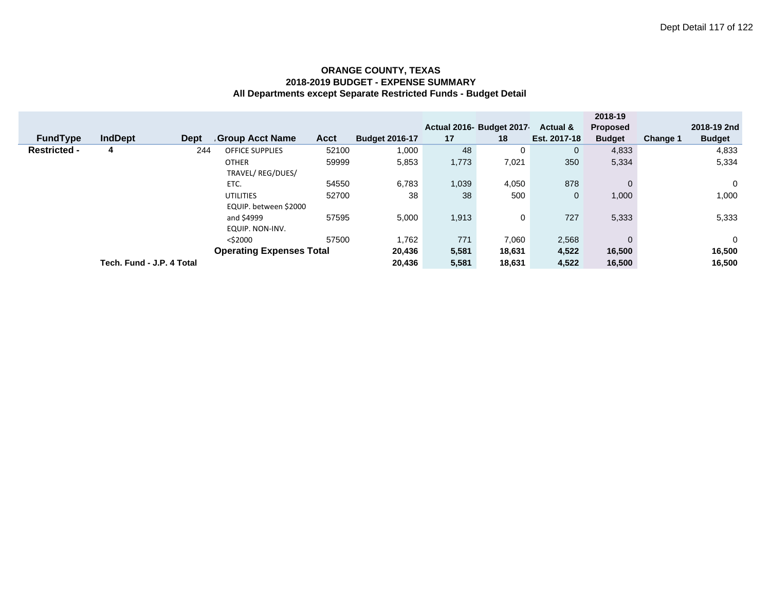|                                 |                           |             |                        |             |                       |        |                          |                     | 2018-19         |          |               |
|---------------------------------|---------------------------|-------------|------------------------|-------------|-----------------------|--------|--------------------------|---------------------|-----------------|----------|---------------|
|                                 |                           |             |                        |             |                       |        | Actual 2016- Budget 2017 | <b>Actual &amp;</b> | <b>Proposed</b> |          | 2018-19 2nd   |
| <b>FundType</b>                 | <b>IndDept</b>            | <b>Dept</b> | Group Acct Name        | <b>Acct</b> | <b>Budget 2016-17</b> | 17     | 18                       | Est. 2017-18        | <b>Budget</b>   | Change 1 | <b>Budget</b> |
| <b>Restricted -</b>             | 4                         | 244         | <b>OFFICE SUPPLIES</b> | 52100       | 1,000                 | 48     | 0                        | $\mathbf{0}$        | 4,833           |          | 4,833         |
|                                 |                           |             | <b>OTHER</b>           | 59999       | 5,853                 | 1,773  | 7,021                    | 350                 | 5,334           |          | 5,334         |
|                                 |                           |             | TRAVEL/REG/DUES/       |             |                       |        |                          |                     |                 |          |               |
|                                 |                           |             | ETC.                   | 54550       | 6,783                 | 1,039  | 4,050                    | 878                 | $\mathbf{0}$    |          | $\Omega$      |
|                                 |                           |             | <b>UTILITIES</b>       | 52700       | 38                    | 38     | 500                      | $\mathbf{0}$        | 1,000           |          | 1,000         |
|                                 |                           |             | EQUIP. between \$2000  |             |                       |        |                          |                     |                 |          |               |
|                                 |                           |             | and \$4999             | 57595       | 5,000                 | 1,913  | 0                        | 727                 | 5,333           |          | 5,333         |
|                                 |                           |             | EQUIP. NON-INV.        |             |                       |        |                          |                     |                 |          |               |
|                                 |                           |             | $<$ \$2000             | 57500       | 1,762                 | 771    | 7,060                    | 2,568               | $\mathbf{0}$    |          | $\Omega$      |
| <b>Operating Expenses Total</b> |                           |             |                        |             |                       | 5,581  | 18,631                   | 4,522               | 16,500          |          | 16,500        |
|                                 | Tech. Fund - J.P. 4 Total | 20,436      | 5,581                  | 18,631      | 4,522                 | 16,500 |                          | 16,500              |                 |          |               |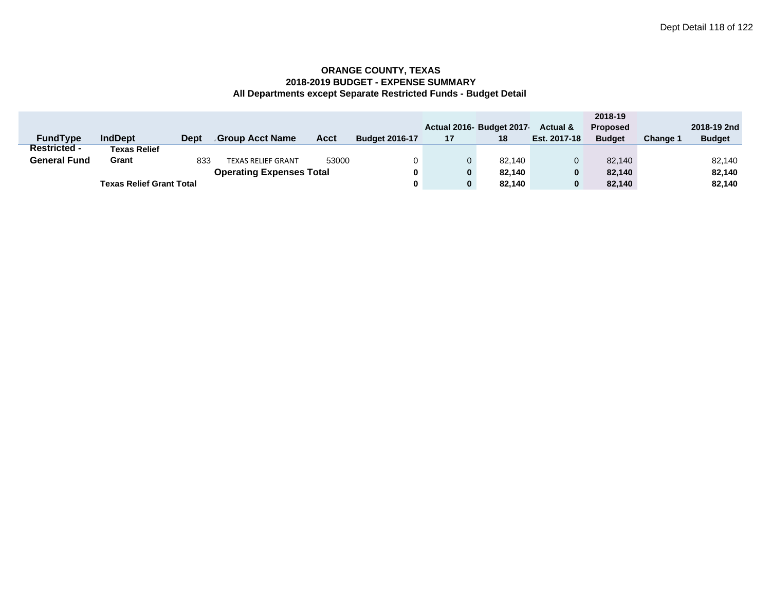|                                 |                                 |             |                           |       |                       |    |                          |                     | 2018-19         |          |               |
|---------------------------------|---------------------------------|-------------|---------------------------|-------|-----------------------|----|--------------------------|---------------------|-----------------|----------|---------------|
|                                 |                                 |             |                           |       |                       |    | Actual 2016- Budget 2017 | <b>Actual &amp;</b> | <b>Proposed</b> |          | 2018-19 2nd   |
| <b>FundType</b>                 | <b>IndDept</b>                  | <b>Dept</b> | Group Acct Name.          | Acct  | <b>Budget 2016-17</b> | 17 | 18                       | Est. 2017-18        | <b>Budget</b>   | Change 1 | <b>Budget</b> |
| <b>Restricted -</b>             | <b>Texas Relief</b>             |             |                           |       |                       |    |                          |                     |                 |          |               |
| <b>General Fund</b>             | Grant                           | 833         | <b>TEXAS RELIEF GRANT</b> | 53000 |                       |    | 82.140                   |                     | 82.140          |          | 82,140        |
| <b>Operating Expenses Total</b> |                                 |             |                           |       |                       |    | 82.140                   | $\bf{0}$            | 82.140          |          | 82.140        |
|                                 | <b>Texas Relief Grant Total</b> |             |                           |       |                       |    | 82.140                   | $\bf{0}$            | 82.140          |          | 82,140        |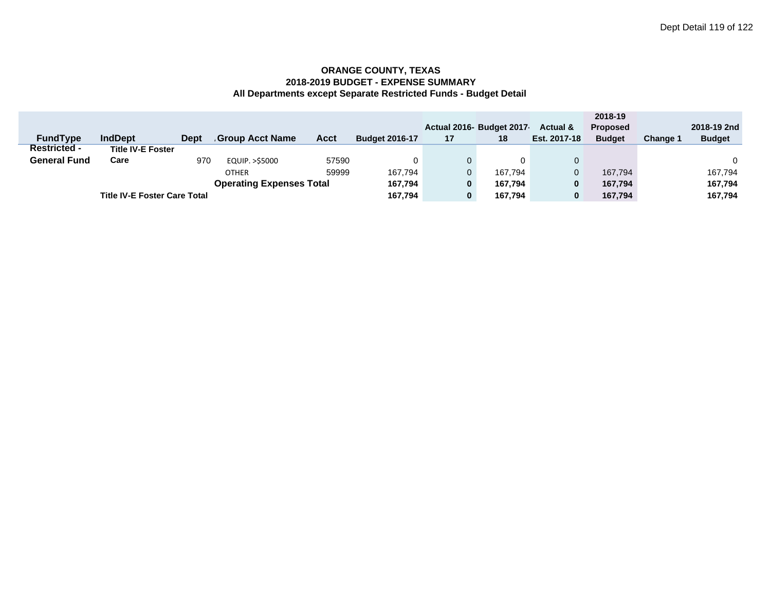|                                     |                          |             |                 |             |                       |    |                           |                     | 2018-19         |                 |               |
|-------------------------------------|--------------------------|-------------|-----------------|-------------|-----------------------|----|---------------------------|---------------------|-----------------|-----------------|---------------|
|                                     |                          |             |                 |             |                       |    | Actual 2016- Budget 2017- | <b>Actual &amp;</b> | <b>Proposed</b> |                 | 2018-19 2nd   |
| <b>FundType</b>                     | <b>IndDept</b>           | <b>Dept</b> | Group Acct Name | <b>Acct</b> | <b>Budget 2016-17</b> | 17 | 18                        | Est. 2017-18        | <b>Budget</b>   | <b>Change 1</b> | <b>Budget</b> |
| <b>Restricted -</b>                 | <b>Title IV-E Foster</b> |             |                 |             |                       |    |                           |                     |                 |                 |               |
| <b>General Fund</b>                 | Care                     | 970         | EQUIP. > \$5000 | 57590       | 0                     |    |                           |                     |                 |                 | 0             |
|                                     |                          |             | <b>OTHER</b>    | 59999       | 167,794               | 0  | 167.794                   |                     | 167.794         |                 | 167.794       |
|                                     | 167,794                  | 0           | 167.794         | 0           | 167.794               |    | 167,794                   |                     |                 |                 |               |
| <b>Title IV-E Foster Care Total</b> |                          |             |                 |             | 167,794               | 0  | 167.794                   | 0                   | 167.794         |                 | 167,794       |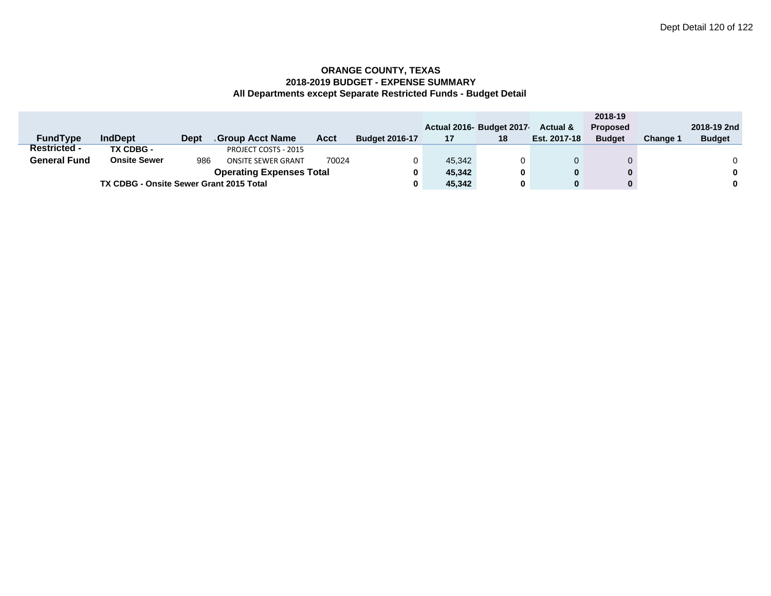|                                         |                     |             |                           |       |                       |        |                         |                     | 2018-19         |                 |               |
|-----------------------------------------|---------------------|-------------|---------------------------|-------|-----------------------|--------|-------------------------|---------------------|-----------------|-----------------|---------------|
|                                         |                     |             |                           |       |                       |        | Actual 2016 Budget 2017 | <b>Actual &amp;</b> | <b>Proposed</b> |                 | 2018-19 2nd   |
| <b>FundType</b>                         | <b>IndDept</b>      | <b>Dept</b> | Group Acct Name           | Acct  | <b>Budget 2016-17</b> | 17     | 18                      | Est. 2017-18        | <b>Budget</b>   | <b>Change 1</b> | <b>Budget</b> |
| <b>Restricted -</b>                     | TX CDBG -           |             | PROJECT COSTS - 2015      |       |                       |        |                         |                     |                 |                 |               |
| <b>General Fund</b>                     | <b>Onsite Sewer</b> | 986         | <b>ONSITE SEWER GRANT</b> | 70024 |                       | 45.342 | 0                       |                     |                 |                 |               |
| <b>Operating Expenses Total</b>         |                     |             |                           |       |                       |        | 0                       | $\bf{0}$            | 0               |                 | 0             |
| TX CDBG - Onsite Sewer Grant 2015 Total |                     |             |                           |       |                       | 45,342 | 0                       | 0                   |                 |                 | 0             |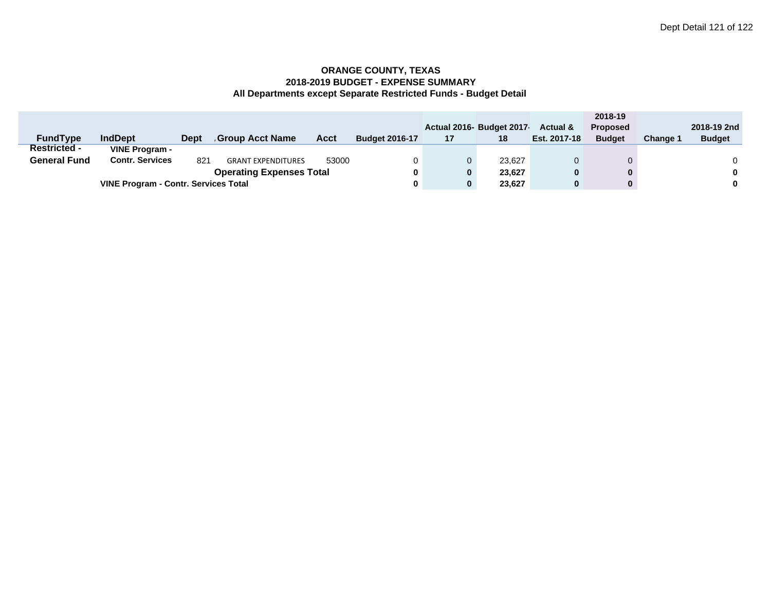|                                             |                        |             |                           |       |                       |    |                          |                     | 2018-19         |                 |               |
|---------------------------------------------|------------------------|-------------|---------------------------|-------|-----------------------|----|--------------------------|---------------------|-----------------|-----------------|---------------|
|                                             |                        |             |                           |       |                       |    | Actual 2016- Budget 2017 | <b>Actual &amp;</b> | <b>Proposed</b> |                 | 2018-19 2nd   |
| <b>FundType</b>                             | <b>IndDept</b>         | <b>Dept</b> | <b>Group Acct Name</b>    | Acct  | <b>Budget 2016-17</b> | 17 | 18                       | Est. 2017-18        | <b>Budget</b>   | <b>Change 1</b> | <b>Budget</b> |
| <b>Restricted -</b>                         | VINE Program -         |             |                           |       |                       |    |                          |                     |                 |                 |               |
| <b>General Fund</b>                         | <b>Contr. Services</b> | 821         | <b>GRANT EXPENDITURES</b> | 53000 |                       | 0  | 23.627                   |                     |                 |                 |               |
| <b>Operating Expenses Total</b>             |                        |             |                           |       |                       | 0  | 23.627                   |                     |                 |                 | $\bf{0}$      |
| <b>VINE Program - Contr. Services Total</b> |                        |             |                           |       |                       | 0  | 23.627                   |                     |                 |                 | $\bf{0}$      |